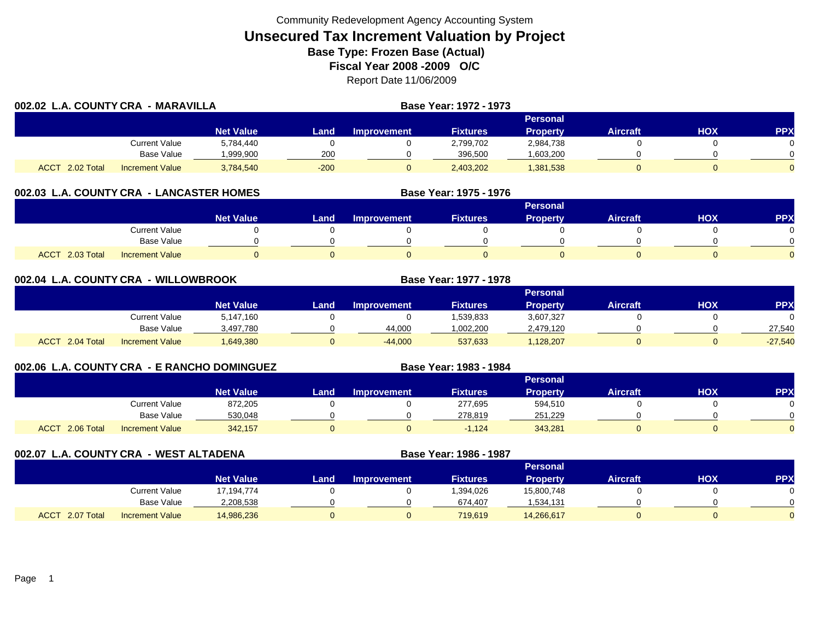| 002.02 L.A. COUNTY CRA - MARAVILLA |                        |                  |        |                    | <b>Base Year: 1972 - 1973</b> |                 |                 |     |            |  |  |
|------------------------------------|------------------------|------------------|--------|--------------------|-------------------------------|-----------------|-----------------|-----|------------|--|--|
|                                    |                        |                  |        | <b>Personal</b>    |                               |                 |                 |     |            |  |  |
|                                    |                        | <b>Net Value</b> | Land   | <b>Improvement</b> | <b>Fixtures</b>               | <b>Property</b> | <b>Aircraft</b> | нох | <b>PPX</b> |  |  |
|                                    | Current Value          | 5,784,440        |        |                    | 2,799,702                     | 2,984,738       |                 |     |            |  |  |
|                                    | <b>Base Value</b>      | .999.900         | 200    |                    | 396,500                       | .603,200        |                 |     |            |  |  |
| <b>ACCT</b><br>2.02 Total          | <b>Increment Value</b> | 3,784,540        | $-200$ |                    | 2,403,202                     | 1,381,538       |                 |     |            |  |  |

## **002.03 L.A. COUNTY CRA - LANCASTER HOMES**

|                           |                        |                  |      |                    |                 | <b>Personal</b> |                 |     |          |
|---------------------------|------------------------|------------------|------|--------------------|-----------------|-----------------|-----------------|-----|----------|
|                           |                        | <b>Net Value</b> | Land | <b>Improvement</b> | <b>Fixtures</b> | Property        | <b>Aircraft</b> | HOX | PPX      |
|                           | <b>Current Value</b>   |                  |      |                    |                 |                 |                 |     |          |
|                           | Base Value             |                  |      |                    |                 |                 |                 |     | ∩        |
| 2.03 Total<br><b>ACCT</b> | <b>Increment Value</b> |                  |      |                    |                 |                 |                 |     | $\Omega$ |

**Base Year: 1975 - 1976**

**Base Year: 1983 - 1984**

| 002.04 L.A. COUNTY CRA - WILLOWBROOK |                        |                  |      | Base Year: 1977 - 1978 |                 |                 |                 |     |            |  |  |  |
|--------------------------------------|------------------------|------------------|------|------------------------|-----------------|-----------------|-----------------|-----|------------|--|--|--|
|                                      |                        |                  |      | <b>Personal</b>        |                 |                 |                 |     |            |  |  |  |
|                                      |                        | <b>Net Value</b> | Land | <b>Improvement</b>     | <b>Fixtures</b> | <b>Property</b> | <b>Aircraft</b> | нох | <b>PPX</b> |  |  |  |
|                                      | Current Value          | 5,147,160        |      |                        | 1,539,833       | 3,607,327       |                 |     |            |  |  |  |
|                                      | Base Value             | 3,497,780        |      | 44,000                 | 1,002,200       | 2,479,120       |                 |     | 27,540     |  |  |  |
| ACCT 2.04 Total                      | <b>Increment Value</b> | 1,649,380        |      | $-44,000$              | 537,633         | 1,128,207       |                 |     | $-27,540$  |  |  |  |

## **002.06 L.A. COUNTY CRA - E RANCHO DOMINGUEZ**

|                 |                        |                  |      |             |                 | <b>Personal</b> |                 |     |            |
|-----------------|------------------------|------------------|------|-------------|-----------------|-----------------|-----------------|-----|------------|
|                 |                        | <b>Net Value</b> | Land | Improvement | <b>Fixtures</b> | <b>Property</b> | <b>Aircraft</b> | НОХ | <b>PPX</b> |
|                 | Current Value          | 872,205          |      |             | 277,695         | 594,510         |                 |     | 0          |
|                 | Base Value             | 530.048          |      |             | 278.819         | 251.229         |                 |     | $\Omega$   |
| ACCT 2.06 Total | <b>Increment Value</b> | 342,157          |      |             | $-1,124$        | 343,281         |                 |     | $\Omega$   |

**002.07 L.A. COUNTY CRA - WEST ALTADENA Base Year: 1986 - 1987 Personal Net Value Land Improvement Fixtures Property Aircraft HOX PPX** Current Value 17,194,774 0 0 1,394,026 15,800,748 0 0 Base Value 2,208,538 0 0 674,407 1,534,131 0 0 0 ACCT 2.07 TotalI Increment Value 14,986,236 0 719,619 14,266,617 0 0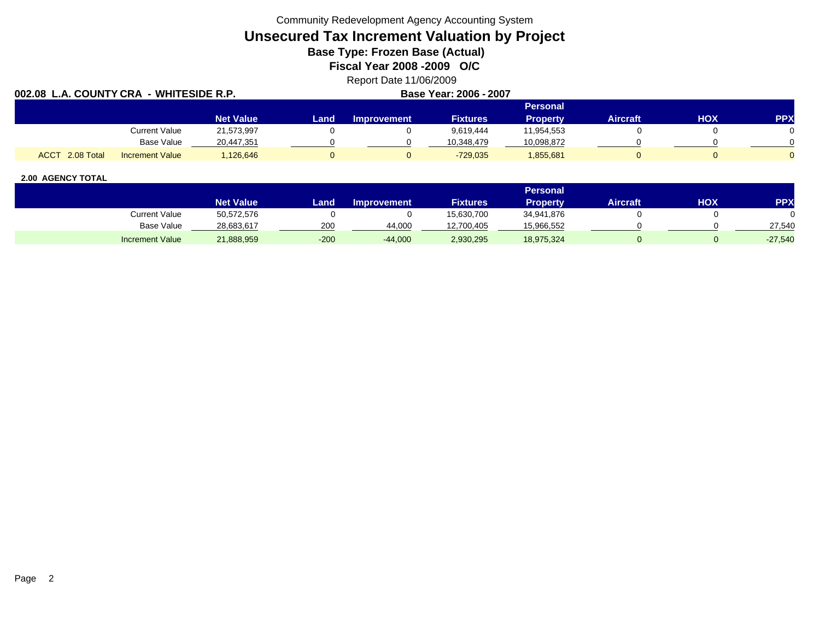Community Redevelopment Agency Accounting System

# **Unsecured Tax Increment Valuation by Project**

**Base Type: Frozen Base (Actual)** 

**Fiscal Year 2008 -2009 O/C**

Report Date 11/06/2009

| 002.08 L.A. COUNTY CRA - WHITESIDE R.P. |                        |                  |      | Base Year: 2006 - 2007 |                 |                 |          |            |            |
|-----------------------------------------|------------------------|------------------|------|------------------------|-----------------|-----------------|----------|------------|------------|
|                                         |                        |                  |      |                        |                 | <b>Personal</b> |          |            |            |
|                                         |                        | <b>Net Value</b> | Land | <b>Improvement</b>     | <b>Fixtures</b> | Property        | Aircraft | <b>HOX</b> | <b>PPX</b> |
|                                         | Current Value          | 21,573,997       |      |                        | 9.619.444       | 11,954,553      |          |            |            |
|                                         | Base Value             | 20,447,351       |      |                        | 10.348.479      | 10,098,872      |          |            |            |
| ACCT 2.08 Total                         | <b>Increment Value</b> | 126,646          |      |                        | $-729.035$      | 1,855,681       |          |            |            |

|                        |                  |        |                    |                 | Personal   |                 |     |           |
|------------------------|------------------|--------|--------------------|-----------------|------------|-----------------|-----|-----------|
|                        | <b>Net Value</b> | Land   | <b>Improvement</b> | <b>Fixtures</b> | Property   | <b>Aircraft</b> | ΗΟΧ | PPX       |
| <b>Current Value</b>   | 50,572,576       |        |                    | 15,630,700      | 34,941,876 |                 |     |           |
| <b>Base Value</b>      | 28,683,617       | 200    | 44.000             | 12,700,405      | 15,966,552 |                 |     | 27,540    |
| <b>Increment Value</b> | 21,888,959       | $-200$ | $-44,000$          | 2,930,295       | 18,975,324 |                 |     | $-27,540$ |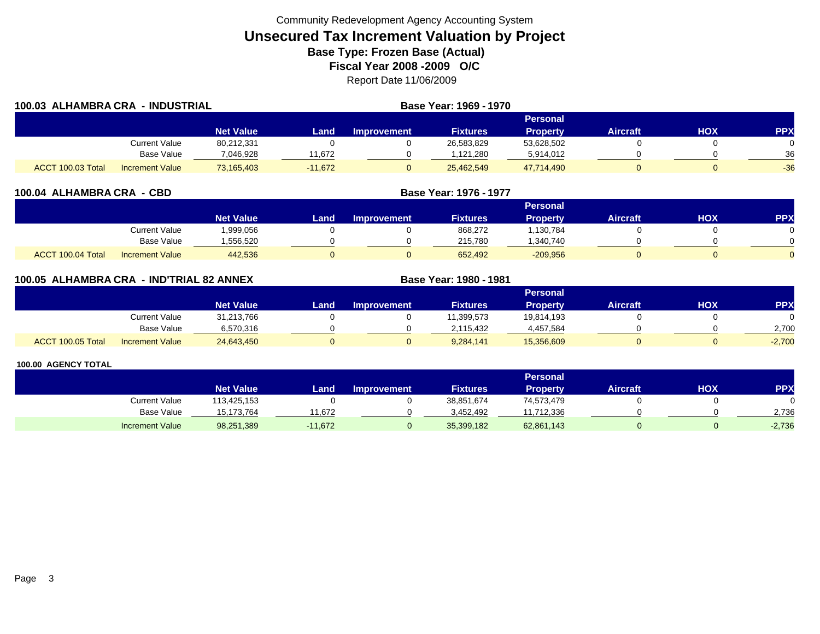| 100.03 ALHAMBRA CRA<br><b>- INDUSTRIAL</b> |                        |                  |           | Base Year: 1969 - 1970 |                 |                 |          |     |            |
|--------------------------------------------|------------------------|------------------|-----------|------------------------|-----------------|-----------------|----------|-----|------------|
|                                            |                        |                  |           |                        |                 | <b>Personal</b> |          |     |            |
|                                            |                        | <b>Net Value</b> | Land      | <b>Improvement</b>     | <b>Fixtures</b> | <b>Property</b> | Aircraft | HOX | <b>PPX</b> |
|                                            | Current Value          | 80,212,331       |           |                        | 26,583,829      | 53,628,502      |          |     | 0          |
|                                            | Base Value             | 7.046.928        | 1.672     |                        | 1.121.280       | 5,914,012       |          |     | 36         |
| ACCT 100.03 Total                          | <b>Increment Value</b> | 73,165,403       | $-11.672$ |                        | 25,462,549      | 47,714,490      |          |     | $-36$      |

|           |      |                    | <b>Base Year: 1976 - 1977</b> |
|-----------|------|--------------------|-------------------------------|
|           |      |                    |                               |
| Net Value | Land | <b>Improvement</b> | <b>Fixtures</b>               |
|           |      |                    |                               |

|                   |                        | Net Value | Land | Improvement | <b>Fixtures</b> | Propertv   | Aircraft | PPX |
|-------------------|------------------------|-----------|------|-------------|-----------------|------------|----------|-----|
|                   | <b>Current Value</b>   | ,999,056  |      |             | 868,272         | .130.784   |          |     |
|                   | <b>Base Value</b>      | .556.520  |      |             | 215.780         | 340.740.،  |          |     |
| ACCT 100.04 Total | <b>Increment Value</b> | 442,536   |      |             | 652,492         | $-209,956$ |          |     |

**Personal**

| 100.05  ALHAMBRA CRA  - IND'TRIAL 82 ANNEX |               |                  |       |                    | Base Year: 1980 - 1981 |                 |                 |     |            |
|--------------------------------------------|---------------|------------------|-------|--------------------|------------------------|-----------------|-----------------|-----|------------|
|                                            |               |                  |       |                    |                        | <b>Personal</b> |                 |     |            |
|                                            |               | <b>Net Value</b> | Land. | <b>Improvement</b> | <b>Fixtures</b>        | Property        | <b>Aircraft</b> | HOX | <b>PPX</b> |
|                                            | Current Value | 31.213.766       |       |                    | 1.399.573              | 19.814.193      |                 |     |            |

#### **100.00 AGENCY TOTAL**

ACCT 100.05 Total

|                        |                  |           |                    |                 | Personal        |                 |            |            |
|------------------------|------------------|-----------|--------------------|-----------------|-----------------|-----------------|------------|------------|
|                        | <b>Net Value</b> | Land      | <b>Improvement</b> | <b>Fixtures</b> | <b>Property</b> | <b>Aircraft</b> | <b>HOX</b> | <b>PPX</b> |
| <b>Current Value</b>   | 113,425,153      |           |                    | 38,851,674      | 74,573,479      |                 |            |            |
| <b>Base Value</b>      | 15.173.764       | 1.672     |                    | 3.452.492       | 11,712,336      |                 |            | 2.736      |
| <b>Increment Value</b> | 98,251,389       | $-11,672$ |                    | 35,399,182      | 62,861,143      |                 |            | $-2,736$   |

Base Value 6,570,316 0 0 2,115,432 4,457,584 0 0 2,700

I Increment Value 24,643,450 0 0 9,284,141 15,356,609 0 -2,700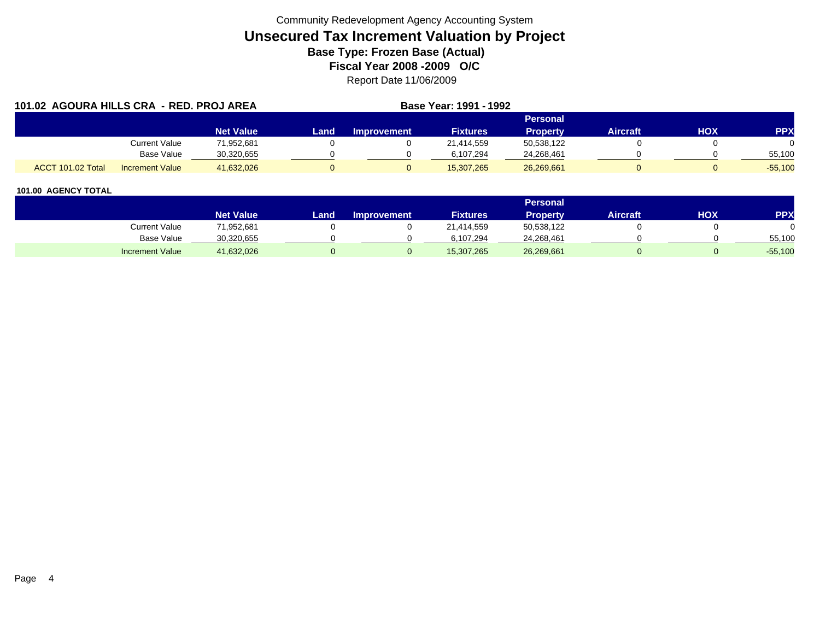| 101.02 AGOURA HILLS CRA - RED. PROJ AREA |                        |                  | <b>Base Year: 1991 - 1992</b> |                    |                 |                 |                 |     |            |
|------------------------------------------|------------------------|------------------|-------------------------------|--------------------|-----------------|-----------------|-----------------|-----|------------|
|                                          |                        |                  |                               |                    |                 | Personal        |                 |     |            |
|                                          |                        | <b>Net Value</b> | Land                          | <b>Improvement</b> | <b>Fixtures</b> | <b>Property</b> | <b>Aircraft</b> | HOX | <b>PPX</b> |
|                                          | Current Value          | 71,952,681       |                               |                    | 21,414,559      | 50,538,122      |                 |     |            |
|                                          | Base Value             | 30,320,655       |                               |                    | 6,107,294       | 24,268,461      |                 |     | 55,100     |
| ACCT 101.02 Total                        | <b>Increment Value</b> | 41.632.026       |                               |                    | 15.307.265      | 26,269,661      |                 |     | $-55.100$  |

|                        |                  |      |                    |                 | <b>Personal</b> |                 |            |           |
|------------------------|------------------|------|--------------------|-----------------|-----------------|-----------------|------------|-----------|
|                        | <b>Net Value</b> | Land | <b>Improvement</b> | <b>Fixtures</b> | <b>Property</b> | <b>Aircraft</b> | <b>HOX</b> | PPX       |
| Current Value          | 71,952,681       |      |                    | 21,414,559      | 50,538,122      |                 |            |           |
| <b>Base Value</b>      | 30,320,655       |      |                    | 6.107.294       | 24,268,461      |                 |            | 55,100    |
| <b>Increment Value</b> | 41,632,026       |      |                    | 15,307,265      | 26,269,661      |                 |            | $-55,100$ |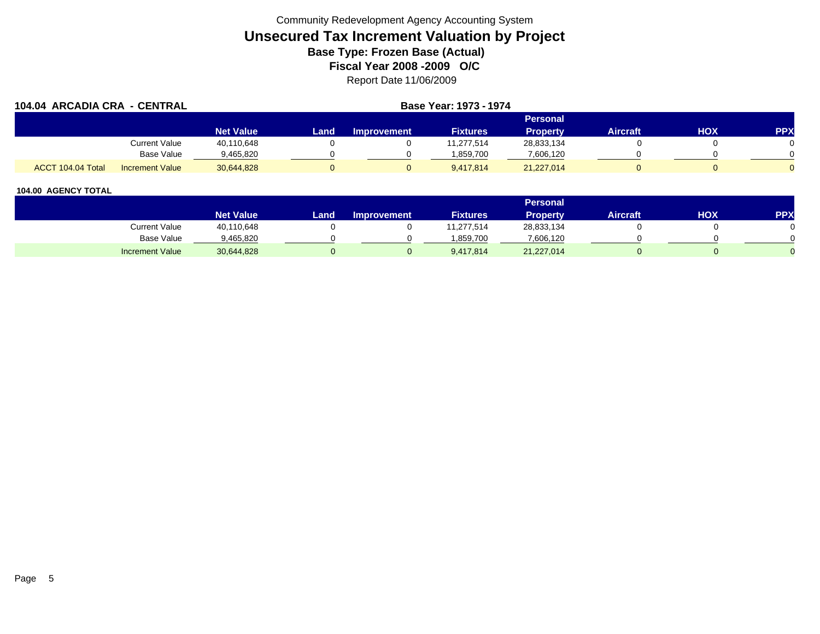|                   | 104.04 ARCADIA CRA - CENTRAL |                  |      |                    | <b>Base Year: 1973 - 1974</b> |                 |                 |     |            |
|-------------------|------------------------------|------------------|------|--------------------|-------------------------------|-----------------|-----------------|-----|------------|
|                   |                              |                  |      |                    |                               | <b>Personal</b> |                 |     |            |
|                   |                              | <b>Net Value</b> | Land | <b>Improvement</b> | <b>Fixtures</b>               | <b>Property</b> | <b>Aircraft</b> | нох | <b>PPX</b> |
|                   | <b>Current Value</b>         | 40,110,648       |      |                    | 11.277.514                    | 28,833,134      |                 |     |            |
|                   | Base Value                   | 9,465,820        |      |                    | 1.859.700                     | 7,606,120       |                 |     |            |
| ACCT 104.04 Total | <b>Increment Value</b>       | 30.644.828       |      |                    | 9.417.814                     | 21,227,014      |                 |     |            |

|                        |                  |      |                    |                 | <b>Personal</b> |                 |            |     |
|------------------------|------------------|------|--------------------|-----------------|-----------------|-----------------|------------|-----|
|                        | <b>Net Value</b> | Land | <b>Improvement</b> | <b>Fixtures</b> | <b>Property</b> | <b>Aircraft</b> | <b>HOX</b> | PPX |
| <b>Current Value</b>   | 40,110,648       |      |                    | 1,277,514       | 28,833,134      |                 |            |     |
| <b>Base Value</b>      | 9,465,820        |      |                    | 1.859.700       | 7,606,120       |                 |            |     |
| <b>Increment Value</b> | 30,644,828       |      |                    | 9,417,814       | 21,227,014      |                 |            |     |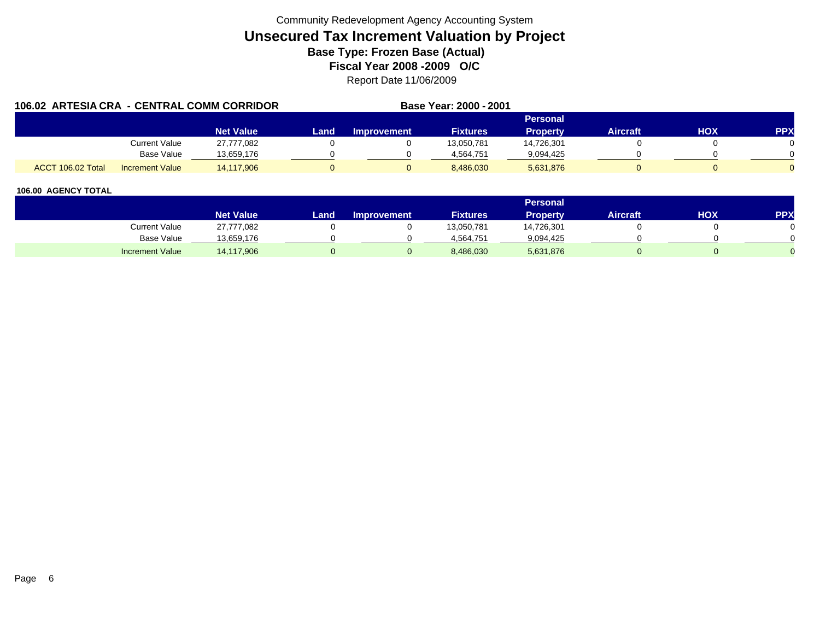| 106.02 ARTESIA CRA - CENTRAL COMM CORRIDOR |                        |                  |      |                    | Base Year: 2000 - 2001 |                 |                 |     |            |
|--------------------------------------------|------------------------|------------------|------|--------------------|------------------------|-----------------|-----------------|-----|------------|
|                                            |                        |                  |      |                    |                        | Personal        |                 |     |            |
|                                            |                        | <b>Net Value</b> | Land | <b>Improvement</b> | <b>Fixtures</b>        | <b>Property</b> | <b>Aircraft</b> | HOX | <b>PPX</b> |
|                                            | Current Value          | 27,777,082       |      |                    | 13,050,781             | 14,726,301      |                 |     |            |
|                                            | Base Value             | 13.659.176       |      |                    | 4.564.751              | 9,094,425       |                 |     |            |
| ACCT 106.02 Total                          | <b>Increment Value</b> | 14.117.906       |      |                    | 8,486,030              | 5,631,876       |                 |     |            |

|                        |                  |      |                    |                 | <b>Personal</b> |                 |            |     |
|------------------------|------------------|------|--------------------|-----------------|-----------------|-----------------|------------|-----|
|                        | <b>Net Value</b> | Land | <b>Improvement</b> | <b>Fixtures</b> | Property        | <b>Aircraft</b> | <b>HOX</b> | PPX |
| Current Value          | 27,777,082       |      |                    | 13,050,781      | 14,726,301      |                 |            |     |
| Base Value             | 13,659,176       |      |                    | 4,564,751       | 9,094,425       |                 |            |     |
| <b>Increment Value</b> | 14,117,906       |      |                    | 8,486,030       | 5,631,876       |                 |            |     |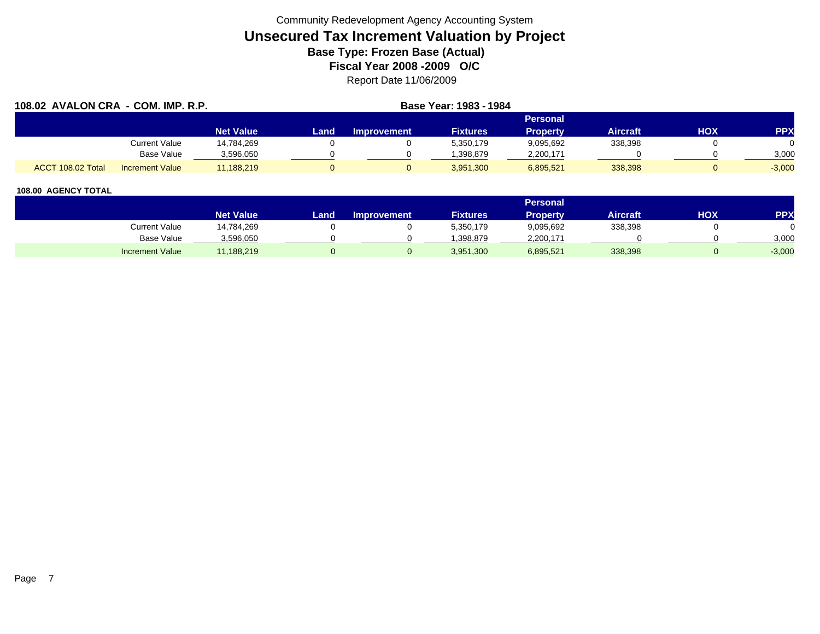| 108.02 AVALON CRA - COM. IMP. R.P. |                        |                  |      |                    | Base Year: 1983 - 1984 |                 |                 |     |            |
|------------------------------------|------------------------|------------------|------|--------------------|------------------------|-----------------|-----------------|-----|------------|
|                                    |                        |                  |      |                    |                        | <b>Personal</b> |                 |     |            |
|                                    |                        | <b>Net Value</b> | Land | <b>Improvement</b> | <b>Fixtures</b>        | <b>Property</b> | <b>Aircraft</b> | HOX | <b>PPX</b> |
|                                    | <b>Current Value</b>   | 14,784,269       |      |                    | 5,350,179              | 9,095,692       | 338,398         |     |            |
|                                    | <b>Base Value</b>      | 3,596,050        |      |                    | .398.879               | 2,200,171       |                 |     | 3,000      |
| ACCT 108.02 Total                  | <b>Increment Value</b> | 11,188,219       |      |                    | 3,951,300              | 6,895,521       | 338,398         |     | $-3,000$   |

|                        |                  |      |                    |                 | <b>Personal</b> |                 |            |          |
|------------------------|------------------|------|--------------------|-----------------|-----------------|-----------------|------------|----------|
|                        | <b>Net Value</b> | Land | <b>Improvement</b> | <b>Fixtures</b> | <b>Property</b> | <b>Aircraft</b> | <b>HOX</b> | PPX      |
| <b>Current Value</b>   | 14,784,269       |      |                    | 5,350,179       | 9,095,692       | 338,398         |            |          |
| <b>Base Value</b>      | 3,596,050        |      |                    | .398.879        | 2,200,171       |                 |            | 3,000    |
| <b>Increment Value</b> | 11,188,219       |      |                    | 3,951,300       | 6,895,521       | 338,398         |            | $-3,000$ |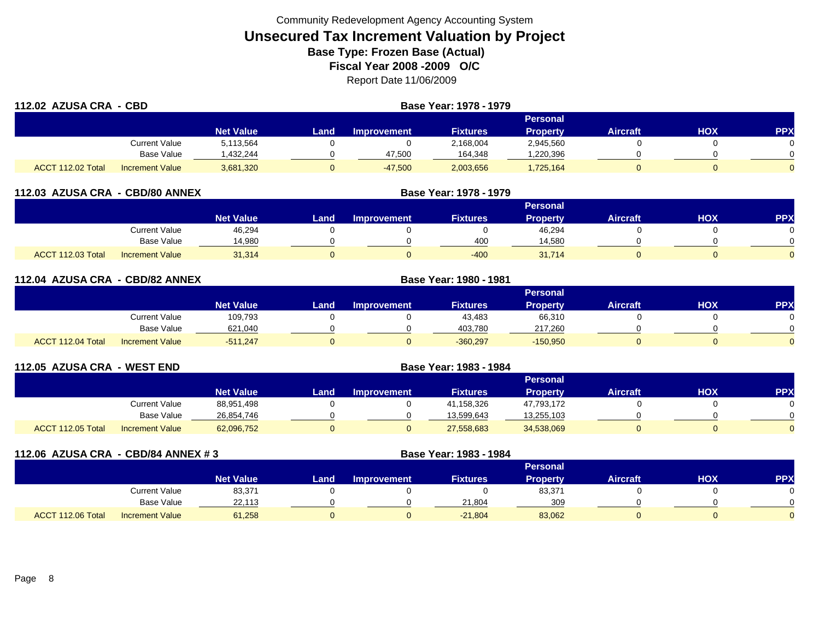| 112.02 AZUSA CRA - CBD |                        |                  | Base Year: 1978 - 1979 |                    |                 |                 |                 |            |              |
|------------------------|------------------------|------------------|------------------------|--------------------|-----------------|-----------------|-----------------|------------|--------------|
|                        |                        |                  |                        |                    |                 | <b>Personal</b> |                 |            |              |
|                        |                        | <b>Net Value</b> | Land                   | <b>Improvement</b> | <b>Fixtures</b> | <b>Property</b> | <b>Aircraft</b> | <b>HOX</b> | <b>PPX</b>   |
|                        | <b>Current Value</b>   | 5,113,564        |                        |                    | 2,168,004       | 2,945,560       |                 |            |              |
|                        | Base Value             | 432,244.         |                        | 47,500             | 164,348         | ,220,396        |                 |            | <sup>n</sup> |
| ACCT 112.02 Total      | <b>Increment Value</b> | 3,681,320        | U                      | $-47,500$          | 2,003,656       | 1,725,164       |                 |            | <sup>n</sup> |

| 112.03 AZUSA CRA - CBD/80 ANNEX             |                  | Base Year: 1978 - 1979 |                    |                 |                 |          |     |     |  |
|---------------------------------------------|------------------|------------------------|--------------------|-----------------|-----------------|----------|-----|-----|--|
|                                             |                  |                        |                    |                 | Personal        |          |     |     |  |
|                                             | <b>Net Value</b> | Land                   | <b>Improvement</b> | <b>Fixtures</b> | <b>Property</b> | Aircraft | нох | PPX |  |
| <b>Current Value</b>                        | 46,294           |                        |                    |                 | 46,294          |          |     |     |  |
| Base Value                                  | 14,980           |                        |                    | 400             | 14,580          |          |     |     |  |
| ACCT 112.03 Total<br><b>Increment Value</b> | 31,314           |                        |                    | $-400$          | 31,714          |          |     |     |  |

| 112.04 AZUSA CRA - CBD/82 ANNEX |                        |                  |       | <b>Base Year: 1980 - 1981</b> |                 |                 |                 |            |            |
|---------------------------------|------------------------|------------------|-------|-------------------------------|-----------------|-----------------|-----------------|------------|------------|
|                                 |                        |                  |       |                               |                 | Personal        |                 |            |            |
|                                 |                        | <b>Net Value</b> | Landı | Improvement                   | <b>Fixtures</b> | <b>Property</b> | <b>Aircraft</b> | <b>HOX</b> | <b>PPX</b> |
|                                 | <b>Current Value</b>   | 109,793          |       |                               | 43,483          | 66,310          |                 |            |            |
|                                 | <b>Base Value</b>      | 621,040          |       |                               | 403,780         | 217,260         |                 |            |            |
| ACCT 112.04 Total               | <b>Increment Value</b> | $-511,247$       |       |                               | $-360,297$      | $-150,950$      |                 |            |            |

| 112.05 AZUSA CRA  | - WEST END             |                  |       |                    |                 |                 |                 |     |           |
|-------------------|------------------------|------------------|-------|--------------------|-----------------|-----------------|-----------------|-----|-----------|
|                   |                        |                  |       |                    |                 | Personal        |                 |     |           |
|                   |                        | <b>Net Value</b> | Land, | <b>Improvement</b> | <b>Fixtures</b> | <b>Property</b> | <b>Aircraft</b> | нох | <b>PP</b> |
|                   | Current Value          | 88,951,498       |       |                    | 41,158,326      | 47,793,172      |                 |     |           |
|                   | Base Value             | 26,854,746       |       |                    | 13,599,643      | 13,255,103      |                 |     |           |
| ACCT 112.05 Total | <b>Increment Value</b> | 62,096,752       |       |                    | 27,558,683      | 34,538,069      |                 |     |           |

| 112.06 AZUSA CRA - CBD/84 ANNEX #3 |                        |                  |      | Base Year: 1983 - 1984 |                 |                 |                 |     |            |
|------------------------------------|------------------------|------------------|------|------------------------|-----------------|-----------------|-----------------|-----|------------|
|                                    |                        |                  |      |                        |                 | <b>Personal</b> |                 |     |            |
|                                    |                        | <b>Net Value</b> | Land | <b>Improvement</b>     | <b>Fixtures</b> | <b>Property</b> | <b>Aircraft</b> | нох | <b>PPX</b> |
|                                    | Current Value          | 83,371           |      |                        |                 | 83,371          |                 |     |            |
|                                    | <b>Base Value</b>      | 22,113           |      |                        | 21,804          | 309             |                 |     |            |
| ACCT 112.06 Total                  | <b>Increment Value</b> | 61,258           |      |                        | $-21,804$       | 83,062          |                 |     |            |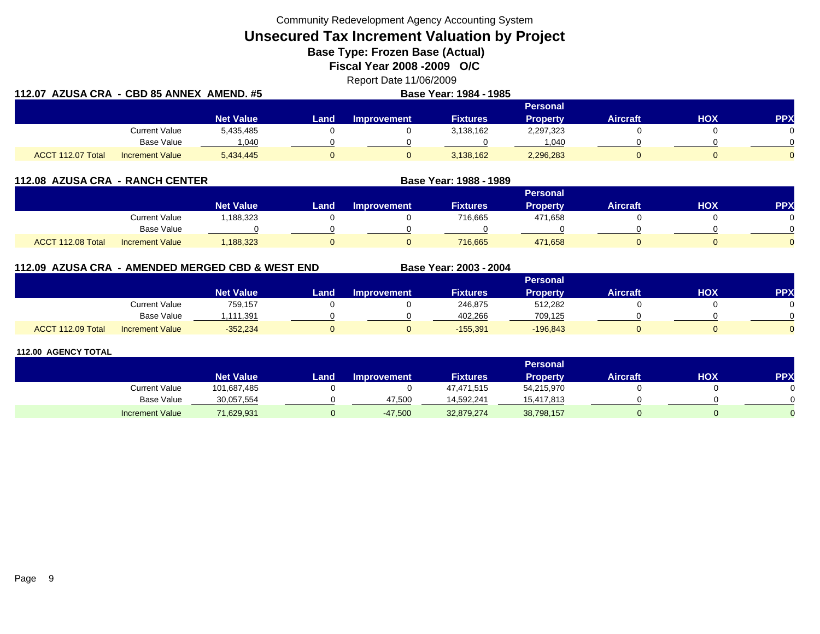Community Redevelopment Agency Accounting System

**Unsecured Tax Increment Valuation by Project**

**Base Type: Frozen Base (Actual)** 

**Fiscal Year 2008 -2009 O/C**

Report Date 11/06/2009 **112.07 AZUSA CRA - CBD 85 ANNEX AMEND. #5 Base Year: 1984 - 1985**

|                   |                        |                  |       | -----------------  |                 |                 |                 |     |     |
|-------------------|------------------------|------------------|-------|--------------------|-----------------|-----------------|-----------------|-----|-----|
|                   |                        |                  |       |                    |                 | Personal        |                 |     |     |
|                   |                        | <b>Net Value</b> | Land. | <b>Improvement</b> | <b>Fixtures</b> | <b>Property</b> | <b>Aircraft</b> | нох | PPX |
|                   | <b>Current Value</b>   | 5,435,485        |       |                    | 3,138,162       | 2,297,323       |                 |     |     |
|                   | <b>Base Value</b>      | .040             |       |                    |                 | 1.040           |                 |     |     |
| ACCT 112.07 Total | <b>Increment Value</b> | 5,434,445        |       |                    | 3,138,162       | 2,296,283       |                 |     |     |

| 112.08 AZUSA CRA - RANCH CENTER |                        |                  |      |                    | Base Year: 1988 - 1989 |                 |                 |     |           |
|---------------------------------|------------------------|------------------|------|--------------------|------------------------|-----------------|-----------------|-----|-----------|
|                                 |                        |                  |      |                    |                        | <b>Personal</b> |                 |     |           |
|                                 |                        | <b>Net Value</b> | Land | <b>Improvement</b> | <b>Fixtures</b>        | Property        | <b>Aircraft</b> | нох | <b>PP</b> |
|                                 | Current Value          | ,188,323         |      |                    | 716,665                | 471,658         |                 |     |           |
|                                 | Base Value             |                  |      |                    |                        |                 |                 |     |           |
| ACCT 112.08 Total               | <b>Increment Value</b> | 1,188,323        |      |                    | 716,665                | 471,658         |                 |     |           |

## **112.09 AZUSA CRA - AMENDED MERGED CBD & WEST END**

|                   |                        |                    |      |                    |                 | <b>Personal</b> |                 |            |            |
|-------------------|------------------------|--------------------|------|--------------------|-----------------|-----------------|-----------------|------------|------------|
|                   |                        | Net Value <b>'</b> | Land | <b>Improvement</b> | <b>Fixtures</b> | <b>Property</b> | <b>Aircraft</b> | <b>HOX</b> | <b>PPX</b> |
|                   | Current Value          | 759,157            |      |                    | 246,875         | 512,282         |                 |            | 0          |
|                   | <b>Base Value</b>      | ,111,391           |      |                    | 402.266         | 709,125         |                 |            | $\cap$     |
| ACCT 112.09 Total | <b>Increment Value</b> | $-352,234$         |      |                    | $-155,391$      | $-196,843$      |                 |            | $\Omega$   |

**Base Year: 2003 - 2004**

|                        |                  |       |                    |                 | <b>Personal</b> |                 |            |           |
|------------------------|------------------|-------|--------------------|-----------------|-----------------|-----------------|------------|-----------|
|                        | <b>Net Value</b> | Land. | <b>Improvement</b> | <b>Fixtures</b> | <b>Property</b> | <b>Aircraft</b> | <b>HOX</b> | <b>PP</b> |
| <b>Current Value</b>   | 101,687,485      |       |                    | 47,471,515      | 54,215,970      |                 |            |           |
| Base Value             | 30,057,554       |       | 47.500             | 14.592.241      | 15.417.813      |                 |            |           |
| <b>Increment Value</b> | 71,629,931       |       | $-47,500$          | 32,879,274      | 38,798,157      |                 |            |           |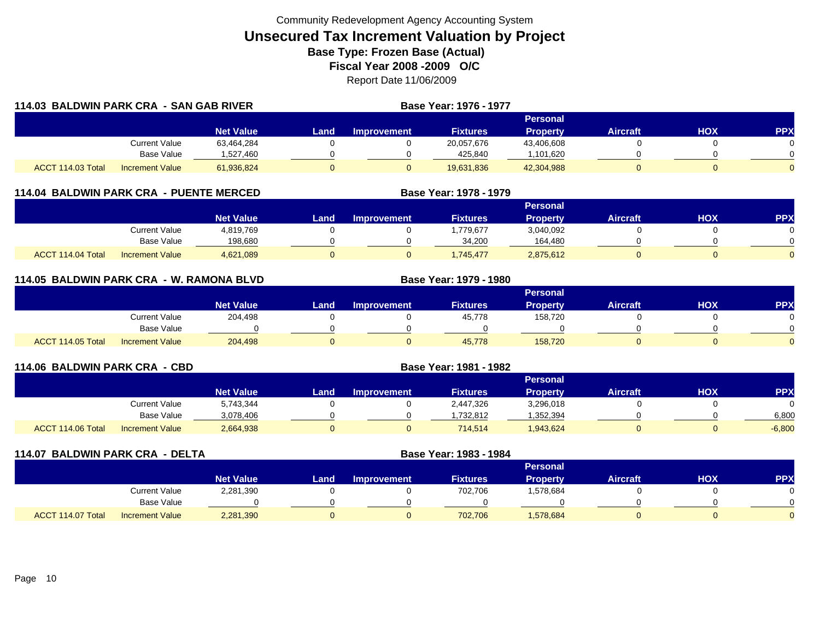|                   | 114.03 BALDWIN PARK CRA - SAN GAB RIVER |                  |      |                    | <b>Base Year: 1976 - 1977</b> |                 |                 |     |            |
|-------------------|-----------------------------------------|------------------|------|--------------------|-------------------------------|-----------------|-----------------|-----|------------|
|                   |                                         |                  |      |                    |                               | Personal        |                 |     |            |
|                   |                                         | <b>Net Value</b> | Land | <b>Improvement</b> | <b>Fixtures</b>               | <b>Property</b> | <b>Aircraft</b> | нох | <b>PPX</b> |
|                   | <b>Current Value</b>                    | 63,464,284       |      |                    | 20,057,676                    | 43,406,608      |                 |     |            |
|                   | Base Value                              | 1,527,460        |      |                    | 425,840                       | ,101,620        |                 |     |            |
| ACCT 114.03 Total | <b>Increment Value</b>                  | 61,936,824       |      |                    | 19,631,836                    | 42,304,988      |                 |     | 0          |

## **114.04 BALDWIN PARK CRA - PUENTE MERCED**

|                   |                        |                  |      |                    |                 | Personal        |                 |     |     |
|-------------------|------------------------|------------------|------|--------------------|-----------------|-----------------|-----------------|-----|-----|
|                   |                        | <b>Net Value</b> | Land | <b>Improvement</b> | <b>Fixtures</b> | <b>Property</b> | <b>Aircraft</b> | HOX | PPX |
|                   | <b>Current Value</b>   | 4,819,769        |      |                    | .779,677        | 3,040,092       |                 |     |     |
|                   | Base Value             | 198,680          |      |                    | 34.200          | 164,480         |                 |     |     |
| ACCT 114.04 Total | <b>Increment Value</b> | 4,621,089        |      |                    | ,745,477        | 2,875,612       |                 |     |     |

**Base Year: 1978 - 1979**

**Base Year: 1979 - 1980**

## **114.05 BALDWIN PARK CRA - W. RAMONA BLVD**

|                                             |                  |      |                    |                 | Personal |                 |     |            |
|---------------------------------------------|------------------|------|--------------------|-----------------|----------|-----------------|-----|------------|
|                                             | <b>Net Value</b> | Land | <b>Improvement</b> | <b>Fixtures</b> | Property | <b>Aircraft</b> | нох | <b>PPX</b> |
| <b>Current Value</b>                        | 204,498          |      |                    | 45,778          | 158,720  |                 |     |            |
| <b>Base Value</b>                           |                  |      |                    |                 |          |                 |     |            |
| ACCT 114.05 Total<br><b>Increment Value</b> | 204,498          |      |                    | 45,778          | 158,720  |                 |     |            |

| 114.06 BALDWIN PARK CRA - CBD |                        |                  |      |                    |                 |                 |                 |     |            |
|-------------------------------|------------------------|------------------|------|--------------------|-----------------|-----------------|-----------------|-----|------------|
|                               |                        |                  |      |                    |                 | Personal        |                 |     |            |
|                               |                        | <b>Net Value</b> | Land | <b>Improvement</b> | <b>Fixtures</b> | <b>Property</b> | <b>Aircraft</b> | ΗΟΧ | <b>PPX</b> |
|                               | Current Value          | 5,743,344        |      |                    | 2,447,326       | 3,296,018       |                 |     |            |
|                               | Base Value             | 3,078,406        |      |                    | .732.812        | .352,394        |                 |     | 6.800      |
| ACCT 114.06 Total             | <b>Increment Value</b> | 2,664,938        |      |                    | 714,514         | 943,624         |                 |     | $-6,800$   |

| 114.07 BALDWIN PARK CRA - DELTA |                        |                  |      | Base Year: 1983 - 1984 |                 |                 |                 |            |           |
|---------------------------------|------------------------|------------------|------|------------------------|-----------------|-----------------|-----------------|------------|-----------|
|                                 |                        |                  |      |                        |                 | <b>Personal</b> |                 |            |           |
|                                 |                        | <b>Net Value</b> | Land | <b>Improvement</b>     | <b>Fixtures</b> | Property        | <b>Aircraft</b> | <b>HOX</b> | <b>PP</b> |
|                                 | Current Value          | 2,281,390        |      |                        | 702,706         | 1,578,684       |                 |            |           |
|                                 | Base Value             |                  |      |                        |                 |                 |                 |            |           |
| ACCT 114.07 Total               | <b>Increment Value</b> | 2,281,390        |      |                        | 702,706         | 1,578,684       |                 |            |           |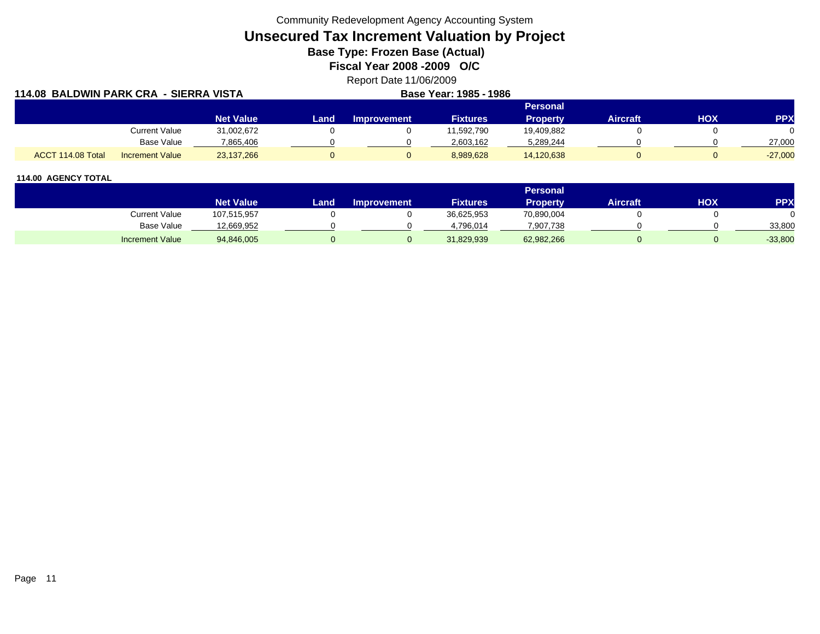Community Redevelopment Agency Accounting System

**Unsecured Tax Increment Valuation by Project**

**Base Type: Frozen Base (Actual)** 

**Fiscal Year 2008 -2009 O/C**

Report Date 11/06/2009

| 114.08 BALDWIN PARK CRA - SIERRA VISTA      |                  |      | Base Year: 1985 - 1986 |                 |                 |                 |     |            |
|---------------------------------------------|------------------|------|------------------------|-----------------|-----------------|-----------------|-----|------------|
|                                             |                  |      |                        |                 | <b>Personal</b> |                 |     |            |
|                                             | <b>Net Value</b> | Land | Improvement            | <b>Fixtures</b> | <b>Property</b> | <b>Aircraft</b> | HOX | <b>PPX</b> |
| <b>Current Value</b>                        | 31,002,672       |      |                        | 11,592,790      | 19,409,882      |                 |     |            |
| <b>Base Value</b>                           | 7.865.406        |      |                        | 2,603,162       | 5,289,244       |                 |     | 27,000     |
| ACCT 114.08 Total<br><b>Increment Value</b> | 23,137,266       |      |                        | 8,989,628       | 14,120,638      |                 |     | $-27,000$  |

|                        |                  |      |                    |                 | Personal        |                 |     |            |
|------------------------|------------------|------|--------------------|-----------------|-----------------|-----------------|-----|------------|
|                        | <b>Net Value</b> | Land | <b>Improvement</b> | <b>Fixtures</b> | <b>Property</b> | <b>Aircraft</b> | нох | <b>PPX</b> |
| <b>Current Value</b>   | 107,515,957      |      |                    | 36,625,953      | 70,890,004      |                 |     |            |
| <b>Base Value</b>      | 12,669,952       |      |                    | 4.796.014       | ,907,738        |                 |     | 33,800     |
| <b>Increment Value</b> | 94,846,005       |      |                    | 31,829,939      | 62,982,266      |                 |     | $-33,800$  |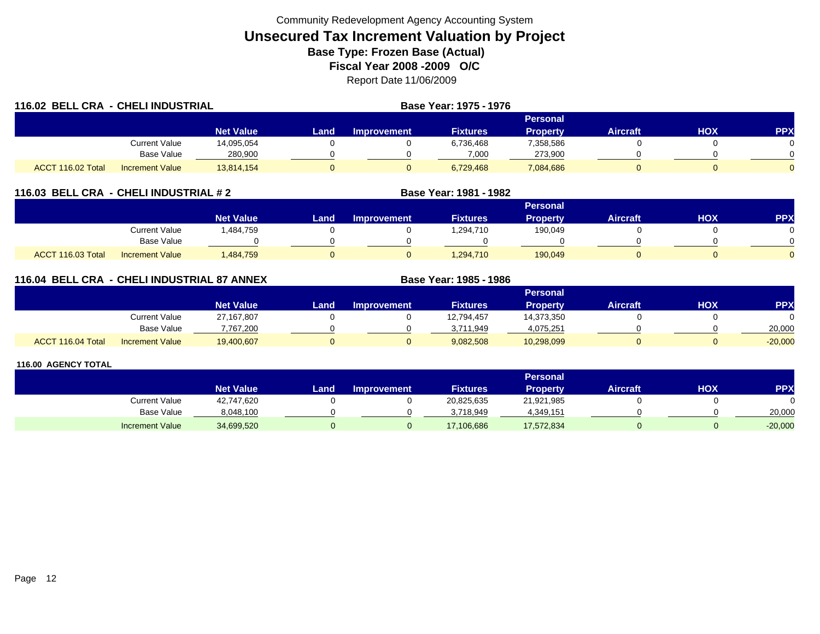| 116.02 BELL CRA - CHELI INDUSTRIAL |                        |                  |       | <b>Base Year: 1975 - 1976</b> |                 |                 |                 |     |            |
|------------------------------------|------------------------|------------------|-------|-------------------------------|-----------------|-----------------|-----------------|-----|------------|
|                                    |                        |                  |       |                               |                 | Personal        |                 |     |            |
|                                    |                        | <b>Net Value</b> | Landı | Improvement                   | <b>Fixtures</b> | <b>Property</b> | <b>Aircraft</b> | HOX | <b>PPX</b> |
|                                    | Current Value          | 14,095,054       |       |                               | 6,736,468       | 7,358,586       |                 |     |            |
|                                    | Base Value             | 280,900          |       |                               | 7,000           | 273,900         |                 |     |            |
| ACCT 116.02 Total                  | <b>Increment Value</b> | 13,814,154       |       |                               | 6,729,468       | 7,084,686       |                 |     |            |

## **116.03 BELL CRA - CHELI INDUSTRIAL # 2 Base Year: 1981 - 1982**

|                                             |                  |      |                    |                 | Personal |                 |            |                |
|---------------------------------------------|------------------|------|--------------------|-----------------|----------|-----------------|------------|----------------|
|                                             | <b>Net Value</b> | Land | <b>Improvement</b> | <b>Fixtures</b> | Property | <b>Aircraft</b> | <b>XOH</b> | PPX            |
| <b>Current Value</b>                        | ,484,759         |      |                    | ,294,710        | 190,049  |                 |            |                |
| <b>Base Value</b>                           |                  |      |                    |                 |          |                 |            | <sup>n</sup>   |
| ACCT 116.03 Total<br><b>Increment Value</b> | ,484,759         |      |                    | 1,294,710       | 190,049  |                 |            | $\overline{0}$ |

## **116.04 BELL CRA - CHELI INDUSTRIAL 87 ANNEX**

|                   |                        |                  |      |                    |                 | <b>Personal</b> |                 |     |            |
|-------------------|------------------------|------------------|------|--------------------|-----------------|-----------------|-----------------|-----|------------|
|                   |                        | <b>Net Value</b> | Land | <b>Improvement</b> | <b>Fixtures</b> | Property        | <b>Aircraft</b> | нох | <b>PPX</b> |
|                   | <b>Current Value</b>   | 27,167,807       |      |                    | 12,794,457      | 14,373,350      |                 |     |            |
|                   | <b>Base Value</b>      | 7,767,200        |      |                    | 3.711.949       | 4,075,251       |                 |     | 20,000     |
| ACCT 116.04 Total | <b>Increment Value</b> | 19,400,607       |      |                    | 9,082,508       | 10,298,099      |                 |     | $-20,000$  |

**Base Year: 1985 - 1986**

|                        |                  |       |                    |                 | Personal . |                 |     |            |
|------------------------|------------------|-------|--------------------|-----------------|------------|-----------------|-----|------------|
|                        | <b>Net Value</b> | Land. | <b>Improvement</b> | <b>Fixtures</b> | Property   | <b>Aircraft</b> | нох | <b>PPX</b> |
| Current Value          | 42,747,620       |       |                    | 20,825,635      | 21,921,985 |                 |     |            |
| <b>Base Value</b>      | 8,048,100        |       |                    | 3.718.949       | 4,349,151  |                 |     | 20,000     |
| <b>Increment Value</b> | 34,699,520       |       |                    | 17,106,686      | 17,572,834 |                 |     | $-20,000$  |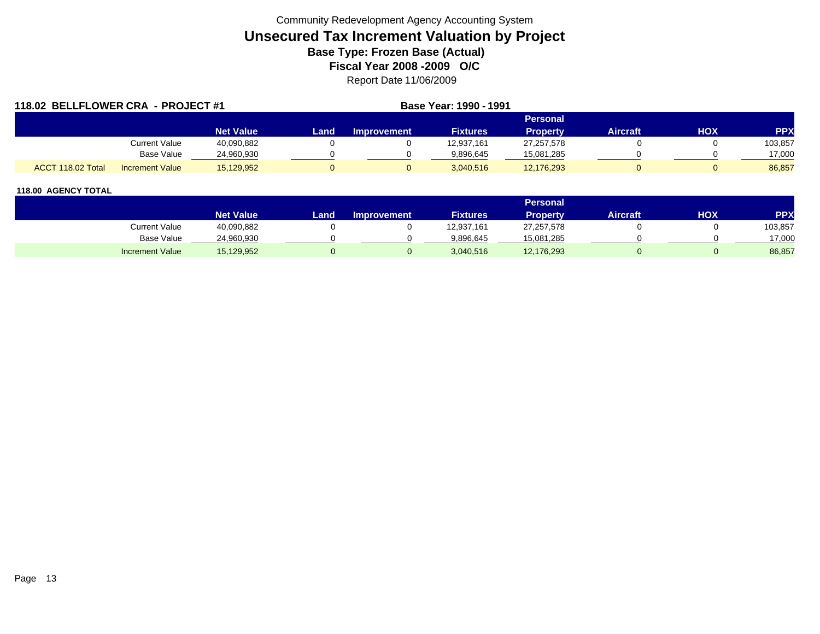| 118.02 BELLFLOWER CRA - PROJECT #1 |                        |                  |      |                    | Base Year: 1990 - 1991 |                 |                 |     |            |
|------------------------------------|------------------------|------------------|------|--------------------|------------------------|-----------------|-----------------|-----|------------|
|                                    |                        |                  |      |                    |                        | <b>Personal</b> |                 |     |            |
|                                    |                        | <b>Net Value</b> | Land | <b>Improvement</b> | <b>Fixtures</b>        | <b>Property</b> | <b>Aircraft</b> | нох | <b>PPX</b> |
|                                    | Current Value          | 40,090,882       |      |                    | 12,937,161             | 27,257,578      |                 |     | 103,857    |
|                                    | <b>Base Value</b>      | 24,960,930       |      |                    | 9.896.645              | 15,081,285      |                 |     | 17,000     |
| ACCT 118.02 Total                  | <b>Increment Value</b> | 15,129,952       |      |                    | 3,040,516              | 12,176,293      |                 |     | 86,857     |

|                        |                  |       |                    |                 | Personal   |                 |            |         |
|------------------------|------------------|-------|--------------------|-----------------|------------|-----------------|------------|---------|
|                        | <b>Net Value</b> | Land. | <b>Improvement</b> | <b>Fixtures</b> | Property   | <b>Aircraft</b> | <b>HOX</b> | PPX     |
| Current Value          | 40,090,882       |       |                    | 12,937,161      | 27,257,578 |                 |            | 103,857 |
| <b>Base Value</b>      | 24,960,930       |       |                    | 9,896,645       | 15,081,285 |                 |            | 17,000  |
| <b>Increment Value</b> | 15,129,952       |       |                    | 3,040,516       | 12,176,293 |                 |            | 86,857  |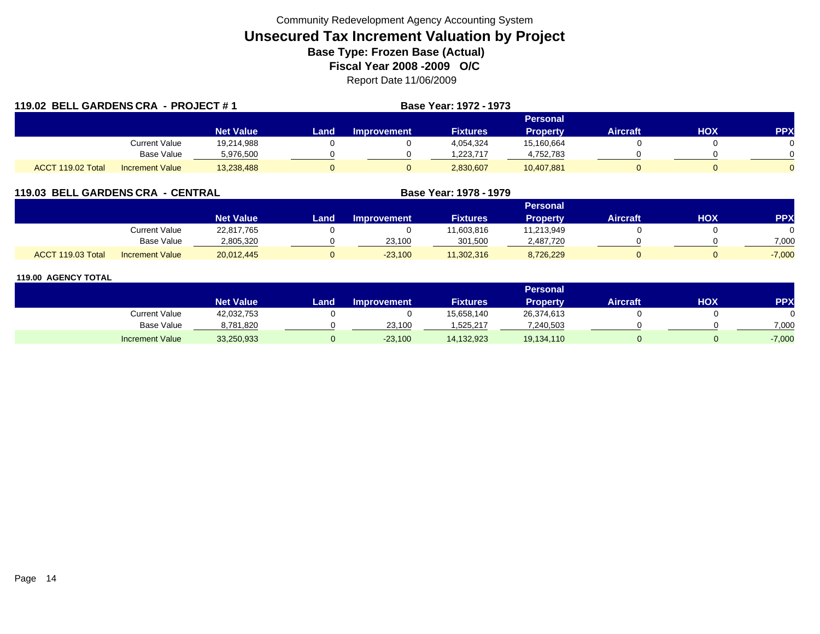| 119.02 BELL GARDENS CRA - PROJECT #1 |                        |                  |       |                    | Base Year: 1972 - 1973 |                 |                 |     |            |
|--------------------------------------|------------------------|------------------|-------|--------------------|------------------------|-----------------|-----------------|-----|------------|
|                                      |                        |                  |       |                    |                        | <b>Personal</b> |                 |     |            |
|                                      |                        | <b>Net Value</b> | Land, | <b>Improvement</b> | <b>Fixtures</b>        | <b>Property</b> | <b>Aircraft</b> | нох | <b>PPX</b> |
|                                      | <b>Current Value</b>   | 19,214,988       |       |                    | 4,054,324              | 15,160,664      |                 |     |            |
|                                      | Base Value             | 5,976,500        |       |                    | 1.223.717              | 4,752,783       |                 |     |            |
| ACCT 119.02 Total                    | <b>Increment Value</b> | 13,238,488       | 0     |                    | 2,830,607              | 10,407,881      |                 |     |            |

## **119.03 BELL GARDENS CRA - CENTRAL**

|                   |                        | Personal         |      |             |                 |                 |                 |     |          |  |  |
|-------------------|------------------------|------------------|------|-------------|-----------------|-----------------|-----------------|-----|----------|--|--|
|                   |                        | <b>Net Value</b> | Land | Improvement | <b>Fixtures</b> | <b>Property</b> | <b>Aircraft</b> | ΧΟΗ | PPX      |  |  |
|                   | Current Value          | 22,817,765       |      |             | 1,603,816       | 11,213,949      |                 |     |          |  |  |
|                   | <b>Base Value</b>      | 2,805,320        |      | 23.100      | 301.500         | 2,487,720       |                 |     | 7,000    |  |  |
| ACCT 119.03 Total | <b>Increment Value</b> | 20,012,445       |      | $-23,100$   | 11,302,316      | 8,726,229       |                 |     | $-7,000$ |  |  |

**Base Year: 1978 - 1979**

|                        |                  |      |                    |                 | Personal        |                 |     |            |
|------------------------|------------------|------|--------------------|-----------------|-----------------|-----------------|-----|------------|
|                        | <b>Net Value</b> | Land | <b>Improvement</b> | <b>Fixtures</b> | <b>Property</b> | <b>Aircraft</b> | НОХ | <b>PPX</b> |
| <b>Current Value</b>   | 42,032,753       |      |                    | 15,658,140      | 26,374,613      |                 |     |            |
| <b>Base Value</b>      | 8,781,820        |      | 23.100             | 525,217         | 7,240,503       |                 |     | 7.000      |
| <b>Increment Value</b> | 33,250,933       |      | $-23,100$          | 14,132,923      | 19,134,110      |                 |     | $-7,000$   |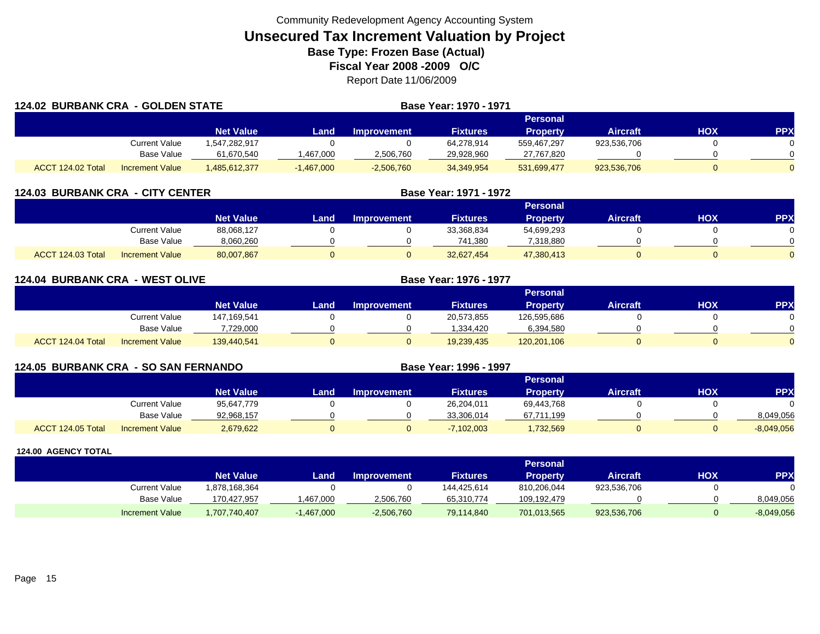|                   | <b>124.02 BURBANK CRA - GOLDEN STATE</b> |                  |              | Base Year: 1970 - 1971 |                 |                 |                 |     |            |
|-------------------|------------------------------------------|------------------|--------------|------------------------|-----------------|-----------------|-----------------|-----|------------|
|                   |                                          |                  |              |                        |                 | Personal        |                 |     |            |
|                   |                                          | <b>Net Value</b> | Land         | <b>Improvement</b>     | <b>Fixtures</b> | <b>Property</b> | <b>Aircraft</b> | HOX | <b>PPX</b> |
|                   | Current Value                            | 547,282,917      |              |                        | 64,278,914      | 559,467,297     | 923,536,706     |     | 0          |
|                   | Base Value                               | 61,670,540       | ,467,000     | 2,506,760              | 29,928,960      | 27,767,820      |                 |     | 0.         |
| ACCT 124.02 Total | <b>Increment Value</b>                   | .485,612,377     | $-1,467,000$ | $-2,506,760$           | 34,349,954      | 531,699,477     | 923,536,706     |     | 0          |

| <b>124.03 BURBANK CRA - CITY CENTER</b> |                        |                  |      | Base Year: 1971 - 1972 |                 |                 |                 |     |            |
|-----------------------------------------|------------------------|------------------|------|------------------------|-----------------|-----------------|-----------------|-----|------------|
|                                         |                        |                  |      |                        |                 | Personal        |                 |     |            |
|                                         |                        | <b>Net Value</b> | Land | <b>Improvement</b>     | <b>Fixtures</b> | <b>Property</b> | <b>Aircraft</b> | НОХ | <b>PPX</b> |
|                                         | Current Value          | 88,068,127       |      |                        | 33,368,834      | 54,699,293      |                 |     |            |
|                                         | Base Value             | 8,060,260        |      |                        | 741,380         | 7,318,880       |                 |     |            |
| ACCT 124.03 Total                       | <b>Increment Value</b> | 80,007,867       |      |                        | 32,627,454      | 47,380,413      |                 |     |            |

| <b>124.04 BURBANK CRA - WEST OLIVE</b> |                        |                  |      | <b>Base Year: 1976 - 1977</b> |                 |                 |                 |            |            |
|----------------------------------------|------------------------|------------------|------|-------------------------------|-----------------|-----------------|-----------------|------------|------------|
|                                        |                        |                  |      |                               |                 | Personal        |                 |            |            |
|                                        |                        | <b>Net Value</b> | Land | <b>Improvement</b>            | <b>Fixtures</b> | <b>Property</b> | <b>Aircraft</b> | <b>HOX</b> | <b>PPX</b> |
|                                        | <b>Current Value</b>   | 147,169,541      |      |                               | 20,573,855      | 126,595,686     |                 |            | 0          |
|                                        | <b>Base Value</b>      | 7,729,000        |      |                               | .334,420        | 6,394,580       |                 |            | $\Omega$   |
| ACCT 124.04 Total                      | <b>Increment Value</b> | 139,440,541      | 0    |                               | 19,239,435      | 120,201,106     |                 |            | $\Omega$   |

| <b>124.05 BURBANK CRA - SO SAN FERNANDO</b> |                        |                  | Base Year: 1996 - 1997 |                    |                 |                 |                 |     |              |
|---------------------------------------------|------------------------|------------------|------------------------|--------------------|-----------------|-----------------|-----------------|-----|--------------|
|                                             |                        |                  |                        |                    |                 | Personal        |                 |     |              |
|                                             |                        | <b>Net Value</b> | Land                   | <b>Improvement</b> | <b>Fixtures</b> | <b>Property</b> | <b>Aircraft</b> | нох | <b>PP</b>    |
|                                             | Current Value          | 95,647,779       |                        |                    | 26,204,011      | 69.443.768      |                 |     |              |
|                                             | Base Value             | 92,968,157       |                        |                    | 33,306,014      | 67,711,199      |                 |     | 8,049,056    |
| ACCT 124.05 Total                           | <b>Increment Value</b> | 2,679,622        |                        |                    | $-7,102,003$    | 1,732,569       |                 |     | $-8,049,056$ |

|                        |                  |              |                    |                 | Personal    |                 |     |              |
|------------------------|------------------|--------------|--------------------|-----------------|-------------|-----------------|-----|--------------|
|                        | <b>Net Value</b> | Land         | <b>Improvement</b> | <b>Fixtures</b> | Property    | <b>Aircraft</b> | HOX | PPX          |
| Current Value          | 1,878,168,364    |              |                    | 144.425.614     | 810,206,044 | 923,536,706     |     |              |
| <b>Base Value</b>      | 170,427,957      | ,467,000     | 2,506,760          | 65,310,774      | 109,192,479 |                 |     | 8,049,056    |
| <b>Increment Value</b> | 1,707,740,407    | $-1,467,000$ | $-2,506,760$       | 79,114,840      | 701,013,565 | 923,536,706     |     | $-8,049,056$ |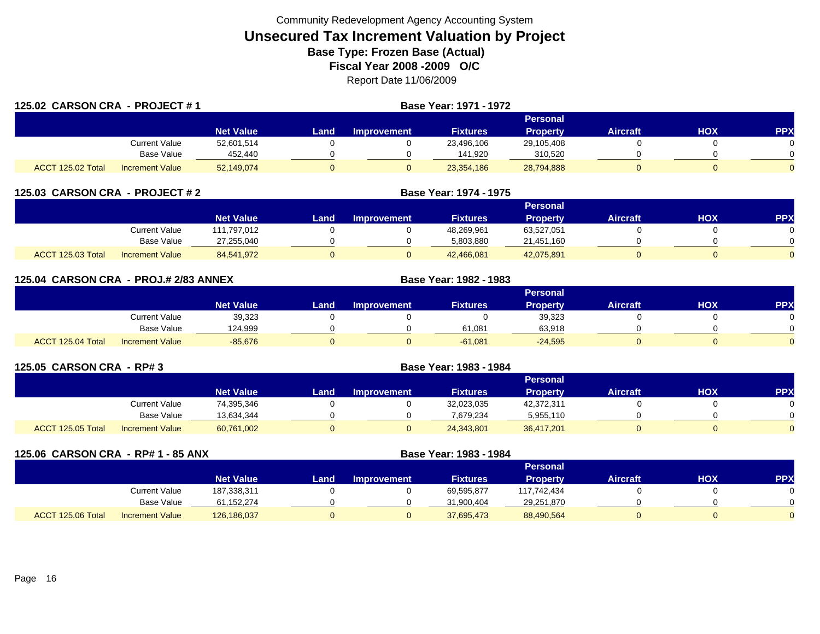| 125.02 CARSON CRA - PROJECT #1 |                        |                  |      | Base Year: 1971 - 1972 |                 |                 |                 |     |                |
|--------------------------------|------------------------|------------------|------|------------------------|-----------------|-----------------|-----------------|-----|----------------|
|                                |                        |                  |      |                        |                 | Personal        |                 |     |                |
|                                |                        | <b>Net Value</b> | Land | <b>Improvement</b>     | <b>Fixtures</b> | <b>Property</b> | <b>Aircraft</b> | HOX | <b>PPX</b>     |
|                                | Current Value          | 52,601,514       |      |                        | 23,496,106      | 29,105,408      |                 |     | 0              |
|                                | Base Value             | 452,440          |      |                        | 141.920         | 310.520         |                 |     | 0              |
| ACCT 125.02 Total              | <b>Increment Value</b> | 52,149,074       |      | υ                      | 23,354,186      | 28,794,888      |                 |     | $\overline{0}$ |

| 125.03 CARSON CRA - PROJECT # 2 |                        |                  |      | <b>Base Year: 1974 - 1975</b> |                 |                 |                 |     |            |
|---------------------------------|------------------------|------------------|------|-------------------------------|-----------------|-----------------|-----------------|-----|------------|
|                                 |                        |                  |      |                               |                 | <b>Personal</b> |                 |     |            |
|                                 |                        | <b>Net Value</b> | Land | <b>Improvement</b>            | <b>Fixtures</b> | <b>Property</b> | <b>Aircraft</b> | НОХ | <b>PPX</b> |
|                                 | Current Value          | 111.797.012      |      |                               | 48,269,961      | 63,527,051      |                 |     |            |
|                                 | <b>Base Value</b>      | 27,255,040       |      |                               | 5,803,880       | 21,451,160      |                 |     |            |
| ACCT 125.03 Total               | <b>Increment Value</b> | 84.541.972       |      |                               | 42.466.081      | 42,075,891      |                 |     |            |

| 125.04 CARSON CRA - PROJ.# 2/83 ANNEX |                        |                  |      |                    | <b>Base Year: 1982 - 1983</b> |                 |                 |            |            |
|---------------------------------------|------------------------|------------------|------|--------------------|-------------------------------|-----------------|-----------------|------------|------------|
|                                       |                        |                  |      |                    |                               | <b>Personal</b> |                 |            |            |
|                                       |                        | <b>Net Value</b> | Land | <b>Improvement</b> | <b>Fixtures</b>               | <b>Property</b> | <b>Aircraft</b> | <b>HOX</b> | <b>PPX</b> |
|                                       | Current Value          | 39,323           |      |                    |                               | 39,323          |                 |            |            |
|                                       | <b>Base Value</b>      | 124,999          |      |                    | 61,081                        | 63,918          |                 |            |            |
| ACCT 125.04 Total                     | <b>Increment Value</b> | $-85.676$        |      |                    | $-61,081$                     | $-24.595$       |                 |            |            |

| 125.05 CARSON CRA - RP# 3 |                        |                  |      |                    |                 |                 |                 |     |           |
|---------------------------|------------------------|------------------|------|--------------------|-----------------|-----------------|-----------------|-----|-----------|
|                           |                        |                  |      |                    |                 | <b>Personal</b> |                 |     |           |
|                           |                        | <b>Net Value</b> | Land | <b>Improvement</b> | <b>Fixtures</b> | <b>Property</b> | <b>Aircraft</b> | нох | <b>PP</b> |
|                           | Current Value          | 74,395,346       |      |                    | 32,023,035      | 42,372,311      |                 |     |           |
|                           | Base Value             | 13,634,344       |      |                    | 7.679.234       | 5,955,110       |                 |     |           |
| ACCT 125.05 Total         | <b>Increment Value</b> | 60,761,002       |      |                    | 24,343,801      | 36,417,201      |                 |     |           |

| 125.06 CARSON CRA - RP# 1 - 85 ANX |                        |                  |      | Base Year: 1983 - 1984 |                 |                 |                 |     |           |
|------------------------------------|------------------------|------------------|------|------------------------|-----------------|-----------------|-----------------|-----|-----------|
|                                    |                        |                  |      |                        |                 | <b>Personal</b> |                 |     |           |
|                                    |                        | <b>Net Value</b> | Land | <b>Improvement</b>     | <b>Fixtures</b> | <b>Property</b> | <b>Aircraft</b> | нох | <b>PP</b> |
|                                    | Current Value          | 187,338,311      |      |                        | 69,595,877      | 117,742,434     |                 |     |           |
|                                    | Base Value             | 61,152,274       |      |                        | 31.900.404      | 29,251,870      |                 |     |           |
| ACCT 125.06 Total                  | <b>Increment Value</b> | 126,186,037      |      |                        | 37,695,473      | 88,490,564      | 0               |     |           |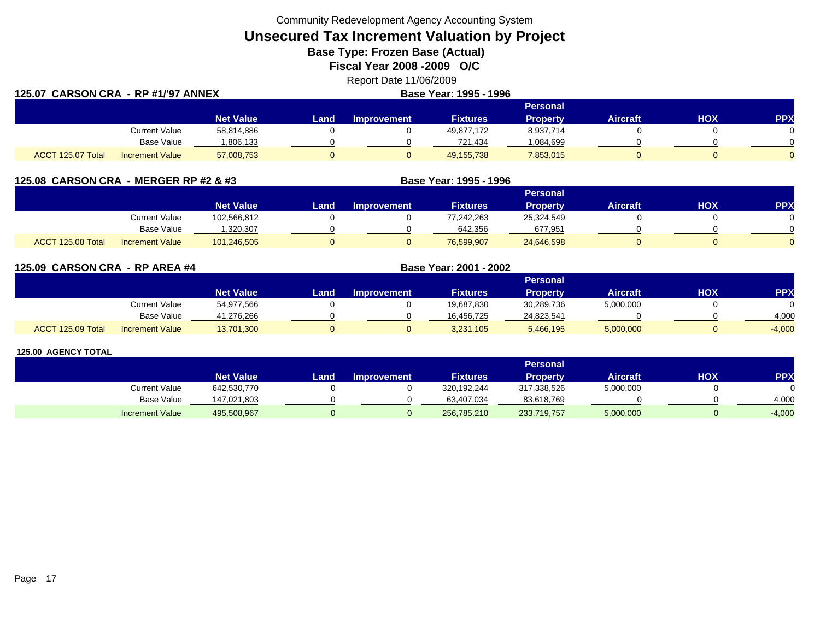Community Redevelopment Agency Accounting System

**Unsecured Tax Increment Valuation by Project**

**Base Type: Frozen Base (Actual)** 

**Fiscal Year 2008 -2009 O/C**

Report Date 11/06/2009

| 125.07 CARSON CRA - RP #1/'97 ANNEX |                        |                  |      | Base Year: 1995 - 1996 |                 |                 |                 |            |            |
|-------------------------------------|------------------------|------------------|------|------------------------|-----------------|-----------------|-----------------|------------|------------|
|                                     |                        |                  |      |                        |                 | Personal        |                 |            |            |
|                                     |                        | <b>Net Value</b> | Land | <b>Improvement</b>     | <b>Fixtures</b> | <b>Property</b> | <b>Aircraft</b> | <b>HOX</b> | <b>PPX</b> |
|                                     | Current Value          | 58,814,886       |      |                        | 49,877,172      | 8,937,714       |                 |            |            |
|                                     | Base Value             | 1,806,133        |      |                        | 721,434         | 084,699.        |                 |            |            |
| ACCT 125.07 Total                   | <b>Increment Value</b> | 57,008,753       |      |                        | 49, 155, 738    | 7,853,015       |                 |            |            |

| 125.08 CARSON CRA - MERGER RP #2 & #3 |                  |      |                    | Base Year: 1995 - 1996 |                 |          |     |            |
|---------------------------------------|------------------|------|--------------------|------------------------|-----------------|----------|-----|------------|
|                                       |                  |      |                    |                        | <b>Personal</b> |          |     |            |
|                                       | <b>Net Value</b> | Land | <b>Improvement</b> | <b>Fixtures</b>        | <b>Property</b> | Aircraft | нох | <b>PPX</b> |
| <b>Current Value</b>                  | 102.566.812      |      |                    | 77.242.263             | 25.324.549      |          |     |            |
| <b>Base Value</b>                     | 320,307          |      |                    | 642,356                | 677,951         |          |     |            |

**125.09 CARSON CRA - RP AREA #4 Base Year: 2001 - 2002 Personal Net Value Land Improvement Fixtures Property Aircraft HOX PPX** Current Value 54,977,566 0 0 19,687,830 30,289,736 5,000,000 0 0 Base Value 41,276,266 0 0 16,456,725 24,823,541 0 0 4,000 ACCT 125.09 TotalIncrement Value 13,701,300 0 0 3,231,105 5,466,195 5,000,000 0 -4,000

l Increment Value 101,246,505 0 0 76,599,907 24,646,598 0 0

#### **125.00 AGENCY TOTAL**

ACCT 125.08 Total

|                        |                  |      |                    |                 | <b>Personal</b> |                 |     |            |
|------------------------|------------------|------|--------------------|-----------------|-----------------|-----------------|-----|------------|
|                        | <b>Net Value</b> | Land | <b>Improvement</b> | <b>Fixtures</b> | Property        | <b>Aircraft</b> | ΗΟΧ | <b>PPX</b> |
| <b>Current Value</b>   | 642,530,770      |      |                    | 320,192,244     | 317,338,526     | 5,000,000       |     |            |
| <b>Base Value</b>      | 147,021,803      |      |                    | 63,407,034      | 83,618,769      |                 |     | 4.000      |
| <b>Increment Value</b> | 495,508,967      |      |                    | 256,785,210     | 233,719,757     | 5,000,000       |     | $-4,000$   |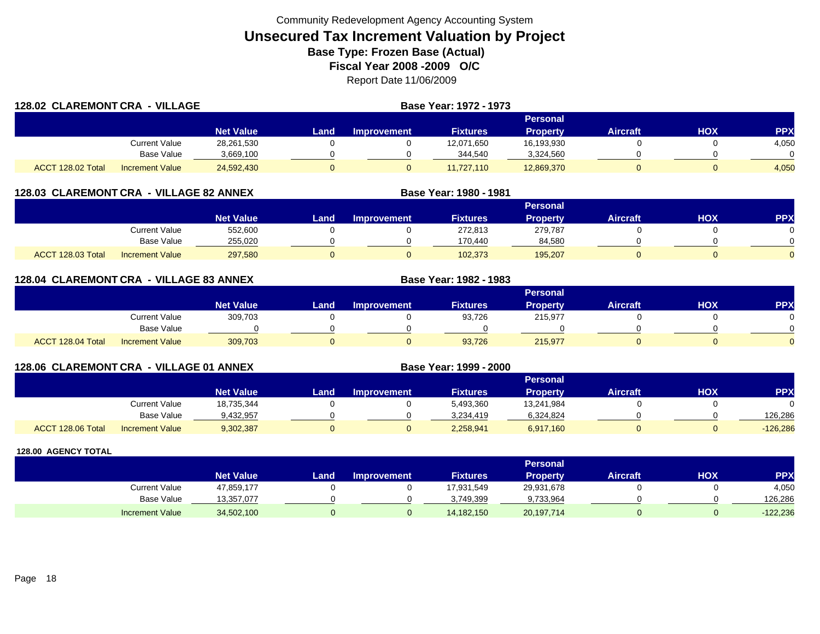| 128.02 CLAREMONT CRA - VILLAGE |                        |                  |      | Base Year: 1972 - 1973 |                 |                 |                 |     |            |
|--------------------------------|------------------------|------------------|------|------------------------|-----------------|-----------------|-----------------|-----|------------|
|                                |                        |                  |      |                        |                 | Personal        |                 |     |            |
|                                |                        | <b>Net Value</b> | Land | Improvement            | <b>Fixtures</b> | <b>Property</b> | <b>Aircraft</b> | HOX | <b>PPX</b> |
|                                | Current Value          | 28,261,530       |      |                        | 12,071,650      | 16,193,930      |                 |     | 4,050      |
|                                | <b>Base Value</b>      | 3,669,100        |      |                        | 344,540         | 3,324,560       |                 |     |            |
| ACCT 128.02 Total              | <b>Increment Value</b> | 24,592,430       |      |                        | 11.727.110      | 12,869,370      |                 |     | 4,050      |

## **128.03 CLAREMONT CRA - VILLAGE 82 ANNEX**

|                   |                        |                    | Personal |                    |                 |                 |          |     |     |  |  |
|-------------------|------------------------|--------------------|----------|--------------------|-----------------|-----------------|----------|-----|-----|--|--|
|                   |                        | Net Value <b>\</b> | Land     | <b>Improvement</b> | <b>Fixtures</b> | <b>Property</b> | Aircraft | HOX | PPX |  |  |
|                   | <b>Current Value</b>   | 552,600            |          |                    | 272,813         | 279,787         |          |     |     |  |  |
|                   | Base Value             | 255,020            |          |                    | 170.440         | 84,580          |          |     |     |  |  |
| ACCT 128.03 Total | <b>Increment Value</b> | 297,580            |          |                    | 102,373         | 195,207         |          |     |     |  |  |

**Base Year: 1980 - 1981**

**Base Year: 1982 - 1983**

**Base Year: 1999 - 2000**

## **128.04 CLAREMONT CRA - VILLAGE 83 ANNEX**

|                   |                        |                  |      |                    |                 | Personal        |                 |            |            |
|-------------------|------------------------|------------------|------|--------------------|-----------------|-----------------|-----------------|------------|------------|
|                   |                        | <b>Net Value</b> | Land | <b>Improvement</b> | <b>Fixtures</b> | <b>Property</b> | <b>Aircraft</b> | <b>HOX</b> | <b>PPX</b> |
|                   | Current Value          | 309,703          |      |                    | 93,726          | 215,977         |                 |            | 0          |
|                   | Base Value             |                  |      |                    |                 |                 |                 |            | $\Omega$   |
| ACCT 128.04 Total | <b>Increment Value</b> | 309,703          |      |                    | 93,726          | 215,977         |                 |            | $\Omega$   |

## **128.06 CLAREMONT CRA - VILLAGE 01 ANNEX**

|                                             |                  | Personal |             |                 |            |                 |     |            |  |
|---------------------------------------------|------------------|----------|-------------|-----------------|------------|-----------------|-----|------------|--|
|                                             | <b>Net Value</b> | Land     | Improvement | <b>Fixtures</b> | Property   | <b>Aircraft</b> | HOX | <b>PPX</b> |  |
| <b>Current Value</b>                        | 18,735,344       |          |             | 5,493,360       | 13,241,984 |                 |     |            |  |
| <b>Base Value</b>                           | 9,432,957        |          |             | 3.234.419       | 6,324,824  |                 |     | 126.286    |  |
| ACCT 128.06 Total<br><b>Increment Value</b> | 9,302,387        |          |             | 2,258,941       | 6,917,160  |                 |     | $-126,286$ |  |

|                        |                  | <b>Personal</b> |                    |                 |            |                 |     |            |
|------------------------|------------------|-----------------|--------------------|-----------------|------------|-----------------|-----|------------|
|                        | <b>Net Value</b> | Land            | <b>Improvement</b> | <b>Fixtures</b> | Propertv   | <b>Aircraft</b> | HOX | <b>PPX</b> |
| <b>Current Value</b>   | 47,859,177       |                 |                    | 17,931,549      | 29,931,678 |                 |     | 4,050      |
| <b>Base Value</b>      | 13,357,077       |                 |                    | 3,749,399       | 9,733,964  |                 |     | 126,286    |
| <b>Increment Value</b> | 34,502,100       |                 |                    | 14,182,150      | 20,197,714 |                 |     | $-122,236$ |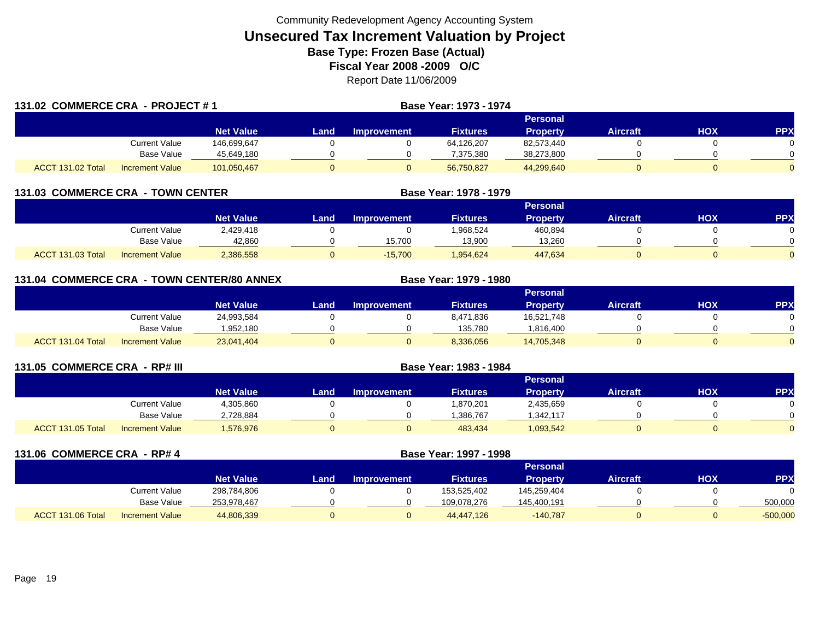| 131.02 COMMERCE CRA - PROJECT #1 |                        |                  |      |                 | Base Year: 1973 - 1974 |                 |                 |     |     |  |  |
|----------------------------------|------------------------|------------------|------|-----------------|------------------------|-----------------|-----------------|-----|-----|--|--|
|                                  |                        |                  |      | <b>Personal</b> |                        |                 |                 |     |     |  |  |
|                                  |                        | <b>Net Value</b> | Land | Improvement     | <b>Fixtures</b>        | <b>Property</b> | <b>Aircraft</b> | HOX | PPX |  |  |
|                                  | Current Value          | 146,699,647      |      |                 | 64,126,207             | 82,573,440      |                 |     |     |  |  |
|                                  | Base Value             | 45,649,180       |      |                 | 7,375,380              | 38,273,800      |                 |     |     |  |  |
| ACCT 131.02 Total                | <b>Increment Value</b> | 101,050,467      |      |                 | 56,750,827             | 44,299,640      |                 |     |     |  |  |

| 131.03 COMMERCE CRA - TOWN CENTER |                        |                  | Base Year: 1978 - 1979 |                    |                 |          |                 |     |            |  |  |  |
|-----------------------------------|------------------------|------------------|------------------------|--------------------|-----------------|----------|-----------------|-----|------------|--|--|--|
|                                   |                        |                  |                        | Personal           |                 |          |                 |     |            |  |  |  |
|                                   |                        | <b>Net Value</b> | Land                   | <b>Improvement</b> | <b>Fixtures</b> | Property | <b>Aircraft</b> | НОХ | <b>PPX</b> |  |  |  |
|                                   | Current Value          | 2.429.418        |                        |                    | 1.968.524       | 460.894  |                 |     |            |  |  |  |
|                                   | Base Value             | 42,860           |                        | 15,700             | 13,900          | 13,260   |                 |     |            |  |  |  |
| <b>ACCT 131.03 Total</b>          | <b>Increment Value</b> | 2,386,558        |                        | $-15,700$          | 1.954.624       | 447.634  |                 |     |            |  |  |  |

| 131.04 COMMERCE CRA - TOWN CENTER/80 ANNEX |                        |                  | Base Year: 1979 - 1980 |                    |                 |                 |                 |            |            |  |  |  |
|--------------------------------------------|------------------------|------------------|------------------------|--------------------|-----------------|-----------------|-----------------|------------|------------|--|--|--|
|                                            |                        |                  |                        | <b>Personal</b>    |                 |                 |                 |            |            |  |  |  |
|                                            |                        | <b>Net Value</b> | Land                   | <b>Improvement</b> | <b>Fixtures</b> | <b>Property</b> | <b>Aircraft</b> | <b>HOX</b> | <b>PPX</b> |  |  |  |
|                                            | Current Value          | 24,993,584       |                        |                    | 8,471,836       | 16,521,748      |                 |            |            |  |  |  |
|                                            | <b>Base Value</b>      | 1,952,180        |                        |                    | 135,780         | .816,400        |                 |            |            |  |  |  |
| ACCT 131.04 Total                          | <b>Increment Value</b> | 23,041,404       |                        | 0                  | 8,336,056       | 14,705,348      |                 |            |            |  |  |  |

| 131.05 COMMERCE CRA - RP# III |                        |                  |          |                    | Base Year: 1983 - 1984 |                 |                 |     |           |
|-------------------------------|------------------------|------------------|----------|--------------------|------------------------|-----------------|-----------------|-----|-----------|
|                               |                        |                  | Personal |                    |                        |                 |                 |     |           |
|                               |                        | <b>Net Value</b> | Land     | <b>Improvement</b> | <b>Fixtures</b>        | <b>Property</b> | <b>Aircraft</b> | нох | <b>PP</b> |
|                               | Current Value          | 4,305,860        |          |                    | 1,870,201              | 2,435,659       |                 |     |           |
|                               | <b>Base Value</b>      | 2,728,884        |          |                    | .386,767               | 342,117         |                 |     |           |
| ACCT 131.05 Total             | <b>Increment Value</b> | 576,976          |          |                    | 483.434                | 1,093,542       |                 |     |           |

| 131.06 COMMERCE CRA - RP# 4 |                   |                        |                  |      | Base Year: 1997 - 1998 |                 |                 |                 |            |            |
|-----------------------------|-------------------|------------------------|------------------|------|------------------------|-----------------|-----------------|-----------------|------------|------------|
|                             |                   |                        |                  |      |                        |                 | <b>Personal</b> |                 |            |            |
|                             |                   |                        | <b>Net Value</b> | Land | <b>Improvement</b>     | <b>Fixtures</b> | <b>Property</b> | <b>Aircraft</b> | <b>HOX</b> | <b>PPX</b> |
|                             |                   | <b>Current Value</b>   | 298,784,806      |      |                        | 153,525,402     | 145,259,404     |                 |            |            |
|                             |                   | <b>Base Value</b>      | 253,978,467      |      |                        | 109,078,276     | 145,400,191     |                 |            | 500,000    |
|                             | ACCT 131.06 Total | <b>Increment Value</b> | 44,806,339       |      | 0                      | 44.447.126      | $-140.787$      |                 |            | $-500,000$ |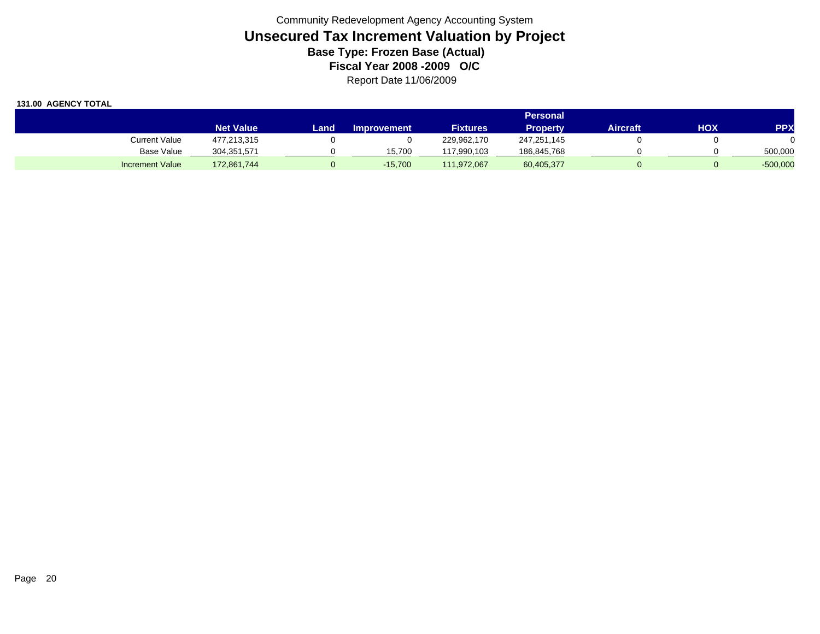|                        |                  | Personal |                    |                 |             |          |     |            |
|------------------------|------------------|----------|--------------------|-----------------|-------------|----------|-----|------------|
|                        | <b>Net Value</b> | Land     | <b>Improvement</b> | <b>Fixtures</b> | Property    | Aircraft | HOX | <b>PPX</b> |
| <b>Current Value</b>   | 477,213,315      |          |                    | 229.962.170     | 247,251,145 |          |     |            |
| Base Value             | 304,351,571      |          | 15.700             | 117.990.103     | 186,845,768 |          |     | 500,000    |
| <b>Increment Value</b> | 172,861,744      |          | $-15.700$          | 111.972.067     | 60,405,377  |          |     | $-500,000$ |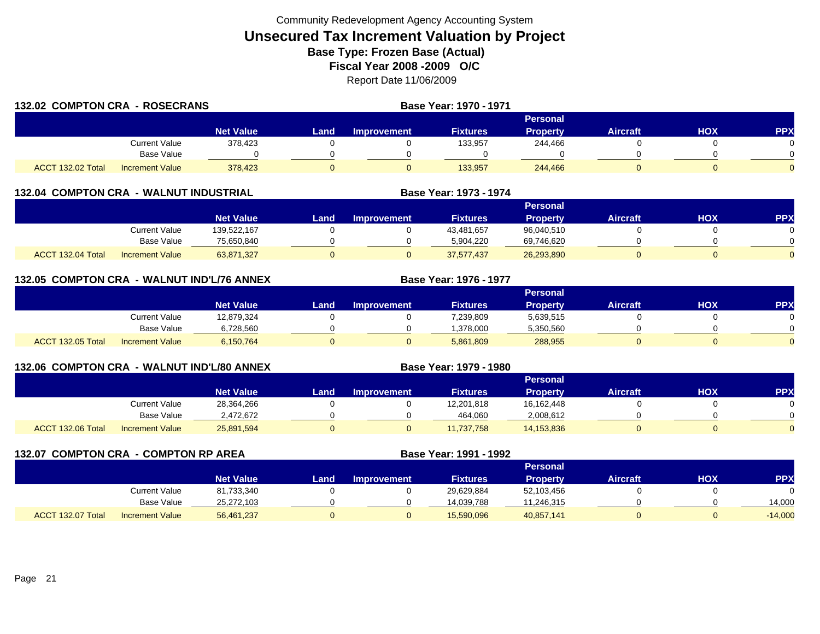| 132.02 COMPTON CRA - ROSECRANS |                        |                  | Base Year: 1970 - 1971 |             |                 |                 |                 |     |            |
|--------------------------------|------------------------|------------------|------------------------|-------------|-----------------|-----------------|-----------------|-----|------------|
|                                |                        |                  |                        |             |                 |                 |                 |     |            |
|                                |                        | <b>Net Value</b> | Land                   | Improvement | <b>Fixtures</b> | <b>Property</b> | <b>Aircraft</b> | HOX | <b>PPX</b> |
|                                | Current Value          | 378.423          |                        |             | 133,957         | 244.466         |                 |     |            |
|                                | <b>Base Value</b>      |                  |                        |             |                 |                 |                 |     |            |
| ACCT 132.02 Total              | <b>Increment Value</b> | 378.423          |                        |             | 133.957         | 244.466         |                 |     |            |

|                   |                        |                  | Personal |                    |                 |            |                 |     |            |  |
|-------------------|------------------------|------------------|----------|--------------------|-----------------|------------|-----------------|-----|------------|--|
|                   |                        | <b>Net Value</b> | Land     | <b>Improvement</b> | <b>Fixtures</b> | Property   | <b>Aircraft</b> | HOX | <b>PPX</b> |  |
|                   | Current Value          | 139,522,167      |          |                    | 43,481,657      | 96,040,510 |                 |     |            |  |
|                   | <b>Base Value</b>      | 75,650,840       |          |                    | 5,904,220       | 69,746,620 |                 |     |            |  |
| ACCT 132.04 Total | <b>Increment Value</b> | 63,871,327       |          |                    | 37,577,437      | 26,293,890 |                 |     |            |  |

**Base Year: 1973 - 1974**

**Base Year: 1979 - 1980**

|  | 132.05 COMPTON CRA - WALNUT IND'L/76 ANNEX | <b>Base Year: 1976 - 1977</b> |
|--|--------------------------------------------|-------------------------------|
|  |                                            |                               |

|                   |                        |                  |      |             |                 | <b>Personal</b> |          |     |            |
|-------------------|------------------------|------------------|------|-------------|-----------------|-----------------|----------|-----|------------|
|                   |                        | <b>Net Value</b> | _and | Improvement | <b>Fixtures</b> | <b>Property</b> | Aircraft | НОХ | <b>PPX</b> |
|                   | Current Value          | 12,879,324       |      |             | 7,239,809       | 5,639,515       |          |     |            |
|                   | <b>Base Value</b>      | 6,728,560        |      |             | 1.378.000       | 5,350,560       |          |     | $\Omega$   |
| ACCT 132.05 Total | <b>Increment Value</b> | 6,150,764        |      |             | 5,861,809       | 288,955         |          |     | $\Omega$   |

## **132.06 COMPTON CRA - WALNUT IND'L/80 ANNEX**

|                   |                        |                  |       |                    |                 | <b>Personal</b> |          |            |          |
|-------------------|------------------------|------------------|-------|--------------------|-----------------|-----------------|----------|------------|----------|
|                   |                        | <b>Net Value</b> | Land. | <b>Improvement</b> | <b>Fixtures</b> | <b>Property</b> | Aircraft | <b>HOX</b> | PPX      |
|                   | Current Value          | 28,364,266       |       |                    | 12,201,818      | 16,162,448      |          |            |          |
|                   | <b>Base Value</b>      | 2,472,672        |       |                    | 464,060         | 2,008,612       |          |            | 0        |
| ACCT 132.06 Total | <b>Increment Value</b> | 25,891,594       |       |                    | 1,737,758       | 14,153,836      |          |            | $\Omega$ |

**132.07 COMPTON CRA - COMPTON RP AREA Base Year: 1991 - 1992 Personal Net Value LandImprovement Fixtures Property Aircraft HOX PPX** Current Value 81,733,340 0 0 29,629,884 52,103,456 0 0 Base Value 25,272,103 0 0 14,039,788 11,246,315 0 0 14,000 ACCT 132.07 TotalIncrement Value 56,461,237 0 0 15,590,096 40,857,141 0 0 -14,000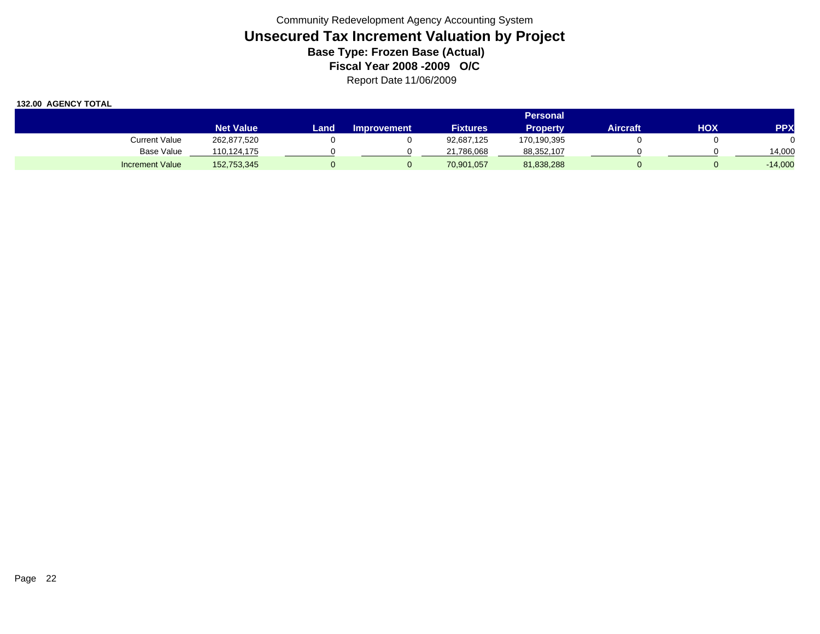|                        |                  |       |                    |                 | <b>Personal</b> |          |     |            |
|------------------------|------------------|-------|--------------------|-----------------|-----------------|----------|-----|------------|
|                        | <b>Net Value</b> | Land. | <b>Improvement</b> | <b>Fixtures</b> | <b>Property</b> | Aircraft | ΗΟΧ | <b>PPX</b> |
| Current Value          | 262,877,520      |       |                    | 92,687,125      | 170,190,395     |          |     |            |
| Base Value             | 110.124.175      |       |                    | 21,786,068      | 88,352,107      |          |     | 14.000     |
| <b>Increment Value</b> | 152,753,345      |       |                    | 70,901,057      | 81,838,288      |          |     | $-14,000$  |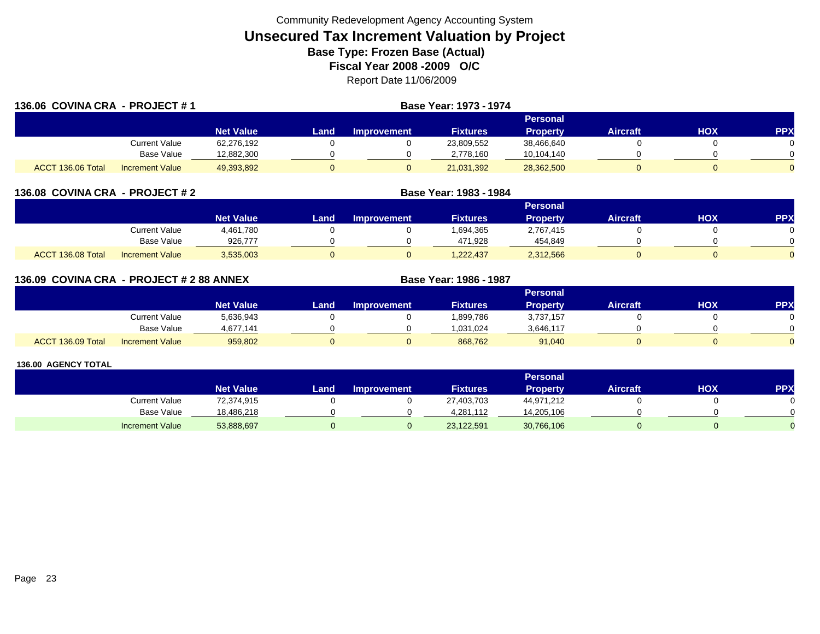| 136.06 COVINA CRA - PROJECT #1<br><b>Base Year: 1973 - 1974</b> |                        |                  |      |             |                 |                 |                 |     |            |
|-----------------------------------------------------------------|------------------------|------------------|------|-------------|-----------------|-----------------|-----------------|-----|------------|
|                                                                 |                        |                  |      |             |                 | Personal        |                 |     |            |
|                                                                 |                        | <b>Net Value</b> | Land | Improvement | <b>Fixtures</b> | <b>Property</b> | <b>Aircraft</b> | HOX | <b>PPX</b> |
|                                                                 | Current Value          | 62,276,192       |      |             | 23,809,552      | 38,466,640      |                 |     |            |
|                                                                 | <b>Base Value</b>      | 12,882,300       |      |             | 2.778.160       | 10,104,140      |                 |     |            |
| ACCT 136.06 Total                                               | <b>Increment Value</b> | 49,393,892       |      |             | 21,031,392      | 28,362,500      |                 |     |            |

| 136.08 COVINA CRA - PROJECT #2 |                        |                  |      |                    | Base Year: 1983 - 1984 |                 |                 |     |            |
|--------------------------------|------------------------|------------------|------|--------------------|------------------------|-----------------|-----------------|-----|------------|
|                                |                        |                  |      |                    |                        | Personal        |                 |     |            |
|                                |                        | <b>Net Value</b> | Land | <b>Improvement</b> | <b>Fixtures</b>        | <b>Property</b> | <b>Aircraft</b> | нох | <b>PPX</b> |
|                                | Current Value          | 4,461,780        |      |                    | .694,365               | 2,767,415       |                 |     |            |
|                                | Base Value             | 926,777          |      |                    | 471,928                | 454,849         |                 |     |            |
| ACCT 136.08 Total              | <b>Increment Value</b> | 3,535,003        |      |                    | .222.437               | 2,312,566       |                 |     |            |

| 136.09 COVINA CRA - PROJECT # 2 88 ANNEX |                        |                  |      |                    | Base Year: 1986 - 1987 |                 |                 |          |            |
|------------------------------------------|------------------------|------------------|------|--------------------|------------------------|-----------------|-----------------|----------|------------|
|                                          |                        |                  |      |                    |                        | <b>Personal</b> |                 |          |            |
|                                          |                        | <b>Net Value</b> | Land | <b>Improvement</b> | <b>Fixtures</b>        | <b>Property</b> | <b>Aircraft</b> | нох      | <b>PPX</b> |
|                                          | <b>Current Value</b>   | 5,636,943        |      |                    | 1,899,786              | 3,737,157       |                 |          |            |
|                                          | Base Value             | 4,677,141        |      |                    | 1,031,024              | 3,646,117       |                 |          |            |
| ACCT 136.09 Total                        | <b>Increment Value</b> | 959,802          |      |                    | 868.762                | 91,040          |                 | $\sigma$ |            |

|                        |                  |       |                    |                 | <b>Personal</b> |                 |     |           |
|------------------------|------------------|-------|--------------------|-----------------|-----------------|-----------------|-----|-----------|
|                        | <b>Net Value</b> | Land, | <b>Improvement</b> | <b>Fixtures</b> | Property        | <b>Aircraft</b> | HOX | <b>PP</b> |
| Current Value          | 72,374,915       |       |                    | 27,403,703      | 44,971,212      |                 |     |           |
| Base Value             | 18,486,218       |       |                    | 4,281,112       | 14,205,106      |                 |     |           |
| <b>Increment Value</b> | 53,888,697       |       |                    | 23,122,591      | 30,766,106      |                 |     |           |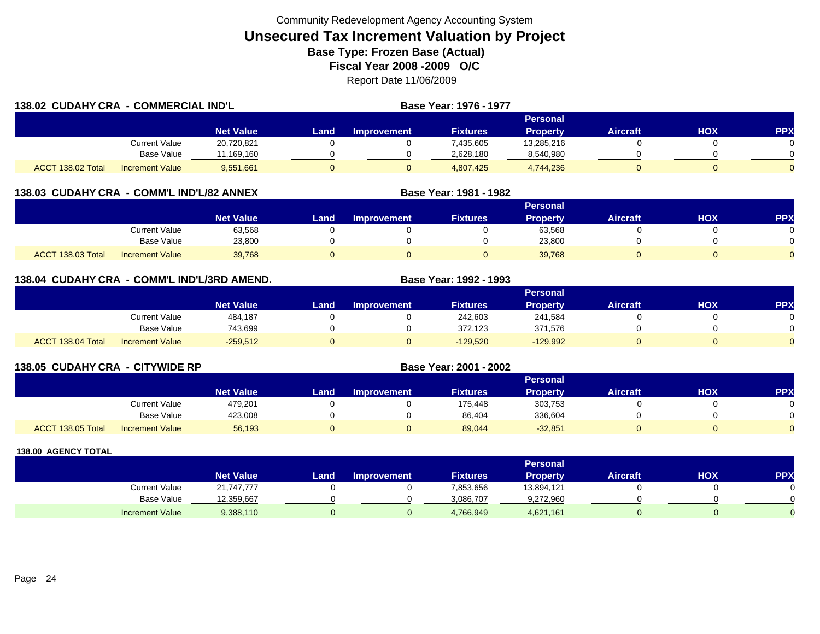| 138.02 CUDAHY CRA - COMMERCIAL IND'L |                        |                  |       |                    | Base Year: 1976 - 1977 |            |                 |     |            |
|--------------------------------------|------------------------|------------------|-------|--------------------|------------------------|------------|-----------------|-----|------------|
|                                      |                        |                  |       |                    |                        | Personal   |                 |     |            |
|                                      |                        | <b>Net Value</b> | Land. | <b>Improvement</b> | <b>Fixtures</b>        | Property   | <b>Aircraft</b> | HOX | <b>PPX</b> |
|                                      | <b>Current Value</b>   | 20,720,821       |       |                    | 7,435,605              | 13,285,216 |                 |     |            |
|                                      | <b>Base Value</b>      | 11,169,160       |       |                    | 2,628,180              | 8,540,980  |                 |     |            |
| ACCT 138.02 Total                    | <b>Increment Value</b> | 9,551,661        | 0     |                    | 4,807,425              | 4,744,236  |                 |     |            |

## **138.03 CUDAHY CRA - COMM'L IND'L/82 ANNEX**

|                                             |                  |      |                    |                 | <b>Personal</b> |                 |            |              |
|---------------------------------------------|------------------|------|--------------------|-----------------|-----------------|-----------------|------------|--------------|
|                                             | <b>Net Value</b> | Land | <b>Improvement</b> | <b>Fixtures</b> | <b>Property</b> | <b>Aircraft</b> | <b>HOX</b> | PPX          |
| Current Value                               | 63,568           |      |                    |                 | 63,568          |                 |            |              |
| <b>Base Value</b>                           | 23,800           |      |                    |                 | 23,800          |                 |            | <sup>n</sup> |
| ACCT 138.03 Total<br><b>Increment Value</b> | 39,768           |      |                    |                 | 39,768          |                 |            | $\Omega$     |

**Base Year: 1981 - 1982**

## **138.04 CUDAHY CRA - COMM'L IND'L/3RD AMEND. Base Year: 1992 - 1993**

|                   |                        |                  |      |                    |                 | Personal        |                 |            |          |
|-------------------|------------------------|------------------|------|--------------------|-----------------|-----------------|-----------------|------------|----------|
|                   |                        | <b>Net Value</b> | Land | <b>Improvement</b> | <b>Fixtures</b> | <b>Property</b> | <b>Aircraft</b> | <b>HOX</b> | PPX      |
|                   | Current Value          | 484,187          |      |                    | 242,603         | 241,584         |                 |            |          |
|                   | <b>Base Value</b>      | 743,699          |      |                    | 372,123         | 371.576         |                 |            | 0        |
| ACCT 138.04 Total | <b>Increment Value</b> | $-259,512$       |      |                    | $-129,520$      | $-129,992$      |                 |            | $\Omega$ |

|                   | 138.05 CUDAHY CRA - CITYWIDE RP |                  |      |                    |                 |                 |                 |     |           |
|-------------------|---------------------------------|------------------|------|--------------------|-----------------|-----------------|-----------------|-----|-----------|
|                   |                                 |                  |      |                    |                 | <b>Personal</b> |                 |     |           |
|                   |                                 | <b>Net Value</b> | Land | <b>Improvement</b> | <b>Fixtures</b> | <b>Property</b> | <b>Aircraft</b> | нох | <b>PP</b> |
|                   | Current Value                   | 479,201          |      |                    | 175,448         | 303,753         |                 |     |           |
|                   | <b>Base Value</b>               | 423,008          |      |                    | 86,404          | 336,604         |                 |     |           |
| ACCT 138.05 Total | <b>Increment Value</b>          | 56,193           |      |                    | 89,044          | $-32,851$       | 0               |     |           |

|                        |                  |      |                    |                 | <b>Personal</b> |                 |     |          |
|------------------------|------------------|------|--------------------|-----------------|-----------------|-----------------|-----|----------|
|                        | <b>Net Value</b> | Land | <b>Improvement</b> | <b>Fixtures</b> | Property        | <b>Aircraft</b> | нох | PPX      |
| <b>Current Value</b>   | 21,747,777       |      |                    | 7,853,656       | 13,894,121      |                 |     | 0        |
| <b>Base Value</b>      | 12,359,667       |      |                    | 3,086,707       | 9,272,960       |                 |     | $\Omega$ |
| <b>Increment Value</b> | 9,388,110        |      |                    | 4,766,949       | 4,621,161       |                 |     |          |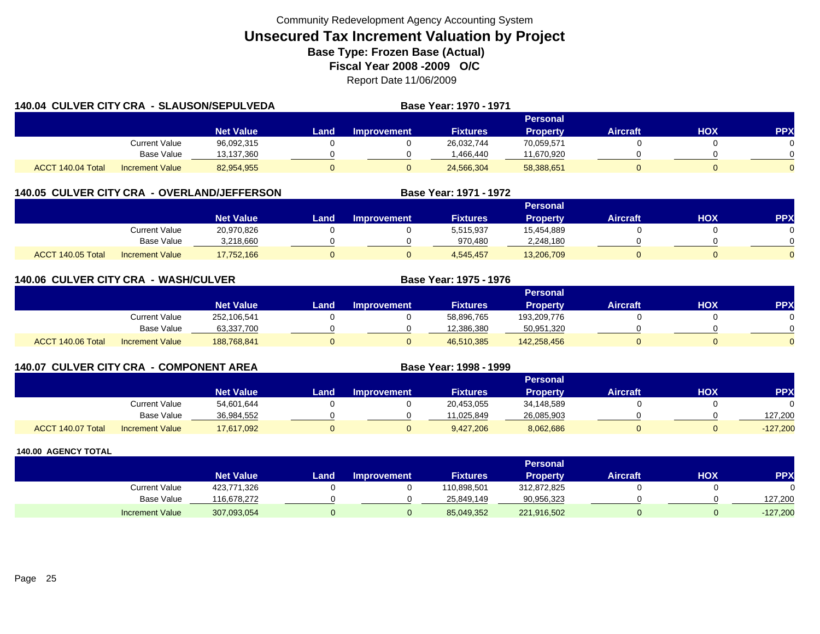|                   | <b>140.04 CULVER CITY CRA - SLAUSON/SEPULVEDA</b> |                  |       |                    | Base Year: 1970 - 1971 |                 |                 |     |            |
|-------------------|---------------------------------------------------|------------------|-------|--------------------|------------------------|-----------------|-----------------|-----|------------|
|                   |                                                   |                  |       |                    |                        | <b>Personal</b> |                 |     |            |
|                   |                                                   | <b>Net Value</b> | Land. | <b>Improvement</b> | <b>Fixtures</b>        | <b>Property</b> | <b>Aircraft</b> | HOX | <b>PPX</b> |
|                   | <b>Current Value</b>                              | 96,092,315       |       |                    | 26,032,744             | 70,059,571      |                 |     |            |
|                   | <b>Base Value</b>                                 | 13,137,360       |       |                    | 1,466,440              | 11,670,920      |                 |     |            |
| ACCT 140.04 Total | <b>Increment Value</b>                            | 82,954,955       | 0     |                    | 24,566,304             | 58,388,651      |                 |     |            |

## **140.05 CULVER CITY CRA - OVERLAND/JEFFERSON**

|                   |                        |                  |      |                    |                 | <b>Personal</b> |                 |            |     |
|-------------------|------------------------|------------------|------|--------------------|-----------------|-----------------|-----------------|------------|-----|
|                   |                        | <b>Net Value</b> | Land | <b>Improvement</b> | <b>Fixtures</b> | <b>Property</b> | <b>Aircraft</b> | <b>XOH</b> | PPX |
|                   | Current Value          | 20,970,826       |      |                    | 5,515,937       | 15,454,889      |                 |            |     |
|                   | <b>Base Value</b>      | 3,218,660        |      |                    | 970.480         | 2,248,180       |                 |            | 0   |
| ACCT 140.05 Total | <b>Increment Value</b> | 17,752,166       |      |                    | 4,545,457       | 13,206,709      |                 |            |     |

**Base Year: 1971 - 1972**

| <b>140.06 CULVER CITY CRA</b> | - WASH/CULVER          |                  |      | Base Year: 1975 - 1976 |                 |                 |                 |     |            |
|-------------------------------|------------------------|------------------|------|------------------------|-----------------|-----------------|-----------------|-----|------------|
|                               |                        |                  |      |                        |                 | <b>Personal</b> |                 |     |            |
|                               |                        | <b>Net Value</b> | Land | <b>Improvement</b>     | <b>Fixtures</b> | <b>Property</b> | <b>Aircraft</b> | нох | <b>PPX</b> |
|                               | Current Value          | 252,106,541      |      |                        | 58,896,765      | 193,209,776     |                 |     |            |
|                               | Base Value             | 63,337,700       |      |                        | 12,386,380      | 50,951,320      |                 |     |            |
| ACCT 140.06 Total             | <b>Increment Value</b> | 188.768.841      |      |                        | 46,510,385      | 142,258,456     |                 |     |            |

| <b>140.07 CULVER CITY CRA - COMPONENT AREA</b> |                        |                  | Base Year: 1998 - 1999 |                    |                 |                 |                 |     |            |
|------------------------------------------------|------------------------|------------------|------------------------|--------------------|-----------------|-----------------|-----------------|-----|------------|
|                                                |                        |                  |                        |                    |                 | <b>Personal</b> |                 |     |            |
|                                                |                        | <b>Net Value</b> | Land                   | <b>Improvement</b> | <b>Fixtures</b> | <b>Property</b> | <b>Aircraft</b> | нох | <b>PPX</b> |
|                                                | Current Value          | 54.601.644       |                        |                    | 20,453,055      | 34.148.589      |                 |     |            |
|                                                | Base Value             | 36,984,552       |                        |                    | 11.025.849      | 26,085,903      |                 |     | 127.200    |
| ACCT 140.07 Total                              | <b>Increment Value</b> | 17,617,092       |                        |                    | 9,427,206       | 8,062,686       |                 |     | $-127,200$ |

|                        |                  |      |                    |                 | <b>Personal</b> |                 |     |            |
|------------------------|------------------|------|--------------------|-----------------|-----------------|-----------------|-----|------------|
|                        | <b>Net Value</b> | Land | <b>Improvement</b> | <b>Fixtures</b> | Property        | <b>Aircraft</b> | нох | PPX        |
| Current Value          | 423,771,326      |      |                    | 110,898,501     | 312,872,825     |                 |     |            |
| <b>Base Value</b>      | 116,678,272      |      |                    | 25,849,149      | 90,956,323      |                 |     | 127,200    |
| <b>Increment Value</b> | 307,093,054      |      |                    | 85,049,352      | 221,916,502     |                 |     | $-127,200$ |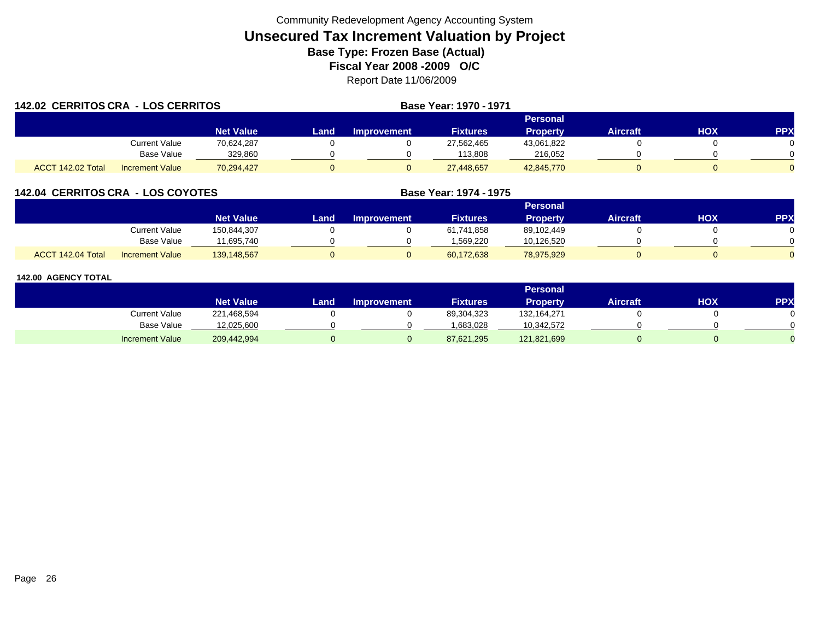| 142.02 CERRITOS CRA - LOS CERRITOS |                        |                  |       |             | Base Year: 1970 - 1971 |                 |                 |            |            |
|------------------------------------|------------------------|------------------|-------|-------------|------------------------|-----------------|-----------------|------------|------------|
|                                    |                        |                  |       |             |                        | Personal        |                 |            |            |
|                                    |                        | <b>Net Value</b> | Land. | Improvement | <b>Fixtures</b>        | <b>Property</b> | <b>Aircraft</b> | <b>HOX</b> | <b>PPX</b> |
|                                    | Current Value          | 70.624.287       |       |             | 27,562,465             | 43,061,822      |                 |            |            |
|                                    | Base Value             | 329.860          |       |             | 113.808                | 216.052         |                 |            |            |
| ACCT 142.02 Total                  | <b>Increment Value</b> | 70,294,427       |       |             | 27,448,657             | 42,845,770      |                 |            |            |

## **142.04 CERRITOS CRA - LOS COYOTES**

|                   |                        |                  |      |                    |                 | Personal        |          |     |     |
|-------------------|------------------------|------------------|------|--------------------|-----------------|-----------------|----------|-----|-----|
|                   |                        | <b>Net Value</b> | Land | <b>Improvement</b> | <b>Fixtures</b> | <b>Property</b> | Aircraft | нох | PPX |
|                   | Current Value          | 150,844,307      |      |                    | 61,741,858      | 89,102,449      |          |     |     |
|                   | Base Value             | 11.695.740       |      |                    | 1.569.220       | 10,126,520      |          |     |     |
| ACCT 142.04 Total | <b>Increment Value</b> | 139,148,567      |      |                    | 60,172,638      | 78,975,929      |          |     |     |

**Base Year: 1974 - 1975**

|                        |                  |      |                    |                 | Personal        |                 |     |            |
|------------------------|------------------|------|--------------------|-----------------|-----------------|-----------------|-----|------------|
|                        | <b>Net Value</b> | Land | <b>Improvement</b> | <b>Fixtures</b> | <b>Property</b> | <b>Aircraft</b> | нох | <b>PPX</b> |
| Current Value          | 221,468,594      |      |                    | 89,304,323      | 132,164,271     |                 |     |            |
| <b>Base Value</b>      | 12,025,600       |      |                    | 1,683,028       | 10,342,572      |                 |     |            |
| <b>Increment Value</b> | 209,442,994      |      |                    | 87,621,295      | 121,821,699     |                 |     |            |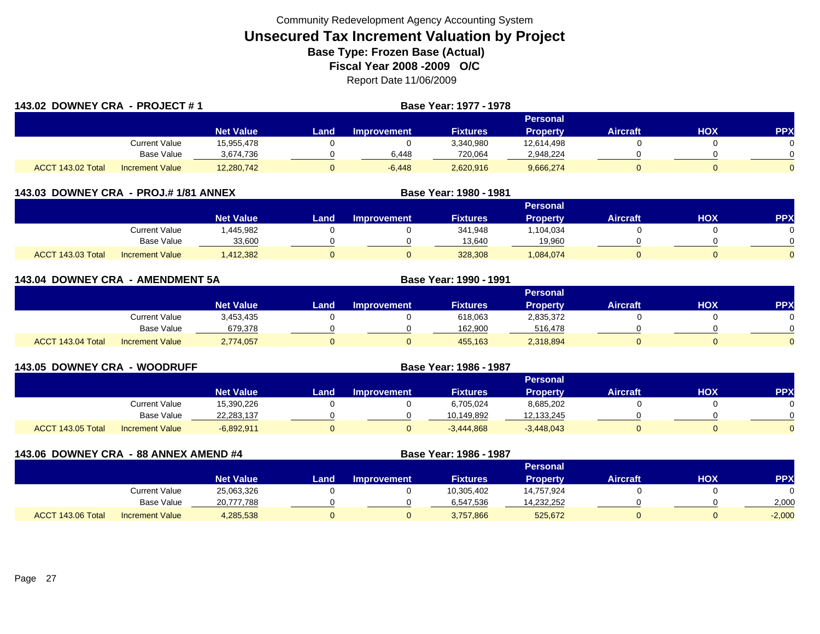| 143.02 DOWNEY CRA - PROJECT #1 |                        |                  |      |                    | <b>Base Year: 1977 - 1978</b> |                 |                 |     |            |
|--------------------------------|------------------------|------------------|------|--------------------|-------------------------------|-----------------|-----------------|-----|------------|
|                                |                        |                  |      |                    |                               | Personal        |                 |     |            |
|                                |                        | <b>Net Value</b> | Land | <b>Improvement</b> | <b>Fixtures</b>               | <b>Property</b> | <b>Aircraft</b> | HOX | <b>PPX</b> |
|                                | Current Value          | 15,955,478       |      |                    | 3,340,980                     | 12,614,498      |                 |     |            |
|                                | Base Value             | 3,674,736        |      | 6.448              | 720,064                       | 2,948,224       |                 |     |            |
| ACCT 143.02 Total              | <b>Increment Value</b> | 12,280,742       |      | $-6,448$           | 2,620,916                     | 9,666,274       |                 |     |            |

| 143.03 DOWNEY CRA - PROJ.# 1/81 ANNEX |                        |                  | Base Year: 1980 - 1981 |                    |                 |                 |                 |     |            |
|---------------------------------------|------------------------|------------------|------------------------|--------------------|-----------------|-----------------|-----------------|-----|------------|
|                                       |                        |                  |                        |                    |                 | <b>Personal</b> |                 |     |            |
|                                       |                        | <b>Net Value</b> | Land                   | <b>Improvement</b> | <b>Fixtures</b> | <b>Property</b> | <b>Aircraft</b> | нох | <b>PPX</b> |
|                                       | Current Value          | .445.982         |                        |                    | 341,948         | .104.034        |                 |     |            |
|                                       | <b>Base Value</b>      | 33,600           |                        |                    | 13,640          | 19,960          |                 |     |            |
| ACCT 143.03 Total                     | <b>Increment Value</b> | ,412,382         |                        |                    | 328,308         | 1,084,074       |                 | 0   |            |

| 143.04 DOWNEY CRA<br>- AMENDMENT 5A |                        |                  |       |                    | <b>Base Year: 1990 - 1991</b> |                 |                 |            |          |
|-------------------------------------|------------------------|------------------|-------|--------------------|-------------------------------|-----------------|-----------------|------------|----------|
|                                     |                        |                  |       |                    |                               | Personal        |                 |            |          |
|                                     |                        | <b>Net Value</b> | Land. | <b>Improvement</b> | <b>Fixtures</b>               | <b>Property</b> | <b>Aircraft</b> | <b>HOX</b> | PPX      |
|                                     | <b>Current Value</b>   | 3,453,435        |       |                    | 618,063                       | 2,835,372       |                 |            | 0        |
|                                     | Base Value             | 679,378          |       |                    | 162,900                       | 516,478         |                 |            | $\Omega$ |
| ACCT 143.04 Total                   | <b>Increment Value</b> | 2,774,057        |       |                    | 455,163                       | 2,318,894       |                 |            | $\Omega$ |

| <b>143.05 DOWNEY CRA - WOODRUFF</b> |                        |                  | Base Year: 1986 - 1987 |                    |                 |                 |                 |            |            |
|-------------------------------------|------------------------|------------------|------------------------|--------------------|-----------------|-----------------|-----------------|------------|------------|
|                                     |                        |                  |                        |                    |                 | <b>Personal</b> |                 |            |            |
|                                     |                        | <b>Net Value</b> | Land                   | <b>Improvement</b> | <b>Fixtures</b> | <b>Property</b> | <b>Aircraft</b> | <b>HOX</b> | <b>PPX</b> |
|                                     | Current Value          | 15,390,226       |                        |                    | 6,705,024       | 8,685,202       |                 |            |            |
|                                     | <b>Base Value</b>      | 22,283,137       |                        |                    | 10,149,892      | 12,133,245      |                 |            |            |
| ACCT 143.05 Total                   | <b>Increment Value</b> | $-6,892,911$     |                        |                    | $-3,444,868$    | $-3,448,043$    | 0               |            |            |

| 143.06 DOWNEY CRA - 88 ANNEX AMEND #4 |                        |                  |      |                    | Base Year: 1986 - 1987 |                 |                 |     |            |
|---------------------------------------|------------------------|------------------|------|--------------------|------------------------|-----------------|-----------------|-----|------------|
|                                       |                        |                  |      |                    |                        | Personal        |                 |     |            |
|                                       |                        | <b>Net Value</b> | Land | <b>Improvement</b> | <b>Fixtures</b>        | <b>Property</b> | <b>Aircraft</b> | ΗΟΧ | <b>PPX</b> |
|                                       | <b>Current Value</b>   | 25,063,326       |      |                    | 10,305,402             | 14,757,924      |                 |     |            |
|                                       | Base Value             | 20,777,788       |      |                    | 6,547,536              | 14,232,252      |                 |     | 2,000      |
| ACCT 143.06 Total                     | <b>Increment Value</b> | 4,285,538        |      |                    | 3,757,866              | 525,672         |                 |     | $-2,000$   |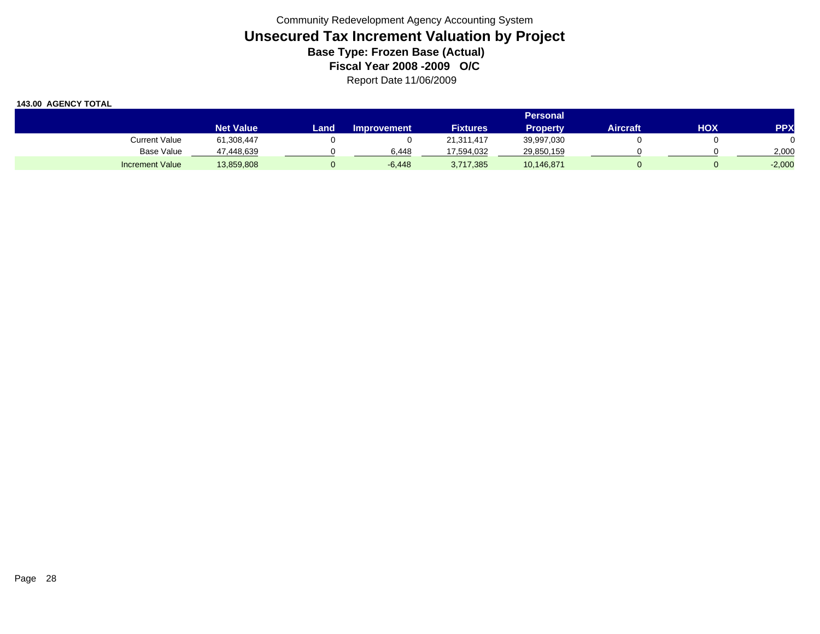|                        | Personal <b>'</b> |      |                    |                 |                 |          |     |            |  |  |  |
|------------------------|-------------------|------|--------------------|-----------------|-----------------|----------|-----|------------|--|--|--|
|                        | <b>Net Value</b>  | Land | <b>Improvement</b> | <b>Fixtures</b> | <b>Property</b> | Aircraft | ΗΟΧ | <b>PPX</b> |  |  |  |
| Current Value          | 61,308,447        |      |                    | 21,311,417      | 39,997,030      |          |     |            |  |  |  |
| <b>Base Value</b>      | 47,448,639        |      | 6.448              | 17,594,032      | 29,850,159      |          |     | 2,000      |  |  |  |
| <b>Increment Value</b> | 13,859,808        |      | $-6,448$           | 3,717,385       | 10,146,871      |          |     | $-2,000$   |  |  |  |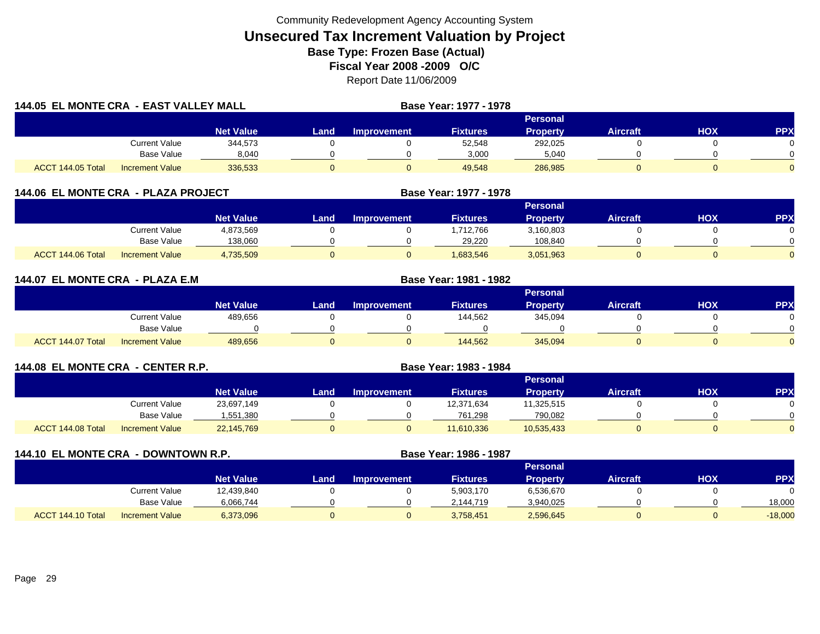| <b>144.05 EL MONTE CRA - EAST VALLEY MALL</b> |                        |                  |                 |                    | Base Year: 1977 - 1978 |                 |                 |     |            |  |
|-----------------------------------------------|------------------------|------------------|-----------------|--------------------|------------------------|-----------------|-----------------|-----|------------|--|
|                                               |                        |                  | <b>Personal</b> |                    |                        |                 |                 |     |            |  |
|                                               |                        | <b>Net Value</b> | Land .          | <b>Improvement</b> | <b>Fixtures</b>        | <b>Property</b> | <b>Aircraft</b> | HOX | <b>PPX</b> |  |
|                                               | <b>Current Value</b>   | 344,573          |                 |                    | 52,548                 | 292,025         |                 |     |            |  |
|                                               | <b>Base Value</b>      | 8,040            |                 |                    | 3,000                  | 5,040           |                 |     |            |  |
| ACCT 144.05 Total                             | <b>Increment Value</b> | 336,533          |                 |                    | 49,548                 | 286,985         |                 |     |            |  |

|  | <b>144.06 EL MONTE CRA - PLAZA PROJECT</b> | <b>Base Year: 1977 - 1978</b> |
|--|--------------------------------------------|-------------------------------|
|  |                                            |                               |

|                                             |                  |      |             |                 | Personal  |                 |            |          |
|---------------------------------------------|------------------|------|-------------|-----------------|-----------|-----------------|------------|----------|
|                                             | <b>Net Value</b> | Land | Improvement | <b>Fixtures</b> | Propertv  | <b>Aircraft</b> | <b>HOX</b> | PPX      |
| Current Value                               | 4,873,569        |      |             | ,712,766        | 3,160,803 |                 |            |          |
| <b>Base Value</b>                           | 138,060          |      |             | 29.220          | 108,840   |                 |            | ∩        |
| ACCT 144.06 Total<br><b>Increment Value</b> | 4,735,509        |      |             | 1,683,546       | 3,051,963 |                 |            | $\Omega$ |

| 144.07 EL MONTE CRA - PLAZA E.M |                        |                  |             |                    |                 |                 |                 |            |          |
|---------------------------------|------------------------|------------------|-------------|--------------------|-----------------|-----------------|-----------------|------------|----------|
|                                 |                        |                  |             |                    |                 | Personal        |                 |            |          |
|                                 |                        | <b>Net Value</b> | <b>Land</b> | <b>Improvement</b> | <b>Fixtures</b> | <b>Property</b> | <b>Aircraft</b> | <b>HOX</b> | PPX      |
|                                 | <b>Current Value</b>   | 489,656          |             |                    | 144,562         | 345,094         |                 |            | $\Omega$ |
|                                 | Base Value             |                  |             |                    |                 |                 |                 |            | $\Omega$ |
| ACCT 144.07 Total               | <b>Increment Value</b> | 489,656          |             |                    | 144,562         | 345.094         |                 |            | $\Omega$ |

| 144.08 EL MONTE CRA - CENTER R.P. |                        |                  |      |                    | Base Year: 1983 - 1984 |                 |                 |     |            |  |  |
|-----------------------------------|------------------------|------------------|------|--------------------|------------------------|-----------------|-----------------|-----|------------|--|--|
|                                   |                        |                  |      | <b>Personal</b>    |                        |                 |                 |     |            |  |  |
|                                   |                        | <b>Net Value</b> | Land | <b>Improvement</b> | <b>Fixtures</b>        | <b>Property</b> | <b>Aircraft</b> | нох | <b>PPX</b> |  |  |
|                                   | <b>Current Value</b>   | 23,697,149       |      |                    | 12,371,634             | 11,325,515      |                 |     |            |  |  |
|                                   | Base Value             | 1,551,380        |      |                    | 761.298                | 790,082         |                 |     |            |  |  |
| ACCT 144.08 Total                 | <b>Increment Value</b> | 22,145,769       |      |                    | 11,610,336             | 10,535,433      | 0               |     |            |  |  |

| <b>144.10 EL MONTE CRA</b><br>- DOWNTOWN R.P. |                        |                  |          |                    | Base Year: 1986 - 1987 |                 |                 |     |            |  |
|-----------------------------------------------|------------------------|------------------|----------|--------------------|------------------------|-----------------|-----------------|-----|------------|--|
|                                               |                        |                  | Personal |                    |                        |                 |                 |     |            |  |
|                                               |                        | <b>Net Value</b> | Land     | <b>Improvement</b> | <b>Fixtures</b>        | <b>Property</b> | <b>Aircraft</b> | нох | <b>PPX</b> |  |
|                                               | Current Value          | 12,439,840       |          |                    | 5,903,170              | 6,536,670       |                 |     |            |  |
|                                               | Base Value             | 6,066,744        |          |                    | 2,144,719              | 3,940,025       |                 |     | 18,000     |  |
| ACCT 144.10 Total                             | <b>Increment Value</b> | 6,373,096        |          |                    | 3,758,451              | 2,596,645       |                 |     | $-18,000$  |  |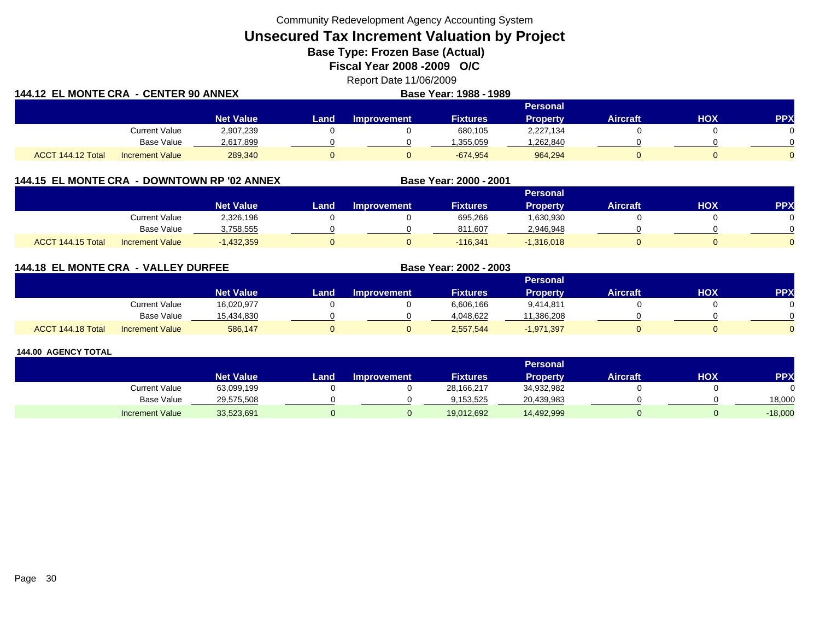Community Redevelopment Agency Accounting System

**Unsecured Tax Increment Valuation by Project**

**Base Type: Frozen Base (Actual)** 

**Fiscal Year 2008 -2009 O/C**

Report Date 11/06/2009

| <b>144.12 EL MONTE CRA - CENTER 90 ANNEX</b> |                        |                  |        |                    | Base Year: 1988 - 1989 |                 |                 |     |            |  |
|----------------------------------------------|------------------------|------------------|--------|--------------------|------------------------|-----------------|-----------------|-----|------------|--|
|                                              |                        |                  |        | <b>Personal</b>    |                        |                 |                 |     |            |  |
|                                              |                        | <b>Net Value</b> | Land . | <b>Improvement</b> | <b>Fixtures</b>        | <b>Property</b> | <b>Aircraft</b> | нох | <b>PPX</b> |  |
|                                              | <b>Current Value</b>   | 2,907,239        |        |                    | 680,105                | 2,227,134       |                 |     |            |  |
|                                              | <b>Base Value</b>      | 2,617,899        |        |                    | 355,059. ا             | ,262,840        |                 |     |            |  |
| ACCT 144.12 Total                            | <b>Increment Value</b> | 289,340          |        |                    | $-674.954$             | 964,294         |                 |     |            |  |

## **144.15 EL MONTE CRA - DOWNTOWN RP '02 ANNEX**

|                                                       |                  |      |             |                 | Personal        |                 |            |     |
|-------------------------------------------------------|------------------|------|-------------|-----------------|-----------------|-----------------|------------|-----|
|                                                       | <b>Net Value</b> | Land | Improvement | <b>Fixtures</b> | <b>Property</b> | <b>Aircraft</b> | <b>HOX</b> | PPX |
| Current Value                                         | 2,326,196        |      |             | 695,266         | 1,630,930       |                 |            |     |
| <b>Base Value</b>                                     | 3,758,555        |      |             | 811,607         | 2,946,948       |                 |            |     |
| 144.15 Total<br><b>ACCT</b><br><b>Increment Value</b> | ,432,359         |      |             | $-116,341$      | $-1,316,018$    |                 |            |     |

**Base Year: 2000 - 2001**

**Base Year: 2002 - 2003**

## **144.18 EL MONTE CRA - VALLEY DURFEE**

|                   |                        |                  |      |                    |                 | Personal     |                 |            |          |
|-------------------|------------------------|------------------|------|--------------------|-----------------|--------------|-----------------|------------|----------|
|                   |                        | <b>Net Value</b> | Land | <b>Improvement</b> | <b>Fixtures</b> | Property     | <b>Aircraft</b> | <b>HOX</b> | PPX      |
|                   | <b>Current Value</b>   | 16,020,977       |      |                    | 6,606,166       | 9.414.811    |                 |            | 0        |
|                   | <b>Base Value</b>      | 15.434.830       |      |                    | 4.048.622       | 11,386,208   |                 |            | $\cap$   |
| ACCT 144.18 Total | <b>Increment Value</b> | 586,147          |      |                    | 2,557,544       | $-1,971,397$ |                 |            | $\Omega$ |

|                        |                  |       |                    |                 | <b>Personal</b> |                 |     |            |
|------------------------|------------------|-------|--------------------|-----------------|-----------------|-----------------|-----|------------|
|                        | <b>Net Value</b> | Land. | <b>Improvement</b> | <b>Fixtures</b> | Property        | <b>Aircraft</b> | нох | <b>PPX</b> |
| Current Value          | 63,099,199       |       |                    | 28,166,217      | 34,932,982      |                 |     |            |
| Base Value             | 29,575,508       |       |                    | 9.153.525       | 20,439,983      |                 |     | 18,000     |
| <b>Increment Value</b> | 33,523,691       |       |                    | 19,012,692      | 14,492,999      |                 |     | $-18,000$  |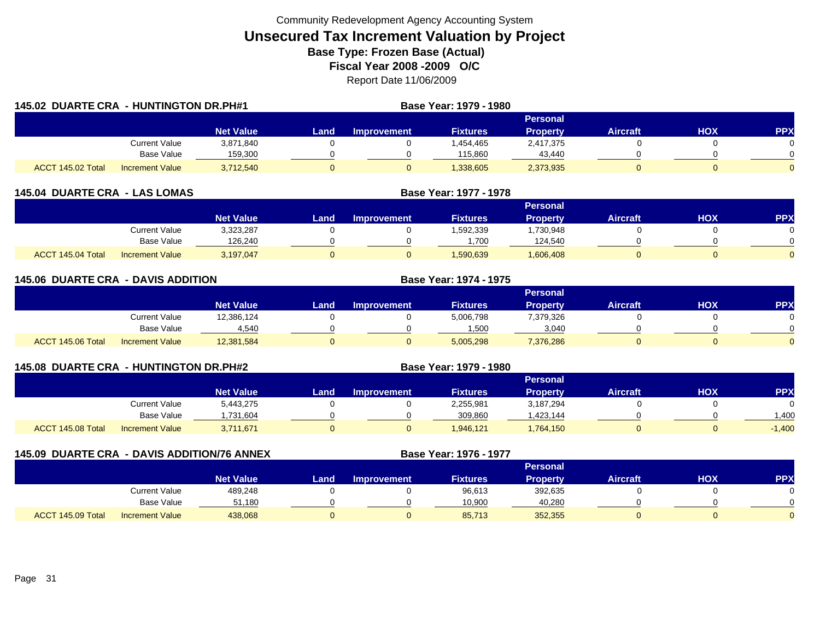|                   | <b>145.02 DUARTE CRA - HUNTINGTON DR.PH#1</b> |                  |      |                    | Base Year: 1979 - 1980 |                 |                 |     |            |
|-------------------|-----------------------------------------------|------------------|------|--------------------|------------------------|-----------------|-----------------|-----|------------|
|                   |                                               |                  |      |                    |                        | <b>Personal</b> |                 |     |            |
|                   |                                               | <b>Net Value</b> | Land | <b>Improvement</b> | <b>Fixtures</b>        | <b>Property</b> | <b>Aircraft</b> | HOX | <b>PPX</b> |
|                   | <b>Current Value</b>                          | 3,871,840        |      |                    | 1,454,465              | 2,417,375       |                 |     |            |
|                   | <b>Base Value</b>                             | 159,300          |      |                    | 115,860                | 43,440          |                 |     |            |
| ACCT 145.02 Total | <b>Increment Value</b>                        | 3,712,540        |      |                    | 1,338,605              | 2,373,935       |                 |     |            |

| <b>145.04 DUARTE CRA - LAS LOMAS</b> |                        |                  | Base Year: 1977 - 1978 |                    |                 |                 |                 |     |            |
|--------------------------------------|------------------------|------------------|------------------------|--------------------|-----------------|-----------------|-----------------|-----|------------|
|                                      |                        |                  |                        |                    |                 | <b>Personal</b> |                 |     |            |
|                                      |                        | <b>Net Value</b> | Land                   | <b>Improvement</b> | <b>Fixtures</b> | <b>Property</b> | <b>Aircraft</b> | нох | <b>PPX</b> |
|                                      | Current Value          | 3,323,287        |                        |                    | 1,592,339       | .730,948        |                 |     |            |
|                                      | <b>Base Value</b>      | 126.240          |                        |                    | .700            | 124.540         |                 |     |            |
| ACCT 145.04 Total                    | <b>Increment Value</b> | 3,197,047        |                        |                    | 1,590,639       | 1,606,408       |                 |     |            |

| <b>145.06 DUARTE CRA - DAVIS ADDITION</b> |                        |                  |       |                    | <b>Base Year: 1974 - 1975</b> |                 |                 |            |            |
|-------------------------------------------|------------------------|------------------|-------|--------------------|-------------------------------|-----------------|-----------------|------------|------------|
|                                           |                        |                  |       |                    |                               | Personal        |                 |            |            |
|                                           |                        | <b>Net Value</b> | Land. | <b>Improvement</b> | <b>Fixtures</b>               | <b>Property</b> | <b>Aircraft</b> | <b>HOX</b> | <b>PPX</b> |
|                                           | <b>Current Value</b>   | 12,386,124       |       |                    | 5,006,798                     | 7,379,326       |                 |            | $\Omega$   |
|                                           | Base Value             | 4,540            |       |                    | 1,500                         | 3,040           |                 |            | $\Omega$   |
| ACCT 145.06 Total                         | <b>Increment Value</b> | 12,381,584       | 0     |                    | 5,005,298                     | 7,376,286       |                 |            | $\Omega$   |

| 145.08 DUARTE CRA - HUNTINGTON DR.PH#2 |                        |                  |      | Base Year: 1979 - 1980 |                 |                 |                 |     |            |
|----------------------------------------|------------------------|------------------|------|------------------------|-----------------|-----------------|-----------------|-----|------------|
|                                        |                        |                  |      |                        |                 | Personal        |                 |     |            |
|                                        |                        | <b>Net Value</b> | Land | <b>Improvement</b>     | <b>Fixtures</b> | <b>Property</b> | <b>Aircraft</b> | нох | <b>PPX</b> |
|                                        | Current Value          | 5,443,275        |      |                        | 2,255,981       | 3,187,294       |                 |     |            |
|                                        | Base Value             | ,731,604         |      |                        | 309.860         | .423,144        |                 |     | .400       |
| ACCT 145.08 Total                      | <b>Increment Value</b> | 3,711,671        |      |                        | 1.946.121       | 1.764,150       |                 |     | $-1,400$   |

| 145.09 DUARTE CRA - DAVIS ADDITION/76 ANNEX |                        |                  | Base Year: 1976 - 1977 |                    |                 |                 |                 |     |            |
|---------------------------------------------|------------------------|------------------|------------------------|--------------------|-----------------|-----------------|-----------------|-----|------------|
|                                             |                        |                  |                        |                    |                 | Personal        |                 |     |            |
|                                             |                        | <b>Net Value</b> | Land                   | <b>Improvement</b> | <b>Fixtures</b> | <b>Property</b> | <b>Aircraft</b> | нох | <b>PPX</b> |
|                                             | <b>Current Value</b>   | 489,248          |                        |                    | 96,613          | 392,635         |                 |     |            |
|                                             | <b>Base Value</b>      | 51.180           |                        |                    | 10,900          | 40,280          |                 |     |            |
| ACCT 145.09 Total                           | <b>Increment Value</b> | 438,068          |                        |                    | 85,713          | 352,355         |                 |     |            |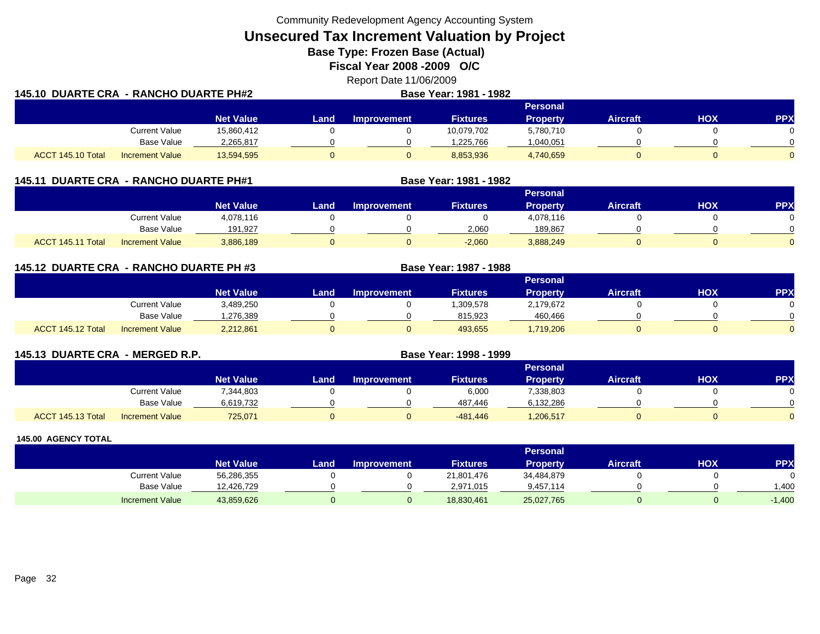Community Redevelopment Agency Accounting System

**Unsecured Tax Increment Valuation by Project**

**Base Type: Frozen Base (Actual)** 

**Fiscal Year 2008 -2009 O/C**

Report Date 11/06/2009 **145.10 DUARTE CRA - RANCHO DUARTE PH#2 Base Year: 1981 - 1982**

| .                 |                        |                  |      |                    | <u> 2000 - 100 - 100 - 100 - 100 - 100 - 100 - 100 - 100 - 100 - 100 - 100 - 100 - 100 - 100 - 100 - 100 - 100 - </u> |                 |                 |     |                |
|-------------------|------------------------|------------------|------|--------------------|-----------------------------------------------------------------------------------------------------------------------|-----------------|-----------------|-----|----------------|
|                   |                        |                  |      |                    |                                                                                                                       | Personal        |                 |     |                |
|                   |                        | <b>Net Value</b> | Land | <b>Improvement</b> | <b>Fixtures</b>                                                                                                       | <b>Property</b> | <b>Aircraft</b> | HOX | <b>PPX</b>     |
|                   | <b>Current Value</b>   | 15,860,412       |      |                    | 10,079,702                                                                                                            | 5,780,710       |                 |     |                |
|                   | <b>Base Value</b>      | 2,265,817        |      |                    | 1.225.766                                                                                                             | 1,040,051       |                 |     | $\Omega$       |
| ACCT 145.10 Total | <b>Increment Value</b> | 13,594,595       |      |                    | 8,853,936                                                                                                             | 4,740,659       |                 |     | $\overline{0}$ |

| 145.11 DUARTE CRA - RANCHO DUARTE PH#1 |                        |                  |      |                    | Base Year: 1981 - 1982 |                 |                 |     |            |
|----------------------------------------|------------------------|------------------|------|--------------------|------------------------|-----------------|-----------------|-----|------------|
|                                        |                        |                  |      |                    |                        | Personal        |                 |     |            |
|                                        |                        | <b>Net Value</b> | Land | <b>Improvement</b> | <b>Fixtures</b>        | <b>Property</b> | <b>Aircraft</b> | нох | <b>PPX</b> |
|                                        | <b>Current Value</b>   | 4,078,116        |      |                    |                        | 4,078,116       |                 |     |            |
|                                        | <b>Base Value</b>      | 191,927          |      |                    | 2.060                  | 189.867         |                 |     |            |
| ACCT 145.11 Total                      | <b>Increment Value</b> | 3,886,189        |      |                    | $-2.060$               | 3.888.249       |                 |     |            |

**145.12 DUARTE CRA - RANCHO DUARTE PH #3 Base Year: 1987 - 1988 Personal Net Value Land Improvement Fixtures Property Aircraft HOX PPX** Current Value 3,489,250 0 0 1,309,578 2,179,672 0 0 0 Base Value 1,276,389 0 0 815,923 460,466 0 0 ACCT 145.12 TotalIncrement Value 2,212,861 0 0 493,655 1,719,206 0 0 0

| 145.13 DUARTE CRA - MERGED R.P. |                        |                  |      | Base Year: 1998 - 1999 |                 |                 |                 |     |            |
|---------------------------------|------------------------|------------------|------|------------------------|-----------------|-----------------|-----------------|-----|------------|
|                                 |                        |                  |      |                        |                 | Personal        |                 |     |            |
|                                 |                        | <b>Net Value</b> | Land | <b>Improvement</b>     | <b>Fixtures</b> | <b>Property</b> | <b>Aircraft</b> | НОХ | <b>PPX</b> |
|                                 | <b>Current Value</b>   | 7,344,803        |      |                        | 6,000           | 7,338,803       |                 |     |            |
|                                 | Base Value             | 6,619,732        |      |                        | 487,446         | 6,132,286       |                 |     |            |
| ACCT 145.13 Total               | <b>Increment Value</b> | 725,071          | 0    |                        | -481,446        | 1,206,517       |                 |     |            |

|                        |                  |       |                    |                 | <b>Personal</b> |                 |     |            |
|------------------------|------------------|-------|--------------------|-----------------|-----------------|-----------------|-----|------------|
|                        | <b>Net Value</b> | Land, | <b>Improvement</b> | <b>Fixtures</b> | Property        | <b>Aircraft</b> | нох | <b>PPX</b> |
| Current Value          | 56,286,355       |       |                    | 21,801,476      | 34,484,879      |                 |     |            |
| Base Value             | 12,426,729       |       |                    | 2,971,015       | 9,457,114       |                 |     | .400       |
| <b>Increment Value</b> | 43,859,626       |       |                    | 18,830,461      | 25,027,765      |                 |     | $-1,400$   |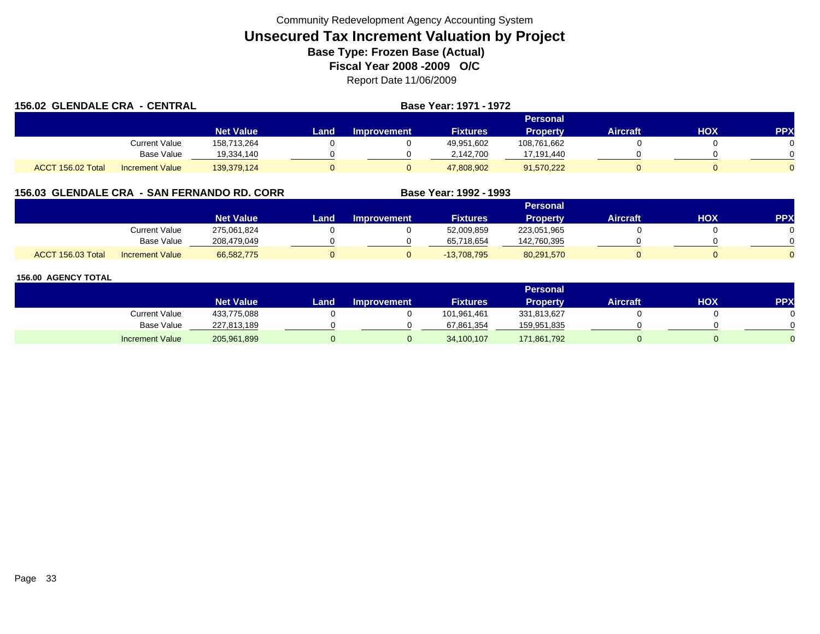| <b>156.02 GLENDALE CRA - CENTRAL</b> |                        |                  |      | Base Year: 1971 - 1972 |                 |                 |          |     |            |
|--------------------------------------|------------------------|------------------|------|------------------------|-----------------|-----------------|----------|-----|------------|
|                                      |                        |                  |      |                        |                 | Personal        |          |     |            |
|                                      |                        | <b>Net Value</b> | Land | <b>Improvement</b>     | <b>Fixtures</b> | <b>Property</b> | Aircraft | HOX | <b>PPX</b> |
|                                      | Current Value          | 158,713,264      |      |                        | 49,951,602      | 108,761,662     |          |     |            |
|                                      | <b>Base Value</b>      | 19,334,140       |      |                        | 2,142,700       | 17,191,440      |          |     |            |
| ACCT 156.02 Total                    | <b>Increment Value</b> | 139,379,124      |      |                        | 47,808,902      | 91,570,222      |          |     |            |

## **156.03 GLENDALE CRA - SAN FERNANDO RD. CORR**

|                   |                        |                  |      |                    |                 | Personal        |          |     |     |
|-------------------|------------------------|------------------|------|--------------------|-----------------|-----------------|----------|-----|-----|
|                   |                        | <b>Net Value</b> | Land | <b>Improvement</b> | <b>Fixtures</b> | <b>Property</b> | Aircraft | нох | PPX |
|                   | <b>Current Value</b>   | 275,061,824      |      |                    | 52,009,859      | 223,051,965     |          |     |     |
|                   | <b>Base Value</b>      | 208,479,049      |      |                    | 65.718.654      | 142,760,395     |          |     |     |
| ACCT 156.03 Total | <b>Increment Value</b> | 66,582,775       |      |                    | $-13,708,795$   | 80,291,570      |          |     |     |

**Base Year: 1992 - 1993**

|                        |                  |      |                    |                 | Personal        |                 |     |           |
|------------------------|------------------|------|--------------------|-----------------|-----------------|-----------------|-----|-----------|
|                        | <b>Net Value</b> | Land | <b>Improvement</b> | <b>Fixtures</b> | <b>Property</b> | <b>Aircraft</b> | нох | <b>PP</b> |
| <b>Current Value</b>   | 433,775,088      |      |                    | 101,961,461     | 331,813,627     |                 |     |           |
| <b>Base Value</b>      | 227,813,189      |      |                    | 67,861,354      | 159,951,835     |                 |     |           |
| <b>Increment Value</b> | 205,961,899      |      |                    | 34,100,107      | 171,861,792     |                 |     |           |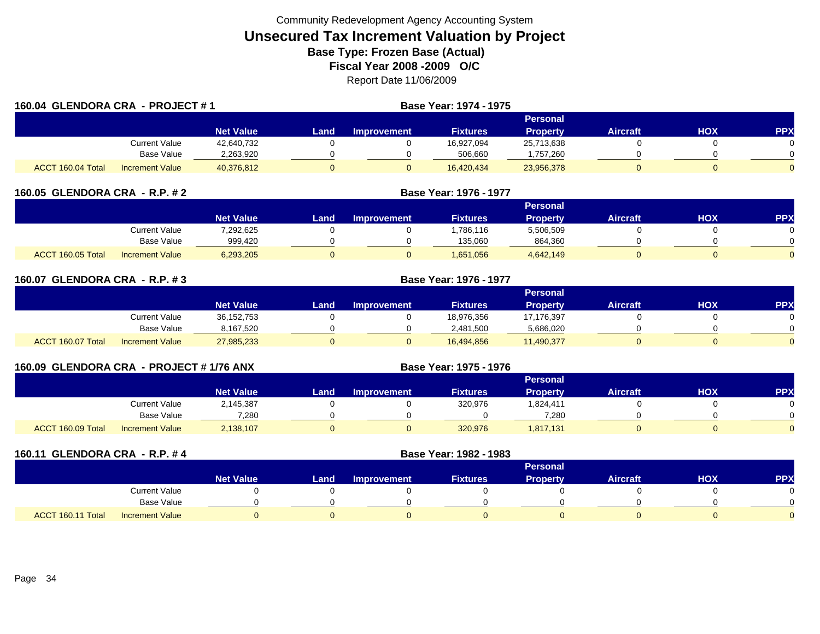| 160.04 GLENDORA CRA - PROJECT #1 |                        |                  | <b>Base Year: 1974 - 1975</b> |                    |                 |                 |                 |     |            |
|----------------------------------|------------------------|------------------|-------------------------------|--------------------|-----------------|-----------------|-----------------|-----|------------|
|                                  |                        | Personal         |                               |                    |                 |                 |                 |     |            |
|                                  |                        | <b>Net Value</b> | Land                          | <b>Improvement</b> | <b>Fixtures</b> | <b>Property</b> | <b>Aircraft</b> | HOX | <b>PPX</b> |
|                                  | Current Value          | 42,640,732       |                               |                    | 16,927,094      | 25,713,638      |                 |     |            |
|                                  | <b>Base Value</b>      | 2,263,920        |                               |                    | 506,660         | ,757,260        |                 |     |            |
| ACCT 160.04 Total                | <b>Increment Value</b> | 40,376,812       |                               | U                  | 16,420,434      | 23,956,378      |                 |     |            |

| 160.05 GLENDORA CRA - R.P. # 2              |                  | Base Year: 1976 - 1977 |                    |                 |                 |                 |     |            |
|---------------------------------------------|------------------|------------------------|--------------------|-----------------|-----------------|-----------------|-----|------------|
|                                             |                  |                        |                    |                 |                 |                 |     |            |
|                                             | <b>Net Value</b> | Land                   | <b>Improvement</b> | <b>Fixtures</b> | <b>Property</b> | <b>Aircraft</b> | нох | <b>PPX</b> |
| Current Value                               | 7,292,625        |                        |                    | ,786,116        | 5,506,509       |                 |     |            |
| <b>Base Value</b>                           | 999,420          |                        |                    | 135,060         | 864,360         |                 |     |            |
| ACCT 160.05 Total<br><b>Increment Value</b> | 6,293,205        |                        |                    | 1,651,056       | 4,642,149       |                 |     |            |

| 160.07 GLENDORA CRA - R.P. #3 |                        | Base Year: 1976 - 1977 |       |             |                 |                 |                 |            |            |  |
|-------------------------------|------------------------|------------------------|-------|-------------|-----------------|-----------------|-----------------|------------|------------|--|
|                               |                        |                        |       |             |                 | Personal        |                 |            |            |  |
|                               |                        | <b>Net Value</b>       | Landı | Improvement | <b>Fixtures</b> | <b>Property</b> | <b>Aircraft</b> | <b>HOX</b> | <b>PPX</b> |  |
|                               | Current Value          | 36,152,753             |       |             | 18,976,356      | 17,176,397      |                 |            |            |  |
|                               | Base Value             | 8,167,520              |       |             | 2,481,500       | 5,686,020       |                 |            |            |  |
| ACCT 160.07 Total             | <b>Increment Value</b> | 27,985,233             |       |             | 16,494,856      | 11,490,377      |                 |            |            |  |

| 160.09 GLENDORA CRA - PROJECT # 1/76 ANX |                        |                  |          |                    |                 |                 |                 |     |            |  |  |
|------------------------------------------|------------------------|------------------|----------|--------------------|-----------------|-----------------|-----------------|-----|------------|--|--|
|                                          |                        |                  | Personal |                    |                 |                 |                 |     |            |  |  |
|                                          |                        | <b>Net Value</b> | Land     | <b>Improvement</b> | <b>Fixtures</b> | <b>Property</b> | <b>Aircraft</b> | НОХ | <b>PPX</b> |  |  |
|                                          | Current Value          | 2,145,387        |          |                    | 320,976         | 1,824,411       |                 |     |            |  |  |
|                                          | Base Value             | 7,280            |          |                    |                 | 7,280           |                 |     |            |  |  |
| ACCT 160.09 Total                        | <b>Increment Value</b> | 2,138,107        |          |                    | 320,976         | 1,817,131       |                 |     |            |  |  |

| 160.11 GLENDORA CRA - R.P. #4 |                        |                  | Base Year: 1982 - 1983 |                    |                 |                 |                 |            |            |
|-------------------------------|------------------------|------------------|------------------------|--------------------|-----------------|-----------------|-----------------|------------|------------|
|                               |                        |                  |                        |                    |                 | <b>Personal</b> |                 |            |            |
|                               |                        | <b>Net Value</b> | Land                   | <b>Improvement</b> | <b>Fixtures</b> | <b>Property</b> | <b>Aircraft</b> | <b>HOX</b> | <b>PPX</b> |
|                               | Current Value          |                  |                        |                    |                 |                 |                 |            |            |
|                               | Base Value             |                  |                        |                    |                 |                 |                 |            |            |
| ACCT 160.11 Total             | <b>Increment Value</b> |                  |                        |                    |                 |                 |                 |            |            |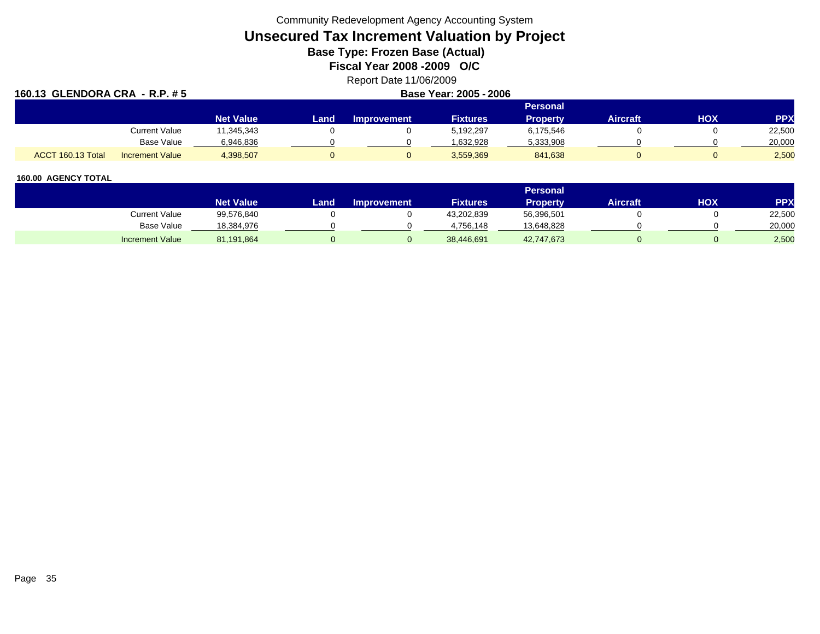Community Redevelopment Agency Accounting System

# **Unsecured Tax Increment Valuation by Project**

**Base Type: Frozen Base (Actual)** 

**Fiscal Year 2008 -2009 O/C**

## Report Date 11/06/2009

| 160.13 GLENDORA CRA - R.P. #5 |                        | Base Year: 2005 - 2006 |      |                    |                 |                 |                 |     |            |  |  |
|-------------------------------|------------------------|------------------------|------|--------------------|-----------------|-----------------|-----------------|-----|------------|--|--|
|                               |                        |                        |      | <b>Personal</b>    |                 |                 |                 |     |            |  |  |
|                               |                        | <b>Net Value</b>       | Land | <b>Improvement</b> | <b>Fixtures</b> | <b>Property</b> | <b>Aircraft</b> | HOX | <b>PPX</b> |  |  |
|                               | <b>Current Value</b>   | 11.345.343             |      |                    | 5.192.297       | 6,175,546       |                 |     | 22,500     |  |  |
|                               | Base Value             | 6,946,836              |      |                    | 1.632.928       | 5,333,908       |                 |     | 20,000     |  |  |
| ACCT 160.13 Total             | <b>Increment Value</b> | 4,398,507              |      |                    | 3,559,369       | 841,638         |                 | 0   | 2,500      |  |  |

|                        |                  |       |                    |                 | <b>Personal</b> |                 |     |        |
|------------------------|------------------|-------|--------------------|-----------------|-----------------|-----------------|-----|--------|
|                        | <b>Net Value</b> | Land. | <b>Improvement</b> | <b>Fixtures</b> | Property.       | <b>Aircraft</b> | HOX | PPX    |
| Current Value          | 99,576,840       |       |                    | 43,202,839      | 56,396,501      |                 |     | 22,500 |
| <b>Base Value</b>      | 18,384,976       |       |                    | 4.756.148       | 13,648,828      |                 |     | 20,000 |
| <b>Increment Value</b> | 81,191,864       |       |                    | 38,446,691      | 42,747,673      |                 |     | 2,500  |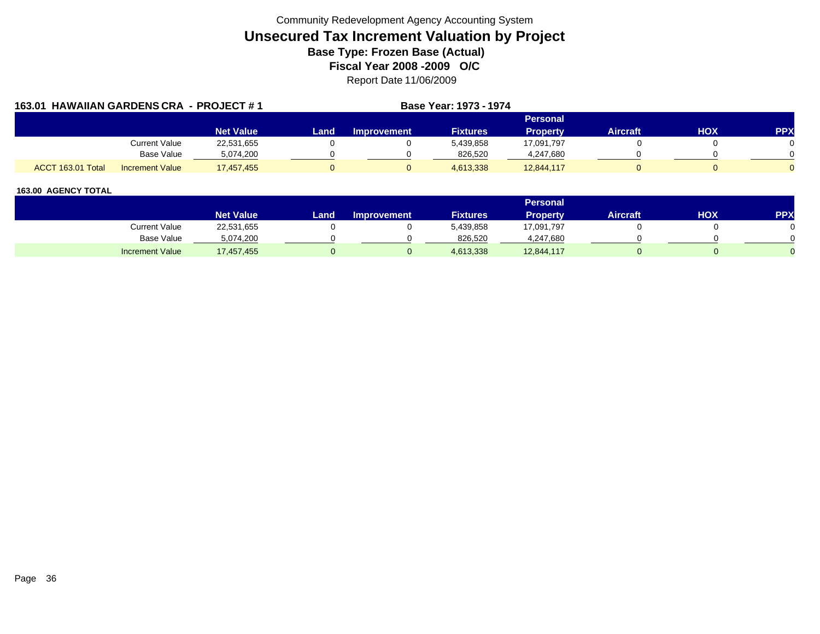| 163.01 HAWAIIAN GARDENS CRA - PROJECT #1 |                        |                  |      |                    | Base Year: 1973 - 1974 |                 |                 |     |            |
|------------------------------------------|------------------------|------------------|------|--------------------|------------------------|-----------------|-----------------|-----|------------|
|                                          |                        |                  |      |                    |                        |                 |                 |     |            |
|                                          |                        | <b>Net Value</b> | Land | <b>Improvement</b> | <b>Fixtures</b>        | <b>Property</b> | <b>Aircraft</b> | HOX | <b>PPX</b> |
|                                          | Current Value          | 22,531,655       |      |                    | 5,439,858              | 17,091,797      |                 |     |            |
|                                          | Base Value             | 5,074,200        |      |                    | 826,520                | 4,247,680       |                 |     |            |
| ACCT 163.01 Total                        | <b>Increment Value</b> | 17,457,455       |      |                    | 4,613,338              | 12,844,117      |                 |     |            |

|                        |                  |      |                    |                 | <b>Personal</b> |                 |            |     |
|------------------------|------------------|------|--------------------|-----------------|-----------------|-----------------|------------|-----|
|                        | <b>Net Value</b> | Land | <b>Improvement</b> | <b>Fixtures</b> | Property        | <b>Aircraft</b> | <b>HOX</b> | PPX |
| Current Value          | 22,531,655       |      |                    | 5,439,858       | 17,091,797      |                 |            |     |
| Base Value             | 5,074,200        |      |                    | 826.520         | 4,247,680       |                 |            |     |
| <b>Increment Value</b> | 17,457,455       |      |                    | 4,613,338       | 12,844,117      |                 |            |     |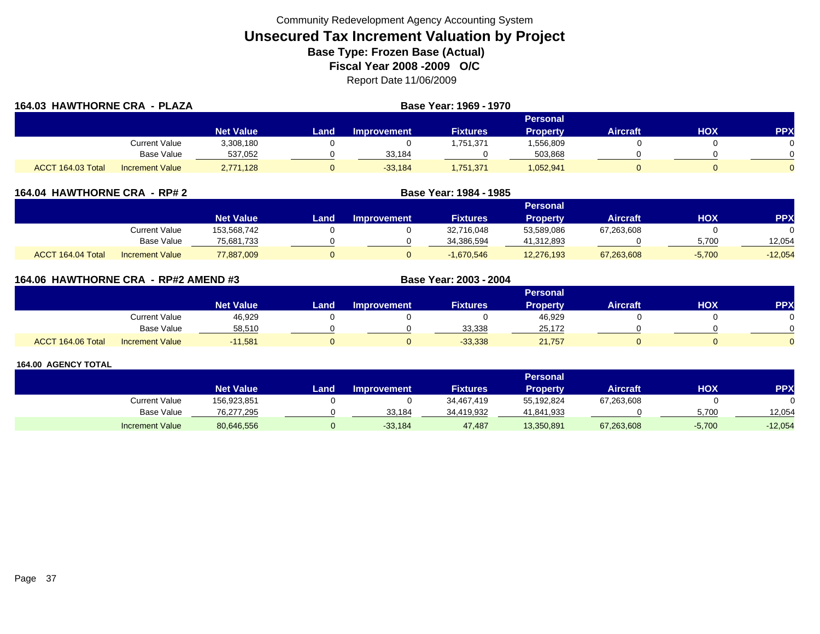| 164.03 HAWTHORNE CRA - PLAZA |                        |                  |      | Base Year: 1969 - 1970 |                 |                 |                 |     |            |
|------------------------------|------------------------|------------------|------|------------------------|-----------------|-----------------|-----------------|-----|------------|
|                              |                        |                  |      |                        |                 | Personal        |                 |     |            |
|                              |                        | <b>Net Value</b> | Land | Improvement            | <b>Fixtures</b> | <b>Property</b> | <b>Aircraft</b> | HOX | <b>PPX</b> |
|                              | Current Value          | 3,308,180        |      |                        | 1,751,371       | 1,556,809       |                 |     |            |
|                              | Base Value             | 537,052          |      | 33,184                 |                 | 503,868         |                 |     |            |
| ACCT 164.03 Total            | <b>Increment Value</b> | 2,771,128        |      | $-33.184$              | 1,751,371       | 1,052,941       |                 |     |            |

|                   | 164.04 HAWTHORNE CRA - RP# 2 |                  |      |                    |                 |                 |                 |          |            |
|-------------------|------------------------------|------------------|------|--------------------|-----------------|-----------------|-----------------|----------|------------|
|                   |                              |                  |      |                    |                 | Personal        |                 |          |            |
|                   |                              | <b>Net Value</b> | Land | <b>Improvement</b> | <b>Fixtures</b> | <b>Property</b> | <b>Aircraft</b> | нох      | <b>PPX</b> |
|                   | Current Value                | 153.568.742      |      |                    | 32,716,048      | 53,589,086      | 67,263,608      |          |            |
|                   | Base Value                   | 75,681,733       |      |                    | 34,386,594      | 41,312,893      |                 | 5,700    | 12,054     |
| ACCT 164.04 Total | <b>Increment Value</b>       | 77,887,009       |      |                    | $-1,670,546$    | 12,276,193      | 67,263,608      | $-5,700$ | $-12,054$  |

| 164.06 HAWTHORNE CRA - RP#2 AMEND #3 |                        |                  |      | Base Year: 2003 - 2004 |                 |                 |                 |     |            |
|--------------------------------------|------------------------|------------------|------|------------------------|-----------------|-----------------|-----------------|-----|------------|
|                                      |                        |                  |      |                        |                 | <b>Personal</b> |                 |     |            |
|                                      |                        | <b>Net Value</b> | Land | <b>Improvement</b>     | <b>Fixtures</b> | <b>Property</b> | <b>Aircraft</b> | нох | <b>PPX</b> |
|                                      | Current Value          | 46,929           |      |                        |                 | 46,929          |                 |     |            |
|                                      | Base Value             | 58,510           |      |                        | 33,338          | 25,172          |                 |     |            |
| ACCT 164.06 Total                    | <b>Increment Value</b> | $-11,581$        |      |                        | $-33.338$       | 21,757          |                 |     |            |

|                        |                  |      |                    |                 | <b>Personal</b> |                 |          |            |
|------------------------|------------------|------|--------------------|-----------------|-----------------|-----------------|----------|------------|
|                        | <b>Net Value</b> | Land | <b>Improvement</b> | <b>Fixtures</b> | Property        | <b>Aircraft</b> | нох      | <b>PPX</b> |
| Current Value          | 156,923,851      |      |                    | 34,467,419      | 55,192,824      | 67,263,608      |          |            |
| Base Value             | 76,277,295       |      | 33.184             | 34,419,932      | 41,841,933      |                 | 5.700    | 12.054     |
| <b>Increment Value</b> | 80,646,556       |      | $-33,184$          | 47,487          | 13,350,891      | 67,263,608      | $-5,700$ | $-12,054$  |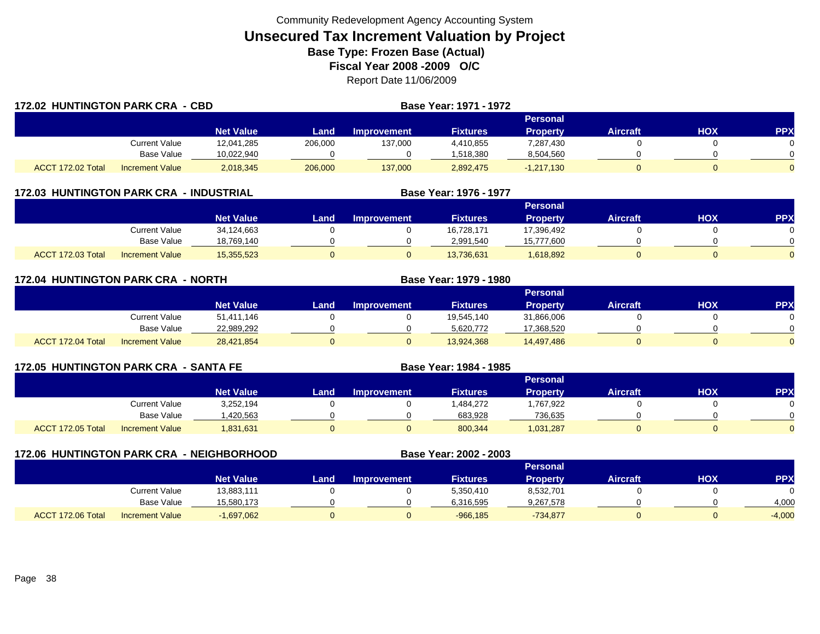| <b>172.02 HUNTINGTON PARK CRA - CBD</b> |                        |                  |         |                    | Base Year: 1971 - 1972 |                 |                 |     |     |
|-----------------------------------------|------------------------|------------------|---------|--------------------|------------------------|-----------------|-----------------|-----|-----|
|                                         |                        |                  |         |                    |                        | Personal        |                 |     |     |
|                                         |                        | <b>Net Value</b> | Land    | <b>Improvement</b> | <b>Fixtures</b>        | <b>Property</b> | <b>Aircraft</b> | HOX | PPX |
|                                         | Current Value          | 12,041,285       | 206,000 | 137,000            | 4,410,855              | 7,287,430       |                 |     |     |
|                                         | <b>Base Value</b>      | 10,022,940       |         |                    | 1,518,380              | 8,504,560       |                 |     |     |
| ACCT 172.02 Total                       | <b>Increment Value</b> | 2,018,345        | 206,000 | 137,000            | 2,892,475              | $-1,217,130$    |                 |     |     |

|                   | <b>172.03 HUNTINGTON PARK CRA - INDUSTRIAL</b> |                  |      |                    | Base Year: 1976 - 1977 |                 |                 |     |            |
|-------------------|------------------------------------------------|------------------|------|--------------------|------------------------|-----------------|-----------------|-----|------------|
|                   |                                                |                  |      |                    |                        | Personal        |                 |     |            |
|                   |                                                | <b>Net Value</b> | Land | <b>Improvement</b> | <b>Fixtures</b>        | <b>Property</b> | <b>Aircraft</b> | нох | <b>PPX</b> |
|                   | Current Value                                  | 34.124.663       |      |                    | 16.728.171             | 17.396.492      |                 |     |            |
|                   | Base Value                                     | 18,769,140       |      |                    | 2,991,540              | 15.777.600      |                 |     |            |
| ACCT 172.03 Total | <b>Increment Value</b>                         | 15,355,523       |      |                    | 13.736.631             | 1,618,892       |                 | 0   |            |

| <b>172.04 HUNTINGTON PARK CRA - NORTH</b> |                        |                  |      |                    | Base Year: 1979 - 1980 |                 |                 |     |            |
|-------------------------------------------|------------------------|------------------|------|--------------------|------------------------|-----------------|-----------------|-----|------------|
|                                           |                        |                  |      |                    |                        | <b>Personal</b> |                 |     |            |
|                                           |                        | <b>Net Value</b> | Land | <b>Improvement</b> | <b>Fixtures</b>        | Propertv        | <b>Aircraft</b> | нох | <b>PPX</b> |
|                                           | Current Value          | 51.411.146       |      |                    | 19.545.140             | 31,866,006      |                 |     |            |
|                                           | Base Value             | 22,989,292       |      |                    | 5.620.772              | 17,368,520      |                 |     |            |
| ACCT 172.04 Total                         | <b>Increment Value</b> | 28,421,854       | 0    |                    | 13,924,368             | 14,497,486      |                 |     |            |

|                   | <b>172.05 HUNTINGTON PARK CRA - SANTA FE</b> |                  |      |                    | <b>Base Year: 1984 - 1985</b> |                 |                 |     |            |
|-------------------|----------------------------------------------|------------------|------|--------------------|-------------------------------|-----------------|-----------------|-----|------------|
|                   |                                              |                  |      |                    |                               | <b>Personal</b> |                 |     |            |
|                   |                                              | <b>Net Value</b> | Land | <b>Improvement</b> | <b>Fixtures</b>               | <b>Property</b> | <b>Aircraft</b> | нох | <b>PPX</b> |
|                   | Current Value                                | 3,252,194        |      |                    | .484,272                      | 1,767,922       |                 |     |            |
|                   | Base Value                                   | ,420,563         |      |                    | 683,928                       | 736,635         |                 |     |            |
| ACCT 172.05 Total | <b>Increment Value</b>                       | 1,831,631        |      |                    | 800,344                       | 1,031,287       |                 |     |            |

| 172.06 HUNTINGTON PARK CRA - NEIGHBORHOOD |                        |                  |      |                    | Base Year: 2002 - 2003 |                 |                 |     |           |
|-------------------------------------------|------------------------|------------------|------|--------------------|------------------------|-----------------|-----------------|-----|-----------|
|                                           |                        |                  |      |                    |                        | <b>Personal</b> |                 |     |           |
|                                           |                        | <b>Net Value</b> | Land | <b>Improvement</b> | <b>Fixtures</b>        | <b>Property</b> | <b>Aircraft</b> | нох | <b>PP</b> |
|                                           | Current Value          | 13,883,111       |      |                    | 5,350,410              | 8,532,701       |                 |     |           |
|                                           | Base Value             | 15,580,173       |      |                    | 6.316.595              | 9,267,578       |                 |     | 4,000     |
| ACCT 172.06 Total                         | <b>Increment Value</b> | $-1,697,062$     |      |                    | $-966.185$             | $-734,877$      |                 |     | $-4,000$  |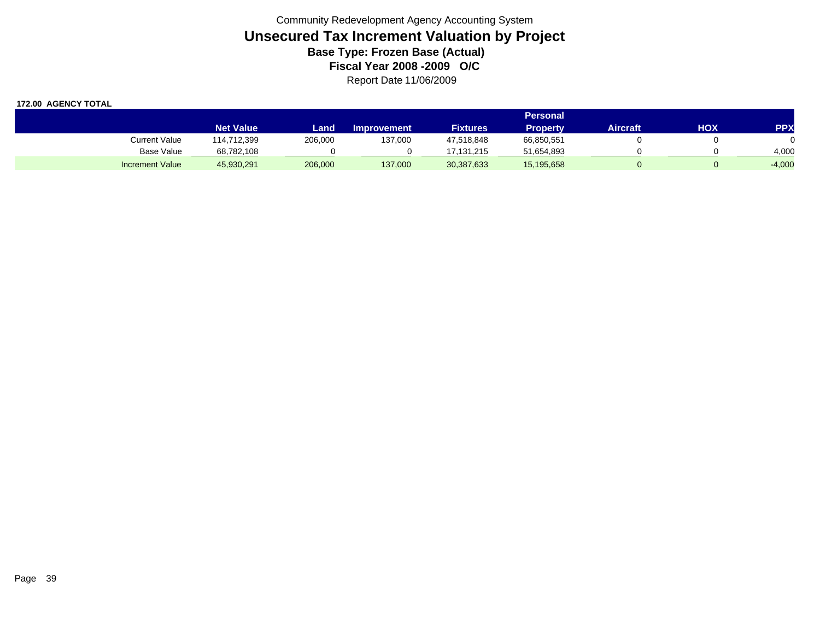|                        |                  |         |                    |                 | <b>Personal</b> |                 |     |            |
|------------------------|------------------|---------|--------------------|-----------------|-----------------|-----------------|-----|------------|
|                        | <b>Net Value</b> | Land    | <b>Improvement</b> | <b>Fixtures</b> | Propertv        | <b>Aircraft</b> | HOX | <b>PPX</b> |
| Current Value          | 114,712,399      | 206,000 | 137,000            | 47,518,848      | 66,850,551      |                 |     |            |
| <b>Base Value</b>      | 68,782,108       |         |                    | 17.131.215      | 51,654,893      |                 |     | 4,000      |
| <b>Increment Value</b> | 45,930,291       | 206,000 | 137,000            | 30,387,633      | 15,195,658      |                 |     | $-4,000$   |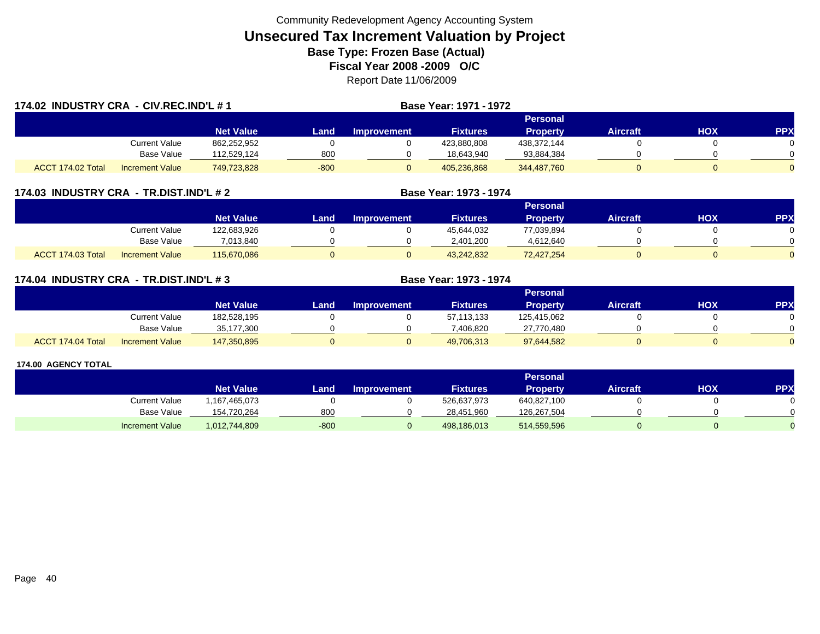| 174.02 INDUSTRY CRA - CIV.REC.IND'L # 1 |                        |                  |        |             | Base Year: 1971 - 1972 |                 |                 |     |            |
|-----------------------------------------|------------------------|------------------|--------|-------------|------------------------|-----------------|-----------------|-----|------------|
|                                         |                        |                  |        |             |                        | Personal        |                 |     |            |
|                                         |                        | <b>Net Value</b> | _and   | Improvement | <b>Fixtures</b>        | <b>Property</b> | <b>Aircraft</b> | HOX | <b>PPX</b> |
|                                         | Current Value          | 862,252,952      |        |             | 423,880,808            | 438,372,144     |                 |     |            |
|                                         | Base Value             | 112.529.124      | 800    |             | 18.643.940             | 93,884,384      |                 |     |            |
| ACCT 174.02 Total                       | <b>Increment Value</b> | 749,723,828      | $-800$ |             | 405,236,868            | 344,487,760     |                 |     |            |

#### **174.03 INDUSTRY CRA - TR.DIST.IND'L # 2 Base Year: 1973 - 1974**

|                                             |                  |      |                    |                 | Personal        |          |     |     |
|---------------------------------------------|------------------|------|--------------------|-----------------|-----------------|----------|-----|-----|
|                                             | <b>Net Value</b> | Land | <b>Improvement</b> | <b>Fixtures</b> | <b>Property</b> | Aircraft | нох | PPX |
| Current Value                               | 122,683,926      |      |                    | 45,644,032      | 77,039,894      |          |     |     |
| Base Value                                  | 7.013.840        |      |                    | 2.401.200       | 4,612,640       |          |     |     |
| ACCT 174.03 Total<br><b>Increment Value</b> | 115,670,086      |      |                    | 43,242,832      | 72,427,254      |          |     |     |

|  | 174.04 INDUSTRY CRA - TR.DIST.IND'L # 3 |
|--|-----------------------------------------|
|  |                                         |

|                                             |                  |      |             |                 | Personal        |                 |     |     |
|---------------------------------------------|------------------|------|-------------|-----------------|-----------------|-----------------|-----|-----|
|                                             | <b>Net Value</b> | _and | Improvement | <b>Fixtures</b> | <b>Property</b> | <b>Aircraft</b> | нох | PPX |
| Current Value                               | 182,528,195      |      |             | 57,113,133      | 125,415,062     |                 |     |     |
| Base Value                                  | 35,177,300       |      |             | 7,406,820       | 27,770,480      |                 |     |     |
| ACCT 174.04 Total<br><b>Increment Value</b> | 147,350,895      |      |             | 49,706,313      | 97,644,582      |                 |     |     |

**Base Year: 1973 - 1974** 

|                        |                  |        |                    |                 | Personal        |                 |     |            |
|------------------------|------------------|--------|--------------------|-----------------|-----------------|-----------------|-----|------------|
|                        | <b>Net Value</b> | Land   | <b>Improvement</b> | <b>Fixtures</b> | <b>Property</b> | <b>Aircraft</b> | нох | <b>PPX</b> |
| Current Value          | 167,465,073      |        |                    | 526,637,973     | 640,827,100     |                 |     |            |
| <b>Base Value</b>      | 154,720,264      | 80C    |                    | 28,451,960      | 126.267.504     |                 |     |            |
| <b>Increment Value</b> | 1,012,744,809    | $-800$ |                    | 498,186,013     | 514,559,596     |                 |     |            |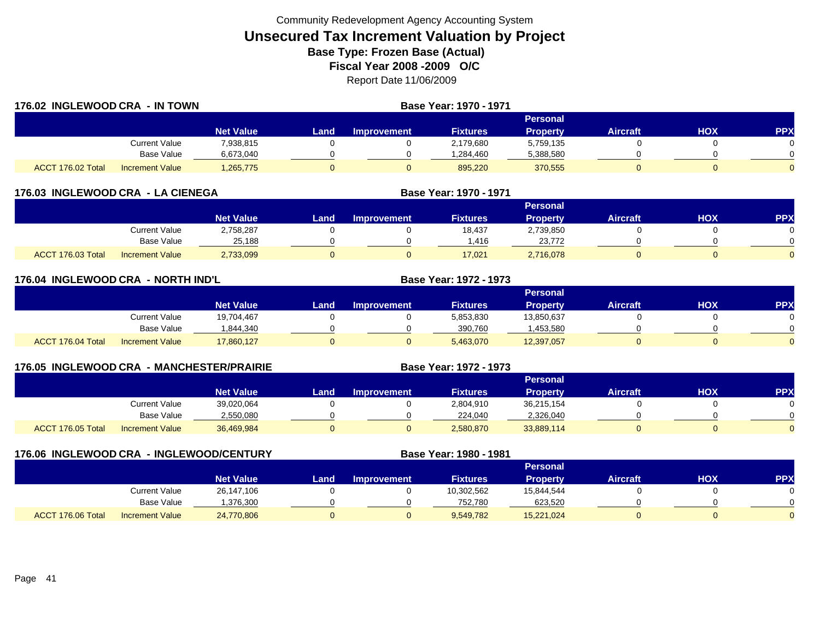| 176.02 INGLEWOOD CRA - IN TOWN |                        |                  |      | <b>Base Year: 1970 - 1971</b> |                 |                 |                 |     |     |
|--------------------------------|------------------------|------------------|------|-------------------------------|-----------------|-----------------|-----------------|-----|-----|
|                                |                        |                  |      |                               |                 | Personal        |                 |     |     |
|                                |                        | <b>Net Value</b> | _and | <b>Improvement</b>            | <b>Fixtures</b> | <b>Property</b> | <b>Aircraft</b> | HOX | PPX |
|                                | Current Value          | 7,938,815        |      |                               | 2,179,680       | 5,759,135       |                 |     |     |
|                                | Base Value             | 6,673,040        |      |                               | .284,460.       | 5,388,580       |                 |     |     |
| ACCT 176.02 Total              | <b>Increment Value</b> | 1,265,775        |      | U                             | 895,220         | 370,555         |                 |     |     |

| 176.03 INGLEWOOD CRA - LA CIENEGA |                        |                  |      |                    | Base Year: 1970 - 1971 |                 |                 |     |            |
|-----------------------------------|------------------------|------------------|------|--------------------|------------------------|-----------------|-----------------|-----|------------|
|                                   |                        |                  |      |                    |                        | <b>Personal</b> |                 |     |            |
|                                   |                        | <b>Net Value</b> | Land | <b>Improvement</b> | <b>Fixtures</b>        | <b>Property</b> | <b>Aircraft</b> | нох | <b>PPX</b> |
|                                   | Current Value          | 2,758,287        |      |                    | 18,437                 | 2,739,850       |                 |     |            |
|                                   | <b>Base Value</b>      | 25.188           |      |                    | .416                   | 23.772          |                 |     |            |
| ACCT 176.03 Total                 | <b>Increment Value</b> | 2,733,099        |      |                    | 17,021                 | 2,716,078       |                 |     |            |

| 176.04 INGLEWOOD CRA - NORTH IND'L |                        |                  |              |                    | Base Year: 1972 - 1973 |                 |                 |     |            |
|------------------------------------|------------------------|------------------|--------------|--------------------|------------------------|-----------------|-----------------|-----|------------|
|                                    |                        |                  |              |                    |                        | Personal        |                 |     |            |
|                                    |                        | <b>Net Value</b> | Land         | <b>Improvement</b> | <b>Fixtures</b>        | <b>Property</b> | <b>Aircraft</b> | HOX | <b>PPX</b> |
|                                    | <b>Current Value</b>   | 19,704,467       |              |                    | 5,853,830              | 13,850,637      |                 |     |            |
|                                    | Base Value             | 1,844,340        |              |                    | 390.760                | :453,580        |                 |     |            |
| ACCT 176.04 Total                  | <b>Increment Value</b> | 17,860,127       | $\mathbf{0}$ |                    | 5,463,070              | 12,397,057      |                 |     |            |

| 176.05 INGLEWOOD CRA |                        | - MANCHESTER/PRAIRIE | Base Year: 1972 - 1973 |                    |                 |                 |                 |     |           |
|----------------------|------------------------|----------------------|------------------------|--------------------|-----------------|-----------------|-----------------|-----|-----------|
|                      |                        |                      |                        |                    |                 | <b>Personal</b> |                 |     |           |
|                      |                        | <b>Net Value</b>     | Land                   | <b>Improvement</b> | <b>Fixtures</b> | <b>Property</b> | <b>Aircraft</b> | HOX | <b>PP</b> |
|                      | Current Value          | 39,020,064           |                        |                    | 2,804,910       | 36.215.154      |                 |     |           |
|                      | Base Value             | 2,550,080            |                        |                    | 224.040         | 2,326,040       |                 |     |           |
| ACCT 176.05 Total    | <b>Increment Value</b> | 36,469,984           |                        |                    | 2,580,870       | 33,889,114      | 0               |     |           |

| <b>176.06 INGLEWOOD CRA</b> |                        | <b>LEANGLEWOOD/CENTURY</b> |      |                    | Base Year: 1980 - 1981 |                 |                 |            |            |
|-----------------------------|------------------------|----------------------------|------|--------------------|------------------------|-----------------|-----------------|------------|------------|
|                             |                        |                            |      |                    |                        | <b>Personal</b> |                 |            |            |
|                             |                        | <b>Net Value</b>           | Land | <b>Improvement</b> | <b>Fixtures</b>        | <b>Property</b> | <b>Aircraft</b> | <b>NOH</b> | <b>PPX</b> |
|                             | <b>Current Value</b>   | 26,147,106                 |      |                    | 10,302,562             | 15.844.544      |                 |            |            |
|                             | Base Value             | ,376,300                   |      |                    | 752,780                | 623,520         |                 |            |            |
| ACCT 176.06 Total           | <b>Increment Value</b> | 24,770,806                 |      |                    | 9.549.782              | 15.221.024      |                 |            |            |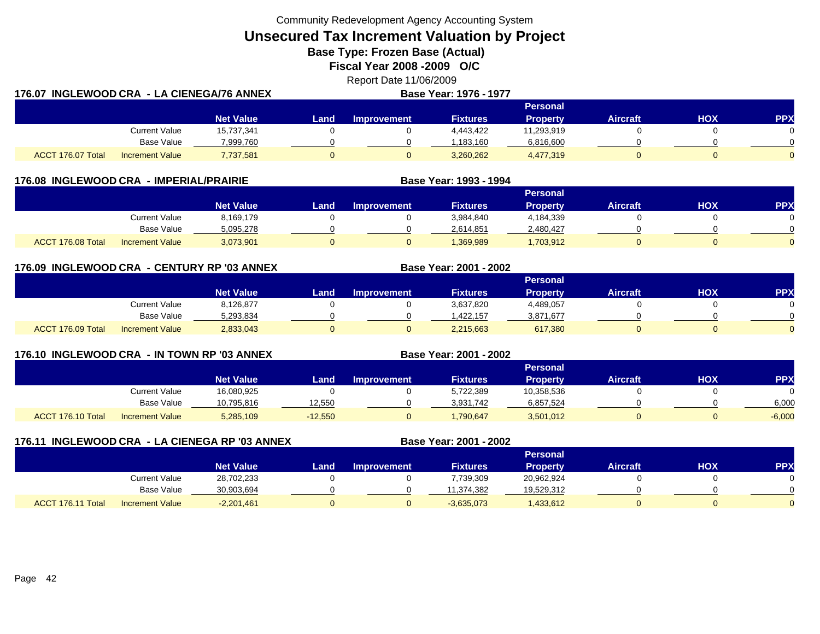**Unsecured Tax Increment Valuation by Project**

**Base Type: Frozen Base (Actual)** 

**Fiscal Year 2008 -2009 O/C**

Report Date 11/06/2009 **176.07 INGLEWOOD CRA - LA CIENEGA/76 ANNEX Base Year: 1976 - 1977 Personal**

|                   |                        |                  |       |                    |                 | <b>Γ ԵΙ SUΠΑΙ</b> |                 |     |            |
|-------------------|------------------------|------------------|-------|--------------------|-----------------|-------------------|-----------------|-----|------------|
|                   |                        | <b>Net Value</b> | Land. | <b>Improvement</b> | <b>Fixtures</b> | <b>Property</b>   | <b>Aircraft</b> | нох | <b>PPX</b> |
|                   | Current Value          | 15,737,341       |       |                    | 4,443,422       | 11,293,919        |                 |     |            |
|                   | Base Value             | 7,999,760        |       |                    | 1.183.160       | 6,816,600         |                 |     |            |
| ACCT 176.07 Total | <b>Increment Value</b> | 7,737,581        |       |                    | 3,260,262       | 4,477,319         |                 |     |            |

| 176.08 INGLEWOOD CRA - IMPERIAL/PRAIRIE |                        |                  |       |                    | Base Year: 1993 - 1994 |                 |                 |     |            |
|-----------------------------------------|------------------------|------------------|-------|--------------------|------------------------|-----------------|-----------------|-----|------------|
|                                         |                        |                  |       |                    |                        | <b>Personal</b> |                 |     |            |
|                                         |                        | <b>Net Value</b> | Land' | <b>Improvement</b> | <b>Fixtures</b>        | <b>Property</b> | <b>Aircraft</b> | нох | <b>PPX</b> |
|                                         | Current Value          | 8,169,179        |       |                    | 3,984,840              | 4,184,339       |                 |     |            |
|                                         | Base Value             | 5,095,278        |       |                    | 2,614,851              | 2,480,427       |                 |     |            |
| ACCT 176.08 Total                       | <b>Increment Value</b> | 3,073,901        |       |                    | .369.989               | ,703,912        |                 |     |            |

# **176.09 INGLEWOOD CRA - CENTURY RP '03 ANNEX**

|                                             |                  |      |                    |                 | Personal        |                 |            |          |
|---------------------------------------------|------------------|------|--------------------|-----------------|-----------------|-----------------|------------|----------|
|                                             | <b>Net Value</b> | Land | <b>Improvement</b> | <b>Fixtures</b> | <b>Property</b> | <b>Aircraft</b> | <b>HOX</b> | PPX      |
| Current Value                               | 8,126,877        |      |                    | 3,637,820       | 4,489,057       |                 |            | 0        |
| Base Value                                  | 5,293,834        |      |                    | .422.157        | 3,871,677       |                 |            | $\Omega$ |
| ACCT 176.09 Total<br><b>Increment Value</b> | 2,833,043        |      |                    | 2,215,663       | 617,380         |                 |            | $\Omega$ |

**Base Year: 2001 - 2002**

**Base Year: 2001 - 2002**

# **176.10 INGLEWOOD CRA - IN TOWN RP '03 ANNEX**

|                   |                        |                  |           |                    |                 | Personal   |                 |     |            |
|-------------------|------------------------|------------------|-----------|--------------------|-----------------|------------|-----------------|-----|------------|
|                   |                        | <b>Net Value</b> | Land      | <b>Improvement</b> | <b>Fixtures</b> | Property   | <b>Aircraft</b> | нох | <b>PPX</b> |
|                   | <b>Current Value</b>   | 16,080,925       |           |                    | 5,722,389       | 10,358,536 |                 |     |            |
|                   | <b>Base Value</b>      | 10,795,816       | 12,550    |                    | 3,931,742       | 6,857,524  |                 |     | 6,000      |
| ACCT 176.10 Total | <b>Increment Value</b> | 5,285,109        | $-12,550$ |                    | ,790,647        | 3,501,012  |                 |     | $-6,000$   |

| 176.11            | INGLEWOOD CRA - LA CIENEGA RP '03 ANNEX |              |      |                    | Base Year: 2001 - 2002 |                 |                 |     |            |
|-------------------|-----------------------------------------|--------------|------|--------------------|------------------------|-----------------|-----------------|-----|------------|
|                   |                                         |              |      |                    |                        | <b>Personal</b> |                 |     |            |
|                   |                                         | Net Value    | Land | <b>Improvement</b> | <b>Fixtures</b>        | <b>Property</b> | <b>Aircraft</b> | НОХ | <b>PPX</b> |
|                   | Current Value                           | 28,702,233   |      |                    | 7,739,309              | 20,962,924      |                 |     |            |
|                   | Base Value                              | 30,903,694   |      |                    | 11,374,382             | 19,529,312      |                 |     |            |
| ACCT 176.11 Total | <b>Increment Value</b>                  | $-2,201,461$ |      |                    | $-3,635,073$           | .433,612        |                 |     |            |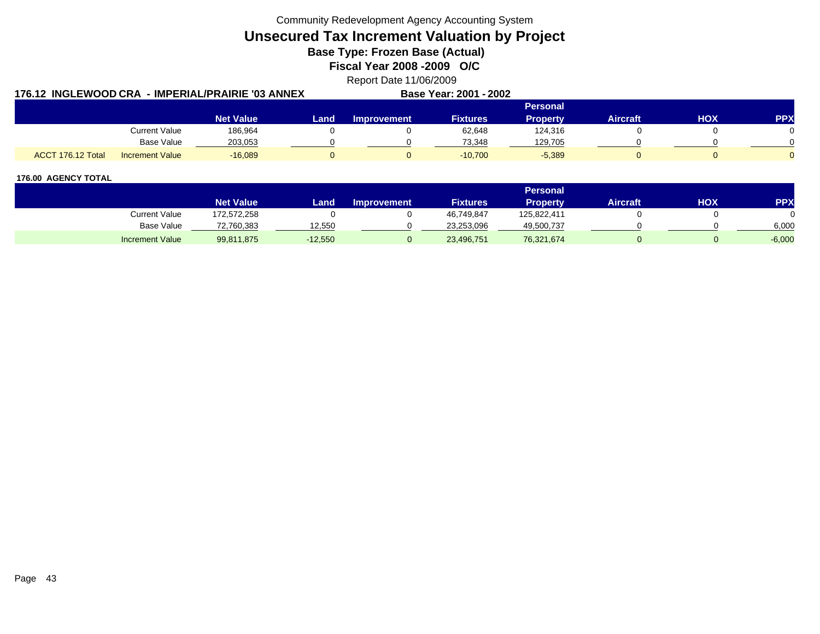**Unsecured Tax Increment Valuation by Project**

**Base Type: Frozen Base (Actual)** 

**Fiscal Year 2008 -2009 O/C**

Report Date 11/06/2009

|                   |                        | 176.12  INGLEWOOD CRA  - IMPERIAL/PRAIRIE '03 ANNEX |      |                    | Base Year: 2001 - 2002 |                 |                 |            |            |
|-------------------|------------------------|-----------------------------------------------------|------|--------------------|------------------------|-----------------|-----------------|------------|------------|
|                   |                        |                                                     |      |                    |                        | Personal        |                 |            |            |
|                   |                        | <b>Net Value</b>                                    | Land | <b>Improvement</b> | Fixtures               | <b>Property</b> | <b>Aircraft</b> | <b>HOX</b> | <b>PPX</b> |
|                   | <b>Current Value</b>   | 186,964                                             |      |                    | 62,648                 | 124,316         |                 |            |            |
|                   | <b>Base Value</b>      | 203,053                                             |      |                    | 73.348                 | 129,705         |                 |            |            |
| ACCT 176.12 Total | <b>Increment Value</b> | $-16,089$                                           |      |                    | $-10.700$              | $-5,389$        |                 |            |            |

|                        |                  |           |                    |                 | Personal    |                 |     |          |
|------------------------|------------------|-----------|--------------------|-----------------|-------------|-----------------|-----|----------|
|                        | <b>Net Value</b> | Land      | <b>Improvement</b> | <b>Fixtures</b> | Propertv    | <b>Aircraft</b> | ΗΟΧ | PPX      |
| Current Value          | 172,572,258      |           |                    | 46,749,847      | 125,822,411 |                 |     |          |
| <b>Base Value</b>      | 72,760,383       | 12,550    |                    | 23,253,096      | 49,500,737  |                 |     | 6,000    |
| <b>Increment Value</b> | 99,811,875       | $-12,550$ |                    | 23,496,751      | 76,321,674  |                 |     | $-6,000$ |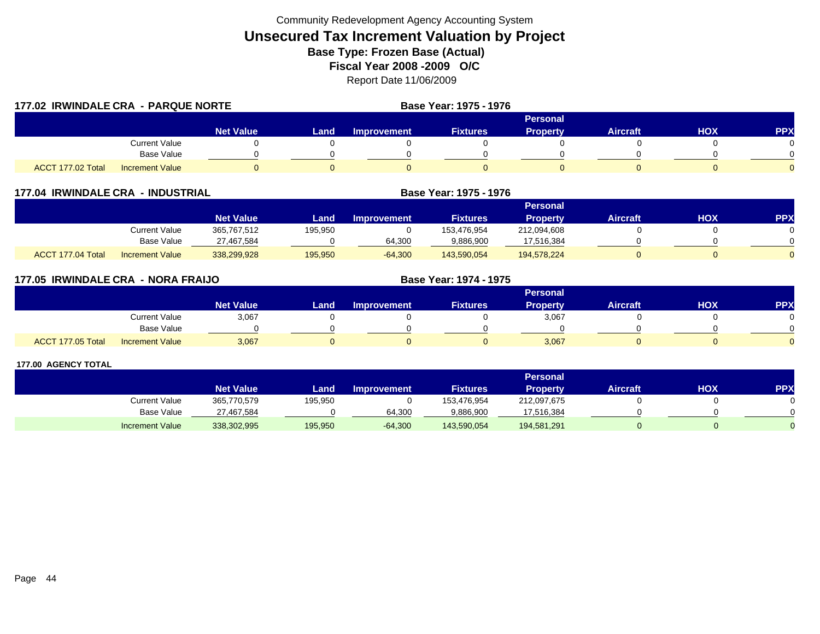| 177.02 IRWINDALE CRA - PARQUE NORTE |                        |                  |      |                    | Base Year: 1975 - 1976 |                 |                 |     |            |
|-------------------------------------|------------------------|------------------|------|--------------------|------------------------|-----------------|-----------------|-----|------------|
|                                     |                        |                  |      |                    |                        | Personal        |                 |     |            |
|                                     |                        | <b>Net Value</b> | Land | <b>Improvement</b> | <b>Fixtures</b>        | <b>Property</b> | <b>Aircraft</b> | HOX | <b>PPX</b> |
|                                     | <b>Current Value</b>   |                  |      |                    |                        |                 |                 |     |            |
|                                     | <b>Base Value</b>      |                  |      |                    |                        |                 |                 |     |            |
| ACCT 177.02 Total                   | <b>Increment Value</b> |                  |      |                    |                        |                 |                 |     |            |

| 177.04            | <b>IRWINDALE CRA - INDUSTRIAL</b> |                  |         | Base Year: 1975 - 1976 |                 |                 |                 |     |            |
|-------------------|-----------------------------------|------------------|---------|------------------------|-----------------|-----------------|-----------------|-----|------------|
|                   |                                   |                  |         |                        |                 | <b>Personal</b> |                 |     |            |
|                   |                                   | <b>Net Value</b> | Land    | <b>Improvement</b>     | <b>Fixtures</b> | <b>Property</b> | <b>Aircraft</b> | нох | <b>PPX</b> |
|                   | Current Value                     | 365,767,512      | 195,950 |                        | 153.476.954     | 212,094,608     |                 |     |            |
|                   | Base Value                        | 27,467,584       |         | 64,300                 | 9,886,900       | 17,516,384      |                 |     |            |
| ACCT 177.04 Total | <b>Increment Value</b>            | 338,299,928      | 195,950 | $-64,300$              | 143,590,054     | 194,578,224     |                 |     |            |

| 177.05 IRWINDALE CRA - NORA FRAIJO |                        |                  | Base Year: 1974 - 1975 |                    |                 |                 |                 |            |            |
|------------------------------------|------------------------|------------------|------------------------|--------------------|-----------------|-----------------|-----------------|------------|------------|
|                                    |                        |                  |                        |                    |                 | <b>Personal</b> |                 |            |            |
|                                    |                        | <b>Net Value</b> | Land                   | <b>Improvement</b> | <b>Fixtures</b> | <b>Property</b> | <b>Aircraft</b> | <b>HOX</b> | <b>PPX</b> |
|                                    | Current Value          | 3,067            |                        |                    |                 | 3,067           |                 |            |            |
|                                    | Base Value             |                  |                        |                    |                 |                 |                 |            |            |
| ACCT 177.05 Total                  | <b>Increment Value</b> | 3,067            |                        |                    |                 | 3,067           |                 |            |            |

|                        |                  |         |                    |                 | <b>Personal</b> |                 |     |            |
|------------------------|------------------|---------|--------------------|-----------------|-----------------|-----------------|-----|------------|
|                        | <b>Net Value</b> | Land    | <b>Improvement</b> | <b>Fixtures</b> | Property        | <b>Aircraft</b> | нох | <b>PPX</b> |
| Current Value          | 365,770,579      | 195,950 |                    | 153,476,954     | 212,097,675     |                 |     |            |
| Base Value             | 27,467,584       |         | 64,300             | 9,886,900       | 17,516,384      |                 |     |            |
| <b>Increment Value</b> | 338,302,995      | 195,950 | $-64,300$          | 143,590,054     | 194,581,291     |                 |     |            |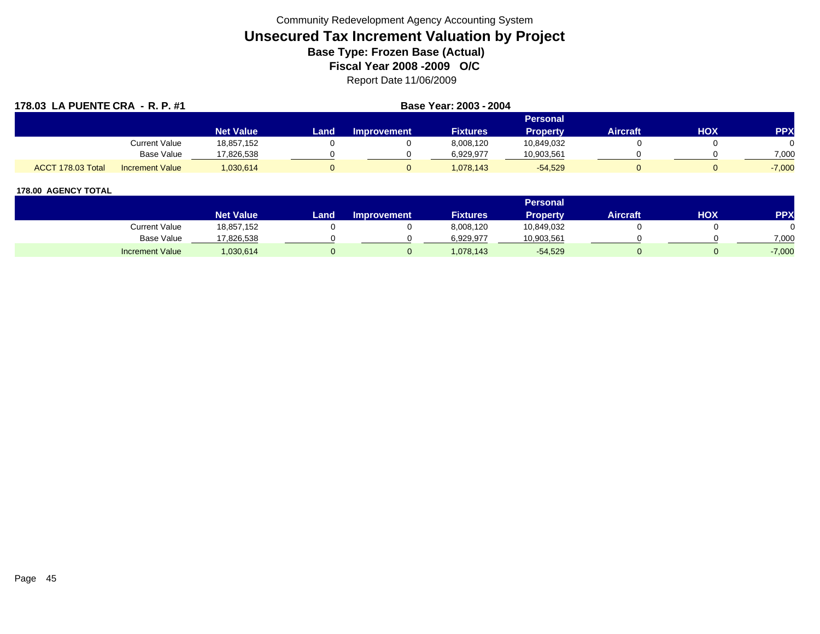| 178.03 LA PUENTE CRA - R. P. #1 |                        | Base Year: 2003 - 2004 |      |                    |                 |                 |                 |     |            |
|---------------------------------|------------------------|------------------------|------|--------------------|-----------------|-----------------|-----------------|-----|------------|
|                                 |                        |                        |      |                    |                 | Personal        |                 |     |            |
|                                 |                        | <b>Net Value</b>       | Land | <b>Improvement</b> | <b>Fixtures</b> | <b>Property</b> | <b>Aircraft</b> | нох | <b>PPX</b> |
|                                 | Current Value          | 18,857,152             |      |                    | 8,008,120       | 10,849,032      |                 |     |            |
|                                 | <b>Base Value</b>      | 17,826,538             |      |                    | 6.929.977       | 10,903,561      |                 |     | 7,000      |
| ACCT 178.03 Total               | <b>Increment Value</b> | 1,030,614              |      |                    | 1,078,143       | $-54,529$       |                 |     | $-7,000$   |

|                        |                  |      |                    |                 | <b>Personal</b> |                 |            |            |
|------------------------|------------------|------|--------------------|-----------------|-----------------|-----------------|------------|------------|
|                        | <b>Net Value</b> | _and | <b>Improvement</b> | <b>Fixtures</b> | Property        | <b>Aircraft</b> | <b>XOH</b> | <b>PPY</b> |
| <b>Current Value</b>   | 18,857,152       |      |                    | 8,008,120       | 10,849,032      |                 |            |            |
| <b>Base Value</b>      | 17,826,538       |      |                    | 6,929,977       | 10,903,561      |                 |            | 7,000      |
| <b>Increment Value</b> | ,030,614         |      |                    | 1,078,143       | $-54,529$       |                 |            | $-7,000$   |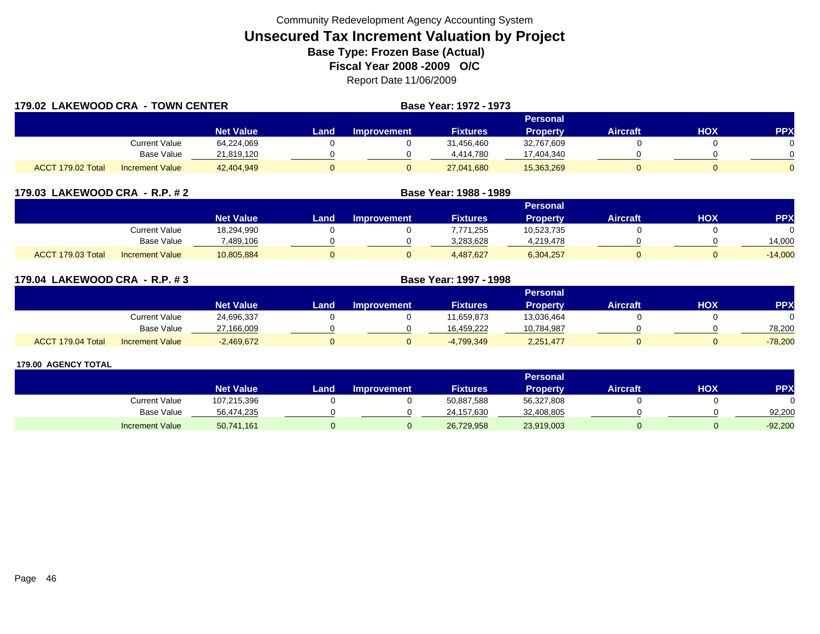| 179.02 LAKEWOOD CRA - TOWN CENTER |                        |                  |      |                    | <b>Base Year: 1972 - 1973</b> |                 |                 |     |            |
|-----------------------------------|------------------------|------------------|------|--------------------|-------------------------------|-----------------|-----------------|-----|------------|
|                                   |                        |                  |      |                    |                               | Personal        |                 |     |            |
|                                   |                        | <b>Net Value</b> | Land | <b>Improvement</b> | <b>Fixtures</b>               | <b>Property</b> | <b>Aircraft</b> | HOX | <b>PPX</b> |
|                                   | <b>Current Value</b>   | 64,224,069       |      |                    | 31.456.460                    | 32,767,609      |                 |     |            |
|                                   | <b>Base Value</b>      | 21,819,120       |      |                    | 4.414.780                     | 17,404,340      |                 |     |            |
| ACCT 179.02 Total                 | <b>Increment Value</b> | 42,404,949       | 0    |                    | 27,041,680                    | 15,363,269      |                 |     | $\Omega$   |

| 179.03 LAKEWOOD CRA - R.P. # 2              |                  | Base Year: 1988 - 1989 |                    |                 |                 |                 |     |            |
|---------------------------------------------|------------------|------------------------|--------------------|-----------------|-----------------|-----------------|-----|------------|
|                                             |                  |                        |                    |                 | Personal        |                 |     |            |
|                                             | <b>Net Value</b> | Land                   | <b>Improvement</b> | <b>Fixtures</b> | <b>Property</b> | <b>Aircraft</b> | НОХ | <b>PPX</b> |
| Current Value                               | 18,294,990       |                        |                    | 7.771.255       | 10,523,735      |                 |     |            |
| Base Value                                  | 489,106          |                        |                    | 3,283,628       | 4.219.478       |                 |     | 14,000     |
| ACCT 179.03 Total<br><b>Increment Value</b> | 10,805,884       |                        |                    | 4.487.627       | 6,304,257       |                 |     | $-14,000$  |

| 179.04 LAKEWOOD CRA - R.P. #3 |                        |                  |      | <b>Base Year: 1997 - 1998</b> |                 |                 |                 |     |            |
|-------------------------------|------------------------|------------------|------|-------------------------------|-----------------|-----------------|-----------------|-----|------------|
|                               |                        |                  |      |                               |                 | Personal        |                 |     |            |
|                               |                        | <b>Net Value</b> | Land | Improvement                   | <b>Fixtures</b> | <b>Property</b> | <b>Aircraft</b> | HOX | <b>PPX</b> |
|                               | Current Value          | 24,696,337       |      |                               | 11,659,873      | 13,036,464      |                 |     |            |
|                               | <b>Base Value</b>      | 27,166,009       |      |                               | 16.459.222      | 10,784,987      |                 |     | 78.200     |
| ACCT 179.04 Total             | <b>Increment Value</b> | $-2,469,672$     |      |                               | -4,799,349      | 2,251,477       |                 |     | $-78,200$  |

|                        |                  |       |                    |                 | Personal   |                 |     |            |
|------------------------|------------------|-------|--------------------|-----------------|------------|-----------------|-----|------------|
|                        | <b>Net Value</b> | Land. | <b>Improvement</b> | <b>Fixtures</b> | Property   | <b>Aircraft</b> | нох | <b>PPX</b> |
| <b>Current Value</b>   | 107,215,396      |       |                    | 50,887,588      | 56,327,808 |                 |     |            |
| Base Value             | 56,474,235       |       |                    | 24,157,630      | 32,408,805 |                 |     | 92.200     |
| <b>Increment Value</b> | 50,741,161       |       |                    | 26,729,958      | 23,919,003 |                 |     | $-92,200$  |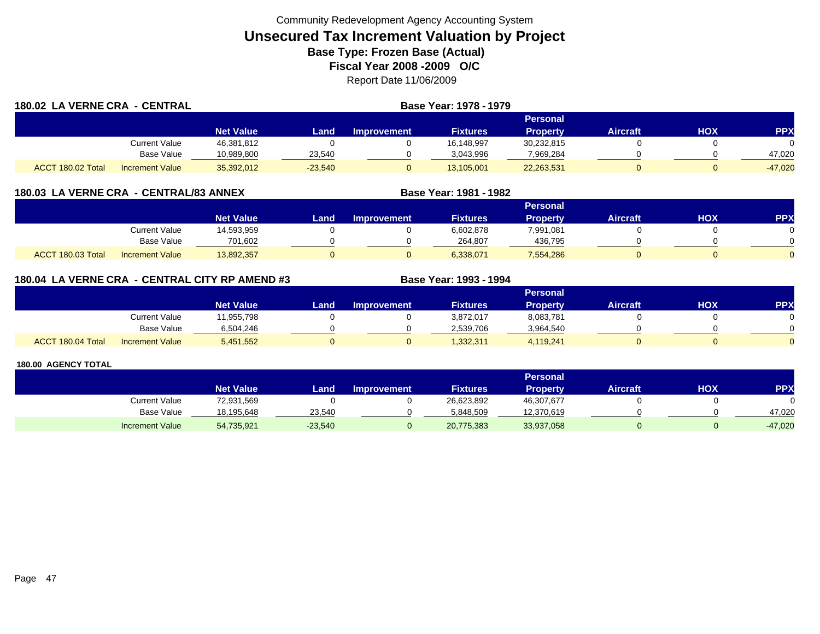| 180.02 LA VERNE CRA - CENTRAL |                        |                  |           |                    | Base Year: 1978 - 1979 |                 |                 |     |            |
|-------------------------------|------------------------|------------------|-----------|--------------------|------------------------|-----------------|-----------------|-----|------------|
|                               |                        |                  |           |                    |                        | Personal        |                 |     |            |
|                               |                        | <b>Net Value</b> | Land      | <b>Improvement</b> | <b>Fixtures</b>        | <b>Property</b> | <b>Aircraft</b> | HOX | <b>PPX</b> |
|                               | Current Value          | 46,381,812       |           |                    | 16,148,997             | 30,232,815      |                 |     |            |
|                               | Base Value             | 10.989.800       | 23,540    |                    | 3.043.996              | 7,969,284       |                 |     | 47.020     |
| ACCT 180.02 Total             | <b>Increment Value</b> | 35,392,012       | $-23,540$ |                    | 13,105,001             | 22,263,531      |                 |     | $-47,020$  |

|                   |                        |                  |      |                    |                 | <b>Personal</b> |                 |            |            |
|-------------------|------------------------|------------------|------|--------------------|-----------------|-----------------|-----------------|------------|------------|
|                   |                        | <b>Net Value</b> | Land | <b>Improvement</b> | <b>Fixtures</b> | Property        | <b>Aircraft</b> | <b>XOH</b> | <b>PPX</b> |
|                   | Current Value          | 14,593,959       |      |                    | 6,602,878       | 7,991,081       |                 |            |            |
|                   | <b>Base Value</b>      | 701.602          |      |                    | 264.807         | 436,795         |                 |            | ∩          |
| ACCT 180.03 Total | <b>Increment Value</b> | 13,892,357       |      |                    | 6,338,071       | 7,554,286       |                 |            | $\Omega$   |

**Base Year: 1981 - 1982**

| 180.04 LA VERNE CRA - CENTRAL CITY RP AMEND #3 | <b>Base Year: 1993 - 1994</b> |
|------------------------------------------------|-------------------------------|
|                                                |                               |

|                   |                        |                  |       |                    |                 | Personal  |                 |     |     |
|-------------------|------------------------|------------------|-------|--------------------|-----------------|-----------|-----------------|-----|-----|
|                   |                        | <b>Net Value</b> | Land, | <b>Improvement</b> | <b>Fixtures</b> | Property  | <b>Aircraft</b> | ΗΟΧ | PPX |
|                   | <b>Current Value</b>   | 1,955,798        |       |                    | 3,872,017       | 8,083,781 |                 |     |     |
|                   | <b>Base Value</b>      | 6,504,246        |       |                    | 2.539.706       | 3,964,540 |                 |     |     |
| ACCT 180.04 Total | <b>Increment Value</b> | 5,451,552        |       |                    | 1,332,311       | 4,119,241 |                 |     |     |

|                        |                  |           |                    |                 | <b>Personal</b> |                 |     |           |
|------------------------|------------------|-----------|--------------------|-----------------|-----------------|-----------------|-----|-----------|
|                        | <b>Net Value</b> | Land .    | <b>Improvement</b> | <b>Fixtures</b> | Property        | <b>Aircraft</b> | HOX | <b>PP</b> |
| Current Value          | 72,931,569       |           |                    | 26,623,892      | 46,307,677      |                 |     |           |
| <b>Base Value</b>      | 18,195,648       | 23.540    |                    | 5.848.509       | 12,370,619      |                 |     | 47.020    |
| <b>Increment Value</b> | 54,735,921       | $-23,540$ |                    | 20,775,383      | 33,937,058      |                 |     | $-47,020$ |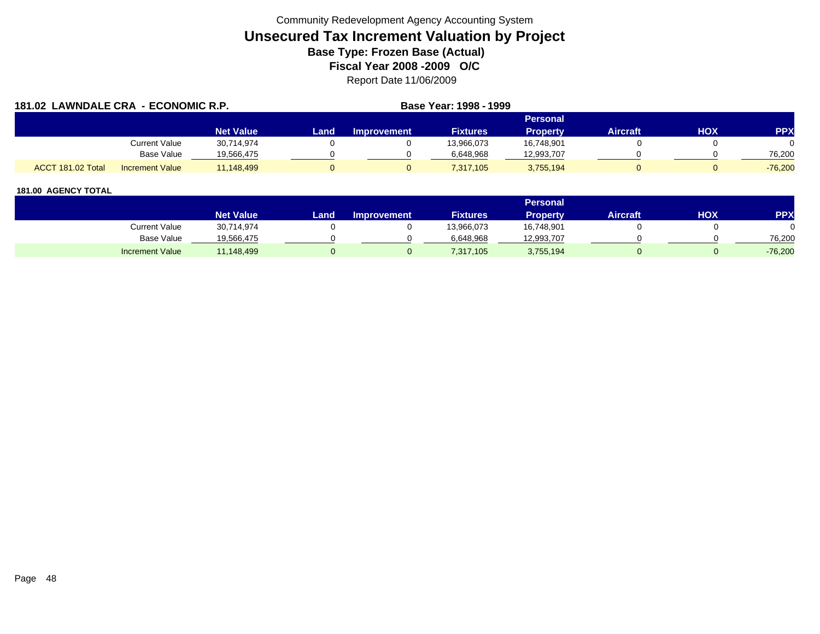| 181.02 LAWNDALE CRA - ECONOMIC R.P. |                        |                  |      |                    | Base Year: 1998 - 1999 |                 |                 |     |            |
|-------------------------------------|------------------------|------------------|------|--------------------|------------------------|-----------------|-----------------|-----|------------|
|                                     |                        |                  |      |                    |                        | Personal        |                 |     |            |
|                                     |                        | <b>Net Value</b> | Land | <b>Improvement</b> | <b>Fixtures</b>        | <b>Property</b> | <b>Aircraft</b> | HOX | <b>PPX</b> |
|                                     | Current Value          | 30,714,974       |      |                    | 13,966,073             | 16,748,901      |                 |     |            |
|                                     | <b>Base Value</b>      | 19,566,475       |      |                    | 6,648,968              | 12,993,707      |                 |     | 76.200     |
| ACCT 181.02 Total                   | <b>Increment Value</b> | 11.148.499       |      |                    | 7,317,105              | 3,755,194       |                 |     | $-76.200$  |

|                        |                  |      |                    |                 | <b>Personal</b> |                 |            |           |
|------------------------|------------------|------|--------------------|-----------------|-----------------|-----------------|------------|-----------|
|                        | <b>Net Value</b> | _and | <b>Improvement</b> | <b>Fixtures</b> | Property        | <b>Aircraft</b> | <b>HOX</b> | PPX       |
| <b>Current Value</b>   | 30,714,974       |      |                    | 13,966,073      | 16,748,901      |                 |            |           |
| <b>Base Value</b>      | 19,566,475       |      |                    | 6,648,968       | 12,993,707      |                 |            | 76.200    |
| <b>Increment Value</b> | 11,148,499       |      |                    | 7,317,105       | 3,755,194       |                 |            | $-76,200$ |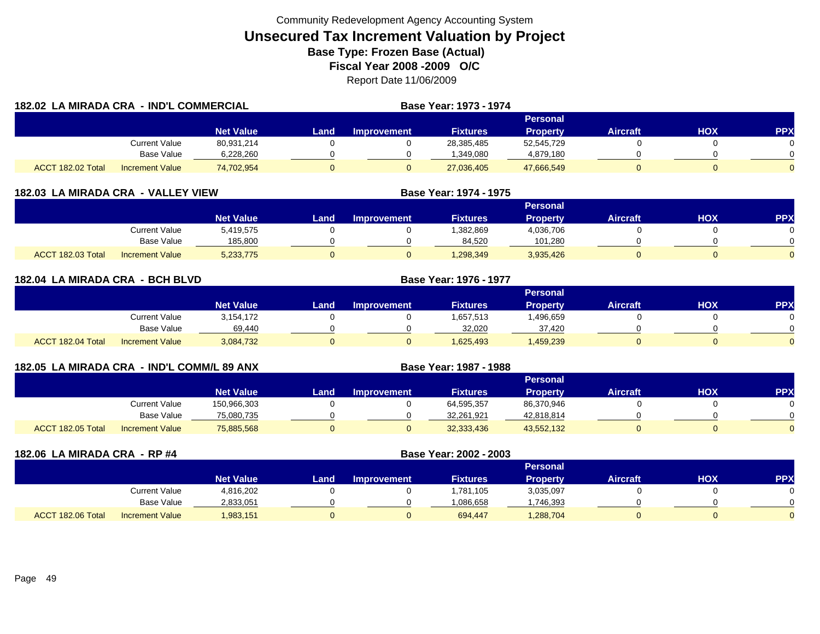| 182.02 LA MIRADA CRA - IND'L COMMERCIAL |                        |                  |              |                    | Base Year: 1973 - 1974 |                 |                 |     |            |
|-----------------------------------------|------------------------|------------------|--------------|--------------------|------------------------|-----------------|-----------------|-----|------------|
|                                         |                        |                  |              |                    |                        | Personal        |                 |     |            |
|                                         |                        | <b>Net Value</b> | Land         | <b>Improvement</b> | <b>Fixtures</b>        | <b>Property</b> | <b>Aircraft</b> | HOX | <b>PPX</b> |
|                                         | <b>Current Value</b>   | 80,931,214       |              |                    | 28,385,485             | 52,545,729      |                 |     |            |
|                                         | Base Value             | 6,228,260        |              |                    | 1,349,080              | 4,879,180       |                 |     |            |
| ACCT 182.02 Total                       | <b>Increment Value</b> | 74,702,954       | $\mathbf{0}$ |                    | 27,036,405             | 47,666,549      |                 |     |            |

| 182.03 LA MIRADA CRA - VALLEY VIEW |                        |                  |      |                    | Base Year: 1974 - 1975 |                 |                 |     |            |
|------------------------------------|------------------------|------------------|------|--------------------|------------------------|-----------------|-----------------|-----|------------|
|                                    |                        |                  |      |                    |                        |                 |                 |     |            |
|                                    |                        | <b>Net Value</b> | Land | <b>Improvement</b> | <b>Fixtures</b>        | <b>Property</b> | <b>Aircraft</b> | нох | <b>PPX</b> |
|                                    | Current Value          | 5,419,575        |      |                    | 1,382,869              | 4,036,706       |                 |     |            |
|                                    | Base Value             | 185.800          |      |                    | 84,520                 | 101.280         |                 |     |            |
| <b>T</b> 182.03 Total<br>ACCT      | <b>Increment Value</b> | 5,233,775        |      |                    | 1,298,349              | 3,935,426       |                 |     |            |

| 182.04 LA MIRADA CRA - BCH BLVD |                        |                  |      |                    | Base Year: 1976 - 1977 |                 |                 |            |            |
|---------------------------------|------------------------|------------------|------|--------------------|------------------------|-----------------|-----------------|------------|------------|
|                                 |                        |                  |      |                    |                        | Personal        |                 |            |            |
|                                 |                        | <b>Net Value</b> | Land | <b>Improvement</b> | <b>Fixtures</b>        | <b>Property</b> | <b>Aircraft</b> | <b>HOX</b> | <b>PPX</b> |
|                                 | <b>Current Value</b>   | 3,154,172        |      |                    | 1,657,513              | .496,659        |                 |            | $\Omega$   |
|                                 | Base Value             | 69,440           |      |                    | 32,020                 | 37,420          |                 |            | $\Omega$   |
| ACCT 182.04 Total               | <b>Increment Value</b> | 3,084,732        | 0    |                    | 1,625,493              | 1,459,239       |                 |            | $\Omega$   |

| 182.05 LA MIRADA CRA - IND'L COMM/L 89 ANX |                   |                        |                  | Base Year: 1987 - 1988 |                    |                 |                 |                 |     |            |
|--------------------------------------------|-------------------|------------------------|------------------|------------------------|--------------------|-----------------|-----------------|-----------------|-----|------------|
|                                            |                   |                        |                  |                        |                    |                 | Personal        |                 |     |            |
|                                            |                   |                        | <b>Net Value</b> | Land                   | <b>Improvement</b> | <b>Fixtures</b> | <b>Property</b> | <b>Aircraft</b> | нох | <b>PPX</b> |
|                                            |                   | <b>Current Value</b>   | 150,966,303      |                        |                    | 64,595,357      | 86,370,946      |                 |     |            |
|                                            |                   | Base Value             | 75,080,735       |                        |                    | 32,261,921      | 42,818,814      |                 |     |            |
|                                            | ACCT 182.05 Total | <b>Increment Value</b> | 75,885,568       |                        |                    | 32,333,436      | 43,552,132      |                 |     |            |

| 182.06 LA MIRADA CRA - RP #4 |                        |                  |      |                    | Base Year: 2002 - 2003 |                 |                 |            |            |
|------------------------------|------------------------|------------------|------|--------------------|------------------------|-----------------|-----------------|------------|------------|
|                              |                        |                  |      |                    |                        | <b>Personal</b> |                 |            |            |
|                              |                        | <b>Net Value</b> | Land | <b>Improvement</b> | <b>Fixtures</b>        | <b>Property</b> | <b>Aircraft</b> | <b>NOH</b> | <b>PPX</b> |
|                              | Current Value          | 4,816,202        |      |                    | 1,781,105              | 3,035,097       |                 |            |            |
|                              | Base Value             | 2,833,051        |      |                    | 1,086,658              | ,746,393        |                 |            |            |
| ACCT 182.06 Total            | <b>Increment Value</b> | 1,983,151        |      |                    | 694.447                | 1,288,704       | 0               |            |            |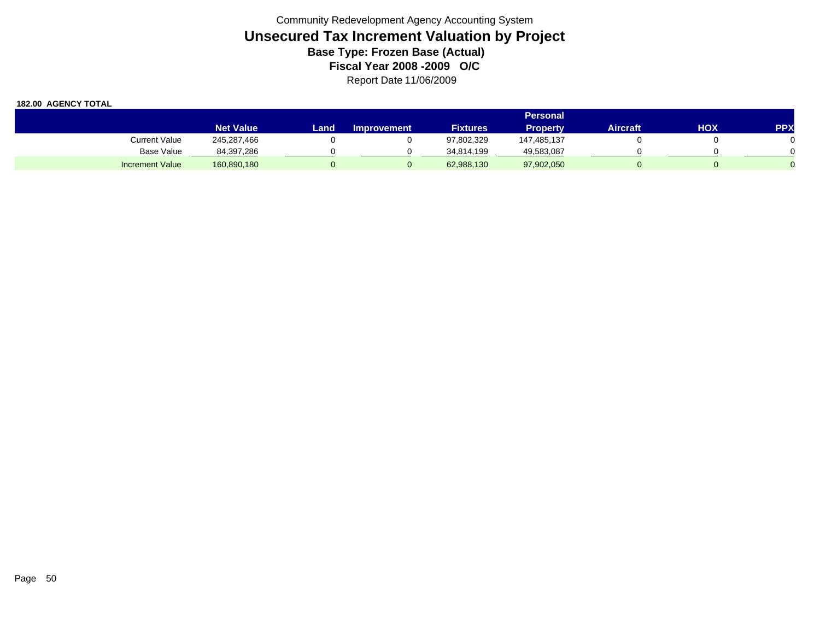|                        | <b>Personal</b>  |       |                    |                 |                 |          |     |            |  |  |
|------------------------|------------------|-------|--------------------|-----------------|-----------------|----------|-----|------------|--|--|
|                        | <b>Net Value</b> | Landı | <b>Improvement</b> | <b>Fixtures</b> | <b>Property</b> | Aircraft | HOX | <b>PPX</b> |  |  |
| Current Value          | 245,287,466      |       |                    | 97,802,329      | 147,485,137     |          |     |            |  |  |
| Base Value             | 84,397,286       |       |                    | 34,814,199      | 49,583,087      |          |     |            |  |  |
| <b>Increment Value</b> | 160,890,180      |       |                    | 62,988,130      | 97,902,050      |          |     |            |  |  |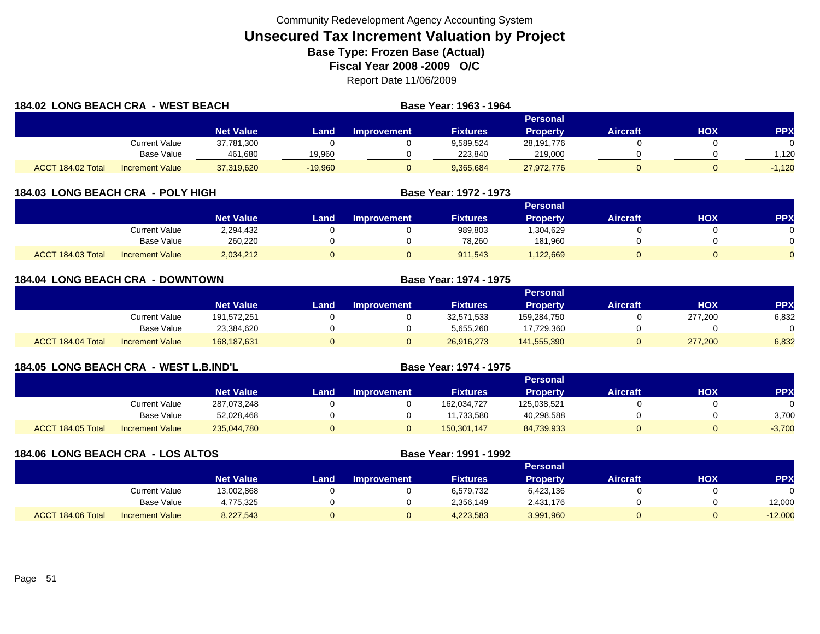| <b>184.02 LONG BEACH CRA - WEST BEACH</b> |                        |                  |           |                    | Base Year: 1963 - 1964 |                 |                 |     |            |
|-------------------------------------------|------------------------|------------------|-----------|--------------------|------------------------|-----------------|-----------------|-----|------------|
|                                           |                        |                  |           |                    |                        | Personal        |                 |     |            |
|                                           |                        | <b>Net Value</b> | Land      | <b>Improvement</b> | <b>Fixtures</b>        | <b>Property</b> | <b>Aircraft</b> | нох | <b>PPX</b> |
|                                           | Current Value          | 37,781,300       |           |                    | 9.589.524              | 28,191,776      |                 |     | 0          |
|                                           | <b>Base Value</b>      | 461,680          | 19,960    |                    | 223,840                | 219,000         |                 |     | 1,120      |
| ACCT 184.02 Total                         | <b>Increment Value</b> | 37,319,620       | $-19,960$ |                    | 9,365,684              | 27,972,776      |                 |     | $-1,120$   |

| 184.03 LONG BEACH CRA - POLY HIGH |                        |                  |      |                    | Base Year: 1972 - 1973 |                 |                 |     |            |
|-----------------------------------|------------------------|------------------|------|--------------------|------------------------|-----------------|-----------------|-----|------------|
|                                   |                        |                  |      |                    |                        | <b>Personal</b> |                 |     |            |
|                                   |                        | <b>Net Value</b> | Land | <b>Improvement</b> | <b>Fixtures</b>        | <b>Property</b> | <b>Aircraft</b> | нох | <b>PPX</b> |
|                                   | Current Value          | 2,294,432        |      |                    | 989,803                | .304,629        |                 |     |            |
|                                   | Base Value             | 260.220          |      |                    | 78,260                 | 181,960         |                 |     |            |
| ACCT 184.03 Total                 | <b>Increment Value</b> | 2,034,212        |      |                    | 911,543                | .122.669        |                 |     |            |

| <b>184.04 LONG BEACH CRA - DOWNTOWN</b>                    |                      |                  |        |                    | Base Year: 1974 - 1975 |                 |                 |            |            |
|------------------------------------------------------------|----------------------|------------------|--------|--------------------|------------------------|-----------------|-----------------|------------|------------|
|                                                            |                      |                  |        |                    |                        | <b>Personal</b> |                 |            |            |
|                                                            |                      | <b>Net Value</b> | Land . | <b>Improvement</b> | <b>Fixtures</b>        | <b>Property</b> | <b>Aircraft</b> | <b>HOX</b> | <b>PPX</b> |
|                                                            | <b>Current Value</b> | 191,572,251      |        |                    | 32,571,533             | 159,284,750     |                 | 277,200    | 6,832      |
|                                                            | Base Value           | 23,384,620       |        |                    | 5,655,260              | 17,729,360      |                 |            |            |
| ACCT 184.04 Total<br>168,187,631<br><b>Increment Value</b> |                      |                  | 0      |                    | 26,916,273             | 141,555,390     | O               | 277,200    | 6,832      |

| 184.05 LONG BEACH CRA - WEST L.B.IND'L |                 |                  |      | Base Year: 1974 - 1975 |                 |                 |                 |     |           |
|----------------------------------------|-----------------|------------------|------|------------------------|-----------------|-----------------|-----------------|-----|-----------|
|                                        |                 |                  |      |                        |                 | <b>Personal</b> |                 |     |           |
|                                        |                 | <b>Net Value</b> | Land | <b>Improvement</b>     | <b>Fixtures</b> | <b>Property</b> | <b>Aircraft</b> | нох | <b>PP</b> |
|                                        | Current Value   | 287,073,248      |      |                        | 162,034,727     | 125,038,521     |                 |     |           |
|                                        | Base Value      | 52,028,468       |      |                        | 11,733,580      | 40,298,588      |                 |     | 3.700     |
| ACCT 184.05 Total                      | Increment Value | 235,044,780      |      |                        | 150.301.147     | 84,739,933      |                 |     | $-3,700$  |

| 184.06 LONG BEACH CRA - LOS ALTOS |                        |                  |      |                    | Base Year: 1991 - 1992 |                 |                 |            |            |
|-----------------------------------|------------------------|------------------|------|--------------------|------------------------|-----------------|-----------------|------------|------------|
|                                   |                        |                  |      |                    |                        | <b>Personal</b> |                 |            |            |
|                                   |                        | <b>Net Value</b> | Land | <b>Improvement</b> | <b>Fixtures</b>        | <b>Property</b> | <b>Aircraft</b> | <b>HOX</b> | <b>PPX</b> |
|                                   | Current Value          | 13,002,868       |      |                    | 6,579,732              | 6,423,136       |                 |            |            |
|                                   | Base Value             | 4,775,325        |      |                    | 2,356,149              | 2,431,176       |                 |            | 12,000     |
| ACCT 184.06 Total                 | <b>Increment Value</b> | 8,227,543        |      |                    | 4,223,583              | 3,991,960       |                 |            | $-12,000$  |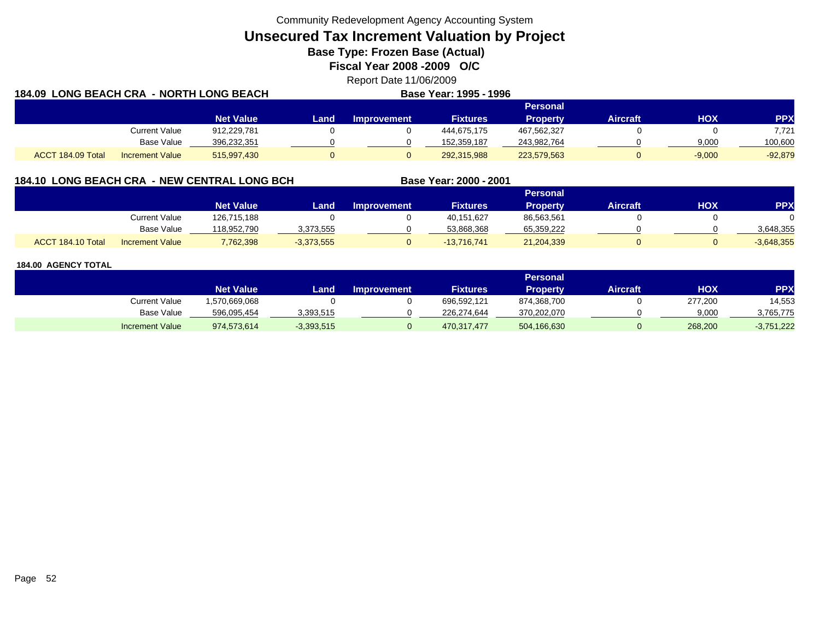**Unsecured Tax Increment Valuation by Project**

**Base Type: Frozen Base (Actual)** 

**Fiscal Year 2008 -2009 O/C**

Report Date 11/06/2009 **184.09 LONG BEACH CRA - NORTH LONG BEACHBase Year: 1995 - 1996**

|                   |                        | Personal         |      |                    |                 |                 |          |          |            |  |  |
|-------------------|------------------------|------------------|------|--------------------|-----------------|-----------------|----------|----------|------------|--|--|
|                   |                        | <b>Net Value</b> | Land | <b>Improvement</b> | <b>Fixtures</b> | <b>Property</b> | Aircraft | нох      | <b>PPX</b> |  |  |
|                   | Current Value          | 912,229,781      |      |                    | 444.675.175     | 467,562,327     |          |          | 7,721      |  |  |
|                   | Base Value             | 396,232,351      |      |                    | 152.359.187     | 243,982,764     |          | 9,000    | 100,600    |  |  |
| ACCT 184.09 Total | <b>Increment Value</b> | 515,997,430      |      |                    | 292,315,988     | 223,579,563     |          | $-9,000$ | $-92,879$  |  |  |

# **184.10 LONG BEACH CRA - NEW CENTRAL LONG BCH**

|                   |                        |                  |              |                    |                 | Personal   |                 |     |              |
|-------------------|------------------------|------------------|--------------|--------------------|-----------------|------------|-----------------|-----|--------------|
|                   |                        | <b>Net Value</b> | Land         | <b>Improvement</b> | <b>Fixtures</b> | Propertv   | <b>Aircraft</b> | HOX | PPX          |
|                   | Current Value          | 126,715,188      |              |                    | 40,151,627      | 86,563,561 |                 |     |              |
|                   | <b>Base Value</b>      | 118,952,790      | 3,373,555    |                    | 53,868,368      | 65,359,222 |                 |     | 3,648,355    |
| ACCT 184.10 Total | <b>Increment Value</b> | 7,762,398        | $-3,373,555$ |                    | $-13,716,741$   | 21,204,339 |                 |     | $-3,648,355$ |

**Base Year: 2000 - 2001**

|                        | <b>Personal</b>  |              |                    |                 |                 |           |         |              |  |  |
|------------------------|------------------|--------------|--------------------|-----------------|-----------------|-----------|---------|--------------|--|--|
|                        | <b>Net Value</b> | Land.        | <b>Improvement</b> | <b>Fixtures</b> | <b>Property</b> | Aircraft' | нох     | PPX          |  |  |
| Current Value          | .570,669,068     |              |                    | 696.592.121     | 874,368,700     |           | 277,200 | 14,553       |  |  |
| Base Value             | 596,095,454      | 3,393,515    |                    | 226.274.644     | 370,202,070     |           | 9,000   | 3,765,775    |  |  |
| <b>Increment Value</b> | 974,573,614      | $-3,393,515$ |                    | 470.317.477     | 504,166,630     |           | 268,200 | $-3,751,222$ |  |  |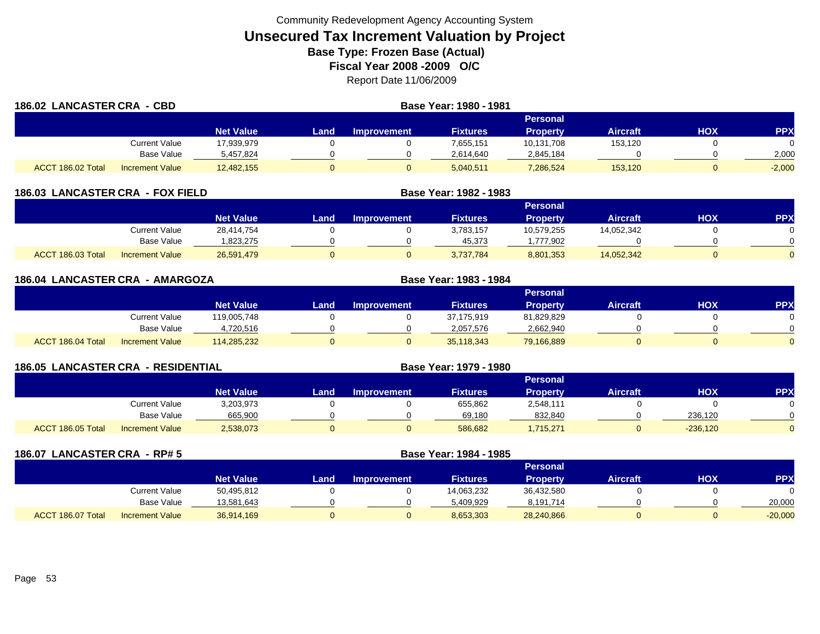| 186.02 LANCASTER CRA - CBD |                        |                  | Base Year: 1980 - 1981 |                    |                 |                 |                 |     |            |
|----------------------------|------------------------|------------------|------------------------|--------------------|-----------------|-----------------|-----------------|-----|------------|
|                            |                        |                  |                        |                    |                 | Personal        |                 |     |            |
|                            |                        | <b>Net Value</b> | Land                   | <b>Improvement</b> | <b>Fixtures</b> | <b>Property</b> | <b>Aircraft</b> | HOX | <b>PPX</b> |
|                            | Current Value          | 17,939,979       |                        |                    | 7,655,151       | 10,131,708      | 153,120         |     |            |
|                            | <b>Base Value</b>      | 5,457,824        |                        |                    | 2,614,640       | 2,845,184       |                 |     | 2,000      |
| ACCT 186.02 Total          | <b>Increment Value</b> | 12,482,155       |                        |                    | 5,040,511       | 286,524         | 153,120         |     | $-2,000$   |

| <b>LANCASTER CRA - FOX FIELD</b><br>186.03 |                        |                  | Base Year: 1982 - 1983 |                    |                 |                 |                 |     |            |
|--------------------------------------------|------------------------|------------------|------------------------|--------------------|-----------------|-----------------|-----------------|-----|------------|
|                                            |                        |                  |                        |                    |                 | <b>Personal</b> |                 |     |            |
|                                            |                        | <b>Net Value</b> | Land                   | <b>Improvement</b> | <b>Fixtures</b> | <b>Property</b> | <b>Aircraft</b> | нох | <b>PPX</b> |
|                                            | Current Value          | 28,414,754       |                        |                    | 3,783,157       | 10,579,255      | 14,052,342      |     |            |
|                                            | Base Value             | 823,275          |                        |                    | 45,373          | .777.902        |                 |     |            |
| ACCT 186.03 Total                          | <b>Increment Value</b> | 26,591,479       |                        |                    | 3.737.784       | 8,801,353       | 14,052,342      |     |            |

| 186.04 LANCASTER CRA - AMARGOZA |                        |                  |      | Base Year: 1983 - 1984 |                 |                 |                 |            |            |
|---------------------------------|------------------------|------------------|------|------------------------|-----------------|-----------------|-----------------|------------|------------|
|                                 |                        |                  |      |                        |                 | <b>Personal</b> |                 |            |            |
|                                 |                        | <b>Net Value</b> | Land | <b>Improvement</b>     | <b>Fixtures</b> | <b>Property</b> | <b>Aircraft</b> | <b>HOX</b> | <b>PPX</b> |
|                                 | <b>Current Value</b>   | 119,005,748      |      |                        | 37,175,919      | 81,829,829      |                 |            |            |
|                                 | <b>Base Value</b>      | 4,720,516        |      |                        | 2,057,576       | 2,662,940       |                 |            |            |
| ACCT 186.04 Total               | <b>Increment Value</b> | 114,285,232      |      |                        | 35,118,343      | 79,166,889      |                 |            | $\Omega$   |

| <b>186.05 LANCASTER CRA - RESIDENTIAL</b> |                        |                  |      |                    | Base Year: 1979 - 1980 |                 |                 |            |            |
|-------------------------------------------|------------------------|------------------|------|--------------------|------------------------|-----------------|-----------------|------------|------------|
|                                           |                        |                  |      |                    |                        | <b>Personal</b> |                 |            |            |
|                                           |                        | <b>Net Value</b> | Land | <b>Improvement</b> | <b>Fixtures</b>        | <b>Property</b> | <b>Aircraft</b> | нох        | <b>PPX</b> |
|                                           | Current Value          | 3,203,973        |      |                    | 655,862                | 2,548,111       |                 |            |            |
|                                           | Base Value             | 665,900          |      |                    | 69,180                 | 832,840         |                 | 236,120    |            |
| ACCT 186.05 Total                         | <b>Increment Value</b> | 2,538,073        |      |                    | 586,682                | 1,715,271       |                 | $-236,120$ |            |

| 186.07            | <b>LANCASTER CRA - RP# 5</b> |                  |      |                    | Base Year: 1984 - 1985 |                 |                 |            |            |
|-------------------|------------------------------|------------------|------|--------------------|------------------------|-----------------|-----------------|------------|------------|
|                   |                              |                  |      |                    |                        | <b>Personal</b> |                 |            |            |
|                   |                              | <b>Net Value</b> | Land | <b>Improvement</b> | <b>Fixtures</b>        | <b>Property</b> | <b>Aircraft</b> | <b>HOX</b> | <b>PPX</b> |
|                   | <b>Current Value</b>         | 50,495,812       |      |                    | 14,063,232             | 36,432,580      |                 |            |            |
|                   | Base Value                   | 13,581,643       |      |                    | 5,409,929              | 8,191,714       |                 |            | 20,000     |
| ACCT 186.07 Total | <b>Increment Value</b>       | 36,914,169       |      |                    | 8,653,303              | 28,240,866      |                 |            | $-20,000$  |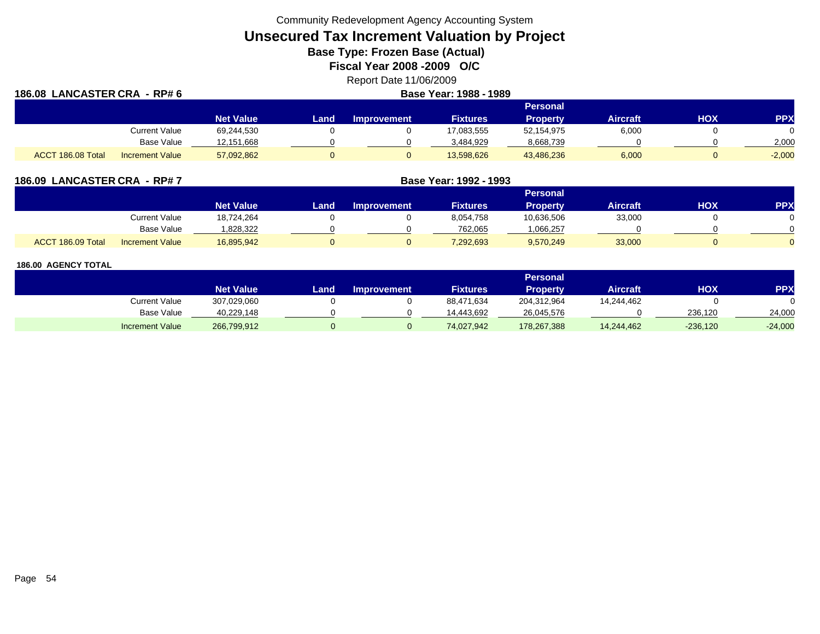**Unsecured Tax Increment Valuation by Project**

**Base Type: Frozen Base (Actual)** 

**Fiscal Year 2008 -2009 O/C**

Report Date 11/06/2009

| 186.08 LANCASTER CRA - RP# 6 |                        |                  | Base Year: 1988 - 1989 |                    |                 |                 |                 |     |           |
|------------------------------|------------------------|------------------|------------------------|--------------------|-----------------|-----------------|-----------------|-----|-----------|
|                              |                        |                  |                        |                    |                 | Personal        |                 |     |           |
|                              |                        | <b>Net Value</b> | Land                   | <b>Improvement</b> | <b>Fixtures</b> | <b>Property</b> | <b>Aircraft</b> | нох | <b>PP</b> |
|                              | Current Value          | 69,244,530       |                        |                    | 17,083,555      | 52,154,975      | 6,000           |     |           |
|                              | Base Value             | 12,151,668       |                        |                    | 3,484,929       | 8,668,739       |                 |     | 2,000     |
| ACCT 186.08 Total            | <b>Increment Value</b> | 57,092,862       |                        |                    | 13,598,626      | 43,486,236      | 6,000           |     | $-2,000$  |

| 186.09 LANCASTER CRA - RP#7 |                        |                  |      | Base Year: 1992 - 1993 |                 |                 |                 |     |     |
|-----------------------------|------------------------|------------------|------|------------------------|-----------------|-----------------|-----------------|-----|-----|
|                             |                        |                  |      |                        |                 | <b>Personal</b> |                 |     |     |
|                             |                        | <b>Net Value</b> | Land | <b>Improvement</b>     | <b>Fixtures</b> | Property        | <b>Aircraft</b> | нох | PPX |
|                             | <b>Current Value</b>   | 18,724,264       |      |                        | 8,054,758       | 10,636,506      | 33,000          |     |     |
|                             | Base Value             | 1,828,322        |      |                        | 762,065         | ,066,257        |                 |     |     |
| ACCT 186.09 Total           | <b>Increment Value</b> | 16,895,942       |      |                        | 7,292,693       | 9,570,249       | 33,000          |     |     |

|                        |                  |      |                    |                 | Personal    |                 |            |           |
|------------------------|------------------|------|--------------------|-----------------|-------------|-----------------|------------|-----------|
|                        | <b>Net Value</b> | Land | <b>Improvement</b> | <b>Fixtures</b> | Property    | <b>Aircraft</b> | <b>HOX</b> | PPX       |
| Current Value          | 307,029,060      |      |                    | 88,471,634      | 204,312,964 | 14,244,462      |            |           |
| <b>Base Value</b>      | 40,229,148       |      |                    | 14.443.692      | 26,045,576  |                 | 236.120    | 24,000    |
| <b>Increment Value</b> | 266,799,912      |      |                    | 74,027,942      | 178,267,388 | 14,244,462      | $-236,120$ | $-24,000$ |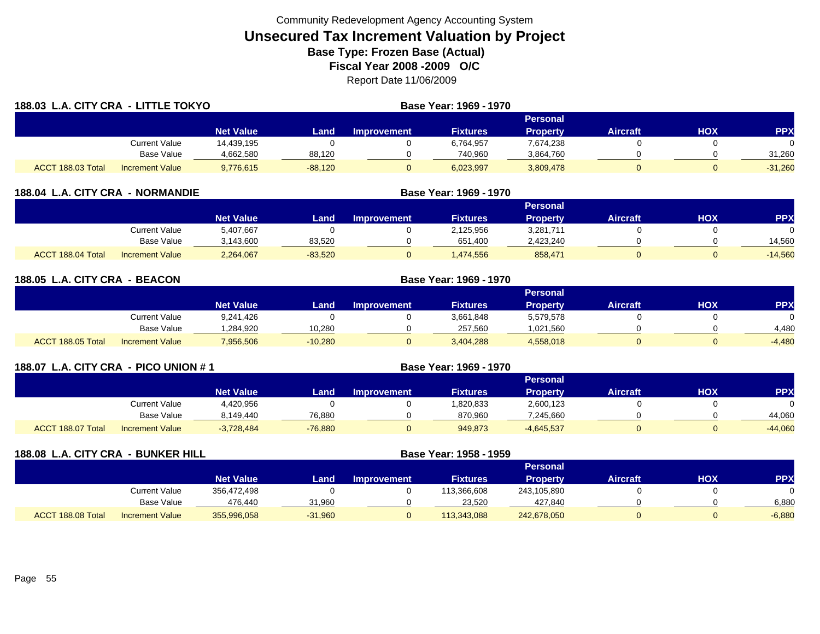| 188.03 L.A. CITY CRA - LITTLE TOKYO |                        |                  |           |                    | Base Year: 1969 - 1970 |                 |                 |            |            |
|-------------------------------------|------------------------|------------------|-----------|--------------------|------------------------|-----------------|-----------------|------------|------------|
|                                     |                        |                  |           |                    |                        | Personal        |                 |            |            |
|                                     |                        | <b>Net Value</b> | Land      | <b>Improvement</b> | <b>Fixtures</b>        | <b>Property</b> | <b>Aircraft</b> | <b>HOX</b> | <b>PPX</b> |
|                                     | Current Value          | 14,439,195       |           |                    | 6,764,957              | 7,674,238       |                 |            | $\Omega$   |
|                                     | Base Value             | 4,662,580        | 88,120    |                    | 740,960                | 3,864,760       |                 |            | 31,260     |
| ACCT 188.03 Total                   | <b>Increment Value</b> | 9,776,615        | $-88,120$ |                    | 6,023,997              | 3,809,478       |                 |            | $-31,260$  |

| <b>188.04 L.A. CITY CRA</b> | <b>NORMANDIE</b>       |                  |           | Base Year: 1969 - 1970 |                 |                 |                 |     |            |
|-----------------------------|------------------------|------------------|-----------|------------------------|-----------------|-----------------|-----------------|-----|------------|
|                             |                        |                  |           |                        |                 | Personal        |                 |     |            |
|                             |                        | <b>Net Value</b> | Land      | <b>Improvement</b>     | <b>Fixtures</b> | <b>Property</b> | <b>Aircraft</b> | нох | <b>PPX</b> |
|                             | Current Value          | 5,407,667        |           |                        | 2,125,956       | 3,281,711       |                 |     |            |
|                             | <b>Base Value</b>      | 3,143,600        | 83,520    |                        | 651,400         | 2,423,240       |                 |     | 14,560     |
| ACCT 188.04 Total           | <b>Increment Value</b> | 2,264,067        | $-83,520$ |                        | ,474,556        | 858,471         |                 |     | $-14,560$  |

| 188.05            | L.A. CITY CRA - BEACON |                  | Base Year: 1969 - 1970 |                    |                 |                 |                 |     |            |
|-------------------|------------------------|------------------|------------------------|--------------------|-----------------|-----------------|-----------------|-----|------------|
|                   |                        |                  |                        |                    |                 | <b>Personal</b> |                 |     |            |
|                   |                        | <b>Net Value</b> | Land                   | <b>Improvement</b> | <b>Fixtures</b> | Property        | <b>Aircraft</b> | HOX | <b>PPX</b> |
|                   | Current Value          | 9,241,426        |                        |                    | 3,661,848       | 5,579,578       |                 |     |            |
|                   | <b>Base Value</b>      | .284.920         | 10,280                 |                    | 257,560         | 1,021,560       |                 |     | 4.480      |
| ACCT 188.05 Total | <b>Increment Value</b> | 7,956,506        | $-10,280$              |                    | 3,404,288       | 4,558,018       |                 |     | $-4,480$   |

| 188.07 L.A. CITY CRA - PICO UNION # 1 |                        |                  |           | Base Year: 1969 - 1970 |                 |                 |                 |     |           |
|---------------------------------------|------------------------|------------------|-----------|------------------------|-----------------|-----------------|-----------------|-----|-----------|
|                                       |                        |                  |           |                        |                 | <b>Personal</b> |                 |     |           |
|                                       |                        | <b>Net Value</b> | Land      | <b>Improvement</b>     | <b>Fixtures</b> | <b>Property</b> | <b>Aircraft</b> | нох | <b>PP</b> |
|                                       | <b>Current Value</b>   | 4,420,956        |           |                        | 1,820,833       | 2,600,123       |                 |     |           |
|                                       | <b>Base Value</b>      | 8,149,440        | 76,880    |                        | 870,960         | 7,245,660       |                 |     | 44.060    |
| ACCT 188.07 Total                     | <b>Increment Value</b> | $-3,728,484$     | $-76,880$ |                        | 949,873         | $-4,645,537$    |                 |     | $-44,060$ |

| 188.08 L.A. CITY CRA - BUNKER HILL |                        |                  |           | Base Year: 1958 - 1959 |                 |                 |                 |            |            |
|------------------------------------|------------------------|------------------|-----------|------------------------|-----------------|-----------------|-----------------|------------|------------|
|                                    |                        |                  |           |                        |                 | <b>Personal</b> |                 |            |            |
|                                    |                        | <b>Net Value</b> | Land      | <b>Improvement</b>     | <b>Fixtures</b> | <b>Property</b> | <b>Aircraft</b> | <b>HOX</b> | <b>PPX</b> |
|                                    | Current Value          | 356,472,498      |           |                        | 113,366,608     | 243,105,890     |                 |            | 0          |
|                                    | <b>Base Value</b>      | 476,440          | 31,960    |                        | 23,520          | 427,840         |                 |            | 6,880      |
| ACCT 188.08 Total                  | <b>Increment Value</b> | 355,996,058      | $-31,960$ |                        | 113,343,088     | 242,678,050     |                 |            | $-6,880$   |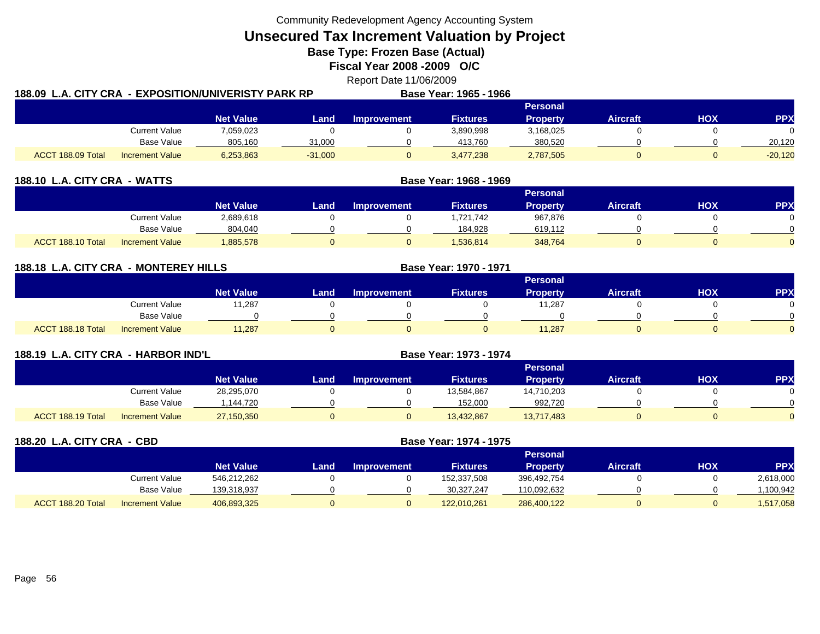**Unsecured Tax Increment Valuation by Project**

**Base Type: Frozen Base (Actual)** 

**Fiscal Year 2008 -2009 O/C**

Report Date 11/06/2009

|                   |                        | 188.09  L.A. CITY CRA  - EXPOSITION/UNIVERISTY PARK RP |           |             | Base Year: 1965 - 1966 |                 |                 |     |            |
|-------------------|------------------------|--------------------------------------------------------|-----------|-------------|------------------------|-----------------|-----------------|-----|------------|
|                   |                        |                                                        |           |             |                        | <b>Personal</b> |                 |     |            |
|                   |                        | <b>Net Value</b>                                       | Land      | Improvement | Fixtures               | <b>Property</b> | <b>Aircraft</b> | HOX | <b>PPX</b> |
|                   | Current Value          | 7,059,023                                              |           |             | 3,890,998              | 3,168,025       |                 |     |            |
|                   | Base Value             | 805,160                                                | 31,000    |             | 413,760                | 380,520         |                 |     | 20,120     |
| ACCT 188.09 Total | <b>Increment Value</b> | 6,253,863                                              | $-31,000$ |             | 3,477,238              | 2,787,505       |                 |     | $-20,120$  |

| 188.10 L.A. CITY CRA - WATTS                |                  | Base Year: 1968 - 1969 |                    |                 |                 |                 |     |           |
|---------------------------------------------|------------------|------------------------|--------------------|-----------------|-----------------|-----------------|-----|-----------|
|                                             |                  |                        |                    |                 | <b>Personal</b> |                 |     |           |
|                                             | <b>Net Value</b> | Land                   | <b>Improvement</b> | <b>Fixtures</b> | <b>Property</b> | <b>Aircraft</b> | нох | <b>PP</b> |
| Current Value                               | 2,689,618        |                        |                    | ,721,742        | 967,876         |                 |     |           |
| <b>Base Value</b>                           | 804,040          |                        |                    | 184.928         | 619,112         |                 |     |           |
| ACCT 188.10 Total<br><b>Increment Value</b> | 885,578          |                        |                    | 1,536,814       | 348,764         | 0               |     |           |

| 188.18 L.A. CITY CRA - MONTEREY HILLS |                        |                  |      |                    | <b>Base Year: 1970 - 1971</b> |                 |                 |            |          |
|---------------------------------------|------------------------|------------------|------|--------------------|-------------------------------|-----------------|-----------------|------------|----------|
|                                       |                        |                  |      |                    |                               | Personal        |                 |            |          |
|                                       |                        | <b>Net Value</b> | Land | <b>Improvement</b> | <b>Fixtures</b>               | <b>Property</b> | <b>Aircraft</b> | <b>HOX</b> | PPX      |
|                                       | <b>Current Value</b>   | 11,287           |      |                    |                               | 11,287          |                 |            |          |
|                                       | Base Value             |                  |      |                    |                               |                 |                 |            | $\Omega$ |
| ACCT 188.18 Total                     | <b>Increment Value</b> | 11,287           |      |                    |                               | 11,287          |                 |            | $\Omega$ |

| 188.19 L.A. CITY CRA - HARBOR IND'L |                        |                  |      |                    | Base Year: 1973 - 1974 |                 |                 |     |            |
|-------------------------------------|------------------------|------------------|------|--------------------|------------------------|-----------------|-----------------|-----|------------|
|                                     |                        |                  |      |                    |                        | <b>Personal</b> |                 |     |            |
|                                     |                        | <b>Net Value</b> | Land | <b>Improvement</b> | <b>Fixtures</b>        | <b>Property</b> | <b>Aircraft</b> | нох | <b>PPX</b> |
|                                     | Current Value          | 28,295,070       |      |                    | 13,584,867             | 14,710,203      |                 |     |            |
|                                     | Base Value             | .144.720         |      |                    | 152,000                | 992,720         |                 |     |            |
| ACCT 188.19 Total                   | <b>Increment Value</b> | 27,150,350       |      |                    | 13,432,867             | 13,717,483      |                 |     |            |

| 188.20 L.A. CITY CRA - CBD |                        |                  |      |                    | Base Year: 1974 - 1975 |                 |                 |     |            |  |
|----------------------------|------------------------|------------------|------|--------------------|------------------------|-----------------|-----------------|-----|------------|--|
|                            |                        |                  |      | <b>Personal</b>    |                        |                 |                 |     |            |  |
|                            |                        | <b>Net Value</b> | Land | <b>Improvement</b> | <b>Fixtures</b>        | <b>Property</b> | <b>Aircraft</b> | нох | <b>PPX</b> |  |
|                            | <b>Current Value</b>   | 546,212,262      |      |                    | 152,337,508            | 396,492,754     |                 |     | 2,618,000  |  |
|                            | Base Value             | 139,318,937      |      |                    | 30,327,247             | 110,092,632     |                 |     | 1,100,942  |  |
| ACCT 188.20 Total          | <b>Increment Value</b> | 406,893,325      | 0    |                    | 122,010,261            | 286,400,122     | 0               |     | 1,517,058  |  |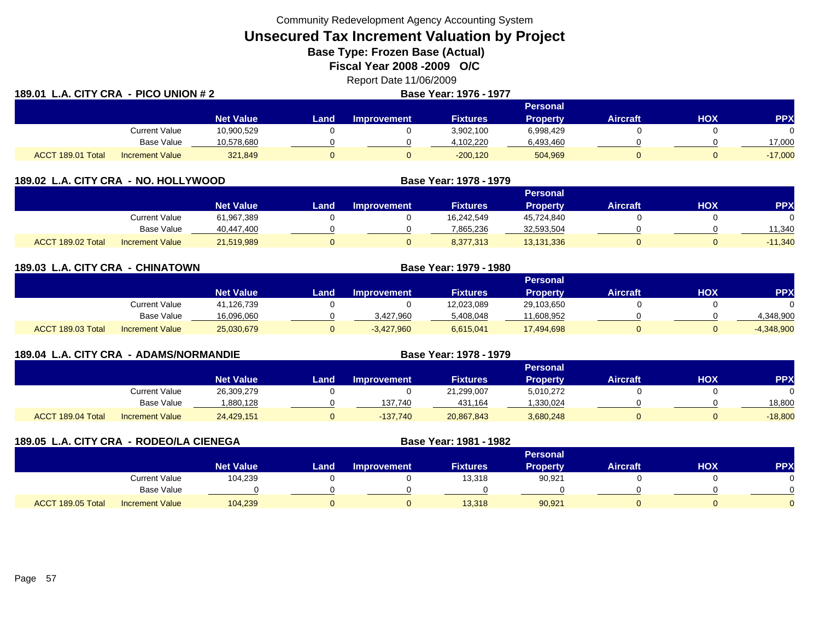**Unsecured Tax Increment Valuation by Project**

**Base Type: Frozen Base (Actual)** 

**Fiscal Year 2008 -2009 O/C**

Report Date 11/06/2009

| 189.01 L.A. CITY CRA - PICO UNION # 2 |                        |                  |       |             | Base Year: 1976 - 1977 |                 |          |     |            |
|---------------------------------------|------------------------|------------------|-------|-------------|------------------------|-----------------|----------|-----|------------|
|                                       |                        |                  |       |             |                        | <b>Personal</b> |          |     |            |
|                                       |                        | <b>Net Value</b> | Landı | Improvement | <b>Fixtures</b>        | <b>Property</b> | Aircraft | HOX | <b>PPX</b> |
|                                       | <b>Current Value</b>   | 10,900,529       |       |             | 3,902,100              | 6,998,429       |          |     | 0.         |
|                                       | Base Value             | 10,578,680       |       |             | 4,102,220              | 6,493,460       |          |     | 17,000     |
| ACCT 189.01 Total                     | <b>Increment Value</b> | 321,849          |       |             | $-200,120$             | 504,969         |          |     | $-17,000$  |

| 189.02 L.A. CITY CRA - NO. HOLLYWOOD |                        |                  |      |                    | Base Year: 1978 - 1979 |                 |                 |     |            |
|--------------------------------------|------------------------|------------------|------|--------------------|------------------------|-----------------|-----------------|-----|------------|
|                                      |                        |                  |      |                    | Personal               |                 |                 |     |            |
|                                      |                        | <b>Net Value</b> | Land | <b>Improvement</b> | <b>Fixtures</b>        | <b>Property</b> | <b>Aircraft</b> | нох | <b>PPX</b> |
|                                      | Current Value          | 61,967,389       |      |                    | 16,242,549             | 45.724.840      |                 |     |            |
|                                      | <b>Base Value</b>      | 40,447,400       |      |                    | 7,865,236              | 32,593,504      |                 |     | 11.340     |
| ACCT 189.02 Total                    | <b>Increment Value</b> | 21,519,989       |      |                    | 8,377,313              | 13,131,336      |                 |     | $-11,340$  |

| 189.03 L.A. CITY CRA - CHINATOWN |                        |                  |       | Base Year: 1979 - 1980 |                 |                 |                 |     |              |
|----------------------------------|------------------------|------------------|-------|------------------------|-----------------|-----------------|-----------------|-----|--------------|
|                                  |                        |                  |       |                        |                 | <b>Personal</b> |                 |     |              |
|                                  |                        | <b>Net Value</b> | Land. | <b>Improvement</b>     | <b>Fixtures</b> | <b>Property</b> | <b>Aircraft</b> | HOX | <b>PPX</b>   |
|                                  | <b>Current Value</b>   | 41,126,739       |       |                        | 12,023,089      | 29,103,650      |                 |     |              |
|                                  | Base Value             | 16,096,060       |       | 3,427,960              | 5,408,048       | 11,608,952      |                 |     | 4,348,900    |
| ACCT 189.03 Total                | <b>Increment Value</b> | 25,030,679       | 0     | $-3,427,960$           | 6,615,041       | 17,494,698      |                 |     | $-4,348,900$ |

| 189.04 L.A. CITY CRA - ADAMS/NORMANDIE |                        |                  |      |                    | Base Year: 1978 - 1979 |                 |                 |     |            |
|----------------------------------------|------------------------|------------------|------|--------------------|------------------------|-----------------|-----------------|-----|------------|
|                                        |                        |                  |      |                    |                        | Personal        |                 |     |            |
|                                        |                        | <b>Net Value</b> | Land | <b>Improvement</b> | <b>Fixtures</b>        | <b>Property</b> | <b>Aircraft</b> | НОХ | <b>PPX</b> |
|                                        | Current Value          | 26,309,279       |      |                    | 21,299,007             | 5,010,272       |                 |     |            |
|                                        | Base Value             | 1,880,128        |      | 137.740            | 431,164                | .330,024        |                 |     | 18,800     |
| ACCT 189.04 Total                      | <b>Increment Value</b> | 24,429,151       | O    | $-137.740$         | 20,867,843             | 3,680,248       |                 |     | $-18,800$  |

| 189.05 L.A. CITY CRA - RODEO/LA CIENEGA |                        |                  |      |                    | Base Year: 1981 - 1982 |                 |                 |            |            |
|-----------------------------------------|------------------------|------------------|------|--------------------|------------------------|-----------------|-----------------|------------|------------|
|                                         |                        |                  |      |                    |                        | <b>Personal</b> |                 |            |            |
|                                         |                        | <b>Net Value</b> | Land | <b>Improvement</b> | <b>Fixtures</b>        | <b>Property</b> | <b>Aircraft</b> | <b>HOX</b> | <b>PPX</b> |
|                                         | Current Value          | 104,239          |      |                    | 13,318                 | 90,921          |                 |            |            |
|                                         | Base Value             |                  |      |                    |                        |                 |                 |            |            |
| ACCT 189.05 Total                       | <b>Increment Value</b> | 104,239          |      |                    | 13,318                 | 90,921          |                 |            |            |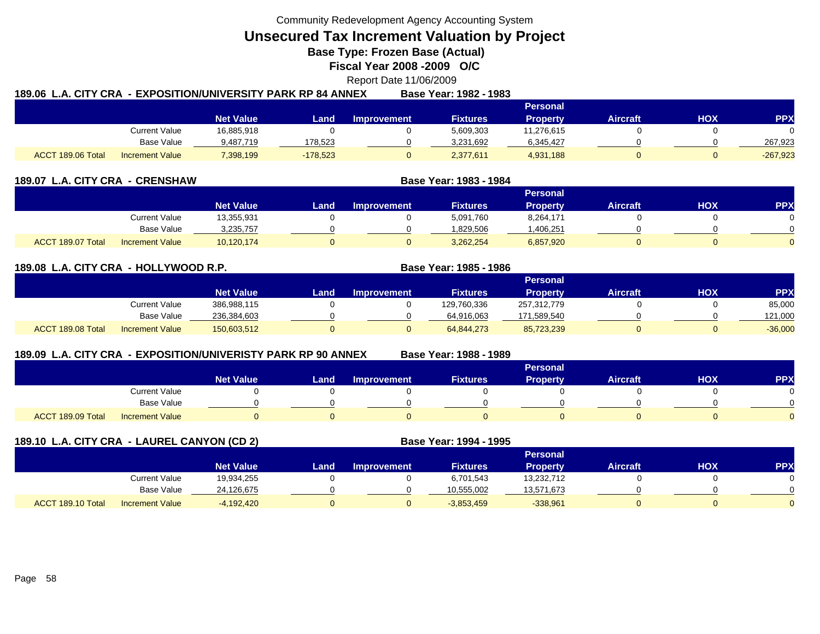**Unsecured Tax Increment Valuation by Project**

**Base Type: Frozen Base (Actual)** 

**Fiscal Year 2008 -2009 O/C**

Report Date 11/06/2009

|                   |                        |                  | 189.06  L.A. CITY CRA  - EXPOSITION/UNIVERSITY PARK RP 84 ANNEX |             | Base Year: 1982 - 1983 |                 |                 |     |            |
|-------------------|------------------------|------------------|-----------------------------------------------------------------|-------------|------------------------|-----------------|-----------------|-----|------------|
|                   |                        |                  |                                                                 |             |                        | <b>Personal</b> |                 |     |            |
|                   |                        | <b>Net Value</b> | Land                                                            | Improvement | Fixtures               | <b>Property</b> | <b>Aircraft</b> | HOX | PPX        |
|                   | Current Value          | 16,885,918       |                                                                 |             | 5,609,303              | 11,276,615      |                 |     |            |
|                   | Base Value             | 9,487,719        | 178,523                                                         |             | 3,231,692              | 6,345,427       |                 |     | 267.923    |
| ACCT 189.06 Total | <b>Increment Value</b> | 7,398,199        | $-178,523$                                                      |             | 2,377,611              | 4,931,188       |                 |     | $-267,923$ |

| 189.07 L.A. CITY CRA - CRENSHAW |                        |                  | Base Year: 1983 - 1984 |                    |                 |                 |                 |     |           |
|---------------------------------|------------------------|------------------|------------------------|--------------------|-----------------|-----------------|-----------------|-----|-----------|
|                                 |                        |                  |                        |                    |                 | <b>Personal</b> |                 |     |           |
|                                 |                        | <b>Net Value</b> | Land                   | <b>Improvement</b> | <b>Fixtures</b> | <b>Property</b> | <b>Aircraft</b> | нох | <b>PP</b> |
|                                 | Current Value          | 13,355,931       |                        |                    | 5,091,760       | 8,264,171       |                 |     |           |
|                                 | Base Value             | 3,235,757        |                        |                    | .829.506        | .406,251        |                 |     |           |
| ACCT 189.07 Total               | <b>Increment Value</b> | 10,120,174       |                        |                    | 3,262,254       | 6,857,920       |                 |     |           |

### **189.08 L.A. CITY CRA - HOLLYWOOD R.P. Base Year: 1985 - 1986**

|                   |                        |                  |       |             |                 | Personal        |                 |            |            |
|-------------------|------------------------|------------------|-------|-------------|-----------------|-----------------|-----------------|------------|------------|
|                   |                        | <b>Net Value</b> | Land. | Improvement | <b>Fixtures</b> | <b>Property</b> | <b>Aircraft</b> | <b>HOX</b> | <b>PPX</b> |
|                   | Current Value          | 386,988,115      |       |             | 129,760,336     | 257,312,779     |                 |            | 85,000     |
|                   | <b>Base Value</b>      | 236,384,603      |       |             | 64,916,063      | 171,589,540     |                 |            | 121.000    |
| ACCT 189.08 Total | <b>Increment Value</b> | 150,603,512      |       |             | 64,844,273      | 85,723,239      |                 |            | $-36,000$  |

### **189.09 L.A. CITY CRA - EXPOSITION/UNIVERISTY PARK RP 90 ANNEX**

**Base Year: 1988 - 1989**

|                                             | <b>Personal</b>  |      |                    |                 |                 |                 |     |            |  |  |
|---------------------------------------------|------------------|------|--------------------|-----------------|-----------------|-----------------|-----|------------|--|--|
|                                             | <b>Net Value</b> | Land | <b>Improvement</b> | <b>Fixtures</b> | <b>Property</b> | <b>Aircraft</b> | HOX | <b>PPX</b> |  |  |
| Current Value                               |                  |      |                    |                 |                 |                 |     |            |  |  |
| Base Value                                  |                  |      |                    |                 |                 |                 |     |            |  |  |
| ACCT 189.09 Total<br><b>Increment Value</b> |                  |      |                    |                 |                 |                 |     |            |  |  |

|                   | 189.10 L.A. CITY CRA - LAUREL CANYON (CD 2) |                  |      |                    | Base Year: 1994 - 1995 |                 |                 |     |            |
|-------------------|---------------------------------------------|------------------|------|--------------------|------------------------|-----------------|-----------------|-----|------------|
|                   |                                             |                  |      |                    |                        | <b>Personal</b> |                 |     |            |
|                   |                                             | <b>Net Value</b> | Land | <b>Improvement</b> | <b>Fixtures</b>        | <b>Property</b> | <b>Aircraft</b> | нох | <b>PPX</b> |
|                   | Current Value                               | 19,934,255       |      |                    | 6,701,543              | 13,232,712      |                 |     |            |
|                   | Base Value                                  | 24,126,675       |      |                    | 10,555,002             | 13,571,673      |                 |     |            |
| ACCT 189.10 Total | <b>Increment Value</b>                      | $-4,192,420$     |      |                    | $-3,853,459$           | $-338,961$      |                 |     |            |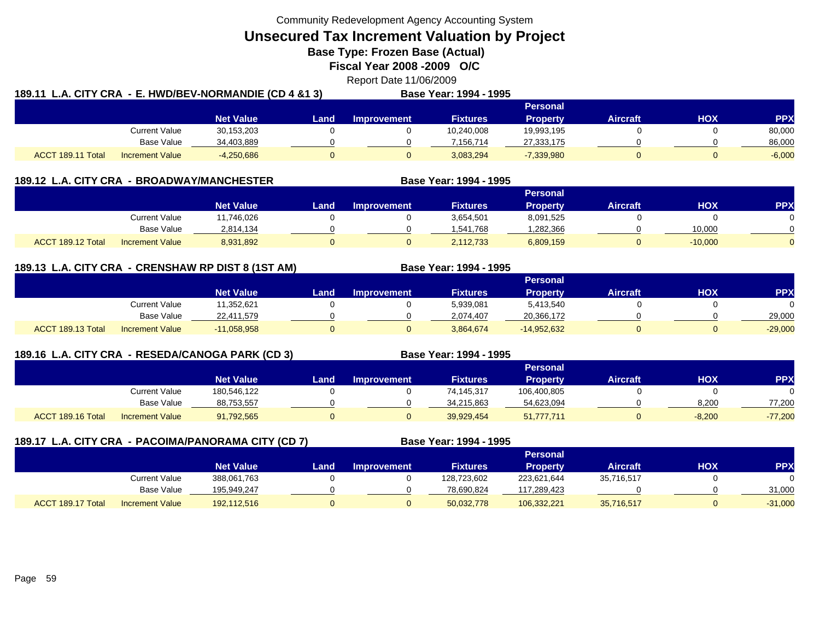**Unsecured Tax Increment Valuation by Project**

**Base Type: Frozen Base (Actual)** 

**Fiscal Year 2008 -2009 O/C**

Report Date 11/06/2009

| 189.11 L.A. CITY CRA - E. HWD/BEV-NORMANDIE (CD 4 &1 3) |                        |                  |      |                    | Base Year: 1994 - 1995 |                 |                 |     |            |  |  |
|---------------------------------------------------------|------------------------|------------------|------|--------------------|------------------------|-----------------|-----------------|-----|------------|--|--|
|                                                         |                        |                  |      |                    |                        | Personal        |                 |     |            |  |  |
|                                                         |                        | <b>Net Value</b> | Land | <b>Improvement</b> | <b>Fixtures</b>        | <b>Property</b> | <b>Aircraft</b> | нох | <b>PPX</b> |  |  |
|                                                         | <b>Current Value</b>   | 30,153,203       |      |                    | 10.240.008             | 19,993,195      |                 |     | 80,000     |  |  |
|                                                         | Base Value             | 34,403,889       |      |                    | 7.156.714              | 27,333,175      |                 |     | 86,000     |  |  |
| ACCT 189.11 Total                                       | <b>Increment Value</b> | $-4,250,686$     | 0    |                    | 3,083,294              | $-7,339,980$    |                 |     | $-6,000$   |  |  |

| 189.12 L.A. CITY CRA - |                        | <b>BROADWAY/MANCHESTER</b> |      | Base Year: 1994 - 1995 |                 |                 |                 |           |            |
|------------------------|------------------------|----------------------------|------|------------------------|-----------------|-----------------|-----------------|-----------|------------|
|                        |                        |                            |      |                        |                 | <b>Personal</b> |                 |           |            |
|                        |                        | <b>Net Value</b>           | Land | <b>Improvement</b>     | <b>Fixtures</b> | <b>Property</b> | <b>Aircraft</b> | нох       | <b>PPX</b> |
|                        | Current Value          | 11,746,026                 |      |                        | 3,654,501       | 8,091,525       |                 |           |            |
|                        | Base Value             | 2,814,134                  |      |                        | 1,541,768       | .282,366        |                 | 10,000    |            |
| ACCT 189.12 Total      | <b>Increment Value</b> | 8,931,892                  |      |                        | 2,112,733       | 6,809,159       |                 | $-10,000$ |            |

# **189.13 L.A. CITY CRA - CRENSHAW RP DIST 8 (1ST AM) Base Year: 1994 - 1995**

|                                             |                  |      |             |                 | Personal        |                 |            |           |
|---------------------------------------------|------------------|------|-------------|-----------------|-----------------|-----------------|------------|-----------|
|                                             | <b>Net Value</b> | Land | Improvement | <b>Fixtures</b> | <b>Property</b> | <b>Aircraft</b> | <b>HOX</b> | <b>PP</b> |
| Current Value                               | 1,352,621        |      |             | 5,939,081       | 5,413,540       |                 |            |           |
| <b>Base Value</b>                           | 22,411,579       |      |             | 2.074.407       | 20,366,172      |                 |            | 29,000    |
| ACCT 189.13 Total<br><b>Increment Value</b> | $-11,058,958$    |      |             | 3,864,674       | $-14,952,632$   |                 |            | $-29,000$ |

# **189.16 L.A. CITY CRA - RESEDA/CANOGA PARK (CD 3) Base Year: 1994 - 1995**

|                                             |                  |      |                    |                 | <b>Personal</b> |                 |            |            |
|---------------------------------------------|------------------|------|--------------------|-----------------|-----------------|-----------------|------------|------------|
|                                             | <b>Net Value</b> | Land | <b>Improvement</b> | <b>Fixtures</b> | <b>Property</b> | <b>Aircraft</b> | <b>HOX</b> | <b>PPX</b> |
| Current Value                               | 180,546,122      |      |                    | 74,145,317      | 106,400,805     |                 |            |            |
| Base Value                                  | 88,753,557       |      |                    | 34.215.863      | 54,623,094      |                 | 8.200      | 77,200     |
| ACCT 189.16 Total<br><b>Increment Value</b> | 91,792,565       |      |                    | 39,929,454      | 51,777,711      |                 | $-8,200$   | $-77,200$  |

|                   |                        | 189.17 L.A. CITY CRA - PACOIMA/PANORAMA CITY (CD 7) |      |                    | Base Year: 1994 - 1995 |                 |                 |     |            |
|-------------------|------------------------|-----------------------------------------------------|------|--------------------|------------------------|-----------------|-----------------|-----|------------|
|                   |                        |                                                     |      |                    |                        | Personal        |                 |     |            |
|                   |                        | <b>Net Value</b>                                    | Land | <b>Improvement</b> | <b>Fixtures</b>        | <b>Property</b> | <b>Aircraft</b> | НОХ | <b>PPX</b> |
|                   | Current Value          | 388,061,763                                         |      |                    | 128,723,602            | 223,621,644     | 35,716,517      |     |            |
|                   | Base Value             | 195,949,247                                         |      |                    | 78,690,824             | 117,289,423     |                 |     | 31,000     |
| ACCT 189.17 Total | <b>Increment Value</b> | 192,112,516                                         |      |                    | 50,032,778             | 106,332,221     | 35,716,517      |     | $-31,000$  |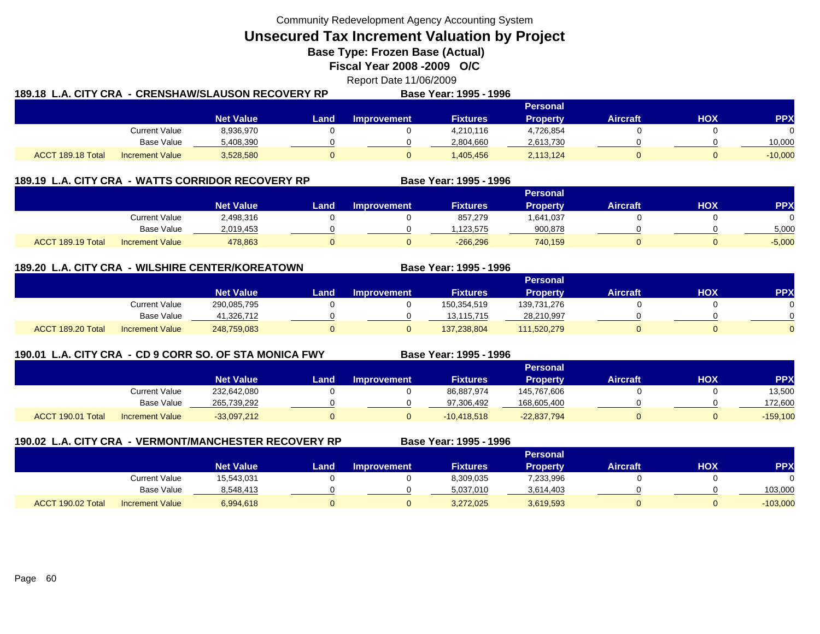**Unsecured Tax Increment Valuation by Project**

**Base Type: Frozen Base (Actual)** 

**Fiscal Year 2008 -2009 O/C**

Report Date 11/06/2009

| - CRENSHAW/SLAUSON RECOVERY RP<br>189.18 L.A. CITY CRA |                        |                  |      | Base Year: 1995 - 1996 |                 |                 |                 |     |            |
|--------------------------------------------------------|------------------------|------------------|------|------------------------|-----------------|-----------------|-----------------|-----|------------|
|                                                        |                        |                  |      |                        |                 | <b>Personal</b> |                 |     |            |
|                                                        |                        | <b>Net Value</b> | Land | Improvement            | <b>Fixtures</b> | <b>Property</b> | <b>Aircraft</b> | HOX | <b>PPX</b> |
|                                                        | <b>Current Value</b>   | 8,936,970        |      |                        | 4,210,116       | 4,726,854       |                 |     |            |
|                                                        | Base Value             | 5,408,390        |      |                        | 2,804,660       | 2,613,730       |                 |     | 10,000     |
| ACCT 189.18 Total                                      | <b>Increment Value</b> | 3,528,580        |      |                        | ,405,456        | 2,113,124       |                 |     | $-10,000$  |

|                   | 189.19 L.A. CITY CRA - WATTS CORRIDOR RECOVERY RP |                  |      |                    | Base Year: 1995 - 1996 |                 |                 |     |          |
|-------------------|---------------------------------------------------|------------------|------|--------------------|------------------------|-----------------|-----------------|-----|----------|
|                   |                                                   |                  |      |                    |                        | <b>Personal</b> |                 |     |          |
|                   |                                                   | <b>Net Value</b> | Land | <b>Improvement</b> | <b>Fixtures</b>        | <b>Property</b> | <b>Aircraft</b> | нох | PPX      |
|                   | <b>Current Value</b>                              | 2,498,316        |      |                    | 857.279                | 1,641,037       |                 |     |          |
|                   | <b>Base Value</b>                                 | 2.019.453        |      |                    | .123.575               | 900,878         |                 |     | 5,000    |
| ACCT 189.19 Total | <b>Increment Value</b>                            | 478,863          |      |                    | $-266,296$             | 740,159         |                 |     | $-5,000$ |

### **189.20 L.A. CITY CRA - WILSHIRE CENTER/KOREATOWN**

|                   |                        | <b>Personal</b>  |      |                    |                 |                 |          |            |            |  |
|-------------------|------------------------|------------------|------|--------------------|-----------------|-----------------|----------|------------|------------|--|
|                   |                        | <b>Net Value</b> | Land | <b>Improvement</b> | <b>Fixtures</b> | <b>Property</b> | Aircraft | <b>HOX</b> | <b>PPX</b> |  |
|                   | <b>Current Value</b>   | 290,085,795      |      |                    | 150,354,519     | 139,731,276     |          |            | 0          |  |
|                   | Base Value             | 41.326.712       |      |                    | 13.115.715      | 28,210,997      |          |            | $\Omega$   |  |
| ACCT 189.20 Total | <b>Increment Value</b> | 248,759,083      |      |                    | 137,238,804     | 111,520,279     |          |            | $\Omega$   |  |

# **190.01 L.A. CITY CRA - CD 9 CORR SO. OF STA MONICA FWY**

**Base Year: 1995 - 1996**

**Base Year: 1995 - 1996**

|                   |                        |                  |      |                    |                 | ___           |                 |     |             |
|-------------------|------------------------|------------------|------|--------------------|-----------------|---------------|-----------------|-----|-------------|
|                   |                        |                  |      |                    |                 | Personal      |                 |     |             |
|                   |                        | <b>Net Value</b> | Land | <b>Improvement</b> | <b>Fixtures</b> | Property      | <b>Aircraft</b> | нох | <b>PP</b>   |
|                   | Current Value          | 232,642,080      |      |                    | 86,887,974      | 145,767,606   |                 |     | 13,500      |
|                   | Base Value             | 265,739,292      |      |                    | 97.306.492      | 168,605,400   |                 |     | 172,600     |
| ACCT 190.01 Total | <b>Increment Value</b> | $-33,097,212$    |      |                    | $-10,418,518$   | $-22,837,794$ |                 |     | $-159, 100$ |

| 190.02 L.A. CITY CRA - VERMONT/MANCHESTER RECOVERY RP |                        |                  |      | Base Year: 1995 - 1996 |                 |                 |                 |     |            |
|-------------------------------------------------------|------------------------|------------------|------|------------------------|-----------------|-----------------|-----------------|-----|------------|
|                                                       |                        |                  |      |                        | <b>Personal</b> |                 |                 |     |            |
|                                                       |                        | <b>Net Value</b> | Land | <b>Improvement</b>     | <b>Fixtures</b> | <b>Property</b> | <b>Aircraft</b> | нох | <b>PPX</b> |
|                                                       | Current Value          | 15,543,031       |      |                        | 8,309,035       | 7,233,996       |                 |     |            |
|                                                       | Base Value             | 8,548,413        |      |                        | 5,037,010       | 3,614,403       |                 |     | 103,000    |
| ACCT 190.02 Total                                     | <b>Increment Value</b> | 6,994,618        |      | 0                      | 3,272,025       | 3,619,593       |                 |     | $-103,000$ |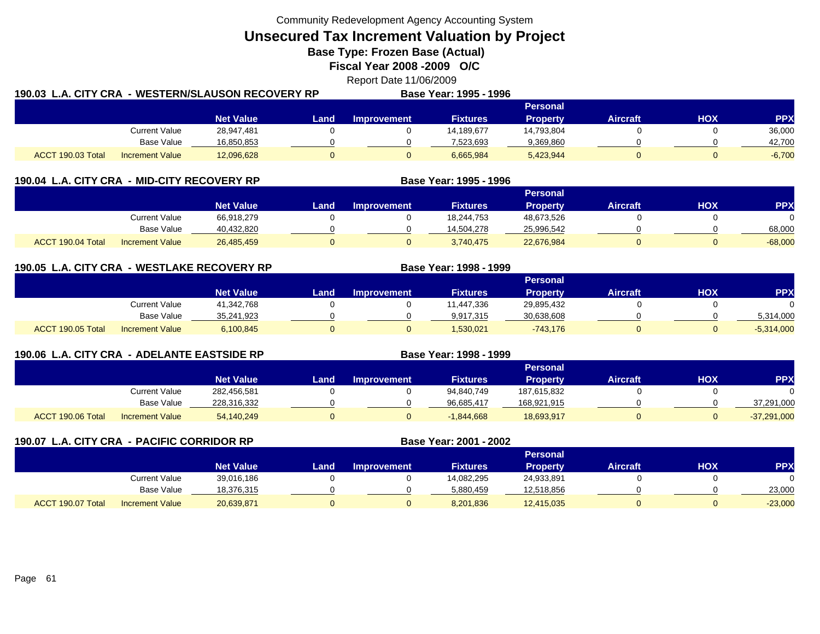**Unsecured Tax Increment Valuation by Project**

**Base Type: Frozen Base (Actual)** 

**Fiscal Year 2008 -2009 O/C**

Report Date 11/06/2009

| 190.03 L.A. CITY CRA |                        | . - WESTERN/SLAUSON RECOVERY RP |             |             | Base Year: 1995 - 1996 |            |          |     |            |  |
|----------------------|------------------------|---------------------------------|-------------|-------------|------------------------|------------|----------|-----|------------|--|
|                      |                        |                                 |             |             | <b>Personal</b>        |            |          |     |            |  |
|                      |                        | <b>Net Value</b>                | <b>Land</b> | Improvement | <b>Fixtures</b>        | Propertv   | Aircraft | нох | <b>PPX</b> |  |
|                      | Current Value          | 28,947,481                      |             |             | 14.189.677             | 14.793.804 |          |     | 36,000     |  |
|                      | Base Value             | 16,850,853                      |             |             | 7.523.693              | 9,369,860  |          |     | 42.700     |  |
| ACCT 190.03 Total    | <b>Increment Value</b> | 12,096,628                      |             |             | 6,665,984              | 5,423,944  |          |     | $-6,700$   |  |

| 190.04 L.A. CITY CRA - MID-CITY RECOVERY RP |                        |                  |      | Base Year: 1995 - 1996 |                 |                 |                 |     |            |
|---------------------------------------------|------------------------|------------------|------|------------------------|-----------------|-----------------|-----------------|-----|------------|
|                                             |                        |                  |      |                        |                 | <b>Personal</b> |                 |     |            |
|                                             |                        | <b>Net Value</b> | Land | <b>Improvement</b>     | <b>Fixtures</b> | <b>Property</b> | <b>Aircraft</b> | нох | <b>PPX</b> |
|                                             | Current Value          | 66,918,279       |      |                        | 18,244,753      | 48,673,526      |                 |     |            |
|                                             | <b>Base Value</b>      | 40,432,820       |      |                        | 14,504,278      | 25,996,542      |                 |     | 68,000     |
| ACCT 190.04 Total                           | <b>Increment Value</b> | 26,485,459       |      |                        | 3,740,475       | 22,676,984      |                 |     | $-68,000$  |

**190.05 L.A. CITY CRA - WESTLAKE RECOVERY RP Base Year: 1998 - 1999 Personal Net Value Land Improvement Fixtures Property Aircraft HOX PPX** Current Value 41,342,768 0 0 11,447,336 29,895,432 0 0 Base Value 35,241,923 0 0 9,917,315 30,638,608 0 0 5,314,000 ACCT 190.05 TotalI Increment Value 6,100,845 0 0 1,530,021 -743,176 0 -5,314,000

| 190.06 L.A. CITY CRA - ADELANTE EASTSIDE RP |                   |                        |                  |      |                    | Base Year: 1998 - 1999 |                 |                 |     |               |
|---------------------------------------------|-------------------|------------------------|------------------|------|--------------------|------------------------|-----------------|-----------------|-----|---------------|
|                                             |                   |                        |                  |      |                    |                        | <b>Personal</b> |                 |     |               |
|                                             |                   |                        | <b>Net Value</b> | Land | <b>Improvement</b> | <b>Fixtures</b>        | <b>Property</b> | <b>Aircraft</b> | нох | <b>PPX</b>    |
|                                             |                   | Current Value          | 282,456,581      |      |                    | 94,840,749             | 187,615,832     |                 |     |               |
|                                             |                   | Base Value             | 228,316,332      |      |                    | 96,685,417             | 168,921,915     |                 |     | 37,291,000    |
|                                             | ACCT 190.06 Total | <b>Increment Value</b> | 54,140,249       |      |                    | $-1,844,668$           | 18,693,917      |                 |     | $-37,291,000$ |

| 190.07 L.A. CITY CRA - PACIFIC CORRIDOR RP |                        |                  |      | Base Year: 2001 - 2002 |                 |                 |                 |     |           |  |
|--------------------------------------------|------------------------|------------------|------|------------------------|-----------------|-----------------|-----------------|-----|-----------|--|
|                                            |                        |                  |      |                        |                 | <b>Personal</b> |                 |     |           |  |
|                                            |                        | <b>Net Value</b> | Land | <b>Improvement</b>     | <b>Fixtures</b> | <b>Property</b> | <b>Aircraft</b> | нох | PP)       |  |
|                                            | <b>Current Value</b>   | 39,016,186       |      |                        | 14,082,295      | 24,933,891      |                 |     |           |  |
|                                            | Base Value             | 18,376,315       |      |                        | 5,880,459       | 12,518,856      |                 |     | 23,000    |  |
| ACCT 190.07 Total                          | <b>Increment Value</b> | 20,639,871       |      |                        | 8,201,836       | 12,415,035      | 0               |     | $-23,000$ |  |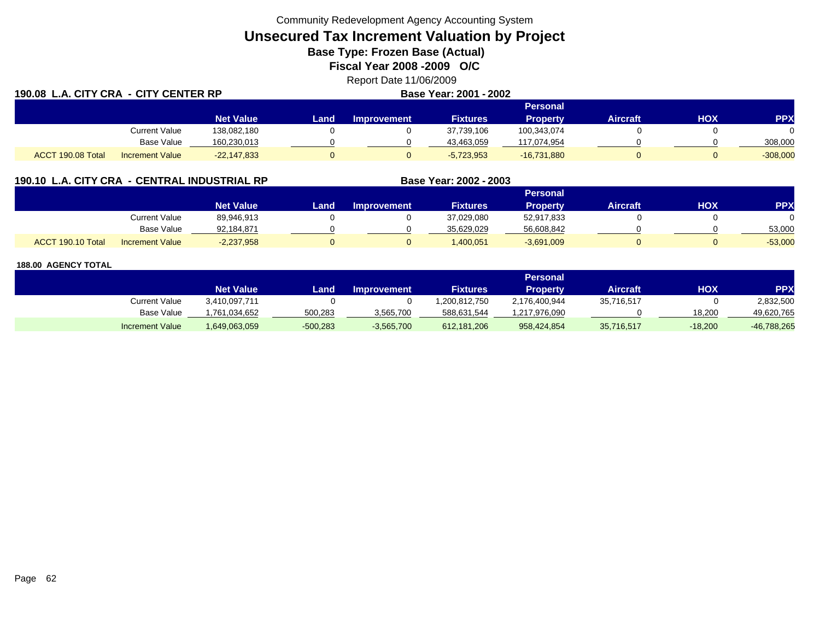# **Unsecured Tax Increment Valuation by Project**

**Base Type: Frozen Base (Actual)** 

**Fiscal Year 2008 -2009 O/C**

Report Date 11/06/2009

| 190.08 L.A. CITY CRA - CITY CENTER RP |                        |                  |        | Base Year: 2001 - 2002 |                 |                 |                 |     |            |
|---------------------------------------|------------------------|------------------|--------|------------------------|-----------------|-----------------|-----------------|-----|------------|
|                                       |                        |                  |        |                        | <b>Personal</b> |                 |                 |     |            |
|                                       |                        | <b>Net Value</b> | Land . | <b>Improvement</b>     | <b>Fixtures</b> | <b>Property</b> | <b>Aircraft</b> | HOX | <b>PPX</b> |
|                                       | <b>Current Value</b>   | 138,082,180      |        |                        | 37,739,106      | 100,343,074     |                 |     |            |
|                                       | <b>Base Value</b>      | 160,230,013      |        |                        | 43,463,059      | 117.074.954     |                 |     | 308,000    |
| ACCT 190.08 Total                     | <b>Increment Value</b> | $-22,147,833$    |        |                        | $-5,723,953$    | $-16,731,880$   |                 |     | $-308,000$ |

| 190.10 L.A. CITY CRA - CENTRAL INDUSTRIAL RP | <b>Base Year: 2002 - 2003</b> |
|----------------------------------------------|-------------------------------|
|                                              |                               |

|                   |                        |                  |      |                    |                 | Personal     |                 |            |            |
|-------------------|------------------------|------------------|------|--------------------|-----------------|--------------|-----------------|------------|------------|
|                   |                        | <b>Net Value</b> | Land | <b>Improvement</b> | <b>Fixtures</b> | Property     | <b>Aircraft</b> | <b>XOH</b> | <b>PPX</b> |
|                   | <b>Current Value</b>   | 89,946,913       |      |                    | 37,029,080      | 52,917,833   |                 |            |            |
|                   | <b>Base Value</b>      | 92.184.871       |      |                    | 35.629.029      | 56,608,842   |                 |            | 53.000     |
| ACCT 190.10 Total | <b>Increment Value</b> | $-2,237,958$     |      |                    | ,400,051        | $-3,691,009$ |                 |            | $-53,000$  |

|                        | Personal         |            |                    |                 |               |            |            |               |  |  |  |
|------------------------|------------------|------------|--------------------|-----------------|---------------|------------|------------|---------------|--|--|--|
|                        | <b>Net Value</b> | Land       | <b>Improvement</b> | <b>Fixtures</b> | Propertv      | Aircraft   | <b>HOX</b> | <b>PPX</b>    |  |  |  |
| Current Value          | 3,410,097,711    |            |                    | .200.812.750    | 2,176,400,944 | 35,716,517 |            | 2,832,500     |  |  |  |
| <b>Base Value</b>      | 761,034,652.     | 500,283    | 3,565,700          | 588,631,544     | 1,217,976,090 |            | 18.200     | 49,620,765    |  |  |  |
| <b>Increment Value</b> | 1,649,063,059    | $-500,283$ | $-3,565,700$       | 612,181,206     | 958,424,854   | 35,716,517 | $-18,200$  | $-46,788,265$ |  |  |  |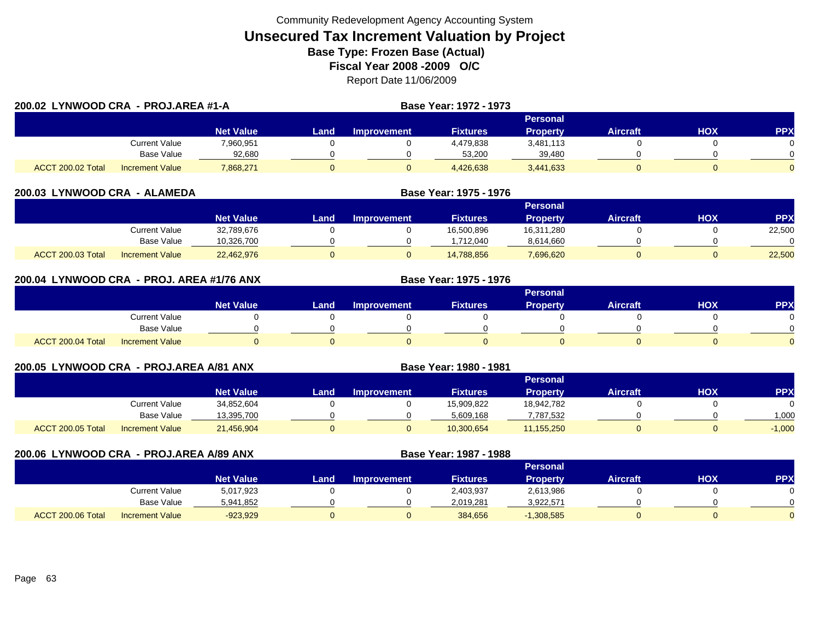| 200.02 LYNWOOD CRA - PROJ.AREA #1-A |                        |                  |      |                    | Base Year: 1972 - 1973 |                 |                 |     |            |
|-------------------------------------|------------------------|------------------|------|--------------------|------------------------|-----------------|-----------------|-----|------------|
|                                     |                        |                  |      |                    |                        |                 |                 |     |            |
|                                     |                        | <b>Net Value</b> | Land | <b>Improvement</b> | <b>Fixtures</b>        | <b>Property</b> | <b>Aircraft</b> | HOX | <b>PPX</b> |
|                                     | Current Value          | 7,960,951        |      |                    | 4,479,838              | 3,481,113       |                 |     |            |
|                                     | Base Value             | 92,680           |      |                    | 53,200                 | 39,480          |                 |     |            |
| ACCT 200.02 Total                   | <b>Increment Value</b> | 7,868,271        |      |                    | 4,426,638              | 3,441,633       |                 |     |            |

| 200.03 LYNWOOD CRA - ALAMEDA                |                  | Base Year: 1975 - 1976 |                    |                 |                 |                 |     |            |  |
|---------------------------------------------|------------------|------------------------|--------------------|-----------------|-----------------|-----------------|-----|------------|--|
|                                             |                  | Personal               |                    |                 |                 |                 |     |            |  |
|                                             | <b>Net Value</b> | Land                   | <b>Improvement</b> | <b>Fixtures</b> | <b>Property</b> | <b>Aircraft</b> | НОХ | <b>PPX</b> |  |
| Current Value                               | 32,789,676       |                        |                    | 16,500,896      | 16,311,280      |                 |     | 22,500     |  |
| <b>Base Value</b>                           | 10.326.700       |                        |                    | .712,040        | 8,614,660       |                 |     |            |  |
| ACCT 200.03 Total<br><b>Increment Value</b> | 22,462,976       |                        |                    | 14,788,856      | 7,696,620       |                 |     | 22,500     |  |

| 200.04 LYNWOOD CRA - PROJ. AREA #1/76 ANX |                        |                  | Base Year: 1975 - 1976 |                    |                 |                 |                 |     |            |
|-------------------------------------------|------------------------|------------------|------------------------|--------------------|-----------------|-----------------|-----------------|-----|------------|
|                                           |                        |                  |                        |                    |                 | <b>Personal</b> |                 |     |            |
|                                           |                        | <b>Net Value</b> | Land                   | <b>Improvement</b> | <b>Fixtures</b> | <b>Property</b> | <b>Aircraft</b> | нох | <b>PPX</b> |
|                                           | Current Value          |                  |                        |                    |                 |                 |                 |     |            |
|                                           | <b>Base Value</b>      |                  |                        |                    |                 |                 |                 |     |            |
| ACCT 200.04 Total                         | <b>Increment Value</b> |                  |                        |                    |                 |                 |                 |     |            |

| 200.05 LYNWOOD CRA - PROJ.AREA A/81 ANX |                        |                  |      |                    | Base Year: 1980 - 1981 |                 |                 |     |           |  |
|-----------------------------------------|------------------------|------------------|------|--------------------|------------------------|-----------------|-----------------|-----|-----------|--|
|                                         |                        |                  |      | <b>Personal</b>    |                        |                 |                 |     |           |  |
|                                         |                        | <b>Net Value</b> | Land | <b>Improvement</b> | <b>Fixtures</b>        | <b>Property</b> | <b>Aircraft</b> | нох | <b>PP</b> |  |
|                                         | Current Value          | 34,852,604       |      |                    | 15,909,822             | 18,942,782      |                 |     |           |  |
|                                         | Base Value             | 13,395,700       |      |                    | 5,609,168              | 7,787,532       |                 |     | 1.000     |  |
| ACCT 200.05 Total                       | <b>Increment Value</b> | 21,456,904       |      |                    | 10,300,654             | 11,155,250      | 0               |     | $-1,000$  |  |

| 200.06 LYNWOOD CRA - PROJ.AREA A/89 ANX |                        |                  |      | Base Year: 1987 - 1988 |                 |                 |                 |     |            |  |  |
|-----------------------------------------|------------------------|------------------|------|------------------------|-----------------|-----------------|-----------------|-----|------------|--|--|
|                                         |                        |                  |      | Personal               |                 |                 |                 |     |            |  |  |
|                                         |                        | <b>Net Value</b> | Land | <b>Improvement</b>     | <b>Fixtures</b> | <b>Property</b> | <b>Aircraft</b> | нох | <b>PPX</b> |  |  |
|                                         | <b>Current Value</b>   | 5,017,923        |      |                        | 2,403,937       | 2,613,986       |                 |     |            |  |  |
|                                         | Base Value             | 5,941,852        |      |                        | 2,019,281       | 3,922,571       |                 |     |            |  |  |
| ACCT 200.06 Total                       | <b>Increment Value</b> | $-923,929$       |      |                        | 384,656         | $-1,308,585$    |                 |     |            |  |  |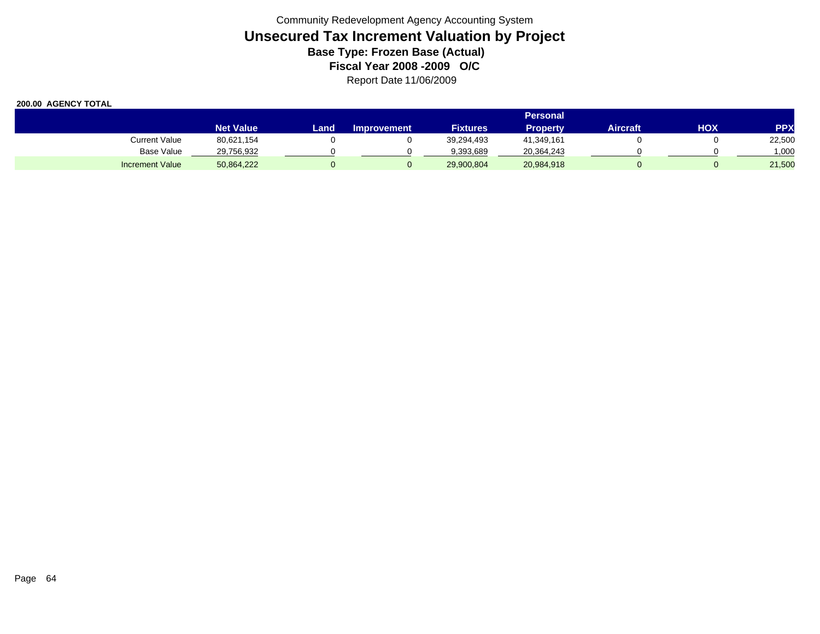|                        |                  | <b>Personal</b> |                    |                 |                 |          |     |            |  |
|------------------------|------------------|-----------------|--------------------|-----------------|-----------------|----------|-----|------------|--|
|                        | <b>Net Value</b> | Land.           | <b>Improvement</b> | <b>Fixtures</b> | <b>Property</b> | Aircraft | ΗΟΧ | <b>PPX</b> |  |
| <b>Current Value</b>   | 80,621,154       |                 |                    | 39.294.493      | 41.349.161      |          |     | 22,500     |  |
| Base Value             | 29,756,932       |                 |                    | 9,393,689       | 20,364,243      |          |     | 000.1      |  |
| <b>Increment Value</b> | 50,864,222       |                 |                    | 29,900,804      | 20,984,918      |          |     | 21,500     |  |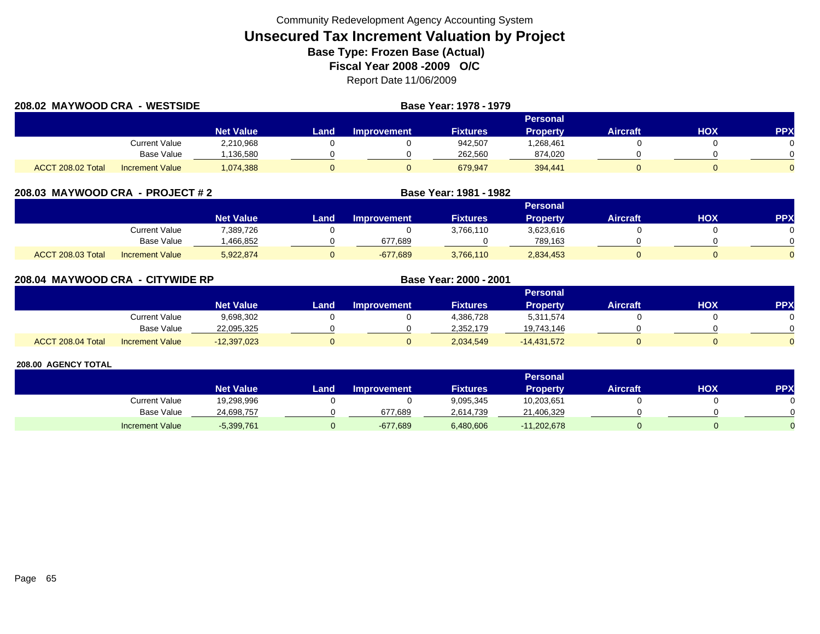| 208.02 MAYWOOD CRA       | <b>WESTSIDE</b>        |                  | Base Year: 1978 - 1979 |                    |                 |                 |                 |            |            |  |
|--------------------------|------------------------|------------------|------------------------|--------------------|-----------------|-----------------|-----------------|------------|------------|--|
|                          |                        |                  |                        | <b>Personal</b>    |                 |                 |                 |            |            |  |
|                          |                        | <b>Net Value</b> | Land                   | <b>Improvement</b> | <b>Fixtures</b> | <b>Property</b> | <b>Aircraft</b> | <b>HOX</b> | <b>PPX</b> |  |
|                          | Current Value          | 2,210,968        |                        |                    | 942,507         | .268,461        |                 |            |            |  |
|                          | Base Value             | 136,580          |                        |                    | 262.560         | 874,020         |                 |            |            |  |
| <b>ACCT 208.02 Total</b> | <b>Increment Value</b> | 1,074,388        |                        |                    | 679.947         | 394,441         |                 |            |            |  |

|  | 208.03 MAYWOOD CRA - PROJECT # 2 |  |  |  |
|--|----------------------------------|--|--|--|
|--|----------------------------------|--|--|--|

|                   |                        | Personal         |      |                    |                 |           |                 |            |            |  |
|-------------------|------------------------|------------------|------|--------------------|-----------------|-----------|-----------------|------------|------------|--|
|                   |                        | <b>Net Value</b> | Land | <b>Improvement</b> | <b>Fixtures</b> | Property  | <b>Aircraft</b> | <b>XOH</b> | <b>PPX</b> |  |
|                   | Current Value          | 7,389,726        |      |                    | 3,766,110       | 3,623,616 |                 |            |            |  |
|                   | <b>Base Value</b>      | .466.852         |      | 677.689            |                 | 789.163   |                 |            | ∩          |  |
| ACCT 208.03 Total | <b>Increment Value</b> | 5,922,874        |      | $-677,689$         | 3,766,110       | 2,834,453 |                 |            | $\Omega$   |  |

**MAYWOOD CRA - PROJECT # 2 Base Year: 1981 - 1982**

| 208.04 MAYWOOD CRA - CITYWIDE RP |                        |                  | Base Year: 2000 - 2001 |                    |                 |                 |                 |     |     |  |  |
|----------------------------------|------------------------|------------------|------------------------|--------------------|-----------------|-----------------|-----------------|-----|-----|--|--|
|                                  |                        |                  |                        | <b>Personal</b>    |                 |                 |                 |     |     |  |  |
|                                  |                        | <b>Net Value</b> | Land                   | <b>Improvement</b> | <b>Fixtures</b> | <b>Property</b> | <b>Aircraft</b> | нох | PPX |  |  |
|                                  | Current Value          | 9,698,302        |                        |                    | 4,386,728       | 5,311,574       |                 |     |     |  |  |
|                                  | Base Value             | 22,095,325       |                        |                    | 2,352,179       | 19,743,146      |                 |     |     |  |  |
| ACCT 208.04 Total                | <b>Increment Value</b> | $-12,397,023$    |                        |                    | 2,034,549       | $-14.431.572$   |                 |     |     |  |  |

|                        |                  | <b>Personal</b> |                    |                 |               |                 |            |     |  |  |
|------------------------|------------------|-----------------|--------------------|-----------------|---------------|-----------------|------------|-----|--|--|
|                        | <b>Net Value</b> | Land            | <b>Improvement</b> | <b>Fixtures</b> | Property      | <b>Aircraft</b> | <b>NOH</b> | PPX |  |  |
| <b>Current Value</b>   | 19,298,996       |                 |                    | 9,095,345       | 10,203,651    |                 |            |     |  |  |
| <b>Base Value</b>      | 24,698,757       |                 | 677,689            | 2,614,739       | 21,406,329    |                 |            |     |  |  |
| <b>Increment Value</b> | $-5,399,761$     |                 | $-677,689$         | 6,480,606       | $-11,202,678$ |                 |            |     |  |  |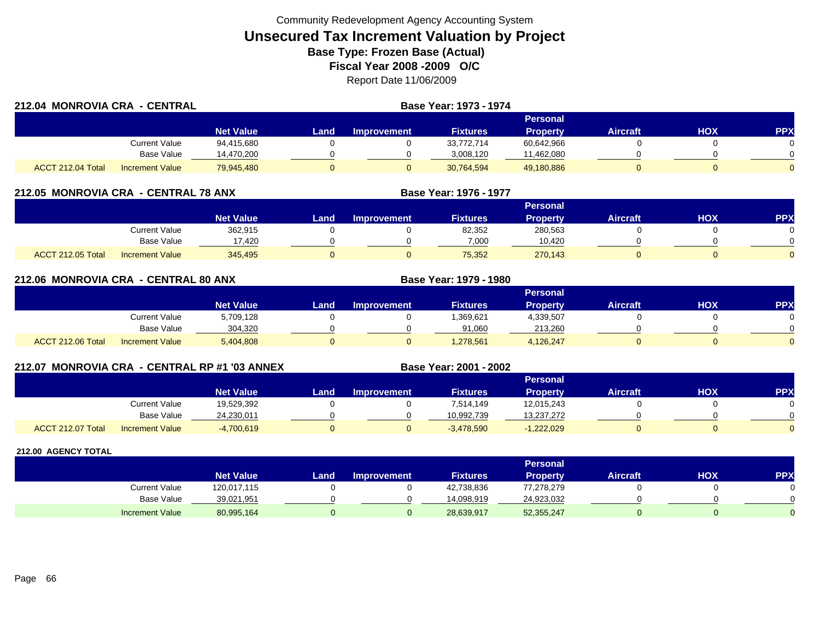| 212.04 MONROVIA CRA - CENTRAL |                        |                  |      | Base Year: 1973 - 1974 |                 |                 |                 |     |            |
|-------------------------------|------------------------|------------------|------|------------------------|-----------------|-----------------|-----------------|-----|------------|
|                               |                        |                  |      |                        |                 | Personal        |                 |     |            |
|                               |                        | <b>Net Value</b> | Land | Improvement            | <b>Fixtures</b> | <b>Property</b> | <b>Aircraft</b> | HOX | <b>PPX</b> |
|                               | Current Value          | 94,415,680       |      |                        | 33,772,714      | 60,642,966      |                 |     |            |
|                               | Base Value             | 14,470,200       |      |                        | 3.008.120       | 11,462,080      |                 |     |            |
| ACCT 212.04 Total             | <b>Increment Value</b> | 79,945,480       |      |                        | 30,764,594      | 49,180,886      |                 |     |            |

#### **212.05 MONROVIA CRA - CENTRAL 78 ANX**

|                          |                        |                  | Personal |                    |                 |          |                 |            |              |  |  |
|--------------------------|------------------------|------------------|----------|--------------------|-----------------|----------|-----------------|------------|--------------|--|--|
|                          |                        | <b>Net Value</b> | Land     | <b>Improvement</b> | <b>Fixtures</b> | Property | <b>Aircraft</b> | <b>XOH</b> | PPX          |  |  |
|                          | Current Value          | 362,915          |          |                    | 82,352          | 280,563  |                 |            |              |  |  |
|                          | <b>Base Value</b>      | 17.420           |          |                    | 7,000           | 10.420   |                 |            | <sup>n</sup> |  |  |
| <b>ACCT 212.05 Total</b> | <b>Increment Value</b> | 345,495          |          |                    | 75,352          | 270,143  |                 |            | $\Omega$     |  |  |

**Base Year: 1976 - 1977**

**Base Year: 1979 - 1980**

**Base Year: 2001 - 2002**

| 212.06 MONROVIA CRA - CENTRAL 80 ANX |  |
|--------------------------------------|--|
|                                      |  |

|                   |                        |                  | <b>Personal</b> |                    |                 |                 |                 |            |              |  |
|-------------------|------------------------|------------------|-----------------|--------------------|-----------------|-----------------|-----------------|------------|--------------|--|
|                   |                        | <b>Net Value</b> | Land            | <b>Improvement</b> | <b>Fixtures</b> | <b>Property</b> | <b>Aircraft</b> | <b>HOX</b> | PPX          |  |
|                   | Current Value          | 5,709,128        |                 |                    | 1,369,621       | 4,339,507       |                 |            |              |  |
|                   | <b>Base Value</b>      | 304.320          |                 |                    | 91.060          | 213.260         |                 |            | <sup>n</sup> |  |
| ACCT 212.06 Total | <b>Increment Value</b> | 5,404,808        |                 |                    | 1,278,561       | 4,126,247       |                 |            | $\Omega$     |  |

#### **212.07 MONROVIA CRA - CENTRAL RP #1 '03 ANNEX**

|                          |                        |                  |      |             |                 | Personal        |                 |            |              |
|--------------------------|------------------------|------------------|------|-------------|-----------------|-----------------|-----------------|------------|--------------|
|                          |                        | <b>Net Value</b> | Land | Improvement | <b>Fixtures</b> | <b>Property</b> | <b>Aircraft</b> | <b>HOX</b> | PPX          |
|                          | <b>Current Value</b>   | 19,529,392       |      |             | 7,514,149       | 12,015,243      |                 |            |              |
|                          | <b>Base Value</b>      | 24,230,011       |      |             | 10.992.739      | 13,237,272      |                 |            | <sup>n</sup> |
| <b>ACCT 212.07 Total</b> | <b>Increment Value</b> | $-4,700,619$     |      |             | $-3,478,590$    | $-1,222,029$    |                 |            | $\Omega$     |

|                        | <b>Personal</b>  |      |             |                 |                 |          |            |            |
|------------------------|------------------|------|-------------|-----------------|-----------------|----------|------------|------------|
|                        | <b>Net Value</b> | Land | Improvement | <b>Fixtures</b> | <b>Property</b> | Aircraft | <b>HOX</b> | <b>PPX</b> |
| <b>Current Value</b>   | 120,017,115      |      |             | 42,738,836      | 77,278,279      |          |            |            |
| <b>Base Value</b>      | 39,021,951       |      |             | 14,098,919      | 24,923,032      |          |            |            |
| <b>Increment Value</b> | 80,995,164       |      |             | 28,639,917      | 52,355,247      |          |            |            |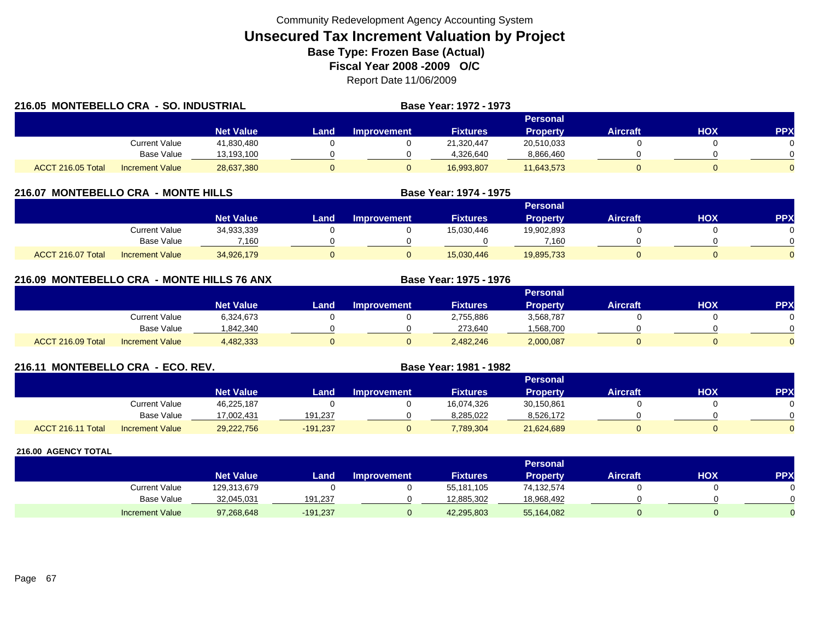| 216.05 MONTEBELLO CRA - SO. INDUSTRIAL |                        |                  |      | Base Year: 1972 - 1973 |                 |                 |                 |            |            |
|----------------------------------------|------------------------|------------------|------|------------------------|-----------------|-----------------|-----------------|------------|------------|
|                                        |                        |                  |      |                        |                 | Personal        |                 |            |            |
|                                        |                        | <b>Net Value</b> | Land | Improvement            | <b>Fixtures</b> | <b>Property</b> | <b>Aircraft</b> | <b>HOX</b> | <b>PPX</b> |
|                                        | Current Value          | 41,830,480       |      |                        | 21.320.447      | 20,510,033      |                 |            |            |
|                                        | <b>Base Value</b>      | 13,193,100       |      |                        | 4,326,640       | 8,866,460       |                 |            |            |
| ACCT 216.05 Total                      | <b>Increment Value</b> | 28,637,380       |      |                        | 16,993,807      | 11,643,573      |                 |            |            |

#### **216.07 MONTEBELLO CRA - MONTE HILLS**

|                   |                        | <b>Personal</b>  |      |                    |                 |            |                 |            |          |
|-------------------|------------------------|------------------|------|--------------------|-----------------|------------|-----------------|------------|----------|
|                   |                        | <b>Net Value</b> | Land | <b>Improvement</b> | <b>Fixtures</b> | Propertv   | <b>Aircraft</b> | <b>XOH</b> | PPX      |
|                   | <b>Current Value</b>   | 34,933,339       |      |                    | 15,030,446      | 19,902,893 |                 |            |          |
|                   | <b>Base Value</b>      | 7.160            |      |                    |                 | 7.160      |                 |            | 0        |
| ACCT 216.07 Total | <b>Increment Value</b> | 34,926,179       |      |                    | 15,030,446      | 19,895,733 |                 |            | $\Omega$ |

**Base Year: 1974 - 1975**

**Base Year: 1975 - 1976**

### **216.09 MONTEBELLO CRA - MONTE HILLS 76 ANX**

|                   |                        |                  |      |                    |                 | Personal  |                 |     |            |
|-------------------|------------------------|------------------|------|--------------------|-----------------|-----------|-----------------|-----|------------|
|                   |                        | <b>Net Value</b> | Land | <b>Improvement</b> | <b>Fixtures</b> | Property  | <b>Aircraft</b> | HOX | <b>PPX</b> |
|                   | <b>Current Value</b>   | 6,324,673        |      |                    | 2,755,886       | 3,568,787 |                 |     |            |
|                   | <b>Base Value</b>      | 842,340          |      |                    | 273,640         | 1,568,700 |                 |     |            |
| ACCT 216.09 Total | <b>Increment Value</b> | 4,482,333        |      |                    | 2,482,246       | 2,000,087 |                 |     |            |

#### **216.11 MONTEBELLO CRA - ECO. REV. Base Year: 1981 - 1982**

|                   |                        | <b>Personal</b>  |            |             |                 |                 |          |     |            |
|-------------------|------------------------|------------------|------------|-------------|-----------------|-----------------|----------|-----|------------|
|                   |                        | <b>Net Value</b> | Land       | Improvement | <b>Fixtures</b> | <b>Property</b> | Aircraft | нох | <b>PPY</b> |
|                   | Current Value          | 46,225,187       |            |             | 16,074,326      | 30,150,861      |          |     |            |
|                   | Base Value             | 17,002,431       | 191.237    |             | 8.285.022       | 8,526,172       |          |     |            |
| ACCT 216.11 Total | <b>Increment Value</b> | 29,222,756       | $-191,237$ |             | 7,789,304       | 21,624,689      |          |     |            |

|                        | <b>Personal</b>  |            |                    |                 |            |                 |     |     |  |
|------------------------|------------------|------------|--------------------|-----------------|------------|-----------------|-----|-----|--|
|                        | <b>Net Value</b> | Land       | <b>Improvement</b> | <b>Fixtures</b> | Propertv   | <b>Aircraft</b> | нох | PPX |  |
| Current Value          | 129,313,679      |            |                    | 55,181,105      | 74,132,574 |                 |     |     |  |
| <b>Base Value</b>      | 32,045,031       | 191.237    |                    | 12,885,302      | 18,968,492 |                 |     |     |  |
| <b>Increment Value</b> | 97,268,648       | $-191,237$ |                    | 42,295,803      | 55,164,082 |                 |     |     |  |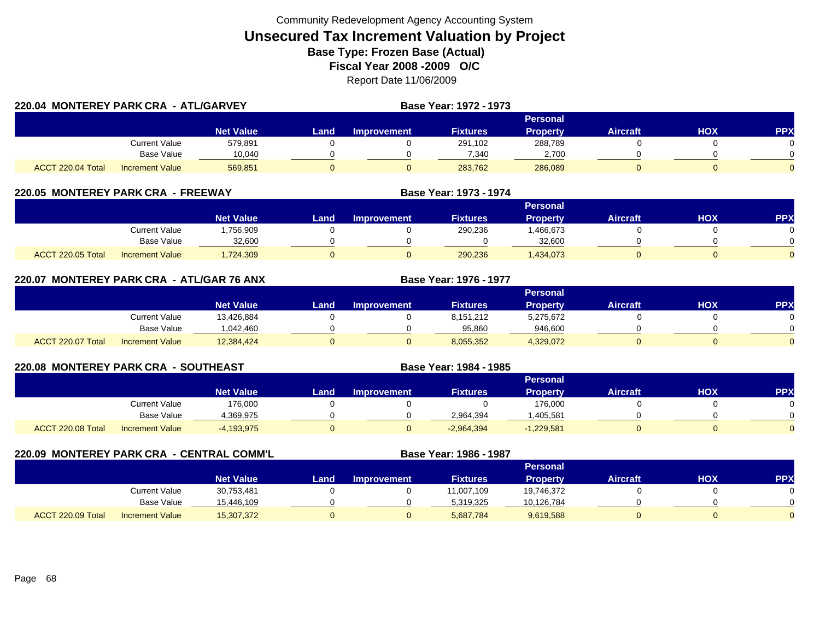| 220.04 MONTEREY PARK CRA - ATL/GARVEY |                        |                  |                 |             | Base Year: 1972 - 1973 |                 |                 |     |            |  |
|---------------------------------------|------------------------|------------------|-----------------|-------------|------------------------|-----------------|-----------------|-----|------------|--|
|                                       |                        |                  | <b>Personal</b> |             |                        |                 |                 |     |            |  |
|                                       |                        | <b>Net Value</b> | <b>Land</b>     | Improvement | <b>Fixtures</b>        | <b>Property</b> | <b>Aircraft</b> | HOX | <b>PPX</b> |  |
|                                       | Current Value          | 579,891          |                 |             | 291,102                | 288,789         |                 |     |            |  |
|                                       | Base Value             | 10,040           |                 |             | 7,340                  | 2,700           |                 |     |            |  |
| ACCT 220.04 Total                     | <b>Increment Value</b> | 569,851          |                 |             | 283,762                | 286,089         |                 |     |            |  |

#### **220.05 MONTEREY PARK CRA - FREEWAY**

|                   |                        | Personal         |      |                    |                 |                 |                 |            |            |
|-------------------|------------------------|------------------|------|--------------------|-----------------|-----------------|-----------------|------------|------------|
|                   |                        | <b>Net Value</b> | Land | <b>Improvement</b> | <b>Fixtures</b> | <b>Property</b> | <b>Aircraft</b> | <b>XOH</b> | <b>PPX</b> |
|                   | Current Value          | ,756,909         |      |                    | 290,236         | ,466,673        |                 |            |            |
|                   | <b>Base Value</b>      | 32.600           |      |                    |                 | 32.600          |                 |            | 0          |
| ACCT 220.05 Total | <b>Increment Value</b> | ,724,309         |      |                    | 290,236         | 1,434,073       |                 |            |            |

**Base Year: 1973 - 1974**

**Base Year: 1976 - 1977**

**Base Year: 1984 - 1985**

#### **220.07 MONTEREY PARK CRA - ATL/GAR 76 ANX**

|                   |                        |                  |      |                    |                 | <b>Personal</b> |                 |     |            |
|-------------------|------------------------|------------------|------|--------------------|-----------------|-----------------|-----------------|-----|------------|
|                   |                        | <b>Net Value</b> | Land | <b>Improvement</b> | <b>Fixtures</b> | Property        | <b>Aircraft</b> | нох | <b>PPX</b> |
|                   | Current Value          | 13,426,884       |      |                    | 8,151,212       | 5,275,672       |                 |     |            |
|                   | Base Value             | 1.042.460        |      |                    | 95.860          | 946.600         |                 |     |            |
| ACCT 220.07 Total | <b>Increment Value</b> | 12,384,424       |      |                    | 8,055,352       | 4,329,072       |                 |     |            |

#### **220.08 MONTEREY PARK CRA - SOUTHEAST**

|                   |                        | Personal         |       |                    |                 |                 |          |            |            |
|-------------------|------------------------|------------------|-------|--------------------|-----------------|-----------------|----------|------------|------------|
|                   |                        | <b>Net Value</b> | Land. | <b>Improvement</b> | <b>Fixtures</b> | <b>Property</b> | Aircraft | <b>HOX</b> | <b>PPX</b> |
|                   | <b>Current Value</b>   | 176,000          |       |                    |                 | 176,000         |          |            |            |
|                   | <b>Base Value</b>      | 1.369.975        |       |                    | 2,964,394       | .405,581        |          |            | ∩          |
| ACCT 220.08 Total | <b>Increment Value</b> | $-4,193,975$     |       |                    | $-2,964,394$    | $-1,229,581$    |          |            | $\Omega$   |

#### **220.09 MONTEREY PARK CRA - CENTRAL COMM'L Base Year: 1986 - 1987 Personal Net Value Land Improvement Fixtures Property Aircraft HOX PPX** Current Value 30,753,481 0 0 11,007,109 19,746,372 0 0 Base Value 15,446,109 0 0 5,319,325 10,126,784 0 0 ACCT 220.09 TotalI Increment Value 15,307,372 0 5,687,784 9,619,588 0 0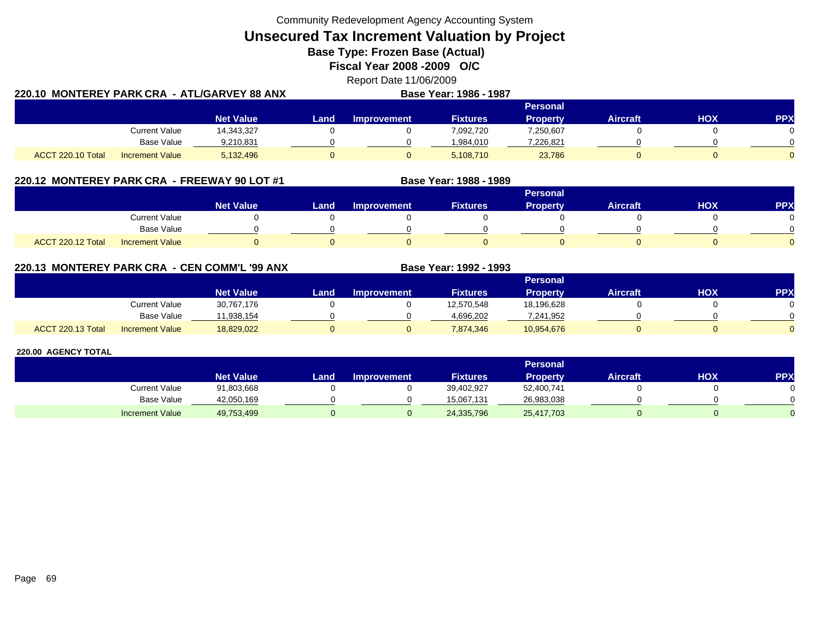**Unsecured Tax Increment Valuation by Project**

**Base Type: Frozen Base (Actual)** 

**Fiscal Year 2008 -2009 O/C**

|                                                | Report Date 11/06/2009        |  |
|------------------------------------------------|-------------------------------|--|
| 220.10  MONTEREY PARK CRA  - ATL/GARVEY 88 ANX | <b>Base Year: 1986 - 1987</b> |  |

|                   |                        | <b>Personal</b>  |      |                    |                 |                 |                 |     |     |  |  |  |
|-------------------|------------------------|------------------|------|--------------------|-----------------|-----------------|-----------------|-----|-----|--|--|--|
|                   |                        | <b>Net Value</b> | Land | <b>Improvement</b> | <b>Fixtures</b> | <b>Property</b> | <b>Aircraft</b> | НОХ | PPX |  |  |  |
|                   | <b>Current Value</b>   | 14,343,327       |      |                    | 7,092,720       | 7,250,607       |                 |     |     |  |  |  |
|                   | <b>Base Value</b>      | 9.210.831        |      |                    | 984.010.        | 7,226,821       |                 |     |     |  |  |  |
| ACCT 220.10 Total | <b>Increment Value</b> | 5,132,496        |      |                    | 5,108,710       | 23,786          |                 |     |     |  |  |  |

# **220.12 MONTEREY PARK CRA - FREEWAY 90 LOT #1 Base Year: 1988 - 1989**

|                   |                        |                  |      |                    |                 | <b>Personal</b> |                 |            |          |
|-------------------|------------------------|------------------|------|--------------------|-----------------|-----------------|-----------------|------------|----------|
|                   |                        | <b>Net Value</b> | Land | <b>Improvement</b> | <b>Fixtures</b> | <b>Property</b> | <b>Aircraft</b> | <b>HOX</b> | PPX      |
|                   | <b>Current Value</b>   |                  |      |                    |                 |                 |                 |            |          |
|                   | <b>Base Value</b>      |                  |      |                    |                 |                 |                 |            |          |
| ACCT 220.12 Total | <b>Increment Value</b> |                  |      |                    |                 |                 |                 |            | $\Omega$ |

### **220.13 MONTEREY PARK CRA - CEN COMM'L '99 ANX**

|                   |                        |                  |      |                    |                 | Personal   |                 |            |          |
|-------------------|------------------------|------------------|------|--------------------|-----------------|------------|-----------------|------------|----------|
|                   |                        | <b>Net Value</b> | Land | <b>Improvement</b> | <b>Fixtures</b> | Property   | <b>Aircraft</b> | <b>HOX</b> | PPX      |
|                   | Current Value          | 30,767,176       |      |                    | 12,570,548      | 18,196,628 |                 |            |          |
|                   | <b>Base Value</b>      | 1.938.154        |      |                    | 4,696,202       | 7,241,952  |                 |            | 0        |
| ACCT 220.13 Total | <b>Increment Value</b> | 18,829,022       |      |                    | 7,874,346       | 10,954,676 |                 |            | $\Omega$ |

**Base Year: 1992 - 1993**

|                        | <b>Personal</b>  |       |                    |                 |            |                 |     |            |  |  |  |
|------------------------|------------------|-------|--------------------|-----------------|------------|-----------------|-----|------------|--|--|--|
|                        | <b>Net Value</b> | Land, | <b>Improvement</b> | <b>Fixtures</b> | Property   | <b>Aircraft</b> | НОХ | <b>PPX</b> |  |  |  |
| <b>Current Value</b>   | 91,803,668       |       |                    | 39,402,927      | 52,400,741 |                 |     |            |  |  |  |
| <b>Base Value</b>      | 42,050,169       |       |                    | 15.067.131      | 26,983,038 |                 |     |            |  |  |  |
| <b>Increment Value</b> | 49,753,499       |       |                    | 24,335,796      | 25,417,703 |                 |     |            |  |  |  |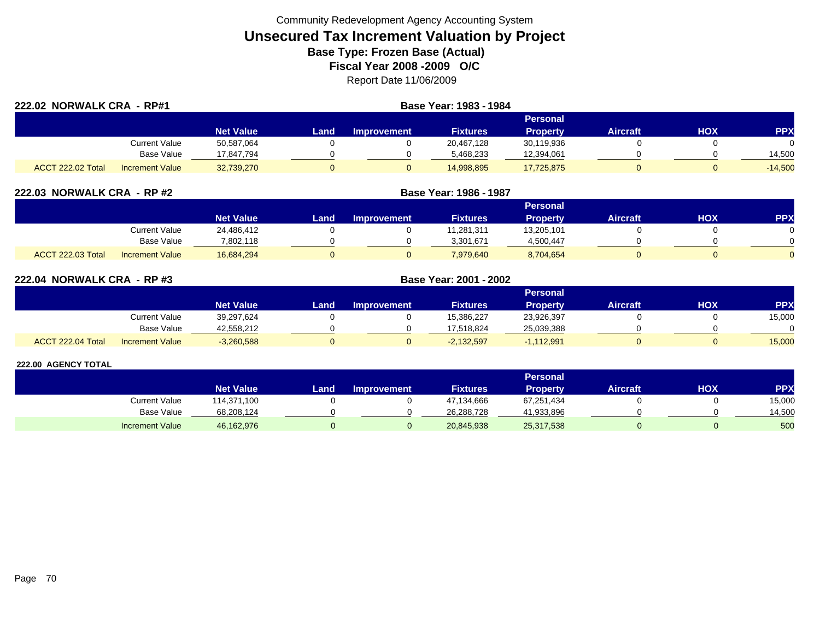| 222.02 NORWALK CRA - RP#1 |                        |                  | Base Year: 1983 - 1984 |                    |                 |                 |                 |     |              |
|---------------------------|------------------------|------------------|------------------------|--------------------|-----------------|-----------------|-----------------|-----|--------------|
|                           |                        |                  |                        |                    |                 | Personal        |                 |     |              |
|                           |                        | <b>Net Value</b> | Land                   | <b>Improvement</b> | <b>Fixtures</b> | <b>Property</b> | <b>Aircraft</b> | нох | <b>PPX</b>   |
|                           | Current Value          | 50,587,064       |                        |                    | 20,467,128      | 30,119,936      |                 |     | <sup>n</sup> |
|                           | <b>Base Value</b>      | 17.847.794       |                        |                    | 5,468,233       | 12,394,061      |                 |     | 14,500       |
| ACCT 222.02 Total         | <b>Increment Value</b> | 32,739,270       |                        |                    | 14,998,895      | 17,725,875      |                 |     | $-14,500$    |

| 222.03 NORWALK CRA - RP #2 |                        |                  |      | Base Year: 1986 - 1987 |                 |                 |                 |     |            |
|----------------------------|------------------------|------------------|------|------------------------|-----------------|-----------------|-----------------|-----|------------|
|                            |                        |                  |      |                        |                 | Personal        |                 |     |            |
|                            |                        | <b>Net Value</b> | Land | <b>Improvement</b>     | <b>Fixtures</b> | <b>Property</b> | <b>Aircraft</b> | ΗΟΧ | <b>PPX</b> |
|                            | Current Value          | 24.486.412       |      |                        | 11.281.311      | 13,205,101      |                 |     |            |
|                            | Base Value             | 7,802,118        |      |                        | 3,301,671       | 4,500,447       |                 |     |            |
| <b>ACCT 222.03 Total</b>   | <b>Increment Value</b> | 16,684,294       |      |                        | 7,979,640       | 8,704,654       |                 |     |            |

| 222.04 NORWALK CRA - RP #3 |                        |                  |      |                    | Base Year: 2001 - 2002 |                 |                 |            |            |
|----------------------------|------------------------|------------------|------|--------------------|------------------------|-----------------|-----------------|------------|------------|
|                            |                        |                  |      |                    |                        | <b>Personal</b> |                 |            |            |
|                            |                        | <b>Net Value</b> | Land | <b>Improvement</b> | <b>Fixtures</b>        | <b>Property</b> | <b>Aircraft</b> | <b>HOX</b> | <b>PPX</b> |
|                            | Current Value          | 39.297.624       |      |                    | 15.386.227             | 23,926,397      |                 |            | 15,000     |
|                            | Base Value             | 42,558,212       |      |                    | 17.518.824             | 25,039,388      |                 |            | $\Omega$   |
| ACCT 222.04 Total          | <b>Increment Value</b> | $-3,260,588$     |      |                    | $-2,132,597$           | $-1,112,991$    |                 |            | 15,000     |

|                        |                  |                  |                    |                 | Personal   |                 |     |            |
|------------------------|------------------|------------------|--------------------|-----------------|------------|-----------------|-----|------------|
|                        | <b>Net Value</b> | Land <b>Land</b> | <b>Improvement</b> | <b>Fixtures</b> | Property   | <b>Aircraft</b> | нох | <b>PPX</b> |
| Current Value          | 14,371,100       |                  |                    | 47,134,666      | 67,251,434 |                 |     | 15,000     |
| <b>Base Value</b>      | 68,208,124       |                  |                    | 26,288,728      | 41,933,896 |                 |     | 14,500     |
| <b>Increment Value</b> | 46,162,976       |                  |                    | 20,845,938      | 25,317,538 |                 |     | 500        |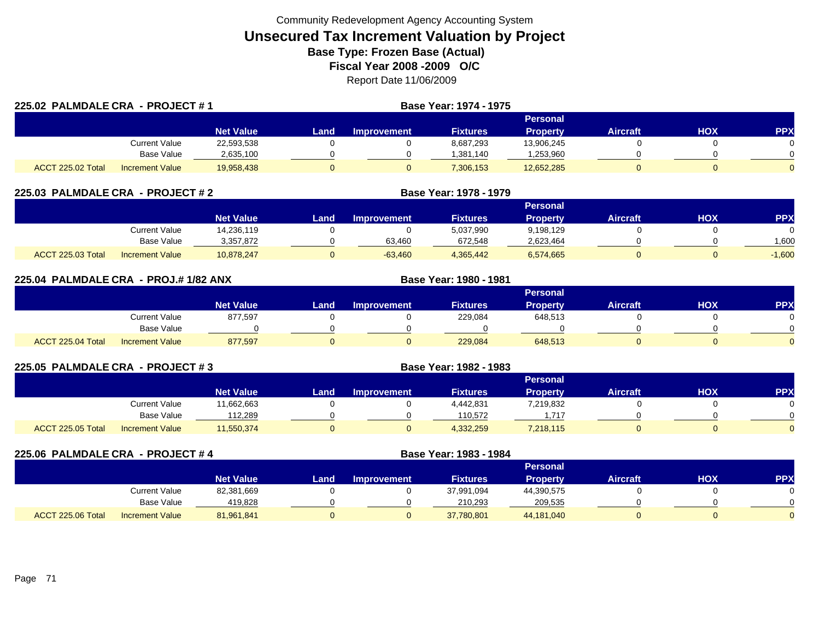| 225.02 PALMDALE CRA - PROJECT #1 |                        |                  |      |                    | <b>Base Year: 1974 - 1975</b> |                 |                 |     |            |
|----------------------------------|------------------------|------------------|------|--------------------|-------------------------------|-----------------|-----------------|-----|------------|
|                                  |                        |                  |      |                    |                               | Personal        |                 |     |            |
|                                  |                        | <b>Net Value</b> | Land | <b>Improvement</b> | <b>Fixtures</b>               | <b>Property</b> | <b>Aircraft</b> | HOX | <b>PPX</b> |
|                                  | Current Value          | 22,593,538       |      |                    | 8,687,293                     | 13,906,245      |                 |     |            |
|                                  | <b>Base Value</b>      | 2,635,100        |      |                    | 1,381,140                     | ,253,960        |                 |     |            |
| ACCT 225.02 Total                | <b>Increment Value</b> | 19,958,438       |      |                    | 7,306,153                     | 12,652,285      |                 |     |            |

| 225.03 PALMDALE CRA - PROJECT # 2 |                        |                  |      |                    | Base Year: 1978 - 1979 |                 |                 |     |            |  |  |
|-----------------------------------|------------------------|------------------|------|--------------------|------------------------|-----------------|-----------------|-----|------------|--|--|
|                                   |                        |                  |      | Personal           |                        |                 |                 |     |            |  |  |
|                                   |                        | <b>Net Value</b> | Land | <b>Improvement</b> | <b>Fixtures</b>        | <b>Property</b> | <b>Aircraft</b> | нох | <b>PPX</b> |  |  |
|                                   | Current Value          | 14.236.119       |      |                    | 5,037,990              | 9.198.129       |                 |     |            |  |  |
|                                   | Base Value             | 3.357.872        |      | 63.460             | 672.548                | 2,623,464       |                 |     | 1.600      |  |  |
| ACCT 225.03 Total                 | <b>Increment Value</b> | 10.878.247       |      | $-63.460$          | 4,365,442              | 6,574,665       |                 |     | $-1.600$   |  |  |

|                   | 225.04 PALMDALE CRA - PROJ.#1/82 ANX |                  |      | Base Year: 1980 - 1981 |                 |                 |                 |            |            |
|-------------------|--------------------------------------|------------------|------|------------------------|-----------------|-----------------|-----------------|------------|------------|
|                   |                                      |                  |      |                        |                 | <b>Personal</b> |                 |            |            |
|                   |                                      | <b>Net Value</b> | Land | <b>Improvement</b>     | <b>Fixtures</b> | Property        | <b>Aircraft</b> | <b>HOX</b> | <b>PPX</b> |
|                   | <b>Current Value</b>                 | 877,597          |      |                        | 229,084         | 648,513         |                 |            |            |
|                   | Base Value                           |                  |      |                        |                 |                 |                 |            |            |
| ACCT 225.04 Total | <b>Increment Value</b>               | 877,597          |      |                        | 229,084         | 648,513         |                 |            |            |

| 225.05 PALMDALE CRA - PROJECT #3 |                        |                  |      | Base Year: 1982 - 1983 |                 |                 |                 |     |            |
|----------------------------------|------------------------|------------------|------|------------------------|-----------------|-----------------|-----------------|-----|------------|
|                                  |                        |                  |      |                        |                 | Personal        |                 |     |            |
|                                  |                        | <b>Net Value</b> | Land | <b>Improvement</b>     | <b>Fixtures</b> | <b>Property</b> | <b>Aircraft</b> | нох | <b>PPX</b> |
|                                  | <b>Current Value</b>   | 11,662,663       |      |                        | 4,442,831       | 7,219,832       |                 |     |            |
|                                  | Base Value             | 112,289          |      |                        | 110.572         | 1.717           |                 |     |            |
| ACCT 225.05 Total                | <b>Increment Value</b> | 11,550,374       |      |                        | 4,332,259       | 7,218,115       |                 |     |            |

| 225.06 PALMDALE CRA - PROJECT #4 |                   |                        |                  |      | Base Year: 1983 - 1984 |                 |                 |                 |     |           |
|----------------------------------|-------------------|------------------------|------------------|------|------------------------|-----------------|-----------------|-----------------|-----|-----------|
|                                  |                   |                        | Personal         |      |                        |                 |                 |                 |     |           |
|                                  |                   |                        | <b>Net Value</b> | Land | <b>Improvement</b>     | <b>Fixtures</b> | <b>Property</b> | <b>Aircraft</b> | нох | <b>PP</b> |
|                                  |                   | Current Value          | 82,381,669       |      |                        | 37,991,094      | 44.390.575      |                 |     |           |
|                                  |                   | Base Value             | 419,828          |      |                        | 210.293         | 209,535         |                 |     |           |
|                                  | ACCT 225.06 Total | <b>Increment Value</b> | 81,961,841       |      |                        | 37,780,801      | 44,181,040      |                 |     |           |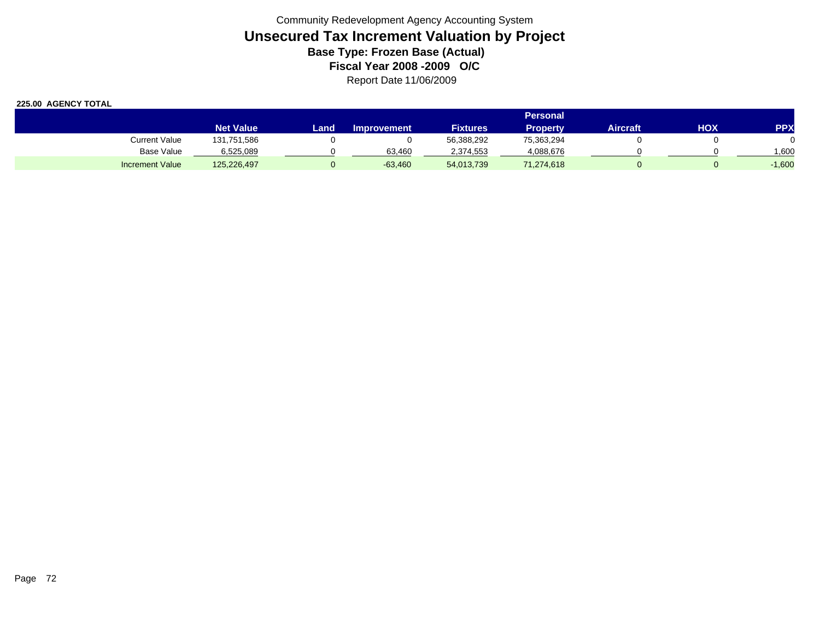|                        | <b>Personal</b>  |      |                    |                 |                 |          |     |            |  |
|------------------------|------------------|------|--------------------|-----------------|-----------------|----------|-----|------------|--|
|                        | <b>Net Value</b> | Land | <b>Improvement</b> | <b>Fixtures</b> | <b>Property</b> | Aircraft | ΗΟΧ | <b>PPX</b> |  |
| Current Value          | 131,751,586      |      |                    | 56,388,292      | 75,363,294      |          |     |            |  |
| Base Value             | 6,525,089        |      | 63.460             | 2,374,553       | 4,088,676       |          |     | 006,       |  |
| <b>Increment Value</b> | 125,226,497      |      | $-63,460$          | 54,013,739      | 71,274,618      |          |     | $-1,600$   |  |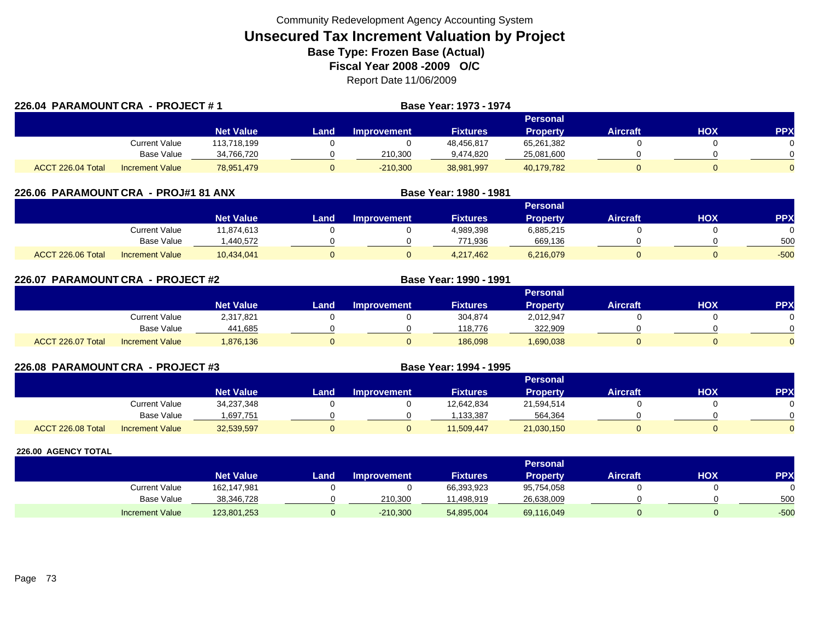| 226.04 PARAMOUNT CRA - PROJECT #1 |                        |                  |      |                    | <b>Base Year: 1973 - 1974</b> |                 |                 |     |            |
|-----------------------------------|------------------------|------------------|------|--------------------|-------------------------------|-----------------|-----------------|-----|------------|
|                                   |                        |                  |      |                    |                               | Personal        |                 |     |            |
|                                   |                        | <b>Net Value</b> | Land | <b>Improvement</b> | <b>Fixtures</b>               | <b>Property</b> | <b>Aircraft</b> | HOX | <b>PPX</b> |
|                                   | Current Value          | 113,718,199      |      |                    | 48,456,817                    | 65,261,382      |                 |     |            |
|                                   | Base Value             | 34,766,720       |      | 210,300            | 9,474,820                     | 25,081,600      |                 |     |            |
| ACCT 226.04 Total                 | <b>Increment Value</b> | 78,951,479       |      | $-210,300$         | 38,981,997                    | 40,179,782      |                 |     |            |

| 226.06 PARAMOUNTCRA - PROJ#1 81 ANX |                        |                  | Base Year: 1980 - 1981 |             |                 |                 |                 |     |            |
|-------------------------------------|------------------------|------------------|------------------------|-------------|-----------------|-----------------|-----------------|-----|------------|
|                                     |                        |                  |                        |             |                 | <b>Personal</b> |                 |     |            |
|                                     |                        | <b>Net Value</b> | Land                   | Improvement | <b>Fixtures</b> | <b>Property</b> | <b>Aircraft</b> | нох | <b>PPX</b> |
|                                     | <b>Current Value</b>   | 11.874.613       |                        |             | 4,989,398       | 6,885,215       |                 |     |            |
|                                     | <b>Base Value</b>      | .440.572         |                        |             | 771,936         | 669,136         |                 |     | 500        |
| ACCT 226.06 Total                   | <b>Increment Value</b> | 10,434,041       |                        |             | 4,217,462       | 6,216,079       |                 |     | $-500$     |

| 226.07 PARAMOUNT CRA - PROJECT #2 |                        |                  |      |                    | Base Year: 1990 - 1991 |                 |                 |            |          |
|-----------------------------------|------------------------|------------------|------|--------------------|------------------------|-----------------|-----------------|------------|----------|
|                                   |                        |                  |      |                    |                        | Personal        |                 |            |          |
|                                   |                        | <b>Net Value</b> | Land | <b>Improvement</b> | <b>Fixtures</b>        | <b>Property</b> | <b>Aircraft</b> | <b>HOX</b> | PPX      |
|                                   | Current Value          | 2,317,821        |      |                    | 304,874                | 2,012,947       |                 |            | 0        |
|                                   | Base Value             | 441,685          |      |                    | 118.776                | 322,909         |                 |            | $\Omega$ |
| ACCT 226.07 Total                 | <b>Increment Value</b> | 1,876,136        |      |                    | 186,098                | 1,690,038       |                 |            | $\Omega$ |

| 226.08 PARAMOUNT CRA - PROJECT #3 |                        |                  |      |                    | Base Year: 1994 - 1995 |                 |                 |     |            |
|-----------------------------------|------------------------|------------------|------|--------------------|------------------------|-----------------|-----------------|-----|------------|
|                                   |                        |                  |      |                    |                        | <b>Personal</b> |                 |     |            |
|                                   |                        | <b>Net Value</b> | Land | <b>Improvement</b> | <b>Fixtures</b>        | <b>Property</b> | <b>Aircraft</b> | HOX | <b>PPX</b> |
|                                   | <b>Current Value</b>   | 34,237,348       |      |                    | 12,642,834             | 21,594,514      |                 |     |            |
|                                   | Base Value             | .697,751         |      |                    | ,133,387               | 564,364         |                 |     |            |
| ACCT 226.08 Total                 | <b>Increment Value</b> | 32,539,597       |      |                    | 11,509,447             | 21,030,150      | 0               |     |            |

|                        |                  |      |                    |                 | Personal   |          |     |        |
|------------------------|------------------|------|--------------------|-----------------|------------|----------|-----|--------|
|                        | <b>Net Value</b> | Land | <b>Improvement</b> | <b>Fixtures</b> | Property   | Aircraft | нох | PPX    |
| <b>Current Value</b>   | 162,147,981      |      |                    | 66,393,923      | 95,754,058 |          |     | 0      |
| <b>Base Value</b>      | 38,346,728       |      | 210.300            | .498.919        | 26,638,009 |          |     | 500    |
| <b>Increment Value</b> | 123,801,253      |      | $-210,300$         | 54,895,004      | 69,116,049 |          |     | $-500$ |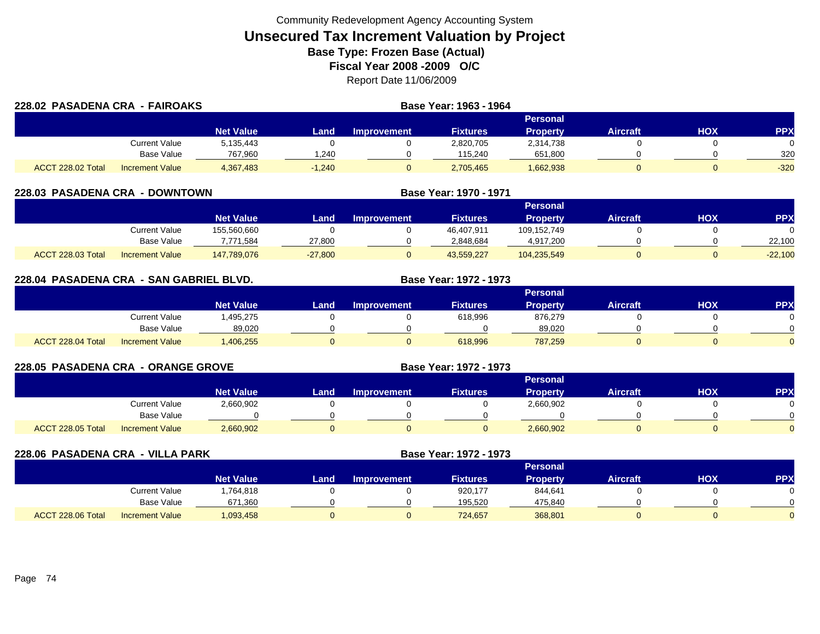| 228.02 PASADENA CRA - FAIROAKS |                        |                  |          | Base Year: 1963 - 1964 |                 |                 |                 |     |        |
|--------------------------------|------------------------|------------------|----------|------------------------|-----------------|-----------------|-----------------|-----|--------|
|                                |                        |                  |          |                        |                 | Personal        |                 |     |        |
|                                |                        | <b>Net Value</b> | Land     | <b>Improvement</b>     | <b>Fixtures</b> | <b>Property</b> | <b>Aircraft</b> | HOX | PPX    |
|                                | Current Value          | 5,135,443        |          |                        | 2,820,705       | 2,314,738       |                 |     |        |
|                                | Base Value             | 767,960          | .240     |                        | 115.240         | 651,800         |                 |     | 320    |
| ACCT 228.02 Total              | <b>Increment Value</b> | 4,367,483        | $-1.240$ |                        | 2,705,465       | 1,662,938       |                 |     | $-320$ |

| 228.03 PASADENA CRA - DOWNTOWN |                        |                  |           |                    | Base Year: 1970 - 1971 |                 |                 |     |            |
|--------------------------------|------------------------|------------------|-----------|--------------------|------------------------|-----------------|-----------------|-----|------------|
|                                |                        |                  |           |                    |                        | <b>Personal</b> |                 |     |            |
|                                |                        | <b>Net Value</b> | Land      | <b>Improvement</b> | <b>Fixtures</b>        | <b>Property</b> | <b>Aircraft</b> | нох | <b>PPX</b> |
|                                | Current Value          | 155,560,660      |           |                    | 46,407,911             | 109.152.749     |                 |     |            |
|                                | Base Value             | 7,771,584        | 27,800    |                    | 2,848,684              | 4,917,200       |                 |     | 22,100     |
| ACCT 228.03 Total              | <b>Increment Value</b> | 147,789,076      | $-27,800$ |                    | 43,559,227             | 104,235,549     |                 |     | $-22,100$  |

| 228.04 PASADENA CRA - SAN GABRIEL BLVD. |                        |                  |      | Base Year: 1972 - 1973 |          |                 |                 |     |            |
|-----------------------------------------|------------------------|------------------|------|------------------------|----------|-----------------|-----------------|-----|------------|
|                                         |                        |                  |      |                        |          | <b>Personal</b> |                 |     |            |
|                                         |                        | <b>Net Value</b> | Land | <b>Improvement</b>     | Fixtures | <b>Property</b> | <b>Aircraft</b> | нох | <b>PPX</b> |
|                                         | Current Value          | .495.275         |      |                        | 618.996  | 876.279         |                 |     |            |
|                                         | Base Value             | 89,020           |      |                        |          | 89,020          |                 |     |            |
| ACCT 228.04 Total                       | <b>Increment Value</b> | ,406,255         |      |                        | 618.996  | 787,259         |                 |     |            |

| <b>228.05 PASADENA CRA - ORANGE GROVE</b> |                        |                  |      |                    | <b>Base Year: 1972 - 1973</b> |                 |                 |            |            |
|-------------------------------------------|------------------------|------------------|------|--------------------|-------------------------------|-----------------|-----------------|------------|------------|
|                                           |                        |                  |      |                    |                               | <b>Personal</b> |                 |            |            |
|                                           |                        | <b>Net Value</b> | Land | <b>Improvement</b> | <b>Fixtures</b>               | Property        | <b>Aircraft</b> | <b>HOX</b> | <b>PPX</b> |
|                                           | <b>Current Value</b>   | 2,660,902        |      |                    |                               | 2,660,902       |                 |            |            |
|                                           | <b>Base Value</b>      |                  |      |                    |                               |                 |                 |            |            |
| ACCT 228.05 Total                         | <b>Increment Value</b> | 2,660,902        |      |                    |                               | 2,660,902       |                 |            |            |

| 228.06 PASADENA CRA - VILLA PARK |                        |                  |      | Base Year: 1972 - 1973 |                 |                 |                 |            |            |
|----------------------------------|------------------------|------------------|------|------------------------|-----------------|-----------------|-----------------|------------|------------|
|                                  |                        |                  |      |                        |                 | <b>Personal</b> |                 |            |            |
|                                  |                        | <b>Net Value</b> | Land | <b>Improvement</b>     | <b>Fixtures</b> | <b>Property</b> | <b>Aircraft</b> | <b>NOH</b> | <b>PPX</b> |
|                                  | <b>Current Value</b>   | ,764,818         |      |                        | 920.177         | 844.641         |                 |            |            |
|                                  | Base Value             | 671,360          |      |                        | 195,520         | 475,840         |                 |            |            |
| ACCT 228.06 Total                | <b>Increment Value</b> | 1,093,458        |      |                        | 724,657         | 368,801         |                 |            |            |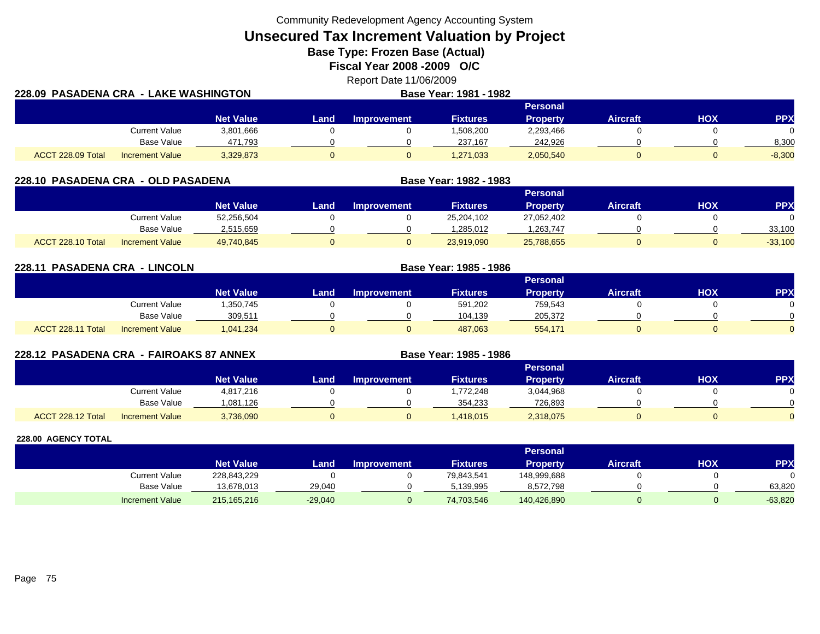Community Redevelopment Agency Accounting System

**Unsecured Tax Increment Valuation by Project**

**Base Type: Frozen Base (Actual)** 

**Fiscal Year 2008 -2009 O/C**

Report Date 11/06/2009 **Base Year: 1981 - 1982**

| 228.09  PASADENA CRA  -  LAKE WASHINGTON |                        |                  |      |             | <b>Base Year: 1981 - 1982</b> |                 |                 |     |          |
|------------------------------------------|------------------------|------------------|------|-------------|-------------------------------|-----------------|-----------------|-----|----------|
|                                          |                        |                  |      |             |                               |                 |                 |     |          |
|                                          |                        | <b>Net Value</b> | Land | Improvement | <b>Fixtures</b>               | <b>Property</b> | <b>Aircraft</b> | ΗΟΧ | PPX      |
|                                          | <b>Current Value</b>   | 3,801,666        |      |             | 1,508,200                     | 2,293,466       |                 |     |          |
|                                          | Base Value             | 471,793          |      |             | 237.167                       | 242,926         |                 |     | 8,300    |
| ACCT 228.09 Total                        | <b>Increment Value</b> | 3,329,873        |      |             | 1,271,033                     | 2,050,540       |                 |     | $-8,300$ |

| 228.10 PASADENA CRA - OLD PASADENA |                        |                  |      |                    | Base Year: 1982 - 1983 |                 |                 |     |            |
|------------------------------------|------------------------|------------------|------|--------------------|------------------------|-----------------|-----------------|-----|------------|
|                                    |                        |                  |      |                    |                        | <b>Personal</b> |                 |     |            |
|                                    |                        | <b>Net Value</b> | Land | <b>Improvement</b> | <b>Fixtures</b>        | <b>Property</b> | <b>Aircraft</b> | нох | <b>PPX</b> |
|                                    | Current Value          | 52,256,504       |      |                    | 25,204,102             | 27,052,402      |                 |     |            |
|                                    | <b>Base Value</b>      | 2,515,659        |      |                    | 1,285,012              | .263,747        |                 |     | 33,100     |
| ACCT 228.10 Total                  | <b>Increment Value</b> | 49.740.845       |      |                    | 23,919,090             | 25,788,655      |                 |     | $-33,100$  |

**228.11 PASADENA CRA - LINCOLN Base Year: 1985 - 1986 Personal Net Value Land Improvement Fixtures Property Aircraft HOX PPX** Current Value 1,350,745 0 0 591,202 759,543 0 0 0 Base Value 309,511 0 0 104,139 205,372 0 0 ACCT 228.11 TotalI Increment Value 1,041,234 0 0 0 487,063 554,171 0 0 0 0 0

| 228.12 PASADENA CRA - FAIROAKS 87 ANNEX |                        |                  |      |                    | Base Year: 1985 - 1986 |                 |                 |     |            |
|-----------------------------------------|------------------------|------------------|------|--------------------|------------------------|-----------------|-----------------|-----|------------|
|                                         |                        |                  |      |                    |                        | Personal        |                 |     |            |
|                                         |                        | <b>Net Value</b> | Land | <b>Improvement</b> | <b>Fixtures</b>        | <b>Property</b> | <b>Aircraft</b> | нох | <b>PPX</b> |
|                                         | Current Value          | 4,817,216        |      |                    | ,772,248               | 3,044,968       |                 |     |            |
|                                         | Base Value             | 1,081,126        |      |                    | 354.233                | 726,893         |                 |     |            |
| ACCT 228.12 Total                       | <b>Increment Value</b> | 3,736,090        |      |                    | 1,418,015              | 2,318,075       |                 |     |            |

|                        |                  |           |                    |                 | <b>Personal</b> |                 |            |           |
|------------------------|------------------|-----------|--------------------|-----------------|-----------------|-----------------|------------|-----------|
|                        | <b>Net Value</b> | Land .    | <b>Improvement</b> | <b>Fixtures</b> | Property        | <b>Aircraft</b> | <b>XOH</b> | PPX       |
| Current Value          | 228,843,229      |           |                    | 79,843,541      | 148,999,688     |                 |            |           |
| Base Value             | 13,678,013       | 29.040    |                    | 5,139,995       | 8,572,798       |                 |            | 63,820    |
| <b>Increment Value</b> | 215, 165, 216    | $-29,040$ |                    | 74,703,546      | 140,426,890     |                 |            | $-63,820$ |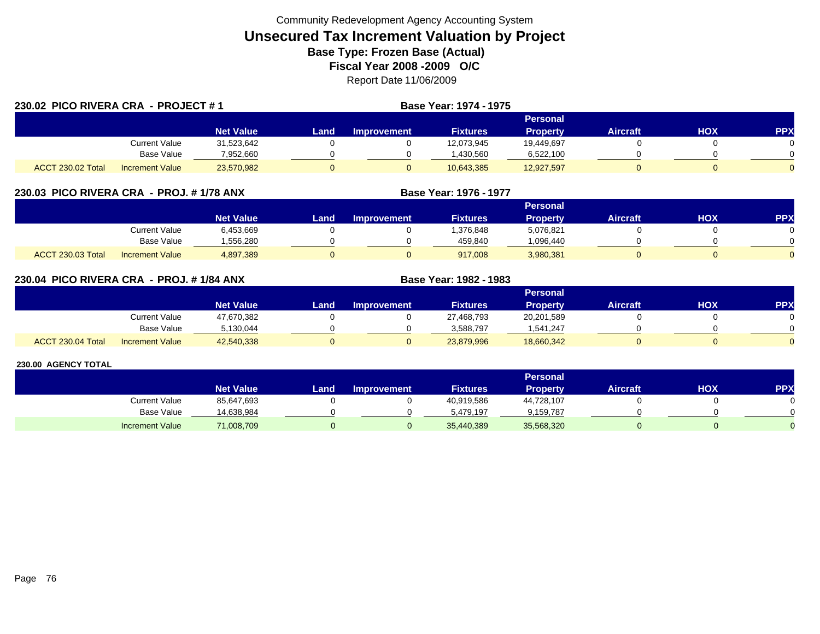|                   | 230.02 PICO RIVERA CRA - PROJECT # 1 |                  |      | <b>Base Year: 1974 - 1975</b> |                 |                 |                 |     |            |  |
|-------------------|--------------------------------------|------------------|------|-------------------------------|-----------------|-----------------|-----------------|-----|------------|--|
|                   |                                      |                  |      |                               |                 | <b>Personal</b> |                 |     |            |  |
|                   |                                      | <b>Net Value</b> | Land | <b>Improvement</b>            | <b>Fixtures</b> | <b>Property</b> | <b>Aircraft</b> | HOX | <b>PPX</b> |  |
|                   | Current Value                        | 31,523,642       |      |                               | 12,073,945      | 19,449,697      |                 |     |            |  |
|                   | <b>Base Value</b>                    | 7,952,660        |      |                               | .430.560        | 6,522,100       |                 |     |            |  |
| ACCT 230.02 Total | Increment Value                      | 23,570,982       |      |                               | 10,643,385      | 12,927,597      |                 |     |            |  |

# **230.03 PICO RIVERA CRA - PROJ. # 1/78 ANX**

|                          |                        |                  |      |                    |                 | Personal        |                 |            |          |
|--------------------------|------------------------|------------------|------|--------------------|-----------------|-----------------|-----------------|------------|----------|
|                          |                        | <b>Net Value</b> | Land | <b>Improvement</b> | <b>Fixtures</b> | <b>Property</b> | <b>Aircraft</b> | <b>XOH</b> | PPX      |
|                          | <b>Current Value</b>   | 6,453,669        |      |                    | ,376,848        | 5,076,821       |                 |            |          |
|                          | <b>Base Value</b>      | .556.280         |      |                    | 459.840         | 096,440         |                 |            | 0        |
| <b>ACCT 230.03 Total</b> | <b>Increment Value</b> | 4,897,389        |      |                    | 917,008         | 3,980,381       |                 |            | $\Omega$ |

**Base Year: 1976 - 1977**

**Base Year: 1982 - 1983**

# **230.04 PICO RIVERA CRA - PROJ. # 1/84 ANX**

|                   |                        |                  |      |                    |                 | Personal   |                 |            |            |
|-------------------|------------------------|------------------|------|--------------------|-----------------|------------|-----------------|------------|------------|
|                   |                        | <b>Net Value</b> | Land | <b>Improvement</b> | <b>Fixtures</b> | Property   | <b>Aircraft</b> | <b>XOH</b> | <b>PPX</b> |
|                   | <b>Current Value</b>   | 47,670,382       |      |                    | 27,468,793      | 20,201,589 |                 |            |            |
|                   | <b>Base Value</b>      | 5.130.044        |      |                    | 3.588.797       | 1.541.247  |                 |            | 0          |
| ACCT 230.04 Total | <b>Increment Value</b> | 42,540,338       |      |                    | 23,879,996      | 18,660,342 |                 |            | $\Omega$   |

|                        |                  |      |                    |                 | <b>Personal</b> |                 |            |     |
|------------------------|------------------|------|--------------------|-----------------|-----------------|-----------------|------------|-----|
|                        | <b>Net Value</b> | _and | <b>Improvement</b> | <b>Fixtures</b> | <b>Property</b> | <b>Aircraft</b> | <b>NOH</b> | PPX |
| Current Value          | 85,647,693       |      |                    | 40,919,586      | 44,728,107      |                 |            |     |
| Base Value             | 14,638,984       |      |                    | 5.479.197       | 9,159,787       |                 |            |     |
| <b>Increment Value</b> | 71,008,709       |      |                    | 35,440,389      | 35,568,320      |                 |            |     |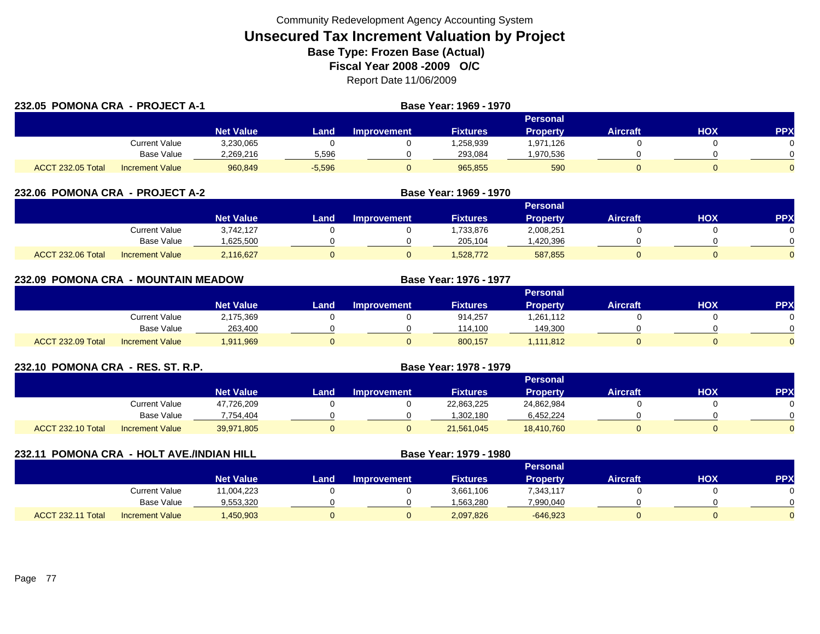| 232.05 POMONA CRA - PROJECT A-1 |                        |                  |          | Base Year: 1969 - 1970 |                 |                 |                 |     |            |
|---------------------------------|------------------------|------------------|----------|------------------------|-----------------|-----------------|-----------------|-----|------------|
|                                 |                        |                  |          |                        |                 | Personal        |                 |     |            |
|                                 |                        | <b>Net Value</b> | Land     | <b>Improvement</b>     | <b>Fixtures</b> | <b>Property</b> | <b>Aircraft</b> | HOX | <b>PPX</b> |
|                                 | Current Value          | 3,230,065        |          |                        | 1,258,939       | 1,971,126       |                 |     |            |
|                                 | Base Value             | 2,269,216        | 5,596    |                        | 293,084         | .970,536        |                 |     |            |
| <b>ACCT 232.05 Total</b>        | <b>Increment Value</b> | 960,849          | $-5,596$ | 0                      | 965,855         | 590             |                 |     |            |

| <b>POMONA CRA - PROJECT A-2</b><br>232.06 |                        |                  | Base Year: 1969 - 1970 |                    |                 |                 |                 |     |            |
|-------------------------------------------|------------------------|------------------|------------------------|--------------------|-----------------|-----------------|-----------------|-----|------------|
|                                           |                        |                  |                        |                    |                 | <b>Personal</b> |                 |     |            |
|                                           |                        | <b>Net Value</b> | Land                   | <b>Improvement</b> | <b>Fixtures</b> | <b>Property</b> | <b>Aircraft</b> | нох | <b>PPX</b> |
|                                           | Current Value          | 3,742,127        |                        |                    | 1,733,876       | 2,008,251       |                 |     |            |
|                                           | <b>Base Value</b>      | ,625,500         |                        |                    | 205,104         | ,420,396        |                 |     |            |
| <b>ACCT 232.06 Total</b>                  | <b>Increment Value</b> | 2,116,627        |                        |                    | 1,528,772       | 587,855         |                 |     |            |

| 232.09 POMONA CRA | <b>LEAD MOUNTAIN MEADOW</b> |                  |       |             | Base Year: 1976 - 1977 |                 |                 |            |            |
|-------------------|-----------------------------|------------------|-------|-------------|------------------------|-----------------|-----------------|------------|------------|
|                   |                             |                  |       |             |                        | <b>Personal</b> |                 |            |            |
|                   |                             | <b>Net Value</b> | Land. | Improvement | <b>Fixtures</b>        | <b>Property</b> | <b>Aircraft</b> | <b>HOX</b> | <b>PPX</b> |
|                   | Current Value               | 2,175,369        |       |             | 914.257                | 1,261,112       |                 |            | $\Omega$   |
|                   | <b>Base Value</b>           | 263,400          |       |             | 114.100                | 149,300         |                 |            | $\Omega$   |
| ACCT 232.09 Total | <b>Increment Value</b>      | 1,911,969        |       |             | 800.157                | 1,111,812       |                 |            | $\Omega$   |

| 232.10 POMONA CRA - RES. ST. R.P. |                   |                  | <b>Base Year: 1978 - 1979</b> |                    |                 |                 |                 |     |           |
|-----------------------------------|-------------------|------------------|-------------------------------|--------------------|-----------------|-----------------|-----------------|-----|-----------|
|                                   |                   |                  |                               |                    |                 | <b>Personal</b> |                 |     |           |
|                                   |                   | <b>Net Value</b> | Land                          | <b>Improvement</b> | <b>Fixtures</b> | <b>Property</b> | <b>Aircraft</b> | нох | <b>PP</b> |
|                                   | Current Value     | 47,726,209       |                               |                    | 22,863,225      | 24,862,984      |                 |     |           |
|                                   | <b>Base Value</b> | ,754,404         |                               |                    | 1,302,180       | 6,452,224       |                 |     |           |
| <b>ACCT 232.10 Total</b>          | Increment Value   | 39,971,805       |                               |                    | 21,561,045      | 18.410.760      |                 |     |           |

| 232.11 POMONA CRA - HOLT AVE./INDIAN HILL |                        |                  |      | Base Year: 1979 - 1980 |                 |                 |                 |     |            |
|-------------------------------------------|------------------------|------------------|------|------------------------|-----------------|-----------------|-----------------|-----|------------|
|                                           |                        |                  |      |                        |                 | Personal        |                 |     |            |
|                                           |                        | <b>Net Value</b> | Land | <b>Improvement</b>     | <b>Fixtures</b> | <b>Property</b> | <b>Aircraft</b> | НОХ | <b>PPX</b> |
|                                           | <b>Current Value</b>   | 11,004,223       |      |                        | 3,661,106       | 7,343,117       |                 |     |            |
|                                           | Base Value             | 9,553,320        |      |                        | 1,563,280       | 7,990,040       |                 |     |            |
| ACCT 232.11 Total                         | <b>Increment Value</b> | 1,450,903        |      |                        | 2,097,826       | $-646.923$      |                 |     |            |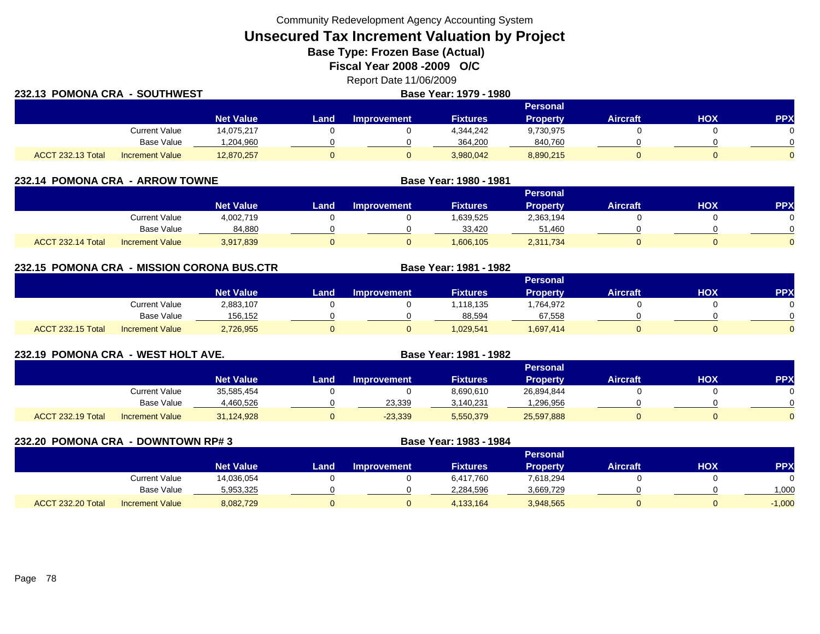Community Redevelopment Agency Accounting System

**Unsecured Tax Increment Valuation by Project**

**Base Type: Frozen Base (Actual)** 

**Fiscal Year 2008 -2009 O/C**

Report Date 11/06/2009

| 232.13 POMONA CRA - SOUTHWEST |                        |                  | Base Year: 1979 - 1980 |                    |                 |                 |                 |     |            |  |
|-------------------------------|------------------------|------------------|------------------------|--------------------|-----------------|-----------------|-----------------|-----|------------|--|
|                               |                        |                  |                        |                    |                 | <b>Personal</b> |                 |     |            |  |
|                               |                        | <b>Net Value</b> | Land                   | <b>Improvement</b> | <b>Fixtures</b> | <b>Property</b> | <b>Aircraft</b> | HOX | <b>PPX</b> |  |
|                               | <b>Current Value</b>   | 14,075,217       |                        |                    | 4,344,242       | 9,730,975       |                 |     |            |  |
|                               | Base Value             | 1,204,960        |                        |                    | 364.200         | 840,760         |                 |     |            |  |
| <b>ACCT 232.13 Total</b>      | <b>Increment Value</b> | 12,870,257       |                        |                    | 3,980,042       | 8,890,215       |                 |     |            |  |

| 232.14 POMONA CRA - ARROW TOWNE |                        |                  |      | Base Year: 1980 - 1981 |                 |                 |                 |            |            |
|---------------------------------|------------------------|------------------|------|------------------------|-----------------|-----------------|-----------------|------------|------------|
|                                 |                        |                  |      |                        |                 | <b>Personal</b> |                 |            |            |
|                                 |                        | <b>Net Value</b> | Land | <b>Improvement</b>     | <b>Fixtures</b> | <b>Property</b> | <b>Aircraft</b> | <b>HOX</b> | <b>PPX</b> |
|                                 | Current Value          | 4,002,719        |      |                        | .639,525        | 2,363,194       |                 |            |            |
|                                 | <b>Base Value</b>      | 84,880           |      |                        | 33.420          | 51,460          |                 |            |            |
| ACCT 232.14 Total               | <b>Increment Value</b> | 3,917,839        |      |                        | 1.606.105       | 2,311,734       |                 |            |            |

**232.15 POMONA CRA - MISSION CORONA BUS.CTR Base Year: 1981 - 1982 Personal Net Value LandImprovement Fixtures Property Aircraft HOX PPX** Current Value 2,883,107 0 0 1,118,135 1,764,972 0 0 Base Value 156,152 0 0 88,594 67,558 0 0 ACCT 232.15 TotalI Increment Value 2,726,955 0 1,029,541 1,697,414 0 0

| 232.19 POMONA CRA - WEST HOLT AVE. |                        |                  |      |                    | Base Year: 1981 - 1982 |                 |                 |            |            |
|------------------------------------|------------------------|------------------|------|--------------------|------------------------|-----------------|-----------------|------------|------------|
|                                    |                        |                  |      |                    |                        | <b>Personal</b> |                 |            |            |
|                                    |                        | <b>Net Value</b> | Land | <b>Improvement</b> | <b>Fixtures</b>        | <b>Property</b> | <b>Aircraft</b> | <b>NOH</b> | <b>PPX</b> |
|                                    | Current Value          | 35,585,454       |      |                    | 8,690,610              | 26,894,844      |                 |            |            |
|                                    | Base Value             | 4,460,526        |      | 23.339             | 3,140,231              | 1,296,956       |                 |            |            |
| ACCT 232.19 Total                  | <b>Increment Value</b> | 31,124,928       |      | $-23,339$          | 5,550,379              | 25,597,888      |                 |            |            |

| <b>232.20 POMONA CRA</b> | - DOWNTOWN RP# 3       |                  |      |                    | Base Year: 1983 - 1984 |                 |                 |     |          |
|--------------------------|------------------------|------------------|------|--------------------|------------------------|-----------------|-----------------|-----|----------|
|                          |                        |                  |      |                    |                        | <b>Personal</b> |                 |     |          |
|                          |                        | <b>Net Value</b> | Land | <b>Improvement</b> | <b>Fixtures</b>        | <b>Property</b> | <b>Aircraft</b> | нох | PP)      |
|                          | <b>Current Value</b>   | 14,036,054       |      |                    | 6,417,760              | 7,618,294       |                 |     |          |
|                          | Base Value             | 5,953,325        |      |                    | 2,284,596              | 3,669,729       |                 |     | 1,000    |
| <b>ACCT 232.20 Total</b> | <b>Increment Value</b> | 8,082,729        |      |                    | 4,133,164              | 3,948,565       | 0               |     | $-1,000$ |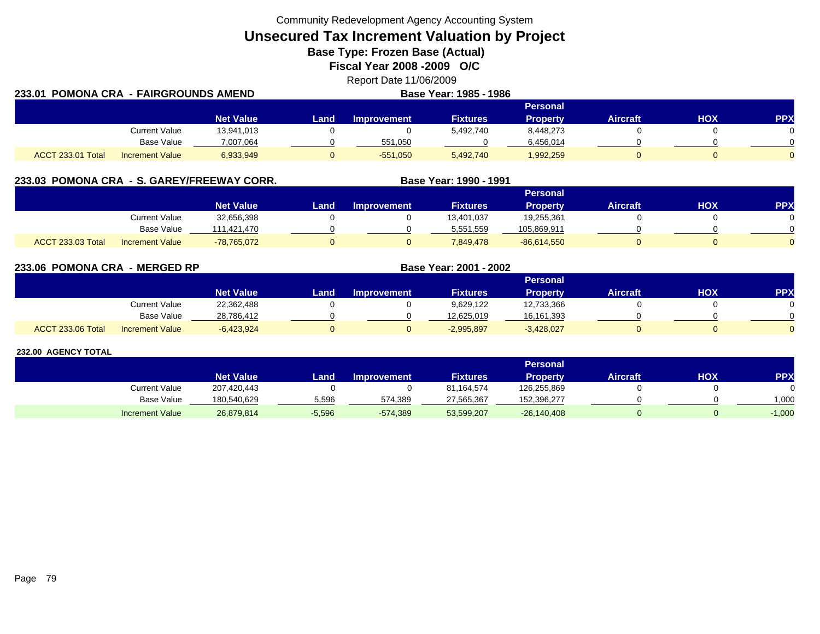Community Redevelopment Agency Accounting System

**Unsecured Tax Increment Valuation by Project**

**Base Type: Frozen Base (Actual)** 

**Fiscal Year 2008 -2009 O/C**

Report Date 11/06/2009 **Base Year: 1985 - 1986**

| 233.01 POMONA CRA  - FAIRGROUNDS AMEND |                        |                  |             | Base Year: 1985 - 1986 |           |                 |                 |     |            |
|----------------------------------------|------------------------|------------------|-------------|------------------------|-----------|-----------------|-----------------|-----|------------|
|                                        |                        |                  |             |                        |           | <b>Personal</b> |                 |     |            |
|                                        |                        | <b>Net Value</b> | <b>Land</b> | Improvement            | Fixtures  | <b>Property</b> | <b>Aircraft</b> | ΗΟΧ | <b>PPX</b> |
|                                        | <b>Current Value</b>   | 13,941,013       |             |                        | 5,492,740 | 8,448,273       |                 |     |            |
|                                        | Base Value             | 7.007.064        |             | 551.050                |           | 6.456.014       |                 |     |            |
| <b>ACCT 233.01 Total</b>               | <b>Increment Value</b> | 6,933,949        |             | $-551.050$             | 5,492,740 | 1,992,259       |                 |     |            |

| 233.03 POMONA CRA - S. GAREY/FREEWAY CORR. |                        |                  |      |                    | Base Year: 1990 - 1991 |                 |                 |     |            |
|--------------------------------------------|------------------------|------------------|------|--------------------|------------------------|-----------------|-----------------|-----|------------|
|                                            |                        |                  |      |                    |                        | Personal        |                 |     |            |
|                                            |                        | <b>Net Value</b> | Land | <b>Improvement</b> | <b>Fixtures</b>        | <b>Property</b> | <b>Aircraft</b> | нох | <b>PPX</b> |
|                                            | Current Value          | 32,656,398       |      |                    | 13.401.037             | 19.255.361      |                 |     |            |
|                                            | Base Value             | 111.421.470      |      |                    | 5,551,559              | 105,869,911     |                 |     |            |
| <b>ACCT 233.03 Total</b>                   | <b>Increment Value</b> | $-78,765,072$    |      |                    | 7.849.478              | $-86,614,550$   |                 |     |            |

**233.06 POMONA CRA - MERGED RP Base Year: 2001 - 2002 Personal Net Value Land Improvement Fixtures Property Aircraft HOX PPX** Current Value 22,362,488 0 0 9,629,122 12,733,366 0 0 Base Value 28,786,412 0 0 12,625,019 16,161,393 0 0 ACCT 233.06 Totall Increment Value -6,423,924 0 0 -2,995,897 -3,428,027 0 0 0

|                        |                  |          |                    |                 | <b>Personal</b> |                 |     |            |
|------------------------|------------------|----------|--------------------|-----------------|-----------------|-----------------|-----|------------|
|                        | <b>Net Value</b> | Landı    | <b>Improvement</b> | <b>Fixtures</b> | Propertv        | <b>Aircraft</b> | HOX | <b>PPX</b> |
| Current Value          | 207,420,443      |          |                    | 81,164,574      | 126,255,869     |                 |     |            |
| <b>Base Value</b>      | 180,540,629      | 5,596    | 574.389            | 27,565,367      | 152,396,277     |                 |     | 000,1      |
| <b>Increment Value</b> | 26,879,814       | $-5,596$ | $-574,389$         | 53,599,207      | $-26,140,408$   |                 |     | $-1,000$   |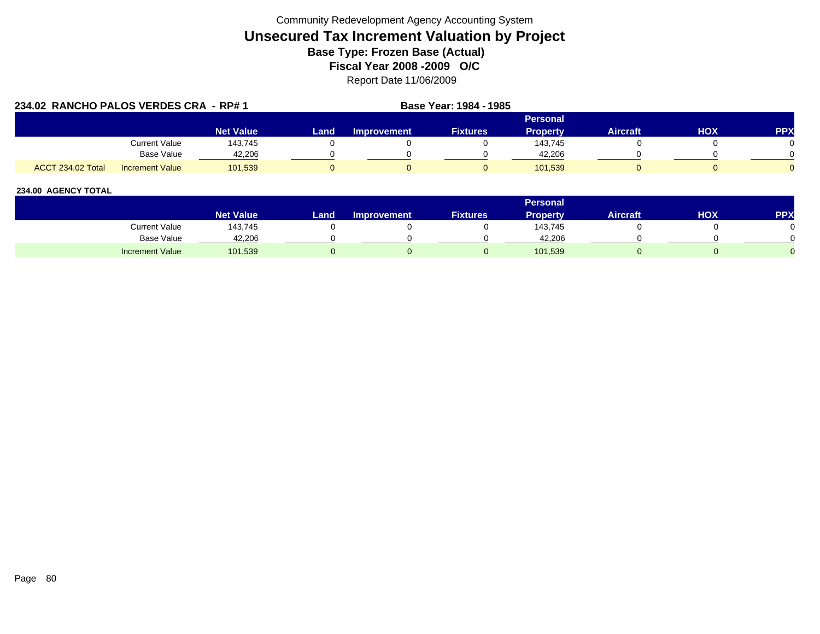|                          | 234.02 RANCHO PALOS VERDES CRA - RP# 1 |                  |      |                    | <b>Base Year: 1984 - 1985</b> |                 |                 |            |            |
|--------------------------|----------------------------------------|------------------|------|--------------------|-------------------------------|-----------------|-----------------|------------|------------|
|                          |                                        |                  |      |                    |                               | <b>Personal</b> |                 |            |            |
|                          |                                        | <b>Net Value</b> | Land | <b>Improvement</b> | <b>Fixtures</b>               | <b>Property</b> | <b>Aircraft</b> | <b>HOX</b> | <b>PPX</b> |
|                          | Current Value                          | 143.745          |      |                    |                               | 143.745         |                 |            |            |
|                          | Base Value                             | 42.206           |      |                    |                               | 42.206          |                 |            |            |
| <b>ACCT 234.02 Total</b> | <b>Increment Value</b>                 | 101.539          |      |                    |                               | 101.539         |                 |            |            |

|                        |                        |      |                    |                 | <b>Personal</b> |                 |     |            |
|------------------------|------------------------|------|--------------------|-----------------|-----------------|-----------------|-----|------------|
|                        | Net Value <sup>1</sup> | Land | <b>Improvement</b> | <b>Fixtures</b> | Property        | <b>Aircraft</b> | ΗΟΧ | <b>PPX</b> |
| Current Value          | 143,745                |      |                    |                 | 143,745         |                 |     |            |
| Base Value             | 42,206                 |      |                    |                 | 42.206          |                 |     |            |
| <b>Increment Value</b> | 101,539                |      |                    |                 | 101,539         |                 |     |            |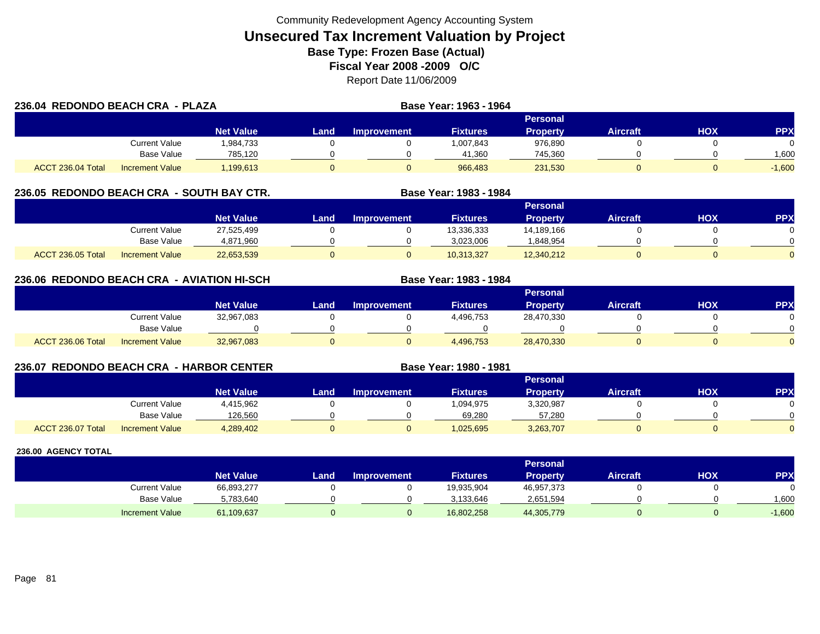| 236.04 REDONDO BEACH CRA - PLAZA |                        |                  |      |                    | Base Year: 1963 - 1964 |                 |                 |     |            |
|----------------------------------|------------------------|------------------|------|--------------------|------------------------|-----------------|-----------------|-----|------------|
|                                  |                        |                  |      |                    |                        | Personal        |                 |     |            |
|                                  |                        | <b>Net Value</b> | Land | <b>Improvement</b> | <b>Fixtures</b>        | <b>Property</b> | <b>Aircraft</b> | HOX | <b>PPX</b> |
|                                  | Current Value          | 1,984,733        |      |                    | 1,007,843              | 976,890         |                 |     |            |
|                                  | <b>Base Value</b>      | 785,120          |      |                    | 41,360                 | 745,360         |                 |     | 1,600      |
| ACCT 236.04 Total                | <b>Increment Value</b> | 1,199,613        |      |                    | 966.483                | 231,530         |                 |     | $-1,600$   |

# **236.05 REDONDO BEACH CRA - SOUTH BAY CTR. Base Year: 1983 - 1984**

|                   |                        |                  |      |             |                 | Personal   |                 |            |          |
|-------------------|------------------------|------------------|------|-------------|-----------------|------------|-----------------|------------|----------|
|                   |                        | <b>Net Value</b> | Land | Improvement | <b>Fixtures</b> | Propertv   | <b>Aircraft</b> | <b>HOX</b> | PPX      |
|                   | Current Value          | 27,525,499       |      |             | 13,336,333      | 14,189,166 |                 |            |          |
|                   | <b>Base Value</b>      | 4,871,960        |      |             | 3,023,006       | .848,954   |                 |            | 0        |
| ACCT 236.05 Total | <b>Increment Value</b> | 22,653,539       |      |             | 10,313,327      | 12,340,212 |                 |            | $\Omega$ |

# **236.06 REDONDO BEACH CRA - AVIATION HI-SCH**

|                   |                        |                  |      |                    |                 | Personal        |                 |            |           |
|-------------------|------------------------|------------------|------|--------------------|-----------------|-----------------|-----------------|------------|-----------|
|                   |                        | <b>Net Value</b> | Land | <b>Improvement</b> | <b>Fixtures</b> | <b>Property</b> | <b>Aircraft</b> | <b>HOX</b> | <b>PP</b> |
|                   | Current Value          | 32,967,083       |      |                    | 4,496,753       | 28,470,330      |                 |            |           |
|                   | Base Value             |                  |      |                    |                 |                 |                 |            |           |
| ACCT 236.06 Total | <b>Increment Value</b> | 32,967,083       |      |                    | 4,496,753       | 28,470,330      |                 |            |           |

**Base Year: 1983 - 1984**

**Base Year: 1980 - 1981**

# **236.07 REDONDO BEACH CRA - HARBOR CENTER**

|                   |                        |                  |      |                    |                 | Personal  |                 |            |           |
|-------------------|------------------------|------------------|------|--------------------|-----------------|-----------|-----------------|------------|-----------|
|                   |                        | <b>Net Value</b> | Land | <b>Improvement</b> | <b>Fixtures</b> | Property  | <b>Aircraft</b> | <b>HOX</b> | <b>PP</b> |
|                   | Current Value          | 4,415,962        |      |                    | 1,094,975       | 3,320,987 |                 |            |           |
|                   | <b>Base Value</b>      | 126.560          |      |                    | 69.280          | 57.280    |                 |            |           |
| ACCT 236.07 Total | <b>Increment Value</b> | 4,289,402        |      |                    | 1,025,695       | 3,263,707 |                 |            |           |

|                        |                  |      |                    |                 | Personal   |                 |            |          |
|------------------------|------------------|------|--------------------|-----------------|------------|-----------------|------------|----------|
|                        | <b>Net Value</b> | Land | <b>Improvement</b> | <b>Fixtures</b> | Property   | <b>Aircraft</b> | <b>HOX</b> | PPX      |
| <b>Current Value</b>   | 66,893,277       |      |                    | 19,935,904      | 46,957,373 |                 |            |          |
| <b>Base Value</b>      | 5,783,640        |      |                    | 3.133.646       | 2,651,594  |                 |            | 1,600    |
| <b>Increment Value</b> | 61,109,637       |      |                    | 16,802,258      | 44,305,779 |                 |            | $-1,600$ |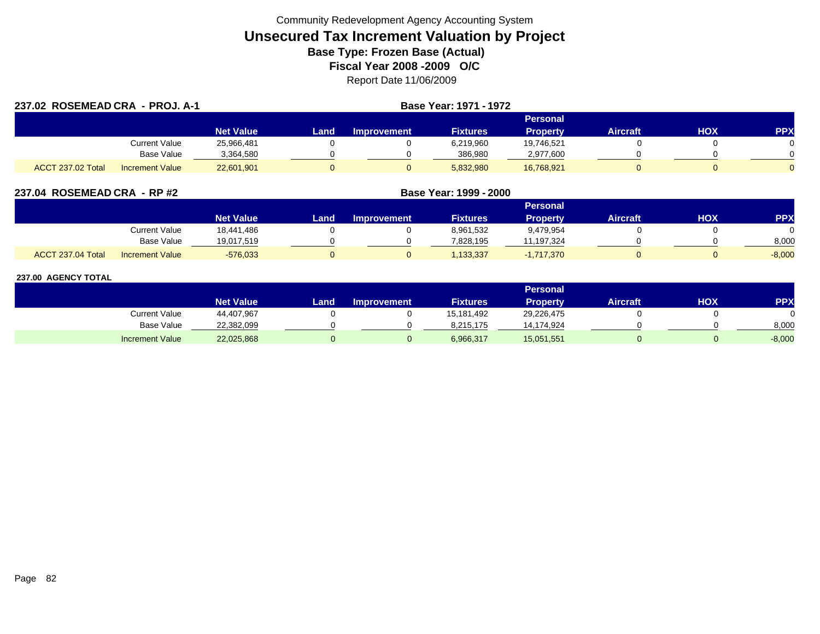| 237.02 ROSEMEAD CRA - PROJ. A-1 |                        |                  |      | <b>Base Year: 1971 - 1972</b> |                 |                 |                 |            |            |
|---------------------------------|------------------------|------------------|------|-------------------------------|-----------------|-----------------|-----------------|------------|------------|
|                                 |                        |                  |      |                               |                 | Personal        |                 |            |            |
|                                 |                        | <b>Net Value</b> | Land | Improvement                   | <b>Fixtures</b> | <b>Property</b> | <b>Aircraft</b> | <b>HOX</b> | <b>PPX</b> |
|                                 | Current Value          | 25,966,481       |      |                               | 6,219,960       | 19,746,521      |                 |            |            |
|                                 | <b>Base Value</b>      | 3,364,580        |      |                               | 386,980         | 2,977,600       |                 |            |            |
| ACCT 237.02 Total               | <b>Increment Value</b> | 22,601,901       |      |                               | 5,832,980       | 16,768,921      |                 |            |            |

| 237.04 ROSEMEAD CRA - RP #2                 |                  | Base Year: 1999 - 2000 |                    |                 |                 |                 |     |           |
|---------------------------------------------|------------------|------------------------|--------------------|-----------------|-----------------|-----------------|-----|-----------|
|                                             |                  |                        |                    |                 | <b>Personal</b> |                 |     |           |
|                                             | <b>Net Value</b> | Land                   | <b>Improvement</b> | <b>Fixtures</b> | <b>Property</b> | <b>Aircraft</b> | нох | <b>PP</b> |
| Current Value                               | 18.441.486       |                        |                    | 8,961,532       | 9,479,954       |                 |     |           |
| Base Value                                  | 19,017,519       |                        |                    | 7,828,195       | 11,197,324      |                 |     | 8,000     |
| ACCT 237.04 Total<br><b>Increment Value</b> | $-576,033$       |                        |                    | ,133,337        | $-1,717,370$    |                 |     | $-8,000$  |

|                        |                  |      |                    |                 | <b>Personal</b> |                 |     |           |
|------------------------|------------------|------|--------------------|-----------------|-----------------|-----------------|-----|-----------|
|                        | <b>Net Value</b> | Land | <b>Improvement</b> | <b>Fixtures</b> | <b>Property</b> | <b>Aircraft</b> | нох | <b>PP</b> |
| Current Value          | 44,407,967       |      |                    | 15,181,492      | 29,226,475      |                 |     |           |
| <b>Base Value</b>      | 22,382,099       |      |                    | 8.215.175       | 14,174,924      |                 |     | 8,000     |
| <b>Increment Value</b> | 22,025,868       |      |                    | 6,966,317       | 15,051,551      |                 |     | $-8,000$  |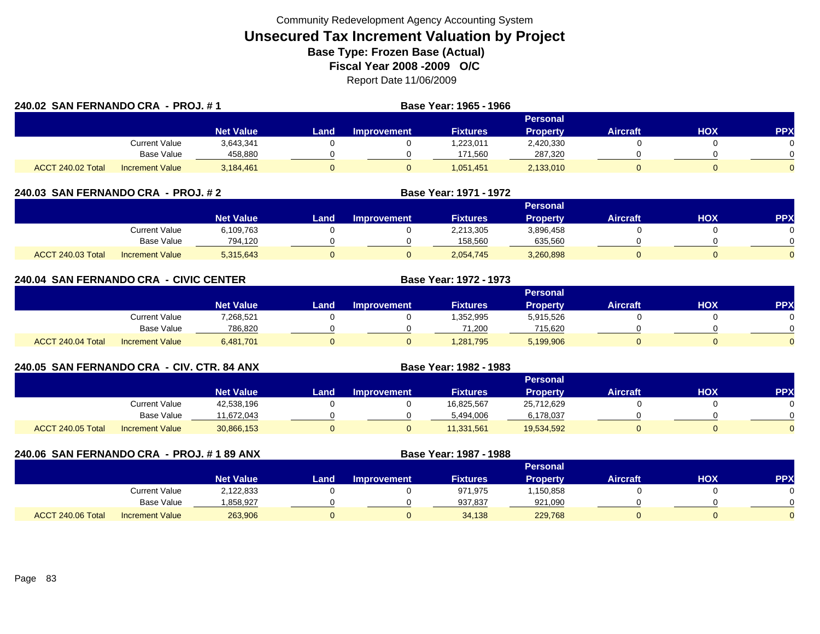| 240.02 SAN FERNANDO CRA - PROJ. #1 |                        |                  |      | Base Year: 1965 - 1966 |                 |                 |                 |     |            |
|------------------------------------|------------------------|------------------|------|------------------------|-----------------|-----------------|-----------------|-----|------------|
|                                    |                        |                  |      |                        |                 | Personal        |                 |     |            |
|                                    |                        | <b>Net Value</b> | Land | <b>Improvement</b>     | <b>Fixtures</b> | <b>Property</b> | <b>Aircraft</b> | нох | <b>PPX</b> |
|                                    | Current Value          | 3,643,341        |      |                        | 1,223,011       | 2,420,330       |                 |     |            |
|                                    | Base Value             | 458,880          |      |                        | 171,560         | 287,320         |                 |     |            |
| ACCT 240.02 Total                  | <b>Increment Value</b> | 3,184,461        |      |                        | 1,051,451       | 2,133,010       |                 |     |            |

| 240.03 SAN FERNANDO CRA - PROJ. # 2 |                        | Base Year: 1971 - 1972 |      |                    |                 |                 |                 |            |            |
|-------------------------------------|------------------------|------------------------|------|--------------------|-----------------|-----------------|-----------------|------------|------------|
|                                     |                        |                        |      |                    |                 | Personal        |                 |            |            |
|                                     |                        | <b>Net Value</b>       | Land | <b>Improvement</b> | <b>Fixtures</b> | <b>Property</b> | <b>Aircraft</b> | <b>XOH</b> | <b>PPX</b> |
|                                     | Current Value          | 6,109,763              |      |                    | 2,213,305       | 3,896,458       |                 |            |            |
|                                     | Base Value             | 794,120                |      |                    | 158,560         | 635,560         |                 |            |            |
| <b>ACCT 240.03 Total</b>            | <b>Increment Value</b> | 5,315,643              |      |                    | 2.054.745       | 3,260,898       |                 |            |            |

|                   | 240.04 SAN FERNANDO CRA - CIVIC CENTER |                        |                  |      |                    | <b>Base Year: 1972 - 1973</b> |                 |                 |     |            |
|-------------------|----------------------------------------|------------------------|------------------|------|--------------------|-------------------------------|-----------------|-----------------|-----|------------|
|                   |                                        |                        |                  |      |                    |                               | Personal        |                 |     |            |
|                   |                                        |                        | <b>Net Value</b> | Land | <b>Improvement</b> | <b>Fixtures</b>               | <b>Property</b> | <b>Aircraft</b> | нох | <b>PPX</b> |
|                   |                                        | Current Value          | 7,268,521        |      |                    | 1,352,995                     | 5,915,526       |                 |     |            |
|                   |                                        | Base Value             | 786,820          |      |                    | 71,200                        | 715,620         |                 |     |            |
| ACCT 240.04 Total |                                        | <b>Increment Value</b> | 6,481,701        |      |                    | 1,281,795                     | 5,199,906       |                 |     |            |

| 240.05 SAN FERNANDO CRA - CIV. CTR. 84 ANX |                        |                  |      |             | Base Year: 1982 - 1983 |                 |                 |     |           |
|--------------------------------------------|------------------------|------------------|------|-------------|------------------------|-----------------|-----------------|-----|-----------|
|                                            |                        |                  |      |             |                        | <b>Personal</b> |                 |     |           |
|                                            |                        | <b>Net Value</b> | Land | Improvement | <b>Fixtures</b>        | <b>Property</b> | <b>Aircraft</b> | HOX | <b>PP</b> |
|                                            | Current Value          | 42,538,196       |      |             | 16,825,567             | 25,712,629      |                 |     |           |
|                                            | Base Value             | 11.672.043       |      |             | 5,494,006              | 6,178,037       |                 |     |           |
| ACCT 240.05 Total                          | <b>Increment Value</b> | 30,866,153       |      |             | 11,331,561             | 19,534,592      |                 |     |           |

| 240.06 SAN FERNANDO CRA - PROJ. #189 ANX |                        |                  |      |                    | Base Year: 1987 - 1988 |                 |                 |            |            |
|------------------------------------------|------------------------|------------------|------|--------------------|------------------------|-----------------|-----------------|------------|------------|
|                                          |                        |                  |      |                    |                        | <b>Personal</b> |                 |            |            |
|                                          |                        | <b>Net Value</b> | Land | <b>Improvement</b> | <b>Fixtures</b>        | <b>Property</b> | <b>Aircraft</b> | <b>NOH</b> | <b>PPX</b> |
|                                          | <b>Current Value</b>   | 2,122,833        |      |                    | 971,975                | 1,150,858       |                 |            |            |
|                                          | Base Value             | .858,927         |      |                    | 937,837                | 921,090         |                 |            |            |
| ACCT 240.06 Total                        | <b>Increment Value</b> | 263,906          |      |                    | 34.138                 | 229,768         |                 |            |            |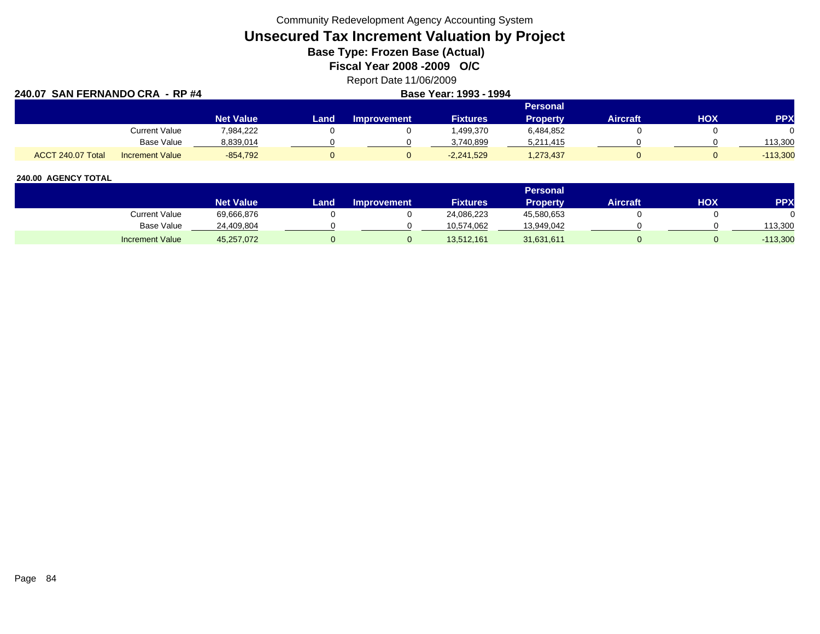Community Redevelopment Agency Accounting System

# **Unsecured Tax Increment Valuation by Project**

**Base Type: Frozen Base (Actual)** 

**Fiscal Year 2008 -2009 O/C**

Report Date 11/06/2009

| 240.07 SAN FERNANDO CRA - RP #4 | Base Year: 1993 - 1994 |                  |       |                    |                 |                 |                 |            |            |
|---------------------------------|------------------------|------------------|-------|--------------------|-----------------|-----------------|-----------------|------------|------------|
|                                 |                        |                  |       |                    |                 | <b>Personal</b> |                 |            |            |
|                                 |                        | <b>Net Value</b> | Landı | <b>Improvement</b> | <b>Fixtures</b> | <b>Property</b> | <b>Aircraft</b> | <b>HOX</b> | <b>PPX</b> |
|                                 | <b>Current Value</b>   | 7.984.222        |       |                    | .499.370        | 6,484,852       |                 |            |            |
|                                 | Base Value             | 8,839,014        |       |                    | 3,740,899       | 5,211,415       |                 |            | 113.300    |
| ACCT 240.07 Total               | <b>Increment Value</b> | $-854.792$       |       |                    | $-2,241,529$    | 1,273,437       |                 |            | $-113,300$ |

|                        |                  |      |                    |                 | <b>Personal</b> |                 |     |         |
|------------------------|------------------|------|--------------------|-----------------|-----------------|-----------------|-----|---------|
|                        | <b>Net Value</b> | Land | <b>Improvement</b> | <b>Fixtures</b> | Propertv        | <b>Aircraft</b> | HOX | PPX     |
| Current Value          | 69,666,876       |      |                    | 24,086,223      | 45,580,653      |                 |     |         |
| Base Value             | 24,409,804       |      |                    | 10.574.062      | 13,949,042      |                 |     | 113.300 |
| <b>Increment Value</b> | 45,257,072       |      |                    | 13,512,161      | 31,631,611      |                 |     | 113,300 |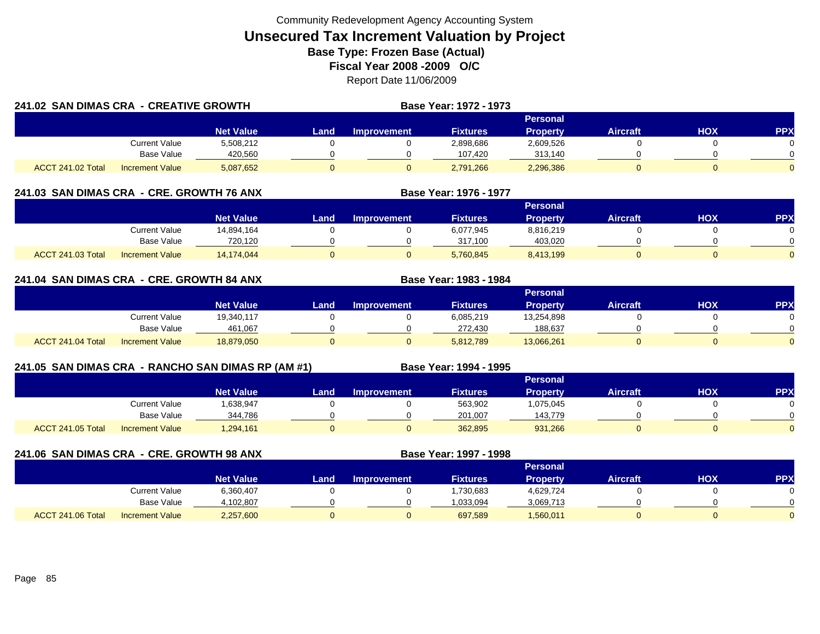| 241.02 SAN DIMAS CRA - CREATIVE GROWTH |                        |                  |       | <b>Base Year: 1972 - 1973</b> |                 |                 |          |     |            |
|----------------------------------------|------------------------|------------------|-------|-------------------------------|-----------------|-----------------|----------|-----|------------|
|                                        |                        |                  |       |                               |                 | <b>Personal</b> |          |     |            |
|                                        |                        | <b>Net Value</b> | Land. | Improvement                   | <b>Fixtures</b> | <b>Property</b> | Aircraft | нох | <b>PPX</b> |
|                                        | Current Value          | 5,508,212        |       |                               | 2,898,686       | 2,609,526       |          |     |            |
|                                        | Base Value             | 420.560          |       |                               | 107.420         | 313.140         |          |     |            |
| ACCT 241.02 Total                      | <b>Increment Value</b> | 5,087,652        |       |                               | 2,791,266       | 2,296,386       |          |     | $\Omega$   |

# **241.03 SAN DIMAS CRA - CRE. GROWTH 76 ANX**

|                          |                        |                  |      |                    |                 | Personal        |                 |     |     |
|--------------------------|------------------------|------------------|------|--------------------|-----------------|-----------------|-----------------|-----|-----|
|                          |                        | <b>Net Value</b> | Land | <b>Improvement</b> | <b>Fixtures</b> | <b>Property</b> | <b>Aircraft</b> | нох | PPX |
|                          | <b>Current Value</b>   | 14,894,164       |      |                    | 6,077,945       | 8,816,219       |                 |     |     |
|                          | <b>Base Value</b>      | 720.120          |      |                    | 317.100         | 403.020         |                 |     |     |
| <b>ACCT 241.03 Total</b> | <b>Increment Value</b> | 14,174,044       |      |                    | 5,760,845       | 8,413,199       |                 |     |     |

**Base Year: 1976 - 1977**

**Base Year: 1983 - 1984**

# **241.04 SAN DIMAS CRA - CRE. GROWTH 84 ANX**

|                   |                        |                  |      |             |                 | Personal        |                 |            |            |
|-------------------|------------------------|------------------|------|-------------|-----------------|-----------------|-----------------|------------|------------|
|                   |                        | <b>Net Value</b> | Land | Improvement | <b>Fixtures</b> | <b>Property</b> | <b>Aircraft</b> | <b>HOX</b> | <b>PPX</b> |
|                   | <b>Current Value</b>   | 19,340,117       |      |             | 6,085,219       | 13,254,898      |                 |            |            |
|                   | <b>Base Value</b>      | 461,067          |      |             | 272,430         | 188,637         |                 |            |            |
| ACCT 241.04 Total | <b>Increment Value</b> | 18,879,050       |      |             | 5,812,789       | 13,066,261      |                 |            |            |

# **241.05 SAN DIMAS CRA - RANCHO SAN DIMAS RP (AM #1) Base Year: 1994 - 1995**

|                   |                        |                  |       |                    |                 | <b>Personal</b> |                 |            |           |
|-------------------|------------------------|------------------|-------|--------------------|-----------------|-----------------|-----------------|------------|-----------|
|                   |                        | <b>Net Value</b> | Land, | <b>Improvement</b> | <b>Fixtures</b> | <b>Property</b> | <b>Aircraft</b> | <b>HOX</b> | <b>PP</b> |
|                   | <b>Current Value</b>   | 1,638,947        |       |                    | 563,902         | 1,075,045       |                 |            |           |
|                   | <b>Base Value</b>      | 344.786          |       |                    | 201.007         | 143.779         |                 |            |           |
| ACCT 241.05 Total | <b>Increment Value</b> | 1,294,161        | 0     |                    | 362,895         | 931,266         |                 |            |           |

**241.06 SAN DIMAS CRA - CRE. GROWTH 98 ANX**

**Base Year: 1997 - 1998**

|                   |                        |                  |       |                    |                 | Personal  |                 |     |            |
|-------------------|------------------------|------------------|-------|--------------------|-----------------|-----------|-----------------|-----|------------|
|                   |                        | <b>Net Value</b> | Land. | <b>Improvement</b> | <b>Fixtures</b> | Property  | <b>Aircraft</b> | нох | <b>PPX</b> |
|                   | <b>Current Value</b>   | 6,360,407        |       |                    | ,730,683        | 4,629,724 |                 |     |            |
|                   | <b>Base Value</b>      | 1,102,807        |       |                    | 1,033,094       | 3,069,713 |                 |     |            |
| ACCT 241.06 Total | <b>Increment Value</b> | 2,257,600        | 0     |                    | 697,589         | 1,560,011 |                 |     |            |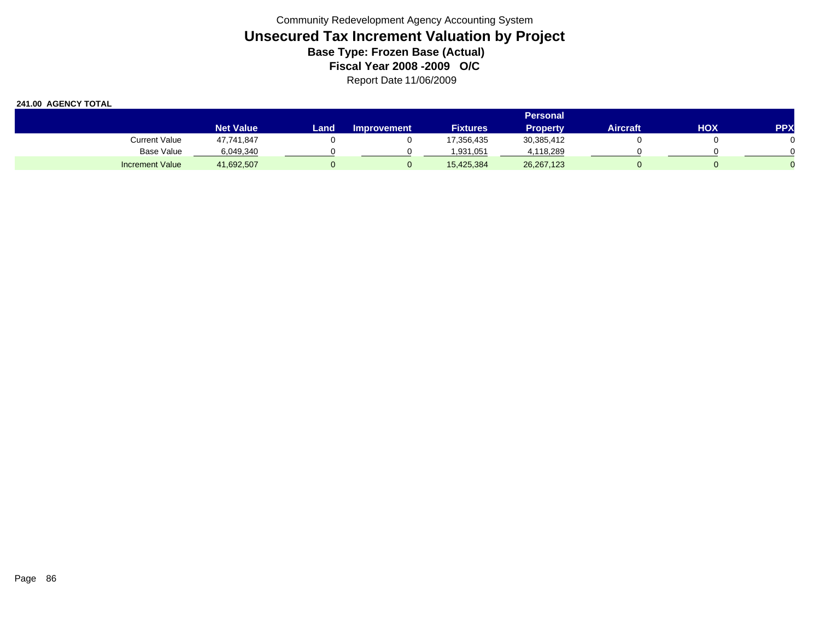|                        |                  | <b>Personal</b> |                    |                 |                 |          |     |            |  |  |  |  |
|------------------------|------------------|-----------------|--------------------|-----------------|-----------------|----------|-----|------------|--|--|--|--|
|                        | <b>Net Value</b> | Land.           | <b>Improvement</b> | <b>Fixtures</b> | <b>Property</b> | Aircraft | HOX | <b>PPX</b> |  |  |  |  |
| <b>Current Value</b>   | 47,741,847       |                 |                    | 17,356,435      | 30,385,412      |          |     |            |  |  |  |  |
| <b>Base Value</b>      | 6,049,340        |                 |                    | 1,931,051       | 4,118,289       |          |     |            |  |  |  |  |
| <b>Increment Value</b> | 41,692,507       |                 |                    | 15,425,384      | 26, 267, 123    |          |     |            |  |  |  |  |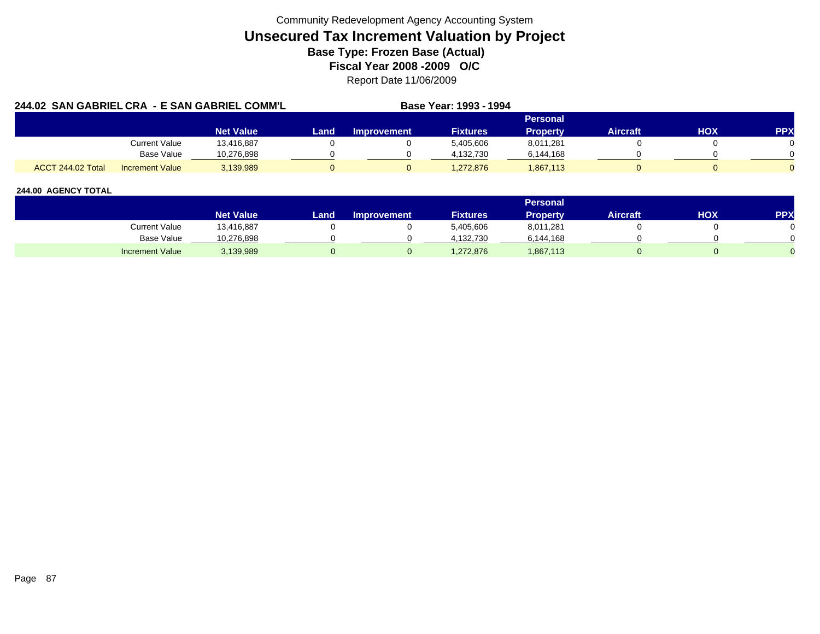| 244.02 SAN GABRIEL CRA - E SAN GABRIEL COMM'L |                        |                  | Base Year: 1993 - 1994 |             |                 |                 |                 |            |            |
|-----------------------------------------------|------------------------|------------------|------------------------|-------------|-----------------|-----------------|-----------------|------------|------------|
|                                               |                        |                  |                        |             |                 | <b>Personal</b> |                 |            |            |
|                                               |                        | <b>Net Value</b> | Land                   | Improvement | <b>Fixtures</b> | <b>Property</b> | <b>Aircraft</b> | <b>HOX</b> | <b>PPX</b> |
|                                               | <b>Current Value</b>   | 13,416,887       |                        |             | 5.405.606       | 8,011,281       |                 |            |            |
|                                               | Base Value             | 10.276.898       |                        |             | 4.132.730       | 6,144,168       |                 |            |            |
| ACCT 244.02 Total                             | <b>Increment Value</b> | 3,139,989        |                        |             | 1,272,876       | 1,867,113       |                 |            |            |

|                        |                        |       |                    |                 | Personal  |                 |     |     |
|------------------------|------------------------|-------|--------------------|-----------------|-----------|-----------------|-----|-----|
|                        | Net Value <sup>1</sup> | Land, | <b>Improvement</b> | <b>Fixtures</b> | Property  | <b>Aircraft</b> | HOX | PPX |
| Current Value          | 13,416,887             |       |                    | 5,405,606       | 8,011,281 |                 |     |     |
| Base Value             | 10,276,898             |       |                    | 4.132.730       | 6,144,168 |                 |     |     |
| <b>Increment Value</b> | 3,139,989              |       |                    | 1,272,876       | 1,867,113 |                 |     |     |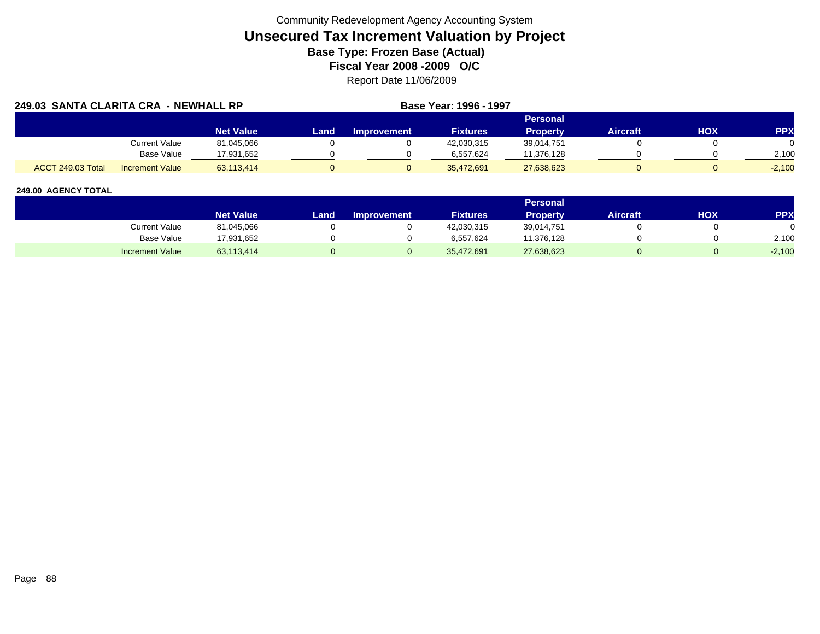| 249.03 SANTA CLARITA CRA - NEWHALL RP |                        |                  |      |                    | Base Year: 1996 - 1997 |                 |                 |     |            |
|---------------------------------------|------------------------|------------------|------|--------------------|------------------------|-----------------|-----------------|-----|------------|
|                                       |                        |                  |      |                    |                        | <b>Personal</b> |                 |     |            |
|                                       |                        | <b>Net Value</b> | Land | <b>Improvement</b> | <b>Fixtures</b>        | <b>Property</b> | <b>Aircraft</b> | HOX | <b>PPX</b> |
|                                       | <b>Current Value</b>   | 81,045,066       |      |                    | 42,030,315             | 39,014,751      |                 |     |            |
|                                       | Base Value             | 17.931.652       |      |                    | 6.557.624              | 11,376,128      |                 |     | 2.100      |
| ACCT 249.03 Total                     | <b>Increment Value</b> | 63.113.414       |      |                    | 35.472.691             | 27,638,623      |                 |     | $-2.100$   |

|                        |                  |       |                    |                 | <b>Personal</b> |                 |     |          |
|------------------------|------------------|-------|--------------------|-----------------|-----------------|-----------------|-----|----------|
|                        | <b>Net Value</b> | Land. | <b>Improvement</b> | <b>Fixtures</b> | <b>Property</b> | <b>Aircraft</b> | HOX | PPX      |
| Current Value          | 81,045,066       |       |                    | 42,030,315      | 39,014,751      |                 |     |          |
| <b>Base Value</b>      | 17,931,652       |       |                    | 6.557.624       | 11,376,128      |                 |     | 2,100    |
| <b>Increment Value</b> | 63,113,414       |       |                    | 35,472,691      | 27,638,623      |                 |     | $-2,100$ |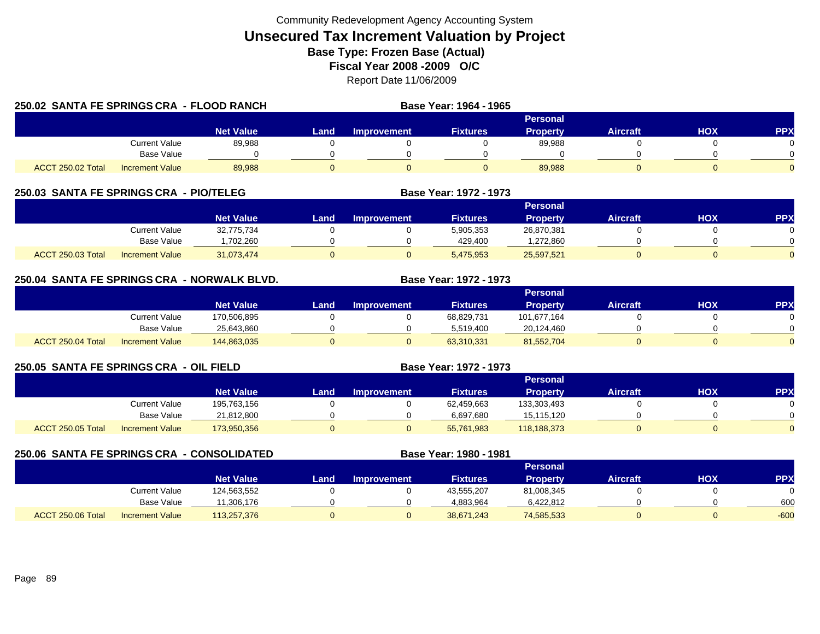|                          | 250.02 SANTA FE SPRINGS CRA - FLOOD RANCH |                  | Base Year: 1964 - 1965 |                    |                 |                 |                 |     |            |
|--------------------------|-------------------------------------------|------------------|------------------------|--------------------|-----------------|-----------------|-----------------|-----|------------|
|                          |                                           |                  |                        |                    |                 | Personal        |                 |     |            |
|                          |                                           | <b>Net Value</b> | Land                   | <b>Improvement</b> | <b>Fixtures</b> | <b>Property</b> | <b>Aircraft</b> | HOX | <b>PPX</b> |
|                          | <b>Current Value</b>                      | 89,988           |                        |                    |                 | 89,988          |                 |     |            |
|                          | Base Value                                |                  |                        |                    |                 |                 |                 |     |            |
| <b>ACCT 250.02 Total</b> | Increment Value                           | 89.988           |                        |                    |                 | 89,988          |                 |     |            |

# **250.03 SANTA FE SPRINGS CRA - PIO/TELEG**

|                                             |                  |      |                    |                 | Personal   |                 |            |          |
|---------------------------------------------|------------------|------|--------------------|-----------------|------------|-----------------|------------|----------|
|                                             | <b>Net Value</b> | _and | <b>Improvement</b> | <b>Fixtures</b> | Propertv   | <b>Aircraft</b> | <b>HOX</b> | PPX      |
| <b>Current Value</b>                        | 32,775,734       |      |                    | 5,905,353       | 26,870,381 |                 |            |          |
| <b>Base Value</b>                           | .702.260         |      |                    | 429.400         | ,272,860   |                 |            | 0        |
| ACCT 250.03 Total<br><b>Increment Value</b> | 31,073,474       |      |                    | 5,475,953       | 25,597,521 |                 |            | $\Omega$ |

**Base Year: 1972 - 1973**

**Base Year: 1972 - 1973**

# **250.04 SANTA FE SPRINGS CRA - NORWALK BLVD. Base Year: 1972 - 1973**

|                   |                        |                  |      |                    |                 | Personal        |                 |            |          |
|-------------------|------------------------|------------------|------|--------------------|-----------------|-----------------|-----------------|------------|----------|
|                   |                        | <b>Net Value</b> | Land | <b>Improvement</b> | <b>Fixtures</b> | <b>Property</b> | <b>Aircraft</b> | <b>HOX</b> | PPX      |
|                   | Current Value          | 170,506,895      |      |                    | 68,829,731      | 101,677,164     |                 |            |          |
|                   | Base Value             | 25,643,860       |      |                    | 5.519.400       | 20,124,460      |                 |            | 0        |
| ACCT 250.04 Total | <b>Increment Value</b> | 144,863,035      |      |                    | 63,310,331      | 81,552,704      |                 |            | $\Omega$ |

# **250.05 SANTA FE SPRINGS CRA - OIL FIELD**

|                   |                        |                  |       |                    |                 | Personal        |          |            |            |
|-------------------|------------------------|------------------|-------|--------------------|-----------------|-----------------|----------|------------|------------|
|                   |                        | <b>Net Value</b> | Land, | <b>Improvement</b> | <b>Fixtures</b> | <b>Property</b> | Aircraft | <b>HOX</b> | <b>PPX</b> |
|                   | <b>Current Value</b>   | 195,763,156      |       |                    | 62,459,663      | 133,303,493     |          |            |            |
|                   | <b>Base Value</b>      | 21,812,800       |       |                    | 6,697,680       | 15,115,120      |          |            | 0          |
| ACCT 250.05 Total | <b>Increment Value</b> | 173,950,356      | 0     |                    | 55,761,983      | 118,188,373     |          |            | $\Omega$   |

| 250.06 SANTA FE SPRINGS CRA - CONSOLIDATED |                        |                  |      |                    | Base Year: 1980 - 1981 |                 |                 |     |            |
|--------------------------------------------|------------------------|------------------|------|--------------------|------------------------|-----------------|-----------------|-----|------------|
|                                            |                        |                  |      |                    |                        | <b>Personal</b> |                 |     |            |
|                                            |                        | <b>Net Value</b> | Land | <b>Improvement</b> | <b>Fixtures</b>        | <b>Property</b> | <b>Aircraft</b> | нох | <b>PPX</b> |
|                                            | Current Value          | 124,563,552      |      |                    | 43,555,207             | 81,008,345      |                 |     |            |
|                                            | <b>Base Value</b>      | 11.306.176       |      |                    | 4.883.964              | 6,422,812       |                 |     | 600        |
| ACCT 250.06 Total                          | <b>Increment Value</b> | 113.257.376      |      |                    | 38.671.243             | 74,585,533      |                 |     | $-600$     |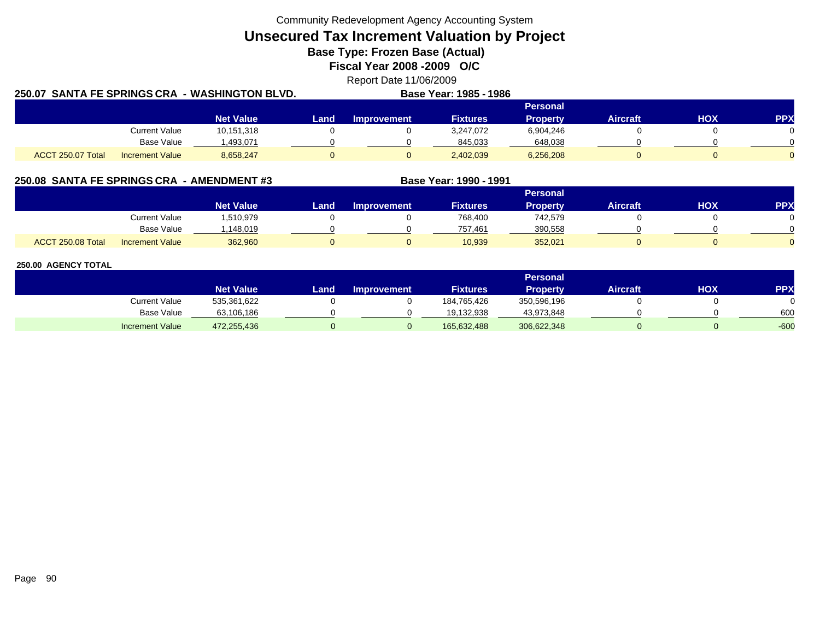Community Redevelopment Agency Accounting System

**Unsecured Tax Increment Valuation by Project**

**Base Type: Frozen Base (Actual)** 

**Fiscal Year 2008 -2009 O/C**

Report Date 11/06/2009

| 250.07 SANTA FE SPRINGS CRA - WASHINGTON BLVD. |                  |       |             | Base Year: 1985 - 1986 |                 |                 |     |            |
|------------------------------------------------|------------------|-------|-------------|------------------------|-----------------|-----------------|-----|------------|
|                                                |                  |       |             |                        | <b>Personal</b> |                 |     |            |
|                                                | <b>Net Value</b> | Land. | Improvement | <b>Fixtures</b>        | <b>Property</b> | <b>Aircraft</b> | нох | <b>PPX</b> |
| <b>Current Value</b>                           | 10,151,318       |       |             | 3.247.072              | 6,904,246       |                 |     |            |
| Base Value                                     | ,493,071         |       |             | 845,033                | 648,038         |                 |     |            |
| ACCT 250.07 Total<br><b>Increment Value</b>    | 8,658,247        |       |             | 2,402,039              | 6,256,208       |                 |     |            |

# **250.08 SANTA FE SPRINGS CRA - AMENDMENT #3 Base Year: 1990 - 1991**

|                   |                        |                    |      |                    |                 | Personal |          |            |            |
|-------------------|------------------------|--------------------|------|--------------------|-----------------|----------|----------|------------|------------|
|                   |                        | Net Value <b>ˈ</b> | Land | <b>Improvement</b> | <b>Fixtures</b> | Property | Aircraft | <b>XOH</b> | <b>PPX</b> |
|                   | <b>Current Value</b>   | .510,979           |      |                    | 768.400         | 742,579  |          |            |            |
|                   | <b>Base Value</b>      | .148.019           |      |                    | 757.461         | 390,558  |          |            |            |
| ACCT 250.08 Total | <b>Increment Value</b> | 362,960            |      |                    | 10,939          | 352,021  |          |            |            |

|                        |                  |      |                    |                 | Personal    |          |     |            |
|------------------------|------------------|------|--------------------|-----------------|-------------|----------|-----|------------|
|                        | <b>Net Value</b> | Land | <b>Improvement</b> | <b>Fixtures</b> | Property    | Aircraft | нох | <b>PPX</b> |
| Current Value          | 535,361,622      |      |                    | 184,765,426     | 350,596,196 |          |     |            |
| <b>Base Value</b>      | 63,106,186       |      |                    | 19.132.938      | 43,973,848  |          |     | 600        |
| <b>Increment Value</b> | 472,255,436      |      |                    | 165,632,488     | 306,622,348 |          |     | $-600$     |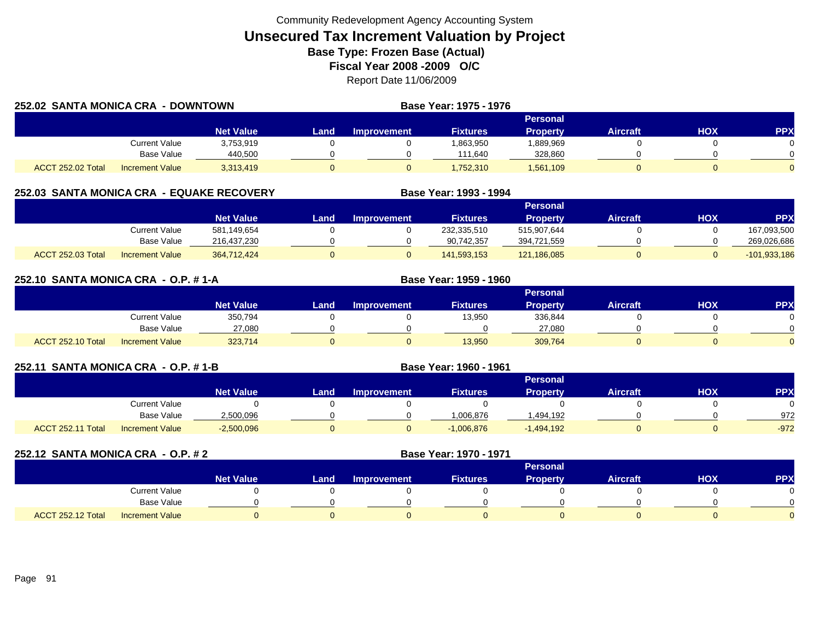| 252.02 SANTA MONICA CRA |                        | - DOWNTOWN       |       |             | <b>Base Year: 1975 - 1976</b> |                 |          |     |     |
|-------------------------|------------------------|------------------|-------|-------------|-------------------------------|-----------------|----------|-----|-----|
|                         |                        |                  |       |             |                               | <b>Personal</b> |          |     |     |
|                         |                        | <b>Net Value</b> | Land. | Improvement | <b>Fixtures</b>               | <b>Property</b> | Aircraft | нох | PPX |
|                         | Current Value          | 3,753,919        |       |             | 1,863,950                     | 889,969.        |          |     |     |
|                         | Base Value             | 440.500          |       |             | 111.640                       | 328,860         |          |     |     |
| ACCT 252.02 Total       | <b>Increment Value</b> | 3,313,419        |       |             | 752,310                       | 1,561,109       |          |     |     |

# **252.03 SANTA MONICA CRA - EQUAKE RECOVERY**

|                          |                        |                  |      |                    |                 | Personal        |          |            |                |
|--------------------------|------------------------|------------------|------|--------------------|-----------------|-----------------|----------|------------|----------------|
|                          |                        | <b>Net Value</b> | Land | <b>Improvement</b> | <b>Fixtures</b> | <b>Property</b> | Aircraft | <b>HOX</b> | PPX            |
|                          | Current Value          | 581,149,654      |      |                    | 232,335,510     | 515.907.644     |          |            | 167,093,500    |
|                          | Base Value             | 216,437,230      |      |                    | 90,742,357      | 394,721,559     |          |            | 269,026,686    |
| <b>ACCT 252.03 Total</b> | <b>Increment Value</b> | 364,712,424      |      |                    | 141.593.153     | 121,186,085     |          |            | $-101,933,186$ |

**Base Year: 1993 - 1994**

| 252.10 SANTA MONICA CRA - O.P. # 1-A |                        |                  |      | Base Year: 1959 - 1960 |                 |                 |                 |     |            |
|--------------------------------------|------------------------|------------------|------|------------------------|-----------------|-----------------|-----------------|-----|------------|
|                                      |                        |                  |      |                        |                 | <b>Personal</b> |                 |     |            |
|                                      |                        | <b>Net Value</b> | Land | <b>Improvement</b>     | <b>Fixtures</b> | <b>Property</b> | <b>Aircraft</b> | HOX | <b>PPX</b> |
|                                      | <b>Current Value</b>   | 350,794          |      |                        | 13,950          | 336,844         |                 |     |            |
|                                      | Base Value             | 27,080           |      |                        |                 | 27,080          |                 |     |            |
| <b>ACCT 252.10 Total</b>             | <b>Increment Value</b> | 323,714          |      |                        | 13,950          | 309,764         |                 | 0   |            |

| 252.11 SANTA MONICA CRA - O.P. #1-B |                        |                  |      | Base Year: 1960 - 1961 |                 |                 |                 |            |            |
|-------------------------------------|------------------------|------------------|------|------------------------|-----------------|-----------------|-----------------|------------|------------|
|                                     |                        |                  |      |                        |                 | <b>Personal</b> |                 |            |            |
|                                     |                        | <b>Net Value</b> | Land | <b>Improvement</b>     | <b>Fixtures</b> | <b>Property</b> | <b>Aircraft</b> | <b>XOH</b> | <b>PPX</b> |
|                                     | Current Value          |                  |      |                        |                 |                 |                 |            |            |
|                                     | Base Value             | 2,500,096        |      |                        | 1,006,876       | l.494.192       |                 |            | 972        |
| ACCT 252.11 Total                   | <b>Increment Value</b> | $-2,500,096$     |      |                        | $-1,006,876$    | $-1,494,192$    |                 |            | $-972$     |

| 252.12 SANTA MONICA CRA - O.P. # 2 |                        |                  |      |                    | Base Year: 1970 - 1971 |                 |                 |            |            |
|------------------------------------|------------------------|------------------|------|--------------------|------------------------|-----------------|-----------------|------------|------------|
|                                    |                        |                  |      |                    |                        | <b>Personal</b> |                 |            |            |
|                                    |                        | <b>Net Value</b> | Land | <b>Improvement</b> | <b>Fixtures</b>        | <b>Property</b> | <b>Aircraft</b> | <b>HOX</b> | <b>PPX</b> |
|                                    | <b>Current Value</b>   |                  |      |                    |                        |                 |                 |            | 0          |
|                                    | Base Value             |                  |      |                    |                        |                 |                 |            | $\Omega$   |
| <b>ACCT 252.12 Total</b>           | <b>Increment Value</b> |                  |      |                    |                        |                 |                 |            | $\Omega$   |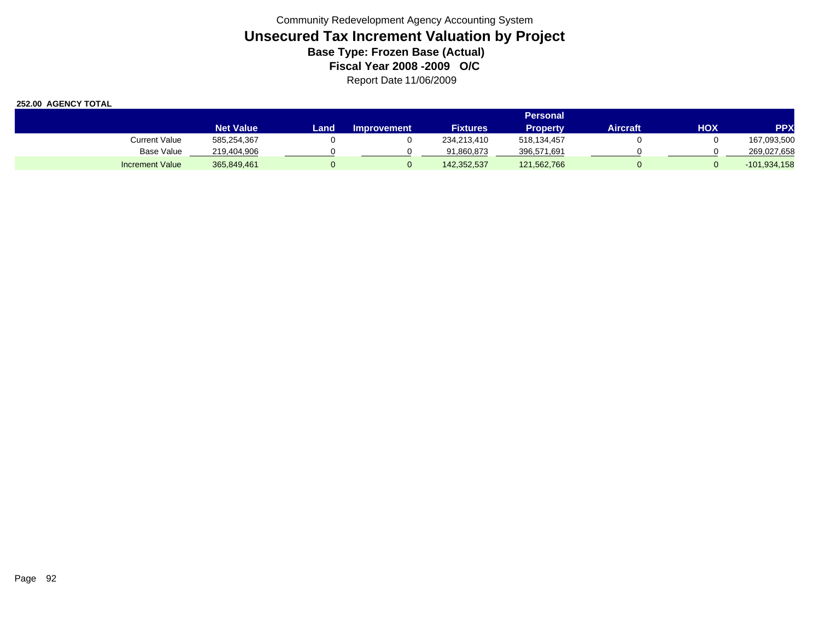|                        |                  |       |                    |                 | Personal        |          |     |                |
|------------------------|------------------|-------|--------------------|-----------------|-----------------|----------|-----|----------------|
|                        | <b>Net Value</b> | Land. | <b>Improvement</b> | <b>Fixtures</b> | <b>Property</b> | Aircraft | HOX | <b>PPX</b>     |
| Current Value          | 585,254,367      |       |                    | 234.213.410     | 518.134.457     |          |     | 167,093,500    |
| <b>Base Value</b>      | 219,404,906      |       |                    | 91.860.873      | 396,571,691     |          |     | 269,027,658    |
| <b>Increment Value</b> | 365.849.461      |       |                    | 142,352,537     | 121,562,766     |          |     | $-101,934,158$ |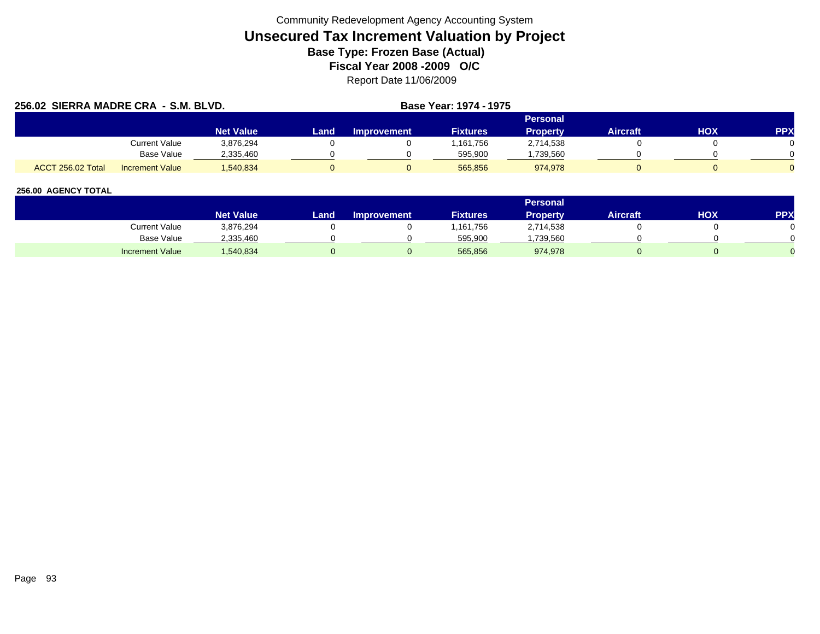| 256.02 SIERRA MADRE CRA - S.M. BLVD. |                        |                  |      |                    | Base Year: 1974 - 1975 |                 |                 |     |            |
|--------------------------------------|------------------------|------------------|------|--------------------|------------------------|-----------------|-----------------|-----|------------|
|                                      |                        |                  |      |                    |                        | Personal        |                 |     |            |
|                                      |                        | <b>Net Value</b> | Land | <b>Improvement</b> | <b>Fixtures</b>        | <b>Property</b> | <b>Aircraft</b> | нох | <b>PPX</b> |
|                                      | <b>Current Value</b>   | 3,876,294        |      |                    | .161.756               | 2,714,538       |                 |     |            |
|                                      | Base Value             | 2,335,460        |      |                    | 595,900                | ,739,560        |                 |     |            |
| <b>ACCT 256.02 Total</b>             | <b>Increment Value</b> | 1.540.834        |      |                    | 565.856                | 974.978         |                 |     |            |

|                        |                    |      |                    |                 | <b>Personal</b> |                 |            |     |
|------------------------|--------------------|------|--------------------|-----------------|-----------------|-----------------|------------|-----|
|                        | Net Value <b>\</b> | Land | <b>Improvement</b> | <b>Fixtures</b> | <b>Property</b> | <b>Aircraft</b> | <b>HOX</b> | PPX |
| Current Value          | 3,876,294          |      |                    | 161,756.        | 2,714,538       |                 |            |     |
| Base Value             | 2,335,460          |      |                    | 595,900         | ,739,560        |                 |            |     |
| <b>Increment Value</b> | ,540,834           |      |                    | 565,856         | 974,978         |                 |            |     |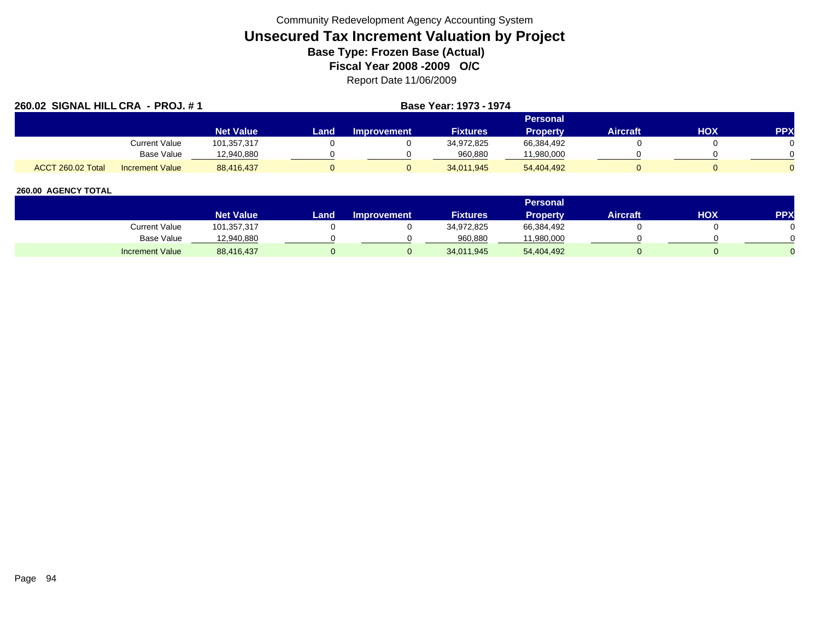| 260.02 SIGNAL HILL CRA - PROJ. #1           |                  |      | Base Year: 1973 - 1974 |                 |                 |          |     |            |
|---------------------------------------------|------------------|------|------------------------|-----------------|-----------------|----------|-----|------------|
|                                             |                  |      |                        | <b>Personal</b> |                 |          |     |            |
|                                             | <b>Net Value</b> | Land | <b>Improvement</b>     | <b>Fixtures</b> | <b>Property</b> | Aircraft | HOX | <b>PPX</b> |
| Current Value                               | 101,357,317      |      |                        | 34,972,825      | 66,384,492      |          |     |            |
| Base Value                                  | 12,940,880       |      |                        | 960,880         | 11,980,000      |          |     |            |
| ACCT 260.02 Total<br><b>Increment Value</b> | 88.416.437       |      |                        | 34,011,945      | 54,404,492      |          |     |            |

|                        |                  |      |                    |                 | <b>Personal</b> |                 |            |     |
|------------------------|------------------|------|--------------------|-----------------|-----------------|-----------------|------------|-----|
|                        | <b>Net Value</b> | Land | <b>Improvement</b> | <b>Fixtures</b> | Property        | <b>Aircraft</b> | <b>HOX</b> | PPX |
| Current Value          | 101,357,317      |      |                    | 34,972,825      | 66,384,492      |                 |            |     |
| Base Value             | 12,940,880       |      |                    | 960,880         | 11,980,000      |                 |            |     |
| <b>Increment Value</b> | 88,416,437       |      |                    | 34,011,945      | 54,404,492      |                 |            |     |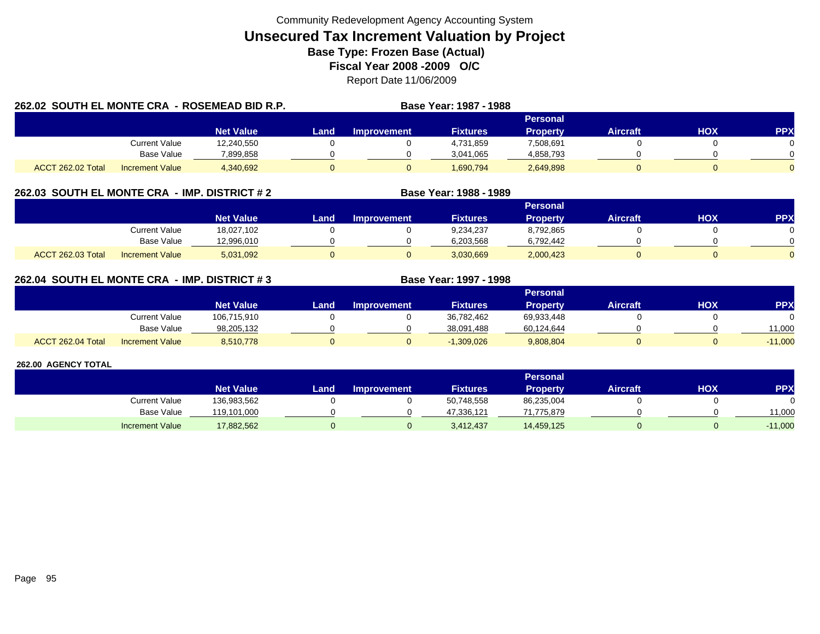| 262.02 SOUTH EL MONTE CRA - ROSEMEAD BID R.P. |                        |                  |       |             | Base Year: 1987 - 1988 |                 |                 |     |            |
|-----------------------------------------------|------------------------|------------------|-------|-------------|------------------------|-----------------|-----------------|-----|------------|
|                                               |                        |                  |       |             |                        | Personal        |                 |     |            |
|                                               |                        | <b>Net Value</b> | Land. | Improvement | <b>Fixtures</b>        | <b>Property</b> | <b>Aircraft</b> | HOX | <b>PPX</b> |
|                                               | Current Value          | 12,240,550       |       |             | 4,731,859              | 7,508,691       |                 |     |            |
|                                               | Base Value             | 7,899,858        |       |             | 3,041,065              | 4,858,793       |                 |     |            |
| ACCT 262.02 Total                             | <b>Increment Value</b> | 4,340,692        |       |             | 1.690.794              | 2,649,898       |                 |     |            |

# **262.03 SOUTH EL MONTE CRA - IMP. DISTRICT # 2 Base Year: 1988 - 1989**

|                   |                        |                  |      |                    |                 | Personal        |                 |     |     |
|-------------------|------------------------|------------------|------|--------------------|-----------------|-----------------|-----------------|-----|-----|
|                   |                        | <b>Net Value</b> | Land | <b>Improvement</b> | <b>Fixtures</b> | <b>Property</b> | <b>Aircraft</b> | ΗΟΧ | PPX |
|                   | Current Value          | 18,027,102       |      |                    | 9,234,237       | 8,792,865       |                 |     |     |
|                   | <b>Base Value</b>      | 12,996,010       |      |                    | 6,203,568       | 6,792,442       |                 |     |     |
| ACCT 262.03 Total | <b>Increment Value</b> | 5,031,092        |      |                    | 3,030,669       | 2,000,423       |                 |     |     |

# **262.04 SOUTH EL MONTE CRA - IMP. DISTRICT # 3 Base Year: 1997 - 1998**

|                   |                        |                  |      |                    |                 | Personal   |                 |            |           |
|-------------------|------------------------|------------------|------|--------------------|-----------------|------------|-----------------|------------|-----------|
|                   |                        | <b>Net Value</b> | Land | <b>Improvement</b> | <b>Fixtures</b> | Property   | <b>Aircraft</b> | <b>HOX</b> | <b>PP</b> |
|                   | Current Value          | 106,715,910      |      |                    | 36,782,462      | 69,933,448 |                 |            |           |
|                   | <b>Base Value</b>      | 98.205.132       |      |                    | 38.091.488      | 60,124,644 |                 |            | 11,000    |
| ACCT 262.04 Total | <b>Increment Value</b> | 8,510,778        |      |                    | $-1,309,026$    | 9,808,804  |                 |            | $-11,000$ |

|                        |                  |      |                    |                 | Personal        |                 |     |            |
|------------------------|------------------|------|--------------------|-----------------|-----------------|-----------------|-----|------------|
|                        | <b>Net Value</b> | Land | <b>Improvement</b> | <b>Fixtures</b> | <b>Property</b> | <b>Aircraft</b> | нох | <b>PPX</b> |
| <b>Current Value</b>   | 136,983,562      |      |                    | 50,748,558      | 86,235,004      |                 |     |            |
| <b>Base Value</b>      | 119,101,000      |      |                    | 47.336.121      | 71.775.879      |                 |     | 11,000     |
| <b>Increment Value</b> | 17,882,562       |      |                    | 3,412,437       | 14,459,125      |                 |     | $-11,000$  |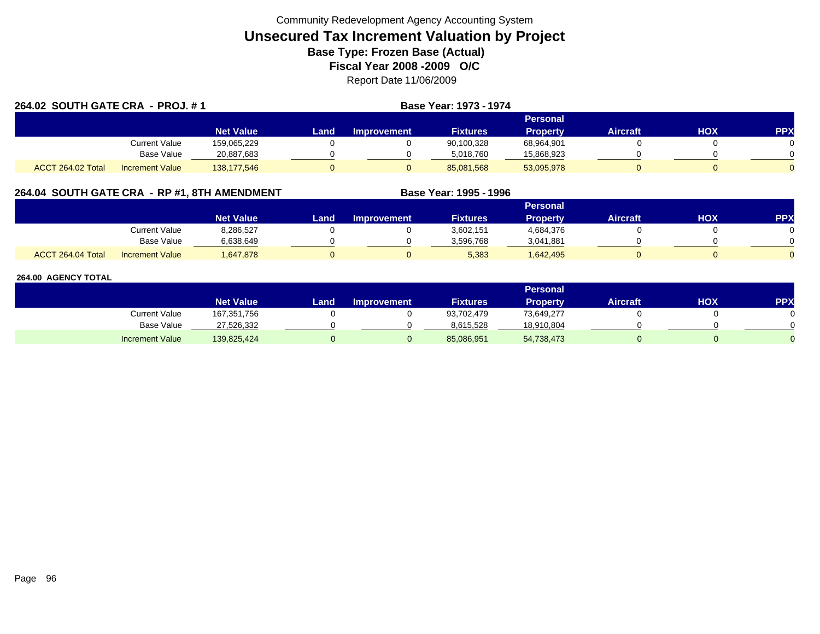| 264.02 SOUTH GATE CRA - PROJ. #1 |                        |                  |      |                    | <b>Base Year: 1973 - 1974</b> |                 |                 |            |            |
|----------------------------------|------------------------|------------------|------|--------------------|-------------------------------|-----------------|-----------------|------------|------------|
|                                  |                        |                  |      |                    | <b>Personal</b>               |                 |                 |            |            |
|                                  |                        | <b>Net Value</b> | Land | <b>Improvement</b> | <b>Fixtures</b>               | <b>Property</b> | <b>Aircraft</b> | <b>HOX</b> | <b>PPX</b> |
|                                  | <b>Current Value</b>   | 159,065,229      |      |                    | 90,100,328                    | 68,964,901      |                 |            |            |
|                                  | <b>Base Value</b>      | 20,887,683       |      |                    | 5,018,760                     | 15,868,923      |                 |            |            |
| ACCT 264.02 Total                | <b>Increment Value</b> | 138,177,546      |      |                    | 85,081,568                    | 53,095,978      |                 |            |            |

# **264.04 SOUTH GATE CRA - RP #1, 8TH AMENDMENT Base Year: 1995 - 1996**

|                   |                        |                  |      |                    |                 | Personal        |                 |     |     |
|-------------------|------------------------|------------------|------|--------------------|-----------------|-----------------|-----------------|-----|-----|
|                   |                        | <b>Net Value</b> | Land | <b>Improvement</b> | <b>Fixtures</b> | <b>Property</b> | <b>Aircraft</b> | нох | PPX |
|                   | <b>Current Value</b>   | 8,286,527        |      |                    | 3,602,151       | 4,684,376       |                 |     |     |
|                   | <b>Base Value</b>      | 6,638,649        |      |                    | 3.596.768       | 3,041,881       |                 |     |     |
| ACCT 264.04 Total | <b>Increment Value</b> | 1,647,878        |      |                    | 5,383           | 1,642,495       |                 |     |     |

|                        |                  |      |                    |                 | Personal        |                 |     |           |
|------------------------|------------------|------|--------------------|-----------------|-----------------|-----------------|-----|-----------|
|                        | <b>Net Value</b> | Land | <b>Improvement</b> | <b>Fixtures</b> | <b>Property</b> | <b>Aircraft</b> | нох | <b>PP</b> |
| <b>Current Value</b>   | 167,351,756      |      |                    | 93,702,479      | 73,649,277      |                 |     |           |
| <b>Base Value</b>      | 27,526,332       |      |                    | 8,615,528       | 18,910,804      |                 |     |           |
| <b>Increment Value</b> | 139,825,424      |      |                    | 85,086,951      | 54,738,473      |                 |     |           |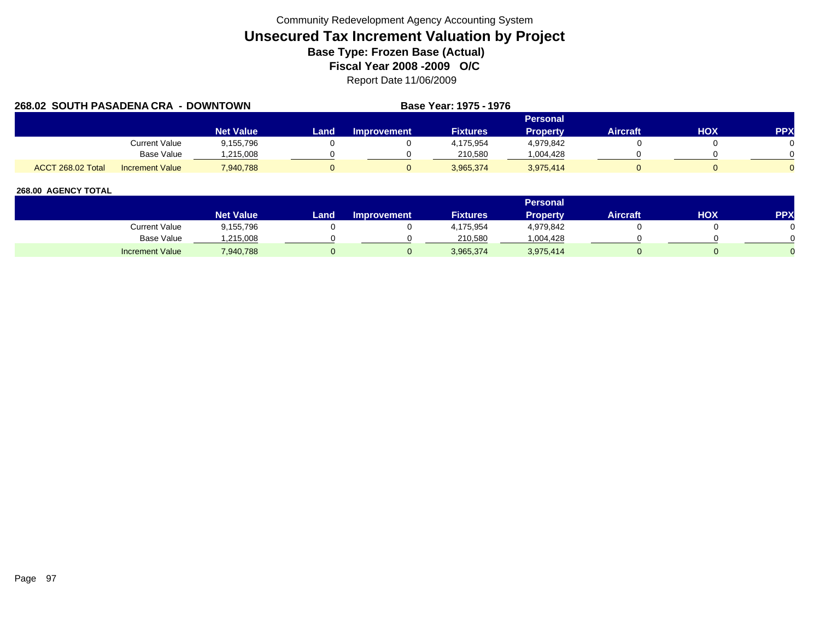| 268.02 SOUTH PASADENA CRA - DOWNTOWN |                        |                  |      |             | Base Year: 1975 - 1976 |                 |                 |     |            |
|--------------------------------------|------------------------|------------------|------|-------------|------------------------|-----------------|-----------------|-----|------------|
|                                      |                        |                  |      |             |                        | <b>Personal</b> |                 |     |            |
|                                      |                        | <b>Net Value</b> | Land | Improvement | <b>Fixtures</b>        | <b>Property</b> | <b>Aircraft</b> | HOX | <b>PPX</b> |
|                                      | Current Value          | 9,155,796        |      |             | 4.175.954              | 4,979,842       |                 |     |            |
|                                      | Base Value             | .215.008         |      |             | 210.580                | 1,004,428       |                 |     |            |
| ACCT 268.02 Total                    | <b>Increment Value</b> | 7,940,788        |      |             | 3,965,374              | 3,975,414       |                 |     |            |

|                        |                    |      |                    |                 | <b>Personal</b> |                 |            |     |
|------------------------|--------------------|------|--------------------|-----------------|-----------------|-----------------|------------|-----|
|                        | Net Value <b>\</b> | Land | <b>Improvement</b> | <b>Fixtures</b> | <b>Property</b> | <b>Aircraft</b> | <b>HOX</b> | PPX |
| Current Value          | 9,155,796          |      |                    | 4,175,954       | 4,979,842       |                 |            |     |
| Base Value             | ,215,008           |      |                    | 210,580         | ,004,428        |                 |            |     |
| <b>Increment Value</b> | 940,788            |      |                    | 3,965,374       | 3,975,414       |                 |            |     |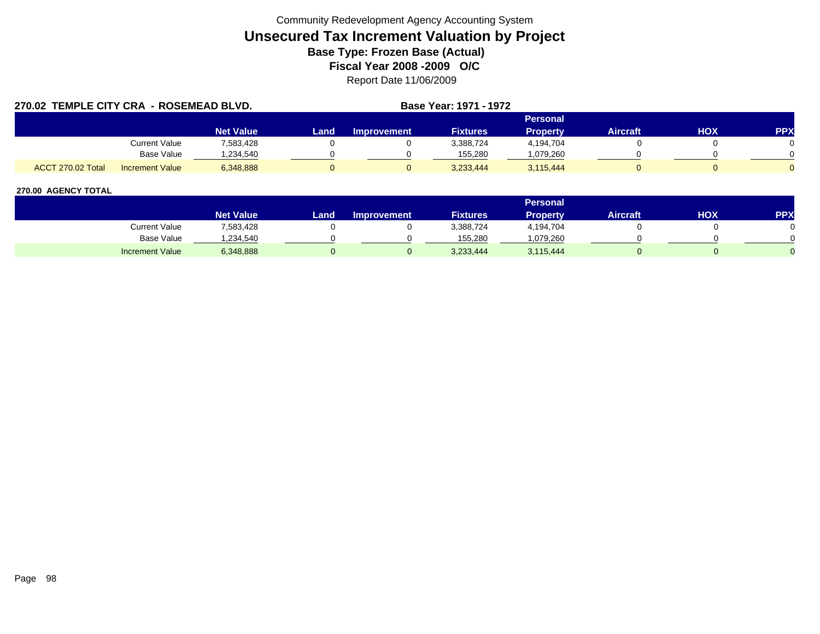| 270.02 TEMPLE CITY CRA - ROSEMEAD BLVD. |                        |                  |      |                    | Base Year: 1971 - 1972 |                 |                 |            |            |
|-----------------------------------------|------------------------|------------------|------|--------------------|------------------------|-----------------|-----------------|------------|------------|
|                                         |                        |                  |      |                    |                        | <b>Personal</b> |                 |            |            |
|                                         |                        | <b>Net Value</b> | Land | <b>Improvement</b> | <b>Fixtures</b>        | <b>Property</b> | <b>Aircraft</b> | <b>HOX</b> | <b>PPX</b> |
|                                         | Current Value          | 7,583,428        |      |                    | 3.388.724              | 4,194,704       |                 |            |            |
|                                         | <b>Base Value</b>      | ,234,540         |      |                    | 155.280                | .079,260        |                 |            |            |
| <b>ACCT 270.02 Total</b>                | <b>Increment Value</b> | 6,348,888        |      |                    | 3.233.444              | 3,115,444       |                 |            |            |

|                        |                  |        |                    |                 | Personal  |                 |     |            |
|------------------------|------------------|--------|--------------------|-----------------|-----------|-----------------|-----|------------|
|                        | <b>Net Value</b> | Land . | <b>Improvement</b> | <b>Fixtures</b> | Property  | <b>Aircraft</b> | НОХ | <b>PPX</b> |
| Current Value          | 7,583,428        |        |                    | 3,388,724       | 4,194,704 |                 |     |            |
| <b>Base Value</b>      | ,234,540         |        |                    | 155.280         | .079.260  |                 |     |            |
| <b>Increment Value</b> | 6,348,888        |        |                    | 3,233,444       | 3,115,444 |                 |     |            |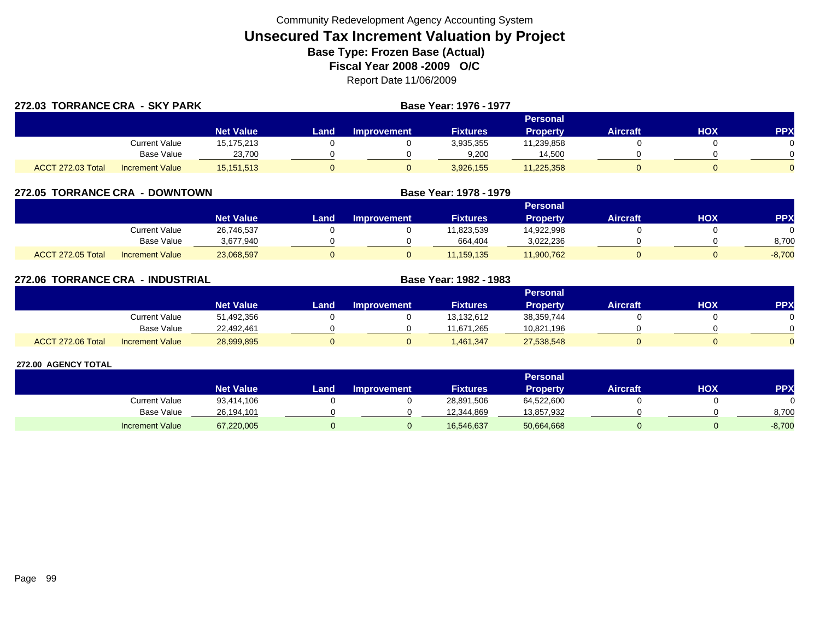| 272.03 TORRANCE CRA - SKY PARK |                        |                  |      | <b>Base Year: 1976 - 1977</b> |                 |                 |                 |     |            |  |
|--------------------------------|------------------------|------------------|------|-------------------------------|-----------------|-----------------|-----------------|-----|------------|--|
|                                |                        |                  |      |                               |                 | Personal        |                 |     |            |  |
|                                |                        | <b>Net Value</b> | Land | <b>Improvement</b>            | <b>Fixtures</b> | <b>Property</b> | <b>Aircraft</b> | HOX | <b>PPX</b> |  |
|                                | Current Value          | 15,175,213       |      |                               | 3,935,355       | 11,239,858      |                 |     |            |  |
|                                | <b>Base Value</b>      | 23,700           |      |                               | 9,200           | 14,500          |                 |     |            |  |
| ACCT 272.03 Total              | <b>Increment Value</b> | 15,151,513       |      |                               | 3,926,155       | 11,225,358      |                 |     |            |  |

| 272.05 TORRANCE CRA | - DOWNTOWN             |                  |      | Base Year: 1978 - 1979 |                 |                 |                 |     |            |
|---------------------|------------------------|------------------|------|------------------------|-----------------|-----------------|-----------------|-----|------------|
|                     |                        |                  |      |                        |                 | Personal        |                 |     |            |
|                     |                        | <b>Net Value</b> | Land | <b>Improvement</b>     | <b>Fixtures</b> | <b>Property</b> | <b>Aircraft</b> | нох | <b>PPX</b> |
|                     | Current Value          | 26,746,537       |      |                        | 11,823,539      | 14.922.998      |                 |     |            |
|                     | <b>Base Value</b>      | 3,677,940        |      |                        | 664,404         | 3,022,236       |                 |     | 8,700      |
| ACCT 272.05 Total   | <b>Increment Value</b> | 23,068,597       |      |                        | 11,159,135      | 11,900,762      |                 |     | $-8,700$   |

| 272.06 TORRANCE CRA | - INDUSTRIAL           |                  |      | Base Year: 1982 - 1983 |                 |                 |                 |            |            |
|---------------------|------------------------|------------------|------|------------------------|-----------------|-----------------|-----------------|------------|------------|
|                     |                        |                  |      |                        |                 | <b>Personal</b> |                 |            |            |
|                     |                        | <b>Net Value</b> | Land | <b>Improvement</b>     | <b>Fixtures</b> | <b>Property</b> | <b>Aircraft</b> | <b>HOX</b> | <b>PPX</b> |
|                     | Current Value          | 51,492,356       |      |                        | 13,132,612      | 38,359,744      |                 |            | $\Omega$   |
|                     | <b>Base Value</b>      | 22,492,461       |      |                        | 11,671,265      | 10,821,196      |                 |            | $\Omega$   |
| ACCT 272.06 Total   | <b>Increment Value</b> | 28,999,895       |      |                        | ,461,347        | 27,538,548      |                 |            | $\Omega$   |

|                        |                  |       |                    |                 | <b>Personal</b> |                 |     |            |
|------------------------|------------------|-------|--------------------|-----------------|-----------------|-----------------|-----|------------|
|                        | <b>Net Value</b> | Land. | <b>Improvement</b> | <b>Fixtures</b> | Property        | <b>Aircraft</b> | нох | <b>PPX</b> |
| Current Value          | 93,414,106       |       |                    | 28,891,506      | 64,522,600      |                 |     |            |
| Base Value             | 26.194.101       |       |                    | 12.344.869      | 13,857,932      |                 |     | 8,700      |
| <b>Increment Value</b> | 67,220,005       |       |                    | 16,546,637      | 50,664,668      |                 |     | $-8,700$   |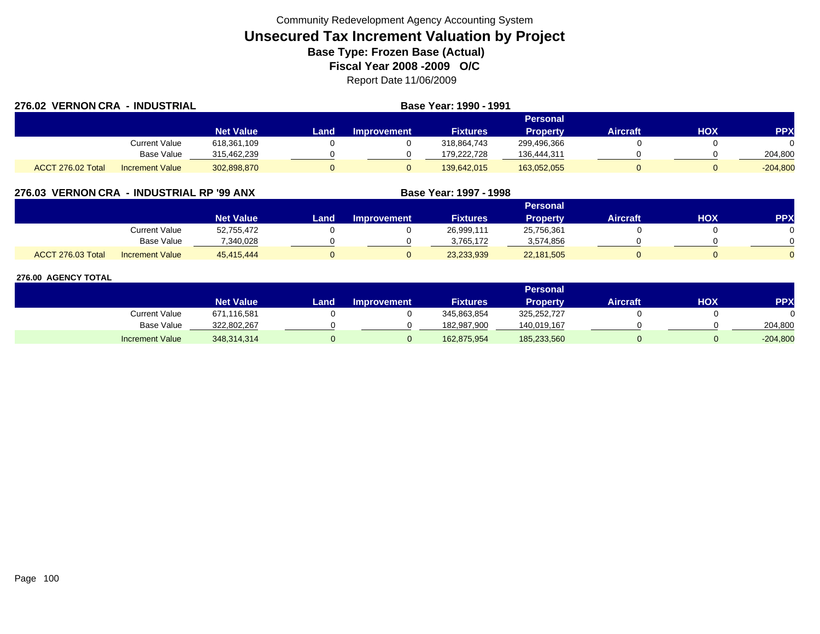| 276.02 VERNON CRA - INDUSTRIAL |                        |                  |      |                    |                 |                 |                 |            |            |
|--------------------------------|------------------------|------------------|------|--------------------|-----------------|-----------------|-----------------|------------|------------|
|                                |                        |                  |      |                    |                 | <b>Personal</b> |                 |            |            |
|                                |                        | <b>Net Value</b> | Land | <b>Improvement</b> | <b>Fixtures</b> | <b>Property</b> | <b>Aircraft</b> | <b>HOX</b> | <b>PPX</b> |
|                                | <b>Current Value</b>   | 618,361,109      |      |                    | 318.864.743     | 299,496,366     |                 |            |            |
|                                | Base Value             | 315,462,239      |      |                    | 179.222.728     | 136,444,311     |                 |            | 204,800    |
| ACCT 276.02 Total              | <b>Increment Value</b> | 302,898,870      |      |                    | 139,642,015     | 163,052,055     |                 |            | $-204,800$ |

# **276.03 VERNON CRA - INDUSTRIAL RP '99 ANX**

|                   |                        |                  |      |                    |                 | <b>Personal</b> |                 |     |            |
|-------------------|------------------------|------------------|------|--------------------|-----------------|-----------------|-----------------|-----|------------|
|                   |                        | <b>Net Value</b> | Land | <b>Improvement</b> | <b>Fixtures</b> | <b>Property</b> | <b>Aircraft</b> | нох | <b>PPX</b> |
|                   | <b>Current Value</b>   | 52,755,472       |      |                    | 26.999.111      | 25,756,361      |                 |     |            |
|                   | <b>Base Value</b>      | 340.028          |      |                    | 3.765.172       | 3,574,856       |                 |     |            |
| ACCT 276.03 Total | <b>Increment Value</b> | 45,415,444       |      |                    | 23,233,939      | 22,181,505      |                 |     |            |

**Base Year: 1997 - 1998**

|                        |                  |      |                    |                 | <b>Personal</b> |                 |     |            |
|------------------------|------------------|------|--------------------|-----------------|-----------------|-----------------|-----|------------|
|                        | <b>Net Value</b> | Land | <b>Improvement</b> | <b>Fixtures</b> | <b>Property</b> | <b>Aircraft</b> | нох | <b>PPX</b> |
| Current Value          | 671,116,581      |      |                    | 345,863,854     | 325,252,727     |                 |     |            |
| <b>Base Value</b>      | 322,802,267      |      |                    | 182,987,900     | 140,019,167     |                 |     | 204,800    |
| <b>Increment Value</b> | 348,314,314      |      |                    | 162,875,954     | 185,233,560     |                 |     | $-204,800$ |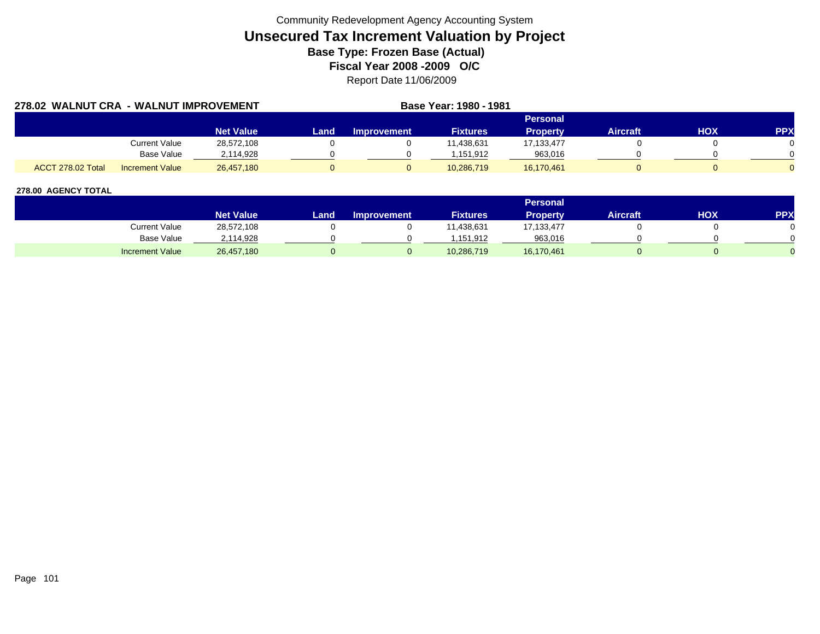|                   | 278.02 WALNUT CRA - WALNUT IMPROVEMENT |                  |      | Base Year: 1980 - 1981 |                 |                 |                 |     |            |
|-------------------|----------------------------------------|------------------|------|------------------------|-----------------|-----------------|-----------------|-----|------------|
|                   |                                        |                  |      |                        |                 | Personal        |                 |     |            |
|                   |                                        | <b>Net Value</b> | Land | <b>Improvement</b>     | <b>Fixtures</b> | <b>Property</b> | <b>Aircraft</b> | ΗΟΧ | <b>PPX</b> |
|                   | Current Value                          | 28,572,108       |      |                        | 11.438.631      | 17,133,477      |                 |     |            |
|                   | <b>Base Value</b>                      | 2,114,928        |      |                        | 151.912         | 963,016         |                 |     |            |
| ACCT 278.02 Total | <b>Increment Value</b>                 | 26,457,180       |      |                        | 10,286,719      | 16,170,461      |                 |     |            |

|                        |                  |       |                    |                 | <b>Personal</b> |                 |     |            |
|------------------------|------------------|-------|--------------------|-----------------|-----------------|-----------------|-----|------------|
|                        | <b>Net Value</b> | Land. | <b>Improvement</b> | <b>Fixtures</b> | Property        | <b>Aircraft</b> | нох | <b>PPX</b> |
| Current Value          | 28,572,108       |       |                    | 1,438,631       | 17,133,477      |                 |     |            |
| <b>Base Value</b>      | 2,114,928        |       |                    | .151.912        | 963,016         |                 |     |            |
| <b>Increment Value</b> | 26,457,180       |       |                    | 10,286,719      | 16,170,461      |                 |     |            |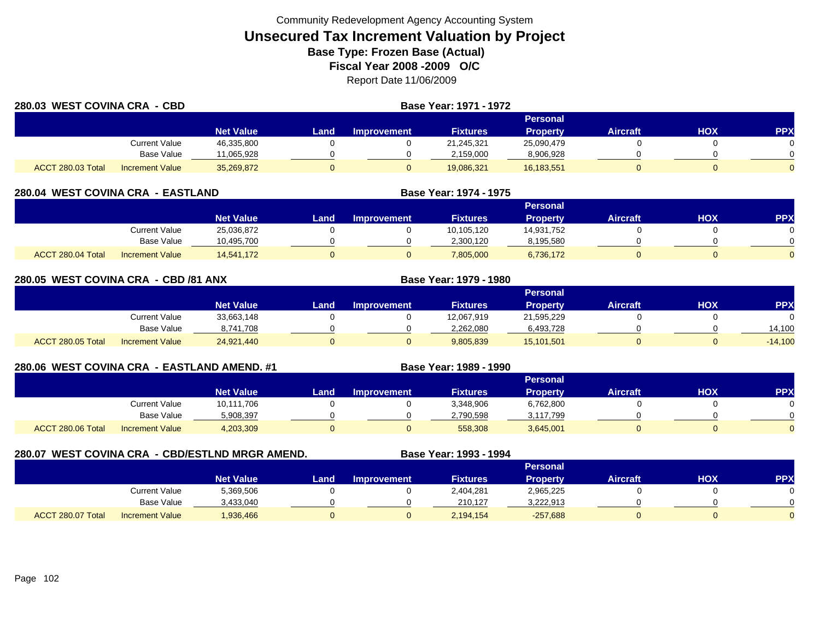| 280.03 WEST COVINA CRA - CBD |                        |                  |      |                    |                 |                 |                 |     |            |
|------------------------------|------------------------|------------------|------|--------------------|-----------------|-----------------|-----------------|-----|------------|
|                              |                        |                  |      |                    |                 | <b>Personal</b> |                 |     |            |
|                              |                        | <b>Net Value</b> | Land | <b>Improvement</b> | <b>Fixtures</b> | <b>Property</b> | <b>Aircraft</b> | ΗΟΧ | <b>PPX</b> |
|                              | <b>Current Value</b>   | 46,335,800       |      |                    | 21,245,321      | 25,090,479      |                 |     |            |
|                              | <b>Base Value</b>      | 11,065,928       |      |                    | 2,159,000       | 8,906,928       |                 |     |            |
| ACCT 280.03 Total            | <b>Increment Value</b> | 35,269,872       |      |                    | 19,086,321      | 16,183,551      |                 |     |            |

| 280.04 WEST COVINA CRA - EASTLAND |                        |                  |      |                    | Base Year: 1974 - 1975 |                 |                 |     |            |  |  |
|-----------------------------------|------------------------|------------------|------|--------------------|------------------------|-----------------|-----------------|-----|------------|--|--|
|                                   |                        |                  |      | <b>Personal</b>    |                        |                 |                 |     |            |  |  |
|                                   |                        | <b>Net Value</b> | Land | <b>Improvement</b> | <b>Fixtures</b>        | <b>Property</b> | <b>Aircraft</b> | нох | <b>PPX</b> |  |  |
|                                   | Current Value          | 25,036,872       |      |                    | 10,105,120             | 14,931,752      |                 |     |            |  |  |
|                                   | Base Value             | 10,495,700       |      |                    | 2,300,120              | 8,195,580       |                 |     |            |  |  |
| ACCT 280.04 Total                 | <b>Increment Value</b> | 14,541,172       |      |                    | 7,805,000              | 6,736,172       |                 |     |            |  |  |

| 280.05 WEST COVINA CRA - CBD /81 ANX |                        |                  |      |             | Base Year: 1979 - 1980 |                 |                 |     |            |
|--------------------------------------|------------------------|------------------|------|-------------|------------------------|-----------------|-----------------|-----|------------|
|                                      |                        |                  |      |             | Personal               |                 |                 |     |            |
|                                      |                        | <b>Net Value</b> | Land | Improvement | <b>Fixtures</b>        | <b>Property</b> | <b>Aircraft</b> | нох | <b>PPX</b> |
|                                      | Current Value          | 33,663,148       |      |             | 12,067,919             | 21,595,229      |                 |     |            |
|                                      | Base Value             | 8,741,708        |      |             | 2,262,080              | 6,493,728       |                 |     | 14,100     |
| ACCT 280.05 Total                    | <b>Increment Value</b> | 24,921,440       |      | υ           | 9,805,839              | 15,101,501      |                 |     | $-14,100$  |

|  | 280.06 WEST COVINA CRA - EASTLAND AMEND. #1 |  |
|--|---------------------------------------------|--|
|  |                                             |  |

|                   |                        |                  | Personal |                    |                 |                 |          |            |            |  |  |  |  |  |
|-------------------|------------------------|------------------|----------|--------------------|-----------------|-----------------|----------|------------|------------|--|--|--|--|--|
|                   |                        | <b>Net Value</b> | Land.    | <b>Improvement</b> | <b>Fixtures</b> | <b>Property</b> | Aircraft | <b>HOX</b> | <b>PPX</b> |  |  |  |  |  |
|                   | <b>Current Value</b>   | 10,111,706       |          |                    | 3,348,906       | 6,762,800       |          |            |            |  |  |  |  |  |
|                   | <b>Base Value</b>      | 5,908,397        |          |                    | 2,790,598       | 3,117,799       |          |            | 0          |  |  |  |  |  |
| ACCT 280.06 Total | <b>Increment Value</b> | 4,203,309        |          |                    | 558,308         | 3,645,001       |          |            | $\Omega$   |  |  |  |  |  |

**Base Year: 1989 - 1990** 

| 280.07 |                   |                        | WEST COVINA CRA - CBD/ESTLND MRGR AMEND. |      |                    | Base Year: 1993 - 1994 |            |                 |     |            |
|--------|-------------------|------------------------|------------------------------------------|------|--------------------|------------------------|------------|-----------------|-----|------------|
|        |                   |                        |                                          |      |                    |                        | Personal   |                 |     |            |
|        |                   |                        | <b>Net Value</b>                         | Land | <b>Improvement</b> | <b>Fixtures</b>        | Property   | <b>Aircraft</b> | нох | <b>PPX</b> |
|        |                   | Current Value          | 5,369,506                                |      |                    | 2,404,281              | 2,965,225  |                 |     |            |
|        |                   | Base Value             | 3,433,040                                |      |                    | 210,127                | 3,222,913  |                 |     |            |
|        | ACCT 280.07 Total | <b>Increment Value</b> | 1,936,466                                |      |                    | 2,194,154              | $-257,688$ |                 |     |            |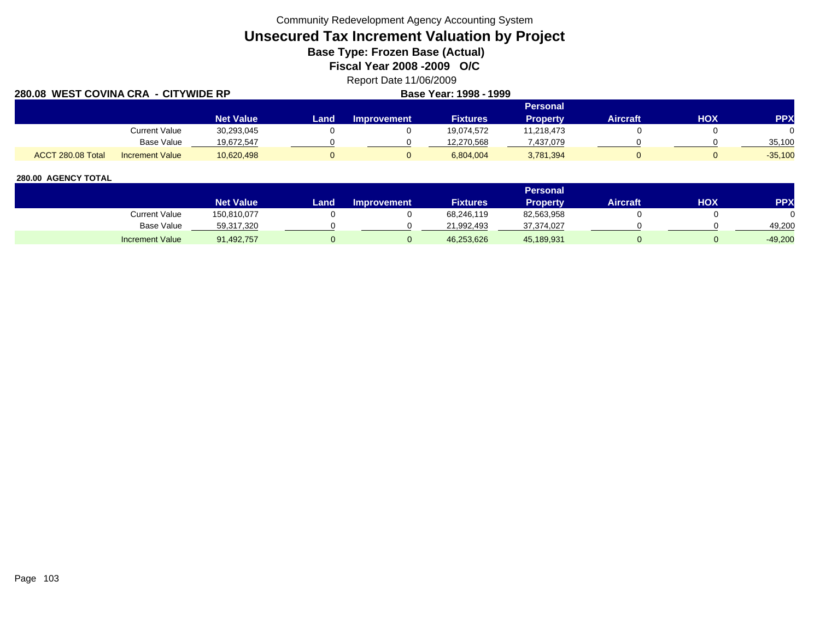Community Redevelopment Agency Accounting System

# **Unsecured Tax Increment Valuation by Project**

**Base Type: Frozen Base (Actual)** 

**Fiscal Year 2008 -2009 O/C**

Report Date 11/06/2009

| 280.08 WEST COVINA CRA - CITYWIDE RP |                        |                  | Base Year: 1998 - 1999 |                    |                 |                 |                 |     |            |
|--------------------------------------|------------------------|------------------|------------------------|--------------------|-----------------|-----------------|-----------------|-----|------------|
|                                      |                        |                  |                        |                    |                 |                 |                 |     |            |
|                                      |                        | <b>Net Value</b> | Land                   | <b>Improvement</b> | <b>Fixtures</b> | <b>Property</b> | <b>Aircraft</b> | HOX | <b>PPX</b> |
|                                      | <b>Current Value</b>   | 30,293,045       |                        |                    | 19,074,572      | 11,218,473      |                 |     |            |
|                                      | Base Value             | 19,672,547       |                        |                    | 12,270,568      | 437,079.7       |                 |     | 35,100     |
| ACCT 280.08 Total                    | <b>Increment Value</b> | 10,620,498       |                        |                    | 6,804,004       | 3,781,394       |                 |     | $-35,100$  |

|                        |                  |        |                    |                 | Personal   |                 |     |            |
|------------------------|------------------|--------|--------------------|-----------------|------------|-----------------|-----|------------|
|                        | <b>Net Value</b> | Land . | <b>Improvement</b> | <b>Fixtures</b> | Propertv   | <b>Aircraft</b> | нох | <b>PPX</b> |
| Current Value          | 150,810,077      |        |                    | 68,246,119      | 82,563,958 |                 |     |            |
| Base Value             | 59,317,320       |        |                    | 21,992,493      | 37,374,027 |                 |     | 49.200     |
| <b>Increment Value</b> | 91,492,757       |        |                    | 46,253,626      | 45,189,931 |                 |     | $-49,200$  |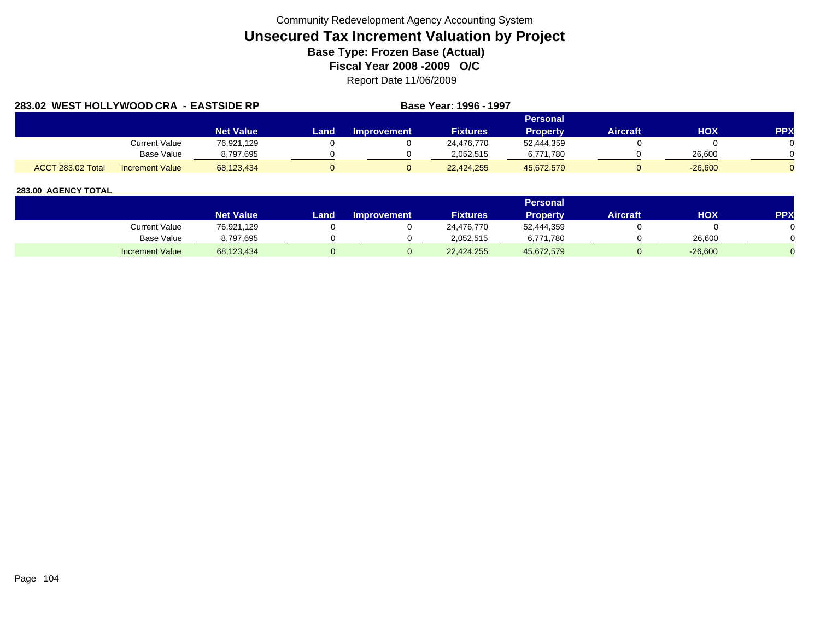| 283.02 WEST HOLLYWOOD CRA - EASTSIDE RP |                        |                  | Base Year: 1996 - 1997 |                    |                 |                 |                 |            |            |
|-----------------------------------------|------------------------|------------------|------------------------|--------------------|-----------------|-----------------|-----------------|------------|------------|
|                                         |                        |                  |                        |                    |                 | Personal        |                 |            |            |
|                                         |                        | <b>Net Value</b> | Land                   | <b>Improvement</b> | <b>Fixtures</b> | <b>Property</b> | <b>Aircraft</b> | <b>HOX</b> | <b>PPX</b> |
|                                         | Current Value          | 76,921,129       |                        |                    | 24.476.770      | 52,444,359      |                 |            |            |
|                                         | Base Value             | 8,797,695        |                        |                    | 2.052.515       | 6,771,780       |                 | 26,600     |            |
| <b>ACCT 283.02 Total</b>                | <b>Increment Value</b> | 68.123.434       |                        |                    | 22,424,255      | 45.672.579      |                 | $-26,600$  |            |

|                        |                  |      |                    |                 | <b>Personal</b> |                 |            |     |
|------------------------|------------------|------|--------------------|-----------------|-----------------|-----------------|------------|-----|
|                        | <b>Net Value</b> | Land | <b>Improvement</b> | <b>Fixtures</b> | <b>Property</b> | <b>Aircraft</b> | <b>HOX</b> | PPX |
| Current Value          | 76,921,129       |      |                    | 24,476,770      | 52,444,359      |                 |            |     |
| Base Value             | 8,797,695        |      |                    | 2.052.515       | 6,771,780       |                 | 26,600     |     |
| <b>Increment Value</b> | 68,123,434       |      |                    | 22,424,255      | 45,672,579      |                 | $-26,600$  |     |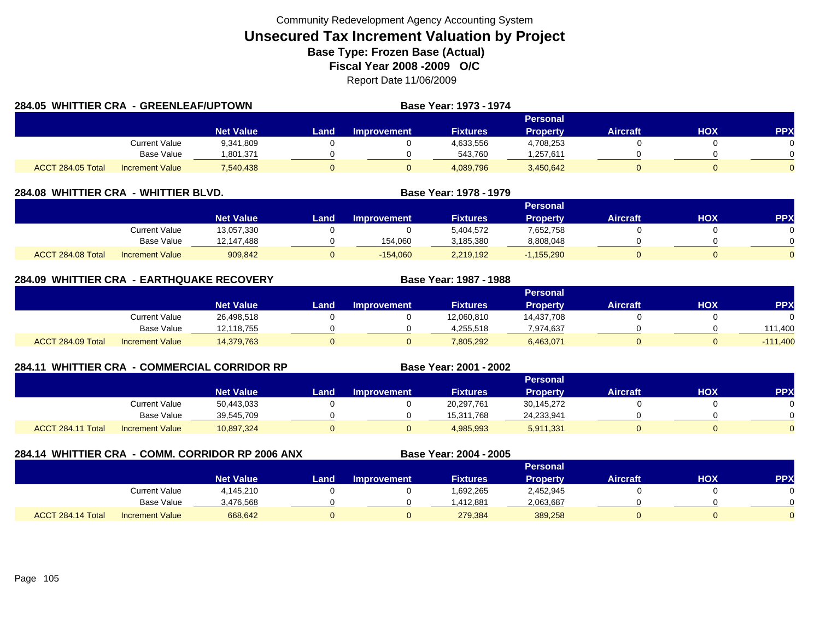| 284.05 WHITTIER CRA - GREENLEAF/UPTOWN |                      |                  |       |                    | Base Year: 1973 - 1974 |                 |          |     |                |
|----------------------------------------|----------------------|------------------|-------|--------------------|------------------------|-----------------|----------|-----|----------------|
|                                        |                      |                  |       |                    |                        | Personal        |          |     |                |
|                                        |                      | <b>Net Value</b> | Landı | <b>Improvement</b> | <b>Fixtures</b>        | <b>Property</b> | Aircraft | нох | <b>PPX</b>     |
|                                        | <b>Current Value</b> | 9,341,809        |       |                    | 4,633,556              | 4,708,253       |          |     | 0              |
|                                        | Base Value           | 1.801.371        |       |                    | 543.760                | .257,611        |          |     | ∩              |
| ACCT 284.05 Total                      | Increment Value      | 7,540,438        |       |                    | 4,089,796              | 3,450,642       |          |     | $\overline{0}$ |

| 284.08  WHITTIER CRA | - WHITTIER BLVD.       |                  |       | Base Year: 1978 - 1979 |                 |                 |                 |     |            |
|----------------------|------------------------|------------------|-------|------------------------|-----------------|-----------------|-----------------|-----|------------|
|                      |                        |                  |       |                        |                 | <b>Personal</b> |                 |     |            |
|                      |                        | <b>Net Value</b> | Land. | <b>Improvement</b>     | <b>Fixtures</b> | <b>Property</b> | <b>Aircraft</b> | нох | <b>PPX</b> |
|                      | <b>Current Value</b>   | 13,057,330       |       |                        | 5.404.572       | 7,652,758       |                 |     |            |
|                      | Base Value             | 12.147.488       |       | 154,060                | 3,185,380       | 8,808,048       |                 |     |            |
| ACCT 284.08 Total    | <b>Increment Value</b> | 909,842          |       | $-154,060$             | 2,219,192       | $-1,155,290$    |                 |     |            |

| 284.09 WHITTIER CRA - EARTHQUAKE RECOVERY |                        |                  |      | Base Year: 1987 - 1988 |                 |                 |                 |     |            |
|-------------------------------------------|------------------------|------------------|------|------------------------|-----------------|-----------------|-----------------|-----|------------|
|                                           |                        |                  |      |                        |                 | Personal        |                 |     |            |
|                                           |                        | <b>Net Value</b> | Land | <b>Improvement</b>     | <b>Fixtures</b> | <b>Property</b> | <b>Aircraft</b> | нох | <b>PPX</b> |
|                                           | Current Value          | 26,498,518       |      |                        | 12,060,810      | 14,437,708      |                 |     |            |
|                                           | Base Value             | 12,118,755       |      |                        | 4.255.518       | 7,974,637       |                 |     | 111.400    |
| ACCT 284.09 Total                         | <b>Increment Value</b> | 14,379,763       |      |                        | 7,805,292       | 6,463,071       |                 |     | $-111,400$ |

| 284.11            |                        | <b>WHITTIER CRA - COMMERCIAL CORRIDOR RP</b> | Base Year: 2001 - 2002 |                 |                 |                 |                 |            |           |
|-------------------|------------------------|----------------------------------------------|------------------------|-----------------|-----------------|-----------------|-----------------|------------|-----------|
|                   |                        |                                              |                        | <b>Personal</b> |                 |                 |                 |            |           |
|                   |                        | <b>Net Value</b>                             | Land                   | Improvement     | <b>Fixtures</b> | <b>Property</b> | <b>Aircraft</b> | <b>HOX</b> | <b>PP</b> |
|                   | <b>Current Value</b>   | 50,443,033                                   |                        |                 | 20,297,761      | 30,145,272      |                 |            |           |
|                   | <b>Base Value</b>      | 39,545,709                                   |                        |                 | 15,311,768      | 24,233,941      |                 |            |           |
| ACCT 284.11 Total | <b>Increment Value</b> | 10,897,324                                   |                        |                 | 4,985,993       | 5,911,331       |                 |            |           |

|                   |                        | 284.14 WHITTIER CRA - COMM. CORRIDOR RP 2006 ANX |      |                    | Base Year: 2004 - 2005 |                 |                 |     |            |
|-------------------|------------------------|--------------------------------------------------|------|--------------------|------------------------|-----------------|-----------------|-----|------------|
|                   |                        | <b>Personal</b>                                  |      |                    |                        |                 |                 |     |            |
|                   |                        | <b>Net Value</b>                                 | Land | <b>Improvement</b> | <b>Fixtures</b>        | <b>Property</b> | <b>Aircraft</b> | HOX | <b>PPX</b> |
|                   | Current Value          | 4,145,210                                        |      |                    | 1,692,265              | 2,452,945       |                 |     |            |
|                   | <b>Base Value</b>      | 3,476,568                                        |      |                    | 1,412,881              | 2,063,687       |                 |     |            |
| ACCT 284.14 Total | <b>Increment Value</b> | 668,642                                          | Ü    |                    | 279,384                | 389,258         |                 | 0   |            |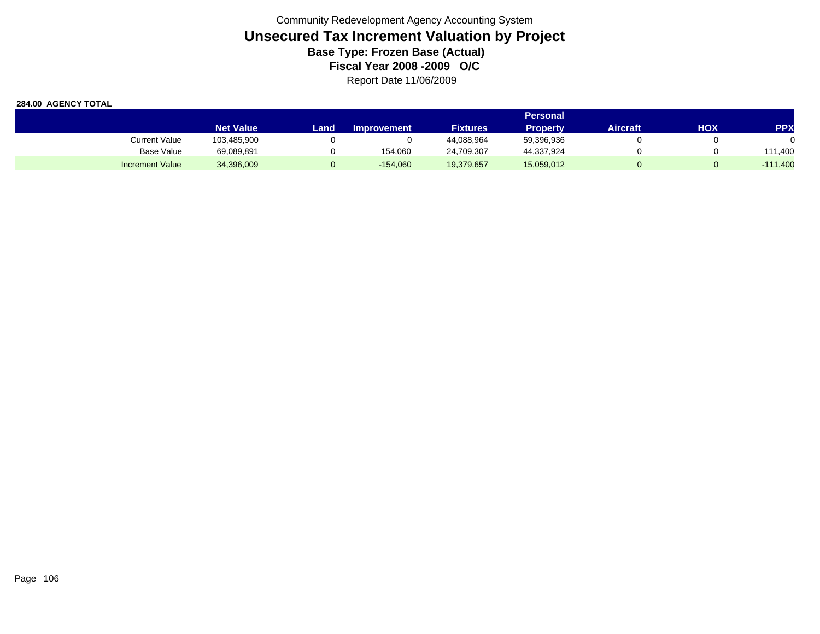|                        | <b>Personal</b>  |      |                    |                 |                 |                 |     |            |
|------------------------|------------------|------|--------------------|-----------------|-----------------|-----------------|-----|------------|
|                        | <b>Net Value</b> | Land | <b>Improvement</b> | <b>Fixtures</b> | <b>Property</b> | <b>Aircraft</b> | нох | <b>PPX</b> |
| Current Value          | 103,485,900      |      |                    | 44,088,964      | 59,396,936      |                 |     |            |
| Base Value             | 69,089,891       |      | 154.060            | 24,709,307      | 44,337,924      |                 |     | 111.400    |
| <b>Increment Value</b> | 34,396,009       |      | $-154,060$         | 19,379,657      | 15,059,012      |                 |     | $-111,400$ |